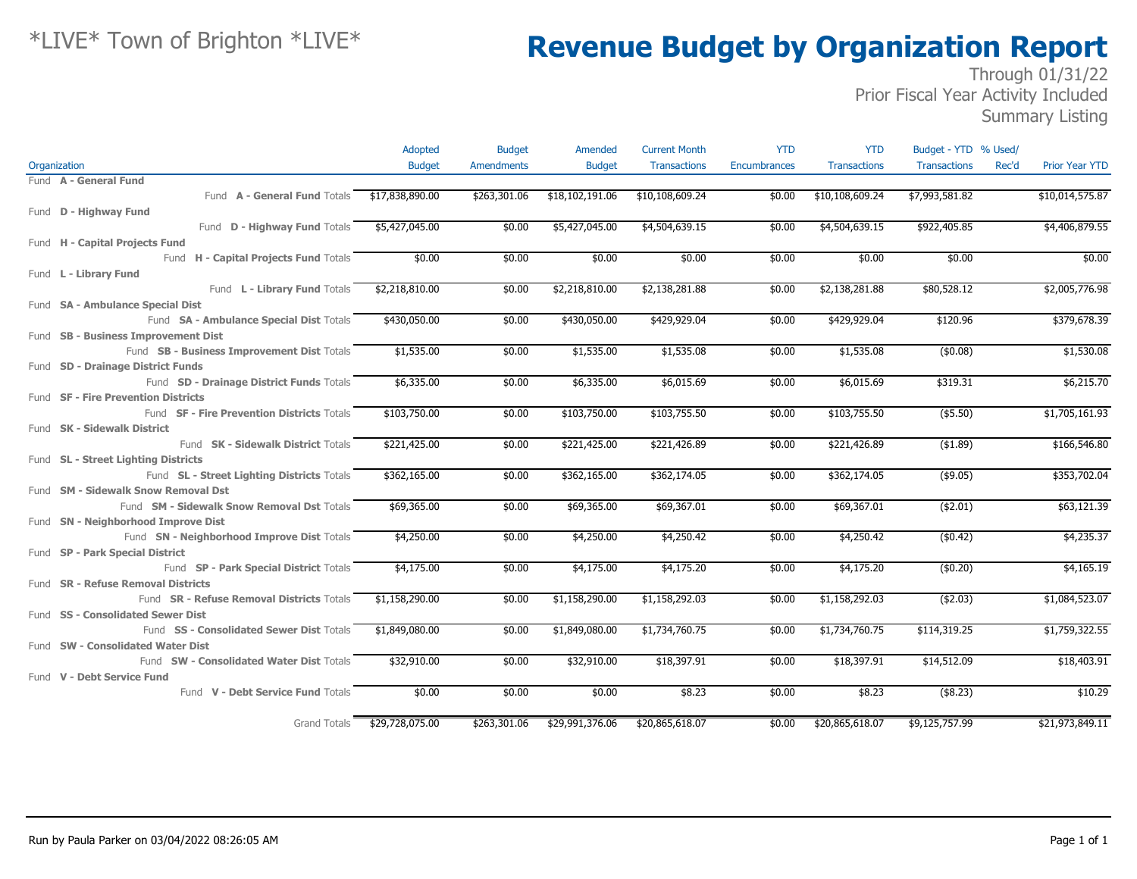### Through 01/31/22 Prior Fiscal Year Activity Included

Summary Listing

|                                              | Adopted                      | <b>Budget</b>     | Amended         | <b>Current Month</b> | <b>YTD</b>   | <b>YTD</b>          | Budget - YTD % Used/         |                       |
|----------------------------------------------|------------------------------|-------------------|-----------------|----------------------|--------------|---------------------|------------------------------|-----------------------|
| Organization                                 | <b>Budget</b>                | <b>Amendments</b> | <b>Budget</b>   | <b>Transactions</b>  | Encumbrances | <b>Transactions</b> | <b>Transactions</b><br>Rec'd | <b>Prior Year YTD</b> |
| Fund A - General Fund                        |                              |                   |                 |                      |              |                     |                              |                       |
| Fund A - General Fund Totals \$17,838,890.00 |                              | \$263,301.06      | \$18,102,191.06 | \$10,108,609.24      | \$0.00       | \$10,108,609.24     | \$7,993,581.82               | \$10,014,575.87       |
| Fund <b>D - Highway Fund</b>                 |                              |                   |                 |                      |              |                     |                              |                       |
| Fund D - Highway Fund Totals \$5,427,045.00  |                              | \$0.00            | \$5,427,045.00  | \$4,504,639.15       | \$0.00       | \$4,504,639.15      | \$922,405.85                 | \$4,406,879.55        |
| Fund H - Capital Projects Fund               |                              |                   |                 |                      |              |                     |                              |                       |
| Fund H - Capital Projects Fund Totals        | \$0.00                       | \$0.00            | \$0.00          | \$0.00               | \$0.00       | \$0.00              | \$0.00                       | \$0.00                |
| Fund L - Library Fund                        |                              |                   |                 |                      |              |                     |                              |                       |
| Fund L - Library Fund Totals                 | \$2,218,810.00               | \$0.00            | \$2,218,810.00  | \$2,138,281.88       | \$0.00       | \$2,138,281.88      | \$80,528.12                  | \$2,005,776.98        |
| Fund SA - Ambulance Special Dist             |                              |                   |                 |                      |              |                     |                              |                       |
| Fund SA - Ambulance Special Dist Totals      | \$430,050.00                 | \$0.00            | \$430,050.00    | \$429,929.04         | \$0.00       | \$429,929.04        | \$120.96                     | \$379,678.39          |
| Fund SB - Business Improvement Dist          |                              |                   |                 |                      |              |                     |                              |                       |
| Fund SB - Business Improvement Dist Totals   | \$1,535.00                   | \$0.00            | \$1,535.00      | \$1,535.08           | \$0.00       | \$1,535.08          | (\$0.08)                     | \$1,530.08            |
| Fund SD - Drainage District Funds            |                              |                   |                 |                      |              |                     |                              |                       |
| Fund SD - Drainage District Funds Totals     | \$6,335.00                   | \$0.00            | \$6,335.00      | \$6,015.69           | \$0.00       | \$6,015.69          | \$319.31                     | \$6,215.70            |
| Fund SF - Fire Prevention Districts          |                              |                   |                 |                      |              |                     |                              |                       |
| Fund SF - Fire Prevention Districts Totals   | \$103,750.00                 | \$0.00            | \$103,750.00    | \$103,755.50         | \$0.00       | \$103,755.50        | $($ \$5.50)                  | \$1,705,161.93        |
| Fund SK - Sidewalk District                  |                              |                   |                 |                      |              |                     |                              |                       |
| Fund SK - Sidewalk District Totals           | \$221,425.00                 | \$0.00            | \$221,425.00    | \$221,426.89         | \$0.00       | \$221,426.89        | ( \$1.89)                    | \$166,546.80          |
| Fund SL - Street Lighting Districts          |                              |                   |                 |                      |              |                     |                              |                       |
| Fund SL - Street Lighting Districts Totals   | \$362,165.00                 | \$0.00            | \$362,165.00    | \$362,174.05         | \$0.00       | \$362,174.05        | (\$9.05)                     | \$353,702.04          |
| Fund SM - Sidewalk Snow Removal Dst          |                              |                   |                 |                      |              |                     |                              |                       |
| Fund SM - Sidewalk Snow Removal Dst Totals   | \$69,365.00                  | \$0.00            | \$69,365.00     | \$69,367.01          | \$0.00       | \$69,367.01         | ( \$2.01)                    | \$63,121.39           |
| Fund SN - Neighborhood Improve Dist          |                              |                   |                 |                      |              |                     |                              |                       |
| Fund SN - Neighborhood Improve Dist Totals   | \$4,250.00                   | \$0.00            | \$4,250.00      | \$4,250.42           | \$0.00       | \$4,250.42          | (\$0.42)                     | \$4,235.37            |
| Fund SP - Park Special District              |                              |                   |                 |                      |              |                     |                              |                       |
| Fund SP - Park Special District Totals       | \$4,175.00                   | \$0.00            | \$4,175.00      | \$4,175.20           | \$0.00       | \$4,175.20          | (\$0.20)                     | \$4,165.19            |
| Fund SR - Refuse Removal Districts           |                              |                   |                 |                      |              |                     |                              |                       |
| Fund SR - Refuse Removal Districts Totals    | \$1,158,290.00               | \$0.00            | \$1,158,290.00  | \$1,158,292.03       | \$0.00       | \$1,158,292.03      | (42.03)                      | \$1,084,523.07        |
| Fund SS - Consolidated Sewer Dist            |                              |                   |                 |                      |              |                     |                              |                       |
| Fund SS - Consolidated Sewer Dist Totals     | \$1,849,080.00               | \$0.00            | \$1,849,080.00  | \$1,734,760.75       | \$0.00       | \$1,734,760.75      | \$114,319.25                 | \$1,759,322.55        |
| Fund SW - Consolidated Water Dist            |                              |                   |                 |                      |              |                     |                              |                       |
| Fund SW - Consolidated Water Dist Totals     | \$32,910.00                  | \$0.00            | \$32,910.00     | \$18,397.91          | \$0.00       | \$18,397.91         | \$14,512.09                  | \$18,403.91           |
| Fund V - Debt Service Fund                   |                              |                   |                 |                      |              |                     |                              |                       |
| Fund V - Debt Service Fund Totals            | \$0.00                       | \$0.00            | \$0.00          | \$8.23               | \$0.00       | \$8.23              | $($ \$8.23)                  | \$10.29               |
|                                              | Grand Totals \$29,728,075.00 | \$263,301.06      | \$29,991,376.06 | \$20,865,618.07      | \$0.00       | \$20,865,618.07     | \$9,125,757.99               | \$21,973,849.11       |
|                                              |                              |                   |                 |                      |              |                     |                              |                       |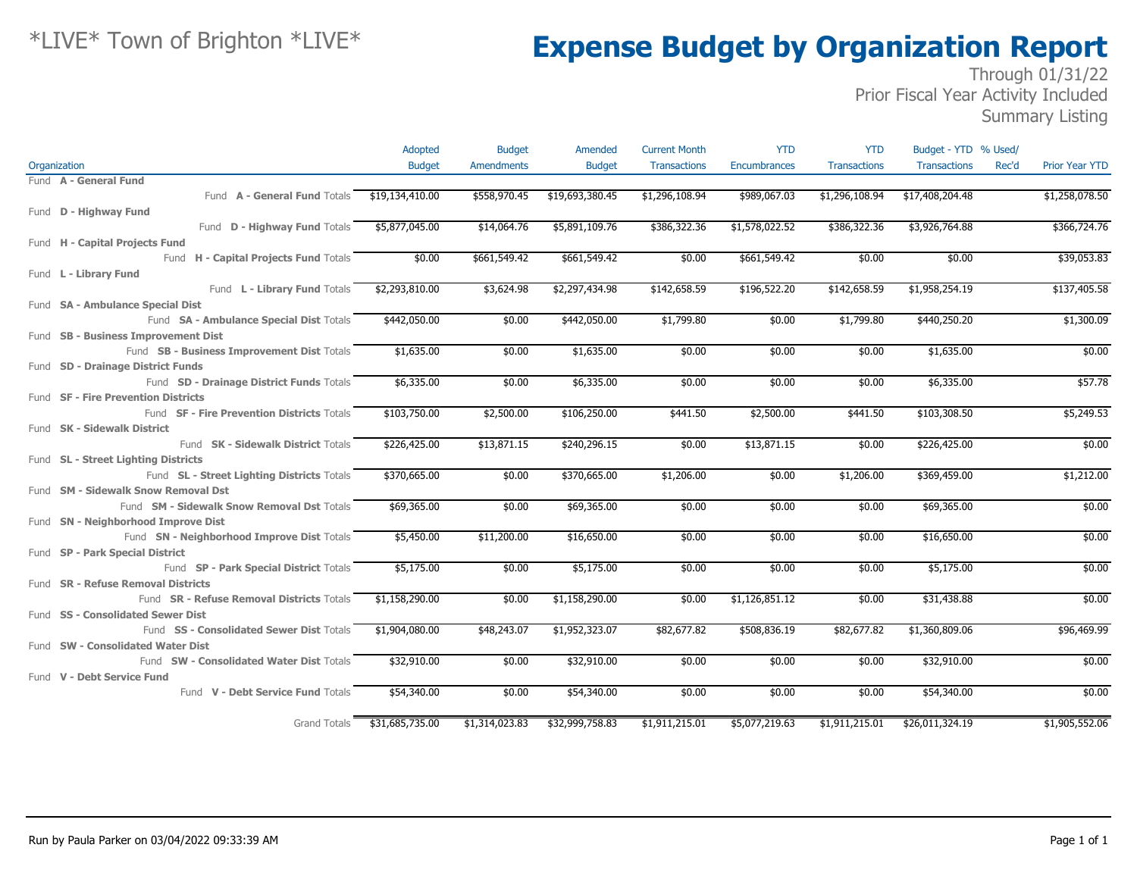### Through  $0\overline{1}/31/22$ Prior Fiscal Year Activity Included

Summary Listing

|                                            | Adopted         | <b>Budget</b>     | Amended         | <b>Current Month</b> | <b>YTD</b>          | <b>YTD</b>          | Budget - YTD % Used/ |       |                       |
|--------------------------------------------|-----------------|-------------------|-----------------|----------------------|---------------------|---------------------|----------------------|-------|-----------------------|
| Organization                               | <b>Budget</b>   | <b>Amendments</b> | <b>Budget</b>   | <b>Transactions</b>  | <b>Encumbrances</b> | <b>Transactions</b> | <b>Transactions</b>  | Rec'd | <b>Prior Year YTD</b> |
| Fund A - General Fund                      |                 |                   |                 |                      |                     |                     |                      |       |                       |
| Fund A - General Fund Totals               | \$19,134,410.00 | \$558,970.45      | \$19,693,380.45 | \$1,296,108.94       | \$989,067.03        | \$1,296,108.94      | \$17,408,204.48      |       | \$1,258,078.50        |
| Fund D - Highway Fund                      |                 |                   |                 |                      |                     |                     |                      |       |                       |
| Fund <b>D - Highway Fund Totals</b>        | \$5,877,045.00  | \$14,064.76       | \$5,891,109.76  | \$386,322.36         | \$1,578,022.52      | \$386,322.36        | \$3,926,764.88       |       | \$366,724.76          |
| Fund H - Capital Projects Fund             |                 |                   |                 |                      |                     |                     |                      |       |                       |
| Fund H - Capital Projects Fund Totals      | \$0.00          | \$661,549.42      | \$661,549.42    | \$0.00               | \$661,549.42        | \$0.00              | \$0.00               |       | \$39,053.83           |
| Fund L - Library Fund                      |                 |                   |                 |                      |                     |                     |                      |       |                       |
| Fund L - Library Fund Totals               | \$2,293,810.00  | \$3,624.98        | \$2,297,434.98  | \$142,658.59         | \$196,522.20        | \$142,658.59        | \$1,958,254.19       |       | \$137,405.58          |
| Fund SA - Ambulance Special Dist           |                 |                   |                 |                      |                     |                     |                      |       |                       |
| Fund SA - Ambulance Special Dist Totals    | \$442,050.00    | \$0.00            | \$442,050.00    | \$1,799.80           | \$0.00              | \$1,799.80          | \$440,250.20         |       | \$1,300.09            |
| Fund SB - Business Improvement Dist        |                 |                   |                 |                      |                     |                     |                      |       |                       |
| Fund SB - Business Improvement Dist Totals | \$1,635.00      | \$0.00            | \$1,635.00      | \$0.00               | \$0.00              | \$0.00              | \$1,635.00           |       | \$0.00                |
| Fund SD - Drainage District Funds          |                 |                   |                 |                      |                     |                     |                      |       |                       |
| Fund SD - Drainage District Funds Totals   | \$6,335.00      | \$0.00            | \$6,335.00      | \$0.00               | \$0.00              | \$0.00              | \$6,335.00           |       | \$57.78               |
| Fund SF - Fire Prevention Districts        |                 |                   |                 |                      |                     |                     |                      |       |                       |
| Fund SF - Fire Prevention Districts Totals | \$103,750.00    | \$2,500.00        | \$106,250.00    | \$441.50             | \$2,500.00          | \$441.50            | \$103,308.50         |       | \$5,249.53            |
| Fund SK - Sidewalk District                |                 |                   |                 |                      |                     |                     |                      |       |                       |
| Fund SK - Sidewalk District Totals         | \$226,425.00    | \$13,871.15       | \$240,296.15    | \$0.00               | \$13,871.15         | \$0.00              | \$226,425.00         |       | \$0.00                |
| Fund SL - Street Lighting Districts        |                 |                   |                 |                      |                     |                     |                      |       |                       |
| Fund SL - Street Lighting Districts Totals | \$370,665.00    | \$0.00            | \$370,665.00    | \$1,206.00           | \$0.00              | \$1,206.00          | \$369,459.00         |       | \$1,212.00            |
| Fund SM - Sidewalk Snow Removal Dst        |                 |                   |                 |                      |                     |                     |                      |       |                       |
| Fund SM - Sidewalk Snow Removal Dst Totals | \$69,365.00     | \$0.00            | \$69,365.00     | \$0.00               | \$0.00              | \$0.00              | \$69,365.00          |       | \$0.00                |
| Fund SN - Neighborhood Improve Dist        |                 |                   |                 |                      |                     |                     |                      |       |                       |
| Fund SN - Neighborhood Improve Dist Totals | \$5,450.00      | \$11,200.00       | \$16,650.00     | \$0.00               | \$0.00              | \$0.00              | \$16,650.00          |       | \$0.00                |
| Fund SP - Park Special District            |                 |                   |                 |                      |                     |                     |                      |       |                       |
| Fund SP - Park Special District Totals     | \$5,175.00      | \$0.00            | \$5,175.00      | \$0.00               | \$0.00              | \$0.00              | \$5,175.00           |       | \$0.00                |
| Fund SR - Refuse Removal Districts         |                 |                   |                 |                      |                     |                     |                      |       |                       |
| Fund SR - Refuse Removal Districts Totals  | \$1,158,290.00  | \$0.00            | \$1,158,290.00  | \$0.00               | \$1,126,851.12      | \$0.00              | \$31,438.88          |       | \$0.00                |
| Fund SS - Consolidated Sewer Dist          |                 |                   |                 |                      |                     |                     |                      |       |                       |
| Fund SS - Consolidated Sewer Dist Totals   | \$1,904,080.00  | \$48,243.07       | \$1,952,323.07  | \$82,677.82          | \$508,836.19        | \$82,677.82         | \$1,360,809.06       |       | \$96,469.99           |
| Fund SW - Consolidated Water Dist          |                 |                   |                 |                      |                     |                     |                      |       |                       |
| Fund SW - Consolidated Water Dist Totals   | \$32,910.00     | \$0.00            | \$32,910.00     | \$0.00               | \$0.00              | \$0.00              | \$32,910.00          |       | \$0.00                |
| Fund V - Debt Service Fund                 |                 |                   |                 |                      |                     |                     |                      |       |                       |
| Fund V - Debt Service Fund Totals          | \$54,340.00     | \$0.00            | \$54,340.00     | \$0.00               | \$0.00              | \$0.00              | \$54,340.00          |       | \$0.00                |
| <b>Grand Totals</b>                        | \$31,685,735.00 | \$1,314,023.83    | \$32,999,758.83 | \$1,911,215.01       | \$5,077,219.63      | \$1,911,215.01      | \$26,011,324.19      |       | \$1,905,552.06        |
|                                            |                 |                   |                 |                      |                     |                     |                      |       |                       |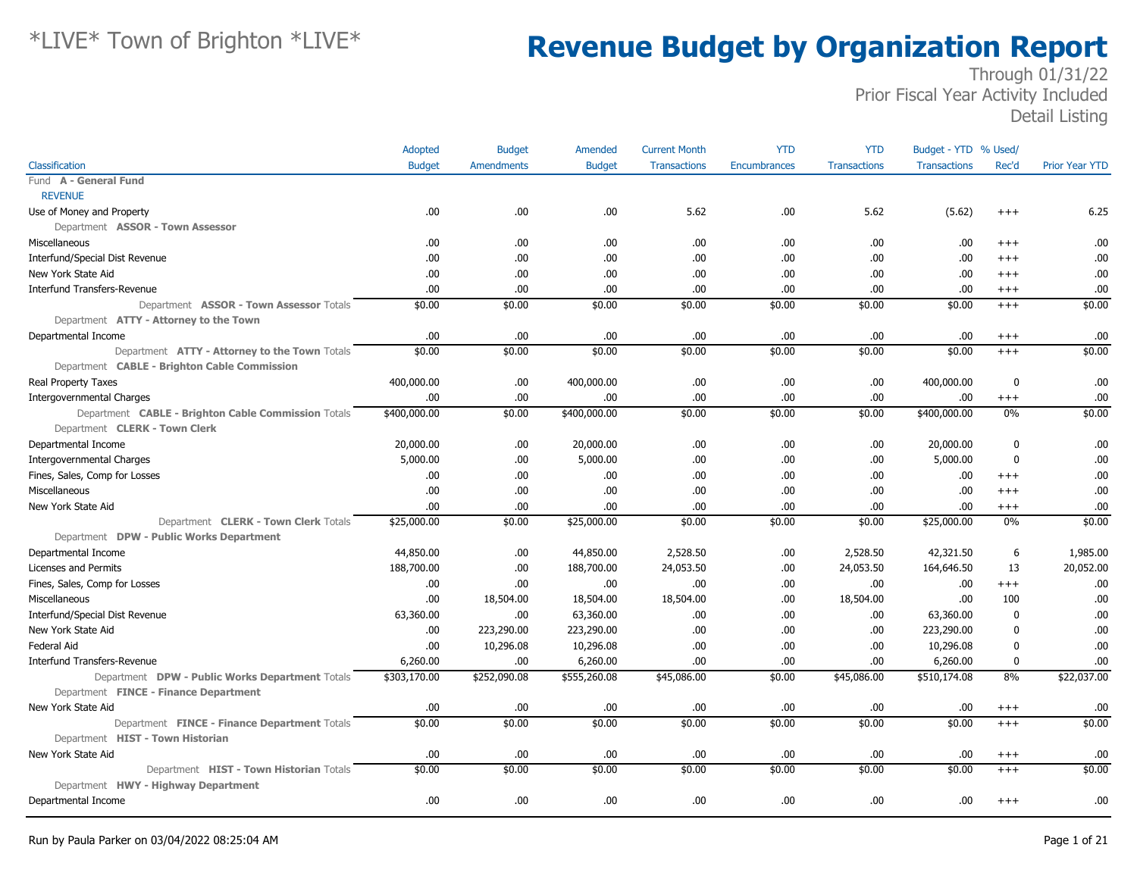|                                                     | Adopted       | <b>Budget</b>     | Amended       | <b>Current Month</b> | <b>YTD</b>   | <b>YTD</b>          | Budget - YTD % Used/ |                  |                       |
|-----------------------------------------------------|---------------|-------------------|---------------|----------------------|--------------|---------------------|----------------------|------------------|-----------------------|
| Classification                                      | <b>Budget</b> | <b>Amendments</b> | <b>Budget</b> | <b>Transactions</b>  | Encumbrances | <b>Transactions</b> | <b>Transactions</b>  | Rec'd            | <b>Prior Year YTD</b> |
| Fund A - General Fund                               |               |                   |               |                      |              |                     |                      |                  |                       |
| <b>REVENUE</b>                                      |               |                   |               |                      |              |                     |                      |                  |                       |
| Use of Money and Property                           | .00           | .00.              | .00.          | 5.62                 | .00          | 5.62                | (5.62)               | $+++$            | 6.25                  |
| Department ASSOR - Town Assessor                    |               |                   |               |                      |              |                     |                      |                  |                       |
| Miscellaneous                                       | .00.          | .00.              | .00           | .00                  | .00          | .00.                | .00                  | $^{+++}$         | .00                   |
| Interfund/Special Dist Revenue                      | .00           | .00.              | .00           | .00.                 | .00          | .00.                | .00                  | $+++$            | .00                   |
| New York State Aid                                  | .00           | .00.              | .00.          | .00.                 | .00          | .00.                | .00                  | $^{+++}$         | .00                   |
| <b>Interfund Transfers-Revenue</b>                  | .00           | .00               | .00           | .00.                 | .00          | .00.                | .00                  | $^{+++}$         | .00                   |
| Department ASSOR - Town Assessor Totals             | \$0.00        | \$0.00            | \$0.00        | \$0.00               | \$0.00       | \$0.00              | \$0.00               | $+++$            | \$0.00                |
| Department ATTY - Attorney to the Town              |               |                   |               |                      |              |                     |                      |                  |                       |
| Departmental Income                                 | .00           | .00.              | .00           | .00.                 | .00          | .00.                | .00                  | $^{+++}$         | .00                   |
| Department ATTY - Attorney to the Town Totals       | \$0.00        | \$0.00            | \$0.00        | \$0.00               | \$0.00       | \$0.00              | \$0.00               | $^{+++}$         | \$0.00                |
| Department CABLE - Brighton Cable Commission        |               |                   |               |                      |              |                     |                      |                  |                       |
| <b>Real Property Taxes</b>                          | 400,000.00    | .00.              | 400,000.00    | .00                  | .00          | .00.                | 400,000.00           | $\mathbf 0$      | .00                   |
| <b>Intergovernmental Charges</b>                    | .00           | .00.              | .00           | .00.                 | .00          | .00.                | .00                  | $^{+++}$         | .00                   |
| Department CABLE - Brighton Cable Commission Totals | \$400,000.00  | \$0.00            | \$400,000.00  | \$0.00               | \$0.00       | \$0.00              | \$400,000.00         | 0%               | \$0.00                |
| Department CLERK - Town Clerk                       |               |                   |               |                      |              |                     |                      |                  |                       |
| Departmental Income                                 | 20,000.00     | .00.              | 20,000.00     | .00.                 | .00          | .00.                | 20,000.00            | 0                | .00                   |
| <b>Intergovernmental Charges</b>                    | 5,000.00      | .00.              | 5,000.00      | .00.                 | .00          | .00.                | 5,000.00             | $\boldsymbol{0}$ | .00                   |
| Fines, Sales, Comp for Losses                       | .00           | .00.              | .00           | .00.                 | .00          | .00.                | .00                  | $^{+++}$         | .00                   |
| Miscellaneous                                       | .00           | .00.              | .00           | .00.                 | .00          | .00.                | .00                  | $+++$            | .00                   |
| New York State Aid                                  | .00           | .00.              | .00           | .00.                 | .00          | .00.                | .00                  | $^{+++}$         | .00                   |
| Department CLERK - Town Clerk Totals                | \$25,000.00   | \$0.00            | \$25,000.00   | \$0.00               | \$0.00       | \$0.00              | \$25,000.00          | 0%               | \$0.00                |
| Department DPW - Public Works Department            |               |                   |               |                      |              |                     |                      |                  |                       |
| Departmental Income                                 | 44,850.00     | .00.              | 44,850.00     | 2,528.50             | .00          | 2,528.50            | 42,321.50            | 6                | 1,985.00              |
| Licenses and Permits                                | 188,700.00    | .00               | 188,700.00    | 24,053.50            | .00          | 24,053.50           | 164,646.50           | 13               | 20,052.00             |
| Fines, Sales, Comp for Losses                       | .00.          | .00               | .00.          | .00.                 | .00          | .00.                | .00                  | $^{+++}$         | .00                   |
| Miscellaneous                                       | .00.          | 18,504.00         | 18,504.00     | 18,504.00            | .00          | 18,504.00           | .00                  | 100              | .00                   |
| Interfund/Special Dist Revenue                      | 63,360.00     | .00               | 63,360.00     | .00.                 | .00          | .00.                | 63,360.00            | $\mathbf 0$      | .00                   |
| New York State Aid                                  | .00           | 223,290.00        | 223,290.00    | .00.                 | .00          | .00.                | 223,290.00           | $\boldsymbol{0}$ | .00                   |
| <b>Federal Aid</b>                                  | .00           | 10,296.08         | 10,296.08     | .00.                 | .00          | .00.                | 10,296.08            | $\mathbf{0}$     | .00                   |
| <b>Interfund Transfers-Revenue</b>                  | 6,260.00      | .00               | 6,260.00      | .00.                 | .00          | .00.                | 6,260.00             | $\mathbf 0$      | .00                   |
| Department DPW - Public Works Department Totals     | \$303,170.00  | \$252,090.08      | \$555,260.08  | \$45,086.00          | \$0.00       | \$45,086.00         | \$510,174.08         | 8%               | \$22,037.00           |
| Department FINCE - Finance Department               |               |                   |               |                      |              |                     |                      |                  |                       |
| New York State Aid                                  | .00.          | .00.              | .00           | .00.                 | .00          | .00.                | .00                  | $^{+++}$         | .00                   |
| Department FINCE - Finance Department Totals        | \$0.00        | \$0.00            | \$0.00        | \$0.00               | \$0.00       | \$0.00              | \$0.00               | $+++$            | \$0.00                |
| Department HIST - Town Historian                    |               |                   |               |                      |              |                     |                      |                  |                       |
| New York State Aid                                  | .00           | .00.              | .00           | .00.                 | .00          | .00.                | .00                  | $^{+++}$         | .00                   |
| Department HIST - Town Historian Totals             | \$0.00        | \$0.00            | \$0.00        | \$0.00               | \$0.00       | \$0.00              | \$0.00               | $+++$            | \$0.00                |
| Department HWY - Highway Department                 |               |                   |               |                      |              |                     |                      |                  |                       |
| Departmental Income                                 | .00           | .00               | .00           | .00.                 | .00          | .00.                | .00                  | $^{+++}$         | .00                   |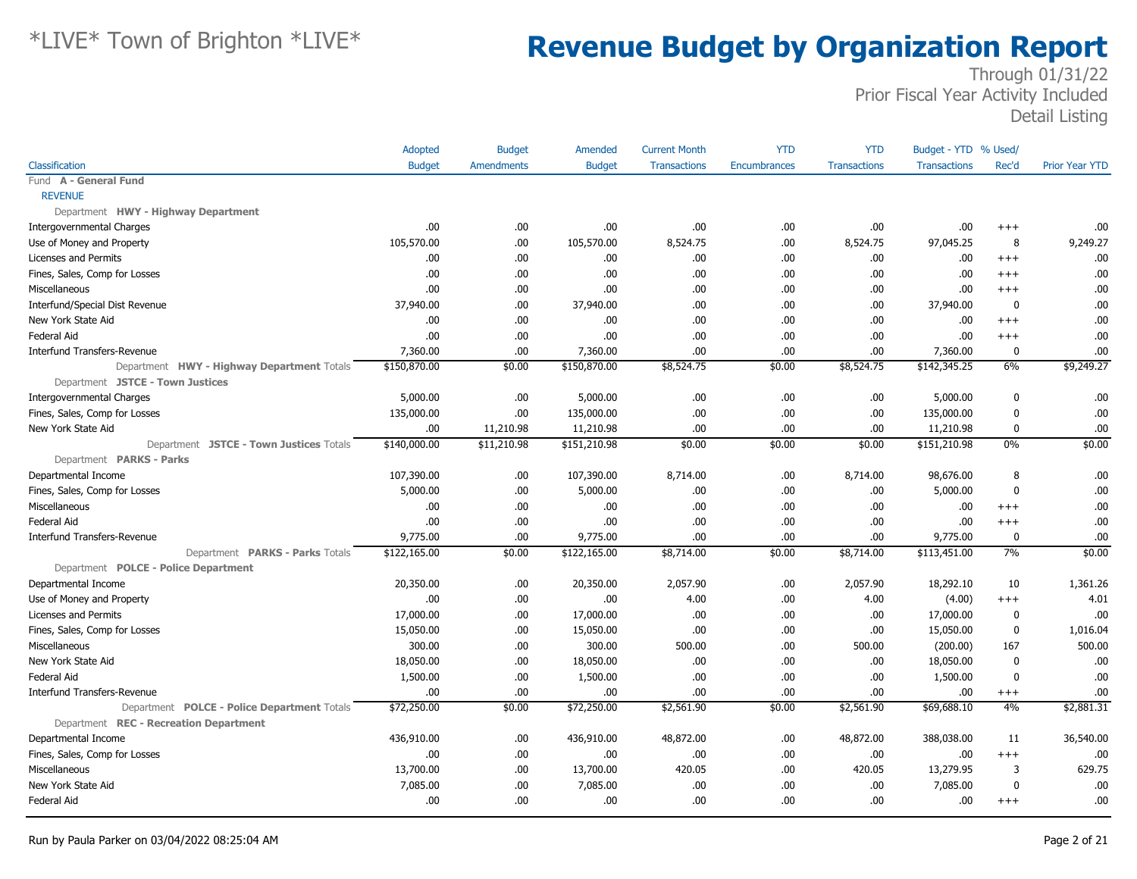|                                             | Adopted       | <b>Budget</b> | <b>Amended</b> | <b>Current Month</b> | <b>YTD</b>   | <b>YTD</b>          | Budget - YTD % Used/ |              |                       |
|---------------------------------------------|---------------|---------------|----------------|----------------------|--------------|---------------------|----------------------|--------------|-----------------------|
| Classification                              | <b>Budget</b> | Amendments    | <b>Budget</b>  | <b>Transactions</b>  | Encumbrances | <b>Transactions</b> | <b>Transactions</b>  | Rec'd        | <b>Prior Year YTD</b> |
| Fund A - General Fund                       |               |               |                |                      |              |                     |                      |              |                       |
| <b>REVENUE</b>                              |               |               |                |                      |              |                     |                      |              |                       |
| Department HWY - Highway Department         |               |               |                |                      |              |                     |                      |              |                       |
| <b>Intergovernmental Charges</b>            | .00           | .00.          | .00.           | .00                  | .00          | .00.                | .00.                 | $^{+++}$     | .00                   |
| Use of Money and Property                   | 105,570.00    | .00.          | 105,570.00     | 8,524.75             | .00          | 8,524.75            | 97,045.25            | 8            | 9,249.27              |
| Licenses and Permits                        | .00           | .00.          | .00.           | .00.                 | .00          | .00.                | .00                  | $^{+++}$     | .00                   |
| Fines, Sales, Comp for Losses               | .00           | .00.          | .00            | .00.                 | .00          | .00.                | .00                  | $+++$        | .00                   |
| Miscellaneous                               | .00           | .00.          | .00.           | .00                  | .00          | .00                 | .00                  | $^{+++}$     | .00                   |
| Interfund/Special Dist Revenue              | 37,940.00     | .00.          | 37,940.00      | .00.                 | .00          | .00.                | 37,940.00            | $\mathbf 0$  | .00                   |
| New York State Aid                          | .00           | .00.          | .00            | .00.                 | .00          | .00.                | .00                  | $+++$        | .00                   |
| Federal Aid                                 | .00           | .00.          | .00            | .00.                 | .00          | .00.                | .00                  | $^{+++}$     | .00                   |
| <b>Interfund Transfers-Revenue</b>          | 7,360.00      | .00           | 7,360.00       | .00                  | .00          | .00                 | 7,360.00             | $\mathbf{0}$ | .00                   |
| Department HWY - Highway Department Totals  | \$150,870.00  | \$0.00        | \$150,870.00   | \$8,524.75           | \$0.00       | \$8,524.75          | \$142,345.25         | 6%           | \$9,249.27            |
| Department JSTCE - Town Justices            |               |               |                |                      |              |                     |                      |              |                       |
| <b>Intergovernmental Charges</b>            | 5,000.00      | .00.          | 5,000.00       | .00.                 | .00          | .00.                | 5,000.00             | $\mathbf{0}$ | .00                   |
| Fines, Sales, Comp for Losses               | 135,000.00    | .00.          | 135,000.00     | .00                  | .00          | .00.                | 135,000.00           | 0            | .00                   |
| New York State Aid                          | .00           | 11,210.98     | 11,210.98      | .00.                 | .00          | .00.                | 11,210.98            | $\mathbf 0$  | .00                   |
| Department JSTCE - Town Justices Totals     | \$140,000.00  | \$11,210.98   | \$151,210.98   | \$0.00               | \$0.00       | \$0.00              | \$151,210.98         | 0%           | \$0.00                |
| Department PARKS - Parks                    |               |               |                |                      |              |                     |                      |              |                       |
| Departmental Income                         | 107,390.00    | .00.          | 107,390.00     | 8,714.00             | .00          | 8,714.00            | 98,676.00            | 8            | .00                   |
| Fines, Sales, Comp for Losses               | 5,000.00      | .00.          | 5,000.00       | .00.                 | .00          | .00.                | 5,000.00             | $\mathbf 0$  | .00                   |
| Miscellaneous                               | .00           | .00.          | .00            | .00.                 | .00          | .00                 | .00                  | $+++$        | .00                   |
| Federal Aid                                 | .00           | .00.          | .00.           | .00                  | .00          | .00                 | .00                  | $+++$        | .00                   |
| <b>Interfund Transfers-Revenue</b>          | 9,775.00      | .00.          | 9,775.00       | .00.                 | .00          | .00.                | 9,775.00             | 0            | .00                   |
| Department PARKS - Parks Totals             | \$122,165.00  | \$0.00        | \$122,165.00   | \$8,714.00           | \$0.00       | \$8,714.00          | \$113,451.00         | 7%           | \$0.00                |
| Department POLCE - Police Department        |               |               |                |                      |              |                     |                      |              |                       |
| Departmental Income                         | 20,350.00     | .00.          | 20,350.00      | 2,057.90             | .00          | 2,057.90            | 18,292.10            | 10           | 1,361.26              |
| Use of Money and Property                   | .00           | .00.          | .00            | 4.00                 | .00          | 4.00                | (4.00)               | $^{+++}$     | 4.01                  |
| Licenses and Permits                        | 17,000.00     | .00.          | 17,000.00      | .00.                 | .00          | .00.                | 17,000.00            | 0            | .00                   |
| Fines, Sales, Comp for Losses               | 15,050.00     | .00.          | 15,050.00      | .00.                 | .00          | .00                 | 15,050.00            | $\mathbf 0$  | 1,016.04              |
| Miscellaneous                               | 300.00        | .00.          | 300.00         | 500.00               | .00          | 500.00              | (200.00)             | 167          | 500.00                |
| New York State Aid                          | 18,050.00     | .00.          | 18,050.00      | .00.                 | .00          | .00.                | 18,050.00            | $\mathbf 0$  | .00                   |
| <b>Federal Aid</b>                          | 1,500.00      | .00.          | 1,500.00       | .00.                 | .00          | .00                 | 1,500.00             | $\mathbf{0}$ | .00                   |
| <b>Interfund Transfers-Revenue</b>          | .00           | .00.          | .00.           | .00.                 | .00          | .00                 | .00                  | $^{+++}$     | .00                   |
| Department POLCE - Police Department Totals | \$72,250.00   | \$0.00        | \$72,250.00    | \$2,561.90           | \$0.00       | \$2,561.90          | \$69,688.10          | 4%           | \$2,881.31            |
| Department REC - Recreation Department      |               |               |                |                      |              |                     |                      |              |                       |
| Departmental Income                         | 436,910.00    | .00.          | 436,910.00     | 48,872.00            | .00          | 48,872.00           | 388,038.00           | 11           | 36,540.00             |
| Fines, Sales, Comp for Losses               | .00           | .00.          | .00            | .00.                 | .00          | .00.                | .00                  | $^{+++}$     | .00                   |
| Miscellaneous                               | 13,700.00     | .00.          | 13,700.00      | 420.05               | .00          | 420.05              | 13,279.95            | 3            | 629.75                |
| New York State Aid                          | 7,085.00      | .00.          | 7,085.00       | .00.                 | .00          | .00                 | 7,085.00             | $\mathbf{0}$ | .00                   |
| Federal Aid                                 | .00           | .00.          | .00            | .00                  | .00          | .00.                | .00                  | $+++$        | .00                   |
|                                             |               |               |                |                      |              |                     |                      |              |                       |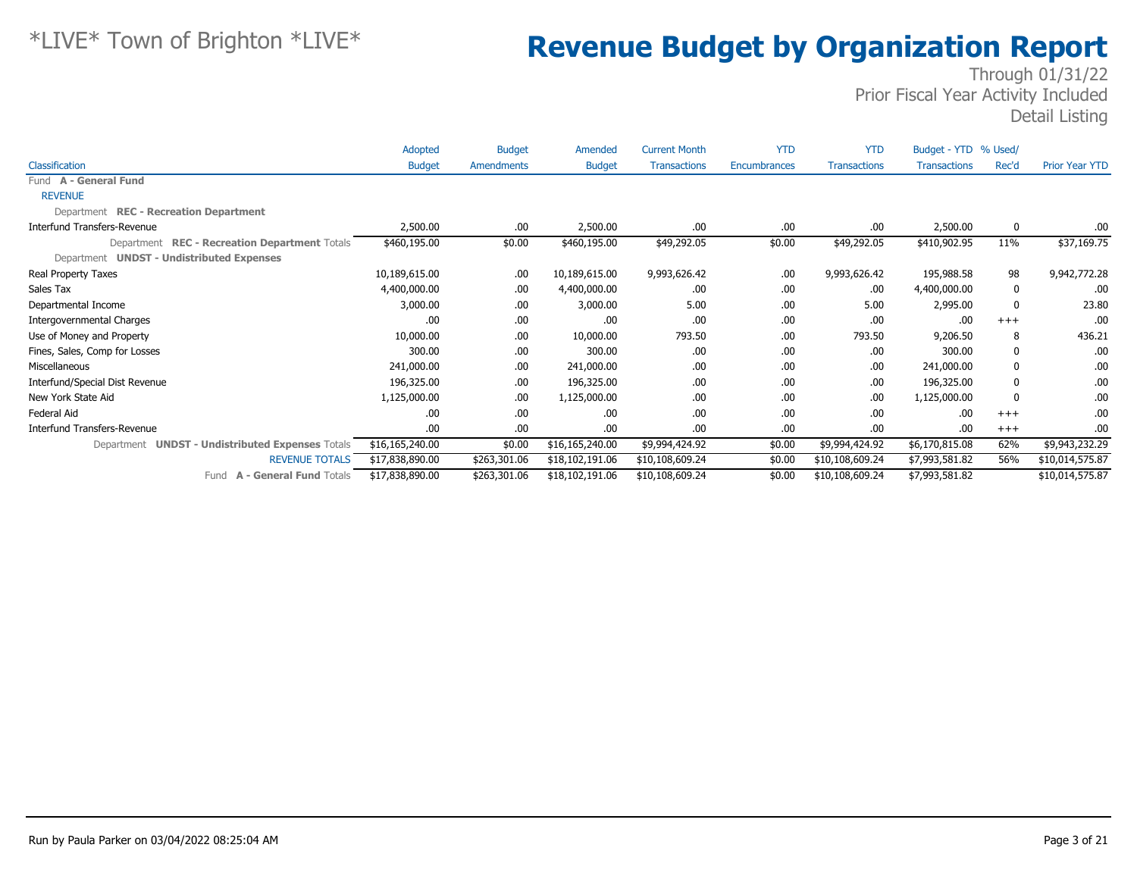|                                                  | Adopted         | <b>Budget</b> | Amended         | <b>Current Month</b> | <b>YTD</b>   | <b>YTD</b>          | Budget - YTD % Used/ |       |                       |
|--------------------------------------------------|-----------------|---------------|-----------------|----------------------|--------------|---------------------|----------------------|-------|-----------------------|
| <b>Classification</b>                            | <b>Budget</b>   | Amendments    | <b>Budget</b>   | <b>Transactions</b>  | Encumbrances | <b>Transactions</b> | <b>Transactions</b>  | Rec'd | <b>Prior Year YTD</b> |
| Fund A - General Fund                            |                 |               |                 |                      |              |                     |                      |       |                       |
| <b>REVENUE</b>                                   |                 |               |                 |                      |              |                     |                      |       |                       |
| Department REC - Recreation Department           |                 |               |                 |                      |              |                     |                      |       |                       |
| Interfund Transfers-Revenue                      | 2,500.00        | .00.          | 2,500.00        | .00.                 | .00          | .00                 | 2,500.00             | 0     | .00                   |
| Department REC - Recreation Department Totals    | \$460,195.00    | \$0.00        | \$460,195.00    | \$49,292.05          | \$0.00       | \$49,292.05         | \$410,902.95         | 11%   | \$37,169.75           |
| Department UNDST - Undistributed Expenses        |                 |               |                 |                      |              |                     |                      |       |                       |
| Real Property Taxes                              | 10,189,615.00   | .00.          | 10,189,615.00   | 9,993,626.42         | .00          | 9,993,626.42        | 195,988.58           | 98    | 9,942,772.28          |
| Sales Tax                                        | 4,400,000.00    | .00.          | 4,400,000.00    | .00.                 | .00          | .00                 | 4,400,000.00         | 0     | .00                   |
| Departmental Income                              | 3,000.00        | .00.          | 3,000.00        | 5.00                 | .00          | 5.00                | 2,995.00             | 0     | 23.80                 |
| Intergovernmental Charges                        | .00             | .00.          | .00             | .00.                 | .00          | .00                 | .00                  | $+++$ | .00                   |
| Use of Money and Property                        | 10,000.00       | .00.          | 10,000.00       | 793.50               | .00          | 793.50              | 9,206.50             | 8     | 436.21                |
| Fines, Sales, Comp for Losses                    | 300.00          | .00.          | 300.00          | .00.                 | .00          | .00                 | 300.00               | 0     | .00                   |
| Miscellaneous                                    | 241,000.00      | .00.          | 241,000.00      | .00.                 | .00          | .00                 | 241,000.00           | 0     | .00                   |
| Interfund/Special Dist Revenue                   | 196,325.00      | .00.          | 196,325.00      | .00.                 | .00          | .00                 | 196,325.00           | 0     | .00                   |
| New York State Aid                               | 1,125,000.00    | .00.          | 1,125,000.00    | .00.                 | .00          | .00                 | 1,125,000.00         | 0     | .00                   |
| Federal Aid                                      | .00             | .00.          | .00             | .00.                 | .00          | .00                 | .00                  | $+++$ | .00                   |
| <b>Interfund Transfers-Revenue</b>               | .00             | .00.          | .00.            | .00                  | .00          | .00                 | .00                  | $+++$ | .00                   |
| Department UNDST - Undistributed Expenses Totals | \$16,165,240.00 | \$0.00        | \$16,165,240.00 | \$9,994,424.92       | \$0.00       | \$9,994,424.92      | \$6,170,815.08       | 62%   | \$9,943,232.29        |
| <b>REVENUE TOTALS</b>                            | \$17,838,890.00 | \$263,301.06  | \$18,102,191.06 | \$10,108,609.24      | \$0.00       | \$10,108,609.24     | \$7,993,581.82       | 56%   | \$10,014,575.87       |
| <b>A - General Fund Totals</b><br>Fund           | \$17,838,890.00 | \$263,301.06  | \$18,102,191.06 | \$10,108,609.24      | \$0.00       | \$10,108,609.24     | \$7,993,581.82       |       | \$10,014,575.87       |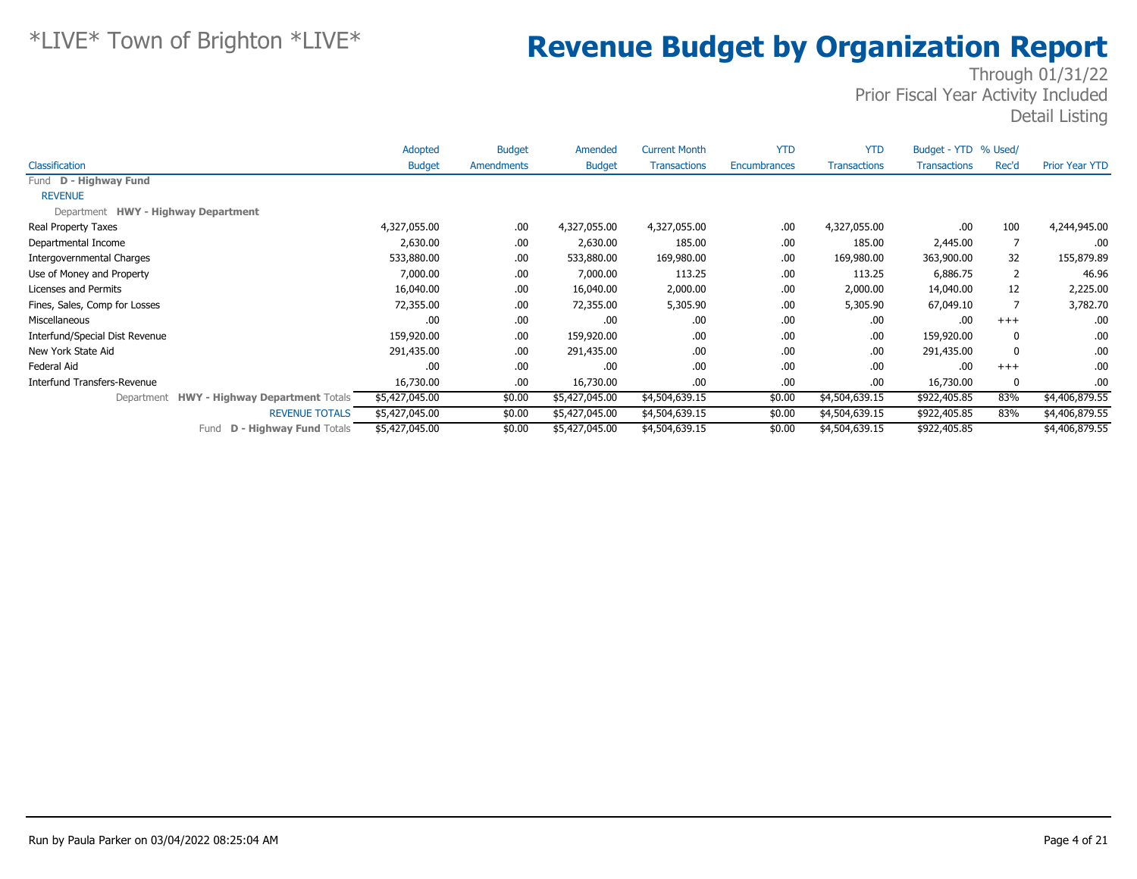|                                                      | Adopted        | <b>Budget</b> | Amended        | <b>Current Month</b> | <b>YTD</b>   | <b>YTD</b>          | Budget - YTD % Used/ |       |                       |
|------------------------------------------------------|----------------|---------------|----------------|----------------------|--------------|---------------------|----------------------|-------|-----------------------|
| Classification                                       | <b>Budget</b>  | Amendments    | <b>Budget</b>  | <b>Transactions</b>  | Encumbrances | <b>Transactions</b> | <b>Transactions</b>  | Rec'd | <b>Prior Year YTD</b> |
| Fund D - Highway Fund                                |                |               |                |                      |              |                     |                      |       |                       |
| <b>REVENUE</b>                                       |                |               |                |                      |              |                     |                      |       |                       |
| Department HWY - Highway Department                  |                |               |                |                      |              |                     |                      |       |                       |
| Real Property Taxes                                  | 4,327,055.00   | .00.          | 4,327,055.00   | 4,327,055.00         | .00          | 4,327,055.00        | .00                  | 100   | 4,244,945.00          |
| Departmental Income                                  | 2,630.00       | .00           | 2,630.00       | 185.00               | .00          | 185.00              | 2,445.00             |       | .00                   |
| Intergovernmental Charges                            | 533,880.00     | .00           | 533,880.00     | 169,980.00           | .00          | 169,980.00          | 363,900.00           | 32    | 155,879.89            |
| Use of Money and Property                            | 7,000.00       | .00.          | 7,000.00       | 113.25               | .00          | 113.25              | 6,886.75             |       | 46.96                 |
| Licenses and Permits                                 | 16,040.00      | .00.          | 16,040.00      | 2,000.00             | .00          | 2,000.00            | 14,040.00            | 12    | 2,225.00              |
| Fines, Sales, Comp for Losses                        | 72,355.00      | .00.          | 72,355.00      | 5,305.90             | .00          | 5,305.90            | 67,049.10            |       | 3,782.70              |
| Miscellaneous                                        | .00            | .00.          | .00            | .00.                 | .00          | .00                 | .00                  | $+++$ | .00                   |
| Interfund/Special Dist Revenue                       | 159,920.00     | .00.          | 159,920.00     | .00.                 | .00          | .00                 | 159,920.00           | 0     | .00                   |
| New York State Aid                                   | 291,435.00     | .00.          | 291,435.00     | .00.                 | .00          | .00                 | 291,435.00           | 0     | .00                   |
| Federal Aid                                          | .00            | .00           | .00            | .00.                 | .00          | .00.                | .00                  | $+++$ | .00                   |
| Interfund Transfers-Revenue                          | 16,730.00      | .00.          | 16,730.00      | .00.                 | .00          | .00.                | 16,730.00            | 0     | .00                   |
| <b>HWY - Highway Department Totals</b><br>Department | \$5,427,045.00 | \$0.00        | \$5,427,045.00 | \$4,504,639.15       | \$0.00       | \$4,504,639.15      | \$922,405.85         | 83%   | \$4,406,879.55        |
| <b>REVENUE TOTALS</b>                                | \$5,427,045.00 | \$0.00        | \$5,427,045.00 | \$4,504,639.15       | \$0.00       | \$4,504,639.15      | \$922,405.85         | 83%   | \$4,406,879.55        |
| <b>D - Highway Fund Totals</b><br>Fund               | \$5,427,045.00 | \$0.00        | \$5,427,045.00 | \$4,504,639.15       | \$0.00       | \$4,504,639.15      | \$922,405.85         |       | \$4,406,879.55        |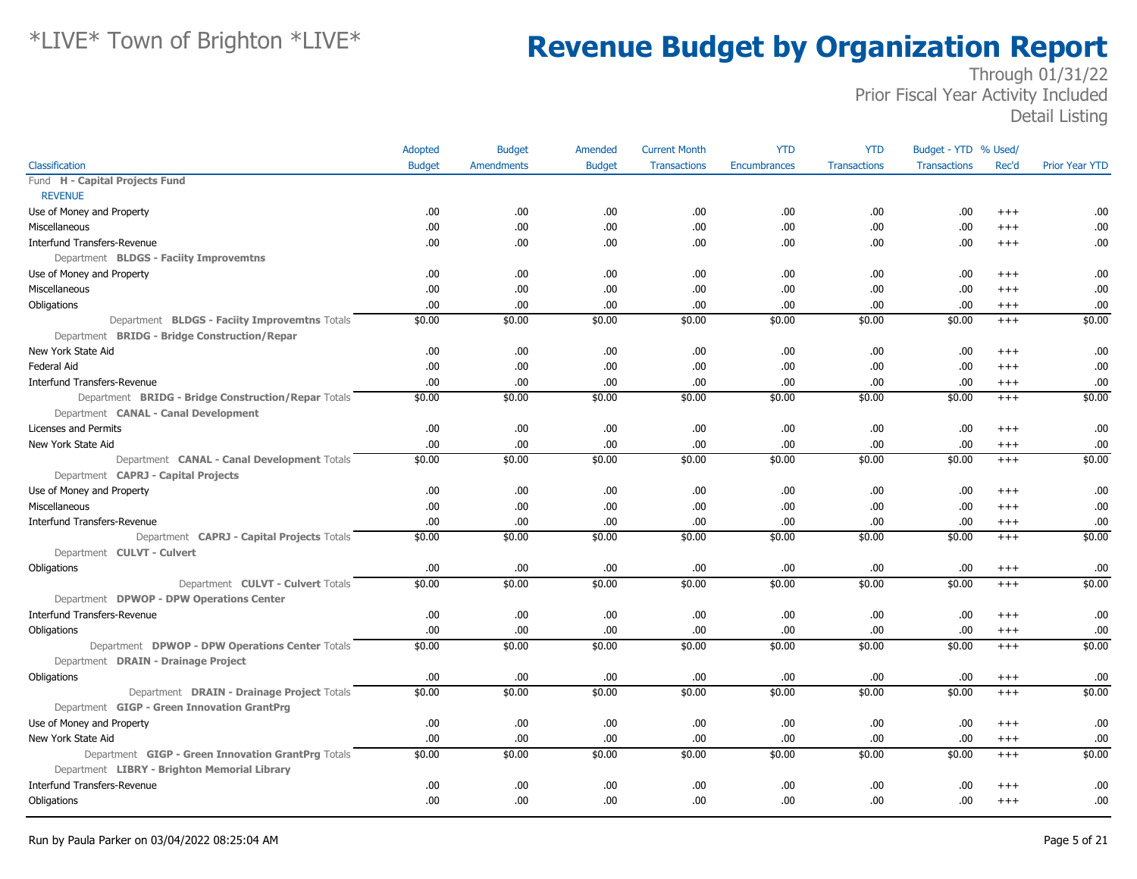|                                                     | Adopted       | <b>Budget</b>     | Amended       | <b>Current Month</b> | <b>YTD</b>   | <b>YTD</b>          | Budget - YTD % Used/ |          |                       |
|-----------------------------------------------------|---------------|-------------------|---------------|----------------------|--------------|---------------------|----------------------|----------|-----------------------|
| Classification                                      | <b>Budget</b> | <b>Amendments</b> | <b>Budget</b> | <b>Transactions</b>  | Encumbrances | <b>Transactions</b> | <b>Transactions</b>  | Rec'd    | <b>Prior Year YTD</b> |
| Fund H - Capital Projects Fund                      |               |                   |               |                      |              |                     |                      |          |                       |
| <b>REVENUE</b>                                      |               |                   |               |                      |              |                     |                      |          |                       |
| Use of Money and Property                           | .00           | .00               | .00.          | .00                  | .00          | .00.                | .00                  | $+++$    | .00                   |
| Miscellaneous                                       | .00           | .00.              | .00           | .00                  | .00          | .00                 | .00                  | $^{+++}$ | .00.                  |
| <b>Interfund Transfers-Revenue</b>                  | .00           | .00.              | .00           | .00                  | .00          | .00                 | .00                  | $^{+++}$ | .00                   |
| Department BLDGS - Faciity Improvemtns              |               |                   |               |                      |              |                     |                      |          |                       |
| Use of Money and Property                           | .00           | .00               | .00.          | .00                  | .00          | .00                 | .00                  | $^{++}$  | .00                   |
| Miscellaneous                                       | .00           | .00.              | .00           | .00                  | .00          | .00                 | .00                  | $^{+++}$ | .00.                  |
| Obligations                                         | .00           | .00.              | .00           | .00                  | .00          | .00                 | .00                  | $^{+++}$ | .00                   |
| Department BLDGS - Faciity Improvemtns Totals       | \$0.00        | \$0.00            | \$0.00        | \$0.00               | \$0.00       | \$0.00              | \$0.00               | $+++$    | \$0.00                |
| Department BRIDG - Bridge Construction/Repar        |               |                   |               |                      |              |                     |                      |          |                       |
| New York State Aid                                  | .00           | .00               | .00.          | .00                  | .00          | .00                 | .00                  | $^{++}$  | .00                   |
| Federal Aid                                         | .00           | .00.              | .00           | .00                  | .00          | .00                 | .00                  | $^{+++}$ | .00                   |
| <b>Interfund Transfers-Revenue</b>                  | .00           | .00.              | .00           | .00                  | .00          | .00                 | .00                  | $^{+++}$ | .00                   |
| Department BRIDG - Bridge Construction/Repar Totals | \$0.00        | \$0.00            | \$0.00        | \$0.00               | \$0.00       | \$0.00              | \$0.00               | $+++$    | \$0.00                |
| Department CANAL - Canal Development                |               |                   |               |                      |              |                     |                      |          |                       |
| Licenses and Permits                                | .00           | .00.              | .00           | .00                  | .00          | .00                 | .00                  | $^{+++}$ | .00                   |
| New York State Aid                                  | .00           | .00.              | .00           | .00                  | .00          | .00                 | .00                  | $^{+++}$ | .00                   |
| Department CANAL - Canal Development Totals         | \$0.00        | \$0.00            | \$0.00        | \$0.00               | \$0.00       | \$0.00              | \$0.00               | $^{+++}$ | \$0.00                |
| Department CAPRJ - Capital Projects                 |               |                   |               |                      |              |                     |                      |          |                       |
| Use of Money and Property                           | .00           | .00.              | .00.          | .00                  | .00          | .00                 | .00                  | $+++$    | .00                   |
| Miscellaneous                                       | .00           | .00.              | .00           | .00                  | .00          | .00                 | .00                  | $^{++}$  | .00                   |
| <b>Interfund Transfers-Revenue</b>                  | .00           | .00.              | .00           | .00                  | .00          | .00                 | .00                  | $^{+++}$ | .00                   |
| Department CAPRJ - Capital Projects Totals          | \$0.00        | \$0.00            | \$0.00        | \$0.00               | \$0.00       | \$0.00              | \$0.00               | $+++$    | \$0.00                |
| Department CULVT - Culvert                          |               |                   |               |                      |              |                     |                      |          |                       |
| Obligations                                         | .00           | .00.              | .00           | .00                  | .00          | .00.                | .00                  | $^{+++}$ | .00                   |
| Department CULVT - Culvert Totals                   | \$0.00        | \$0.00            | \$0.00        | \$0.00               | \$0.00       | \$0.00              | \$0.00               | $^{+++}$ | \$0.00                |
| Department DPWOP - DPW Operations Center            |               |                   |               |                      |              |                     |                      |          |                       |
| <b>Interfund Transfers-Revenue</b>                  | .00           | .00.              | .00           | .00                  | .00          | .00                 | .00                  | $^{+++}$ | .00                   |
| Obligations                                         | .00           | .00.              | .00           | .00                  | .00          | .00                 | .00                  | $^{+++}$ | .00                   |
| Department DPWOP - DPW Operations Center Totals     | \$0.00        | \$0.00            | \$0.00        | \$0.00               | \$0.00       | \$0.00              | \$0.00               | $^{+++}$ | \$0.00                |
| Department DRAIN - Drainage Project                 |               |                   |               |                      |              |                     |                      |          |                       |
| Obligations                                         | .00           | .00               | .00           | .00                  | .00          | .00                 | .00                  | $^{+++}$ | .00                   |
| Department DRAIN - Drainage Project Totals          | \$0.00        | \$0.00            | \$0.00        | \$0.00               | \$0.00       | \$0.00              | \$0.00               | $+++$    | \$0.00                |
| Department GIGP - Green Innovation GrantPrg         |               |                   |               |                      |              |                     |                      |          |                       |
| Use of Money and Property                           | .00           | .00.              | .00           | .00                  | .00          | .00                 | .00                  | $^{+++}$ | .00                   |
| New York State Aid                                  | .00           | .00.              | .00           | .00                  | .00          | .00                 | .00                  | $^{+++}$ | .00                   |
| Department GIGP - Green Innovation GrantPrg Totals  | \$0.00        | \$0.00            | \$0.00        | \$0.00               | \$0.00       | \$0.00              | \$0.00               | $+++$    | \$0.00                |
| Department LIBRY - Brighton Memorial Library        |               |                   |               |                      |              |                     |                      |          |                       |
| <b>Interfund Transfers-Revenue</b>                  | .00           | .00.              | .00           | .00                  | .00          | .00                 | .00                  | $+++$    | .00                   |
| Obligations                                         | .00           | .00.              | .00           | .00                  | .00          | .00                 | .00                  | $^{++}$  | .00                   |
|                                                     |               |                   |               |                      |              |                     |                      |          |                       |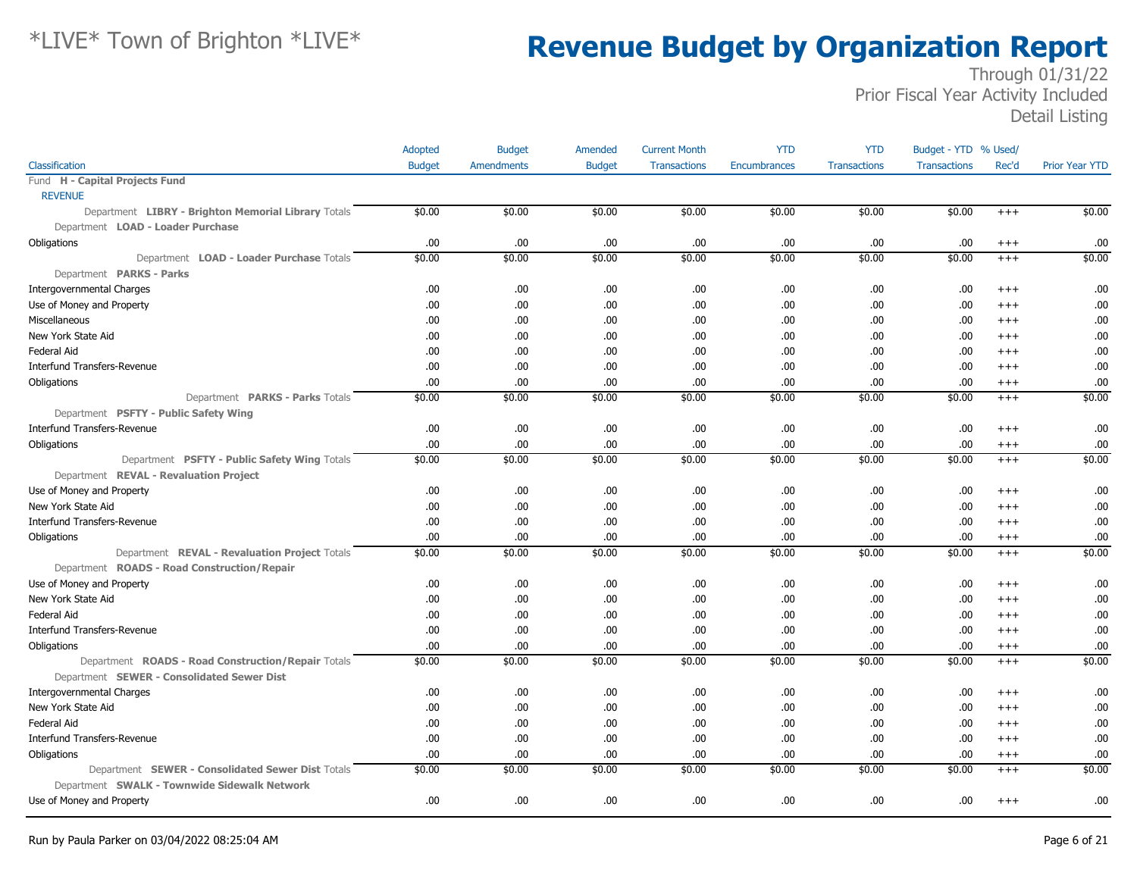|                                                     | Adopted       | <b>Budget</b>     | Amended       | <b>Current Month</b> | <b>YTD</b>          | <b>YTD</b>          | Budget - YTD % Used/ |          |                       |
|-----------------------------------------------------|---------------|-------------------|---------------|----------------------|---------------------|---------------------|----------------------|----------|-----------------------|
| Classification                                      | <b>Budget</b> | <b>Amendments</b> | <b>Budget</b> | <b>Transactions</b>  | <b>Encumbrances</b> | <b>Transactions</b> | <b>Transactions</b>  | Rec'd    | <b>Prior Year YTD</b> |
| Fund H - Capital Projects Fund                      |               |                   |               |                      |                     |                     |                      |          |                       |
| <b>REVENUE</b>                                      |               |                   |               |                      |                     |                     |                      |          |                       |
| Department LIBRY - Brighton Memorial Library Totals | \$0.00        | \$0.00            | \$0.00        | \$0.00               | \$0.00              | \$0.00              | \$0.00               | $^{+++}$ | \$0.00                |
| Department LOAD - Loader Purchase                   |               |                   |               |                      |                     |                     |                      |          |                       |
| Obligations                                         | .00           | .00               | .00           | .00                  | .00                 | .00.                | .00                  | $^{+++}$ | .00                   |
| Department LOAD - Loader Purchase Totals            | \$0.00        | \$0.00            | \$0.00        | \$0.00               | \$0.00              | \$0.00              | \$0.00               | $+++$    | \$0.00                |
| Department PARKS - Parks                            |               |                   |               |                      |                     |                     |                      |          |                       |
| <b>Intergovernmental Charges</b>                    | .00           | .00.              | .00.          | .00                  | .00                 | .00.                | .00                  | $^{++}$  | .00                   |
| Use of Money and Property                           | .00           | .00               | .00.          | .00                  | .00                 | .00.                | .00                  | $^{++}$  | .00                   |
| Miscellaneous                                       | .00           | .00               | .00           | .00                  | .00                 | .00                 | .00                  | $^{++}$  | .00                   |
| New York State Aid                                  | .00           | .00               | .00.          | .00                  | .00                 | .00                 | .00                  | $^{+++}$ | .00                   |
| <b>Federal Aid</b>                                  | .00           | .00               | .00           | .00                  | .00                 | .00.                | .00                  | $^{++}$  | .00                   |
| <b>Interfund Transfers-Revenue</b>                  | .00           | .00               | .00.          | .00                  | .00.                | .00                 | .00                  | $^{++}$  | .00                   |
| Obligations                                         | .00.          | .00               | .00.          | .00                  | .00                 | .00.                | .00                  | $^{+++}$ | .00                   |
| Department PARKS - Parks Totals                     | \$0.00        | \$0.00            | \$0.00        | \$0.00               | \$0.00              | \$0.00              | \$0.00               | $^{+++}$ | \$0.00                |
| Department PSFTY - Public Safety Wing               |               |                   |               |                      |                     |                     |                      |          |                       |
| <b>Interfund Transfers-Revenue</b>                  | .00           | .00               | .00           | .00                  | .00                 | .00                 | .00                  | $+++$    | .00                   |
| Obligations                                         | .00           | .00               | .00.          | .00                  | .00                 | .00                 | .00                  | $^{+++}$ | .00                   |
| Department PSFTY - Public Safety Wing Totals        | \$0.00        | \$0.00            | \$0.00        | \$0.00               | \$0.00              | \$0.00              | \$0.00               | $^{+++}$ | \$0.00                |
| Department REVAL - Revaluation Project              |               |                   |               |                      |                     |                     |                      |          |                       |
| Use of Money and Property                           | .00           | .00.              | .00           | .00                  | .00                 | .00                 | .00                  | $^{++}$  | .00                   |
| New York State Aid                                  | .00.          | .00.              | .00.          | .00                  | .00                 | .00.                | .00                  | $^{+++}$ | .00                   |
| <b>Interfund Transfers-Revenue</b>                  | .00.          | .00               | .00.          | .00                  | .00                 | .00.                | .00                  | $^{+++}$ | .00                   |
| Obligations                                         | .00           | .00               | .00           | .00                  | .00                 | .00.                | .00                  | $^{+++}$ | .00                   |
| Department REVAL - Revaluation Project Totals       | \$0.00        | \$0.00            | \$0.00        | \$0.00               | \$0.00              | \$0.00              | \$0.00               | $^{++}$  | \$0.00                |
| Department ROADS - Road Construction/Repair         |               |                   |               |                      |                     |                     |                      |          |                       |
| Use of Money and Property                           | .00           | .00               | .00.          | .00                  | .00                 | .00.                | .00                  | $+++$    | .00                   |
| New York State Aid                                  | .00           | .00               | .00           | .00                  | .00                 | .00.                | .00                  | $^{++}$  | .00                   |
| <b>Federal Aid</b>                                  | .00           | .00.              | .00           | .00                  | .00                 | .00                 | .00                  | $^{++}$  | .00                   |
| <b>Interfund Transfers-Revenue</b>                  | .00.          | .00.              | .00.          | .00                  | .00                 | .00.                | .00                  | $^{+++}$ | .00                   |
| Obligations                                         | .00           | .00               | .00.          | .00                  | .00.                | .00.                | .00                  | $^{+++}$ | .00                   |
| Department ROADS - Road Construction/Repair Totals  | \$0.00        | \$0.00            | \$0.00        | \$0.00               | \$0.00              | \$0.00              | \$0.00               | $+++$    | \$0.00                |
| Department SEWER - Consolidated Sewer Dist          |               |                   |               |                      |                     |                     |                      |          |                       |
| <b>Intergovernmental Charges</b>                    | .00.          | .00               | .00.          | .00                  | .00                 | .00.                | .00                  | $^{+++}$ | .00                   |
| New York State Aid                                  | .00           | .00               | .00           | .00                  | .00                 | .00.                | .00                  | $^{++}$  | .00                   |
| <b>Federal Aid</b>                                  | .00           | .00.              | .00.          | .00                  | .00                 | .00                 | .00                  | $^{++}$  | .00                   |
| Interfund Transfers-Revenue                         | .00.          | .00               | .00           | .00                  | .00                 | .00.                | .00                  | $^{+++}$ | .00                   |
| Obligations                                         | .00           | .00.              | .00.          | .00                  | .00.                | .00.                | .00                  | $^{+++}$ | .00                   |
| Department SEWER - Consolidated Sewer Dist Totals   | \$0.00        | \$0.00            | \$0.00        | \$0.00               | \$0.00              | \$0.00              | \$0.00               | $^{+++}$ | \$0.00                |
| Department SWALK - Townwide Sidewalk Network        |               |                   |               |                      |                     |                     |                      |          |                       |
| Use of Money and Property                           | .00.          | .00               | .00.          | .00                  | .00                 | .00.                | .00                  | $^{+++}$ | .00                   |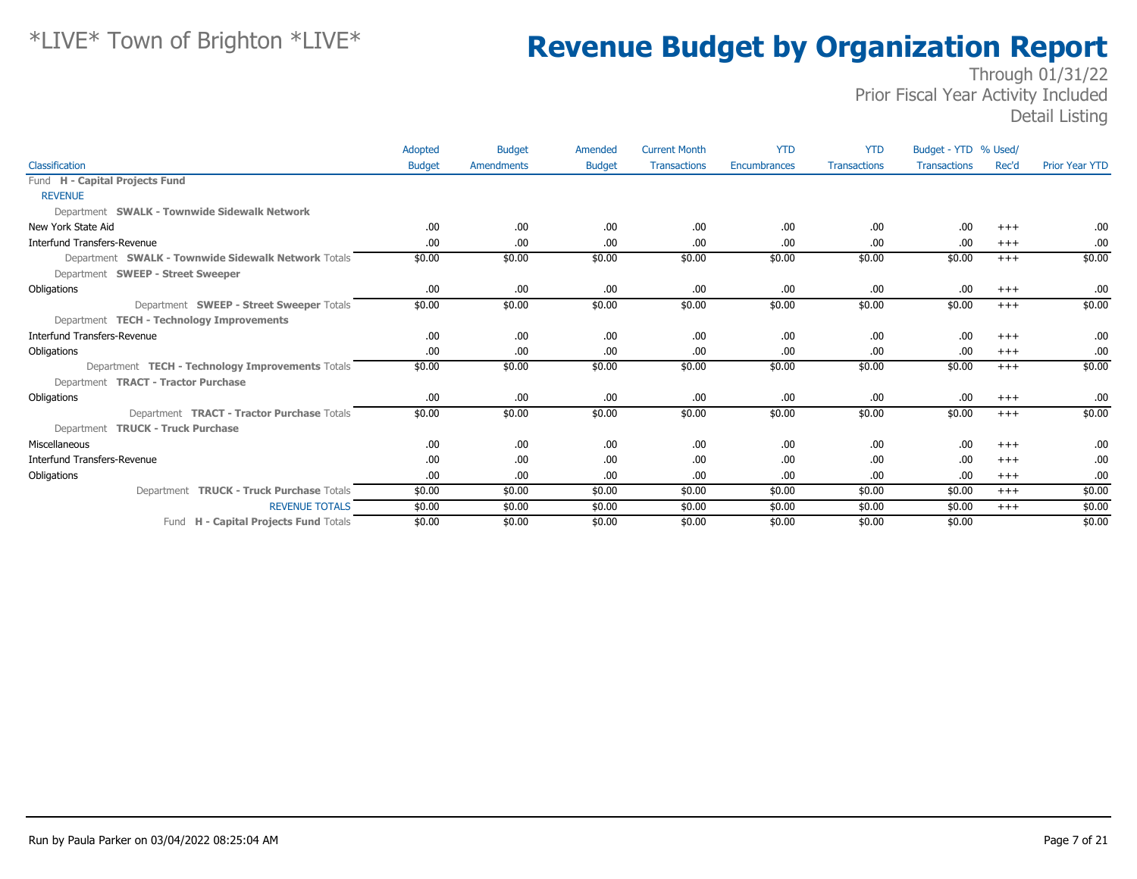|                                                     | Adopted       | <b>Budget</b> | Amended       | <b>Current Month</b> | <b>YTD</b>   | <b>YTD</b>          | Budget - YTD % Used/ |          |                       |
|-----------------------------------------------------|---------------|---------------|---------------|----------------------|--------------|---------------------|----------------------|----------|-----------------------|
| Classification                                      | <b>Budget</b> | Amendments    | <b>Budget</b> | <b>Transactions</b>  | Encumbrances | <b>Transactions</b> | <b>Transactions</b>  | Rec'd    | <b>Prior Year YTD</b> |
| Fund H - Capital Projects Fund                      |               |               |               |                      |              |                     |                      |          |                       |
| <b>REVENUE</b>                                      |               |               |               |                      |              |                     |                      |          |                       |
| Department SWALK - Townwide Sidewalk Network        |               |               |               |                      |              |                     |                      |          |                       |
| New York State Aid                                  | .00.          | .00.          | .00.          | .00                  | .00          | .00.                | .00                  | $^{+++}$ | .00                   |
| <b>Interfund Transfers-Revenue</b>                  | .00.          | .00.          | .00.          | .00                  | .00.         | .00.                | .00                  | $+++$    | .00                   |
| Department SWALK - Townwide Sidewalk Network Totals | \$0.00        | \$0.00        | \$0.00        | \$0.00               | \$0.00       | \$0.00              | \$0.00               | $+++$    | \$0.00                |
| Department SWEEP - Street Sweeper                   |               |               |               |                      |              |                     |                      |          |                       |
| Obligations                                         | .00.          | .00.          | .00           | .00                  | .00.         | .00.                | .00                  | $+++$    | .00                   |
| Department SWEEP - Street Sweeper Totals            | \$0.00        | \$0.00        | \$0.00        | \$0.00               | \$0.00       | \$0.00              | \$0.00               | $+++$    | \$0.00                |
| Department TECH - Technology Improvements           |               |               |               |                      |              |                     |                      |          |                       |
| Interfund Transfers-Revenue                         | .00           | .00.          | .00.          | .00                  | .00          | .00.                | .00                  | $^{+++}$ | .00                   |
| Obligations                                         | .00.          | .00.          | .00.          | .00                  | .00          | .00.                | .00                  | $+++$    | .00                   |
| Department TECH - Technology Improvements Totals    | \$0.00        | \$0.00        | \$0.00        | \$0.00               | \$0.00       | \$0.00              | \$0.00               | $+++$    | \$0.00                |
| Department <b>TRACT - Tractor Purchase</b>          |               |               |               |                      |              |                     |                      |          |                       |
| Obligations                                         | .00.          | .00.          | .00.          | .00                  | .00.         | .00.                | .00                  | $^{+++}$ | .00                   |
| Department <b>TRACT - Tractor Purchase</b> Totals   | \$0.00        | \$0.00        | \$0.00        | \$0.00               | \$0.00       | \$0.00              | \$0.00               | $^{+++}$ | \$0.00                |
| Department TRUCK - Truck Purchase                   |               |               |               |                      |              |                     |                      |          |                       |
| Miscellaneous                                       | .00.          | .00.          | .00           | .00                  | .00.         | .00.                | .00                  | $^{+++}$ | .00                   |
| Interfund Transfers-Revenue                         | .00.          | .00.          | .00.          | .00                  | .00          | .00.                | .00                  | $+++$    | .00                   |
| Obligations                                         | .00.          | .00.          | .00           | .00                  | .00          | .00.                | .00                  | $+++$    | .00                   |
| Department TRUCK - Truck Purchase Totals            | \$0.00        | \$0.00        | \$0.00        | \$0.00               | \$0.00       | \$0.00              | \$0.00               | $+++$    | \$0.00                |
| <b>REVENUE TOTALS</b>                               | \$0.00        | \$0.00        | \$0.00        | \$0.00               | \$0.00       | \$0.00              | \$0.00               | $+++$    | \$0.00                |
| Fund H - Capital Projects Fund Totals               | \$0.00        | \$0.00        | \$0.00        | \$0.00               | \$0.00       | \$0.00              | \$0.00               |          | \$0.00                |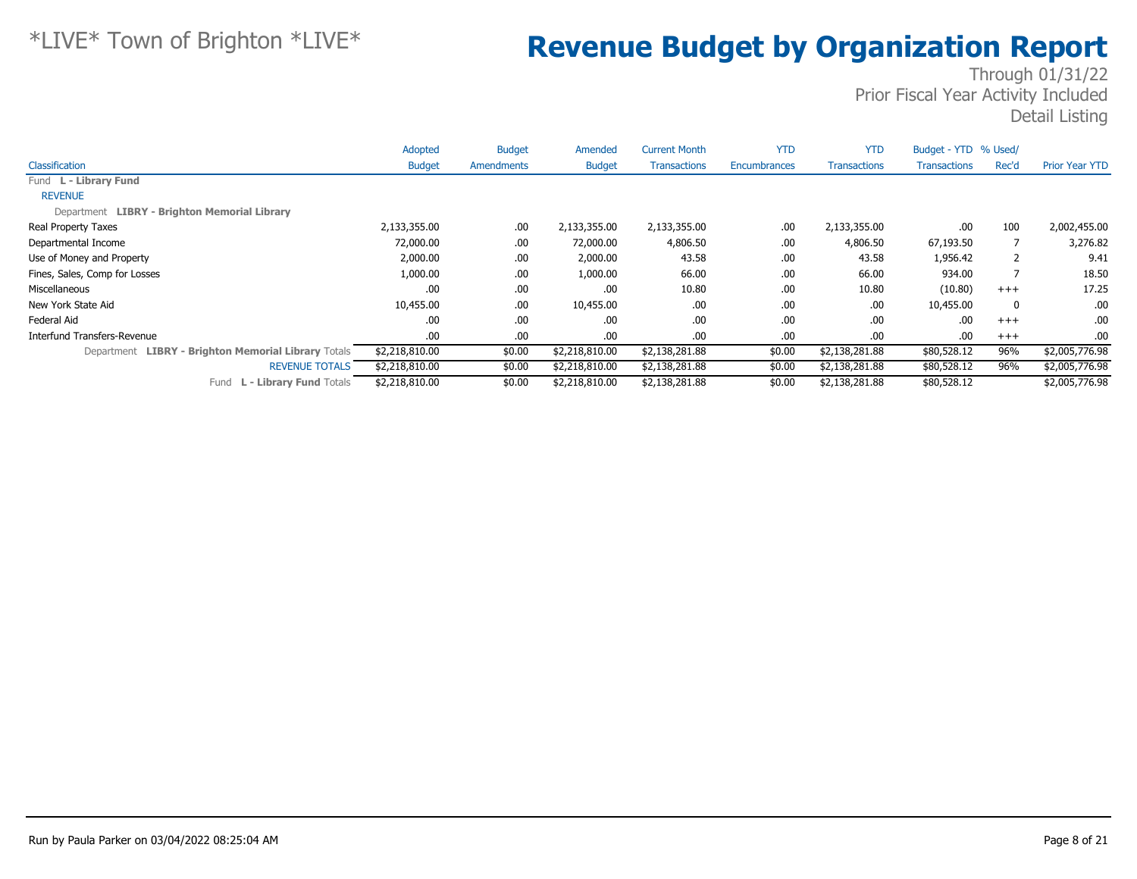|                                                     | Adopted        | <b>Budget</b> | Amended        | <b>Current Month</b> | <b>YTD</b>          | <b>YTD</b>          | Budget - YTD % Used/ |       |                       |
|-----------------------------------------------------|----------------|---------------|----------------|----------------------|---------------------|---------------------|----------------------|-------|-----------------------|
| Classification                                      | <b>Budget</b>  | Amendments    | <b>Budget</b>  | <b>Transactions</b>  | <b>Encumbrances</b> | <b>Transactions</b> | Transactions         | Rec'd | <b>Prior Year YTD</b> |
| Fund L - Library Fund                               |                |               |                |                      |                     |                     |                      |       |                       |
| <b>REVENUE</b>                                      |                |               |                |                      |                     |                     |                      |       |                       |
| Department LIBRY - Brighton Memorial Library        |                |               |                |                      |                     |                     |                      |       |                       |
| Real Property Taxes                                 | 2,133,355.00   | .00.          | 2,133,355.00   | 2,133,355.00         | .00                 | 2,133,355.00        | .00                  | 100   | 2,002,455.00          |
| Departmental Income                                 | 72,000.00      | .00           | 72,000.00      | 4,806.50             | .00                 | 4,806.50            | 67,193.50            |       | 3,276.82              |
| Use of Money and Property                           | 2,000.00       | .00           | 2,000.00       | 43.58                | .00                 | 43.58               | 1,956.42             | 2     | 9.41                  |
| Fines, Sales, Comp for Losses                       | 1,000.00       | .00           | 1,000.00       | 66.00                | .00                 | 66.00               | 934.00               |       | 18.50                 |
| Miscellaneous                                       | .00            | .00           | .00            | 10.80                | .00.                | 10.80               | (10.80)              | $+++$ | 17.25                 |
| New York State Aid                                  | 10,455.00      | .00           | 10,455.00      | .00                  | .00                 | .00                 | 10,455.00            | 0     | .00.                  |
| Federal Aid                                         | .00            | .00           | .00            | .00                  | .00                 | .00                 | .00                  | $+++$ | .00.                  |
| Interfund Transfers-Revenue                         | .00.           | .00           | .00            | .00                  | .00                 | .00                 | .00                  | $+++$ | .00.                  |
| Department LIBRY - Brighton Memorial Library Totals | \$2,218,810.00 | \$0.00        | \$2,218,810.00 | \$2,138,281.88       | \$0.00              | \$2,138,281.88      | \$80,528.12          | 96%   | \$2,005,776.98        |
| <b>REVENUE TOTALS</b>                               | \$2,218,810.00 | \$0.00        | \$2,218,810.00 | \$2,138,281.88       | \$0.00              | \$2,138,281.88      | \$80,528.12          | 96%   | \$2,005,776.98        |
| <b>L - Library Fund Totals</b><br>Fund              | \$2,218,810.00 | \$0.00        | \$2,218,810.00 | \$2,138,281.88       | \$0.00              | \$2,138,281.88      | \$80,528.12          |       | \$2,005,776.98        |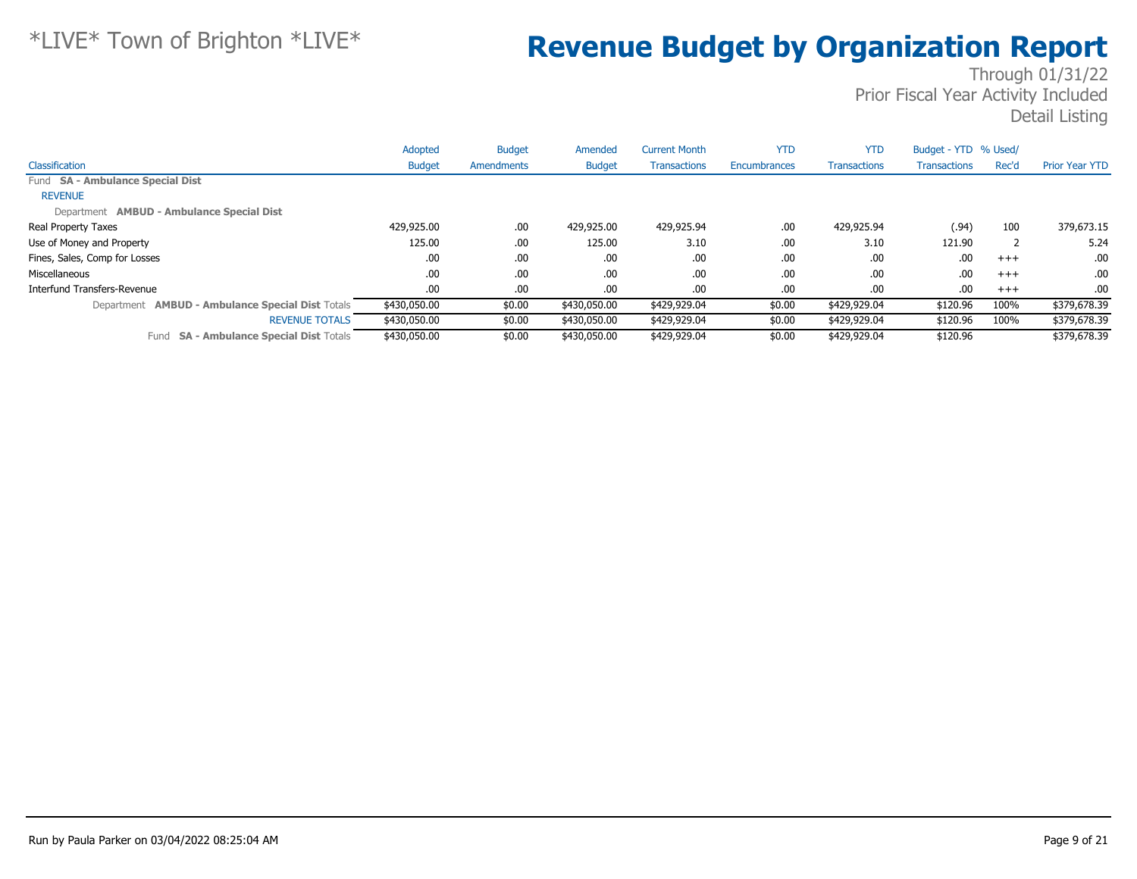|                                                         | Adopted       | <b>Budget</b> | Amended       | <b>Current Month</b> | <b>YTD</b>   | <b>YTD</b>          | Budget - YTD % Used/ |       |                       |
|---------------------------------------------------------|---------------|---------------|---------------|----------------------|--------------|---------------------|----------------------|-------|-----------------------|
| Classification                                          | <b>Budget</b> | Amendments    | <b>Budget</b> | <b>Transactions</b>  | Encumbrances | <b>Transactions</b> | <b>Transactions</b>  | Rec'd | <b>Prior Year YTD</b> |
| Fund SA - Ambulance Special Dist                        |               |               |               |                      |              |                     |                      |       |                       |
| <b>REVENUE</b>                                          |               |               |               |                      |              |                     |                      |       |                       |
| Department AMBUD - Ambulance Special Dist               |               |               |               |                      |              |                     |                      |       |                       |
| Real Property Taxes                                     | 429,925.00    | .00           | 429,925.00    | 429,925.94           | .00          | 429,925.94          | (.94)                | 100   | 379,673.15            |
| Use of Money and Property                               | 125.00        | .00           | 125.00        | 3.10                 | .00          | 3.10                | 121.90               |       | 5.24                  |
| Fines, Sales, Comp for Losses                           | .00           | .00.          | .00           | .00                  | .00          | .00                 | .00                  | $+++$ | .00.                  |
| Miscellaneous                                           | .00           | .00           | .00           | .00                  | .00          | .00                 | .00                  | $+++$ | .00.                  |
| Interfund Transfers-Revenue                             | .00           | .00           | .00           | .00                  | .00          | .00                 | .00                  | $+++$ | .00                   |
| Department <b>AMBUD - Ambulance Special Dist Totals</b> | \$430,050.00  | \$0.00        | \$430,050.00  | \$429,929.04         | \$0.00       | \$429,929.04        | \$120.96             | 100%  | \$379,678.39          |
| <b>REVENUE TOTALS</b>                                   | \$430,050.00  | \$0.00        | \$430,050.00  | \$429,929.04         | \$0.00       | \$429,929.04        | \$120.96             | 100%  | \$379,678.39          |
| Fund SA - Ambulance Special Dist Totals                 | \$430,050,00  | \$0.00        | \$430,050,00  | \$429,929.04         | \$0.00       | \$429,929.04        | \$120.96             |       | \$379,678.39          |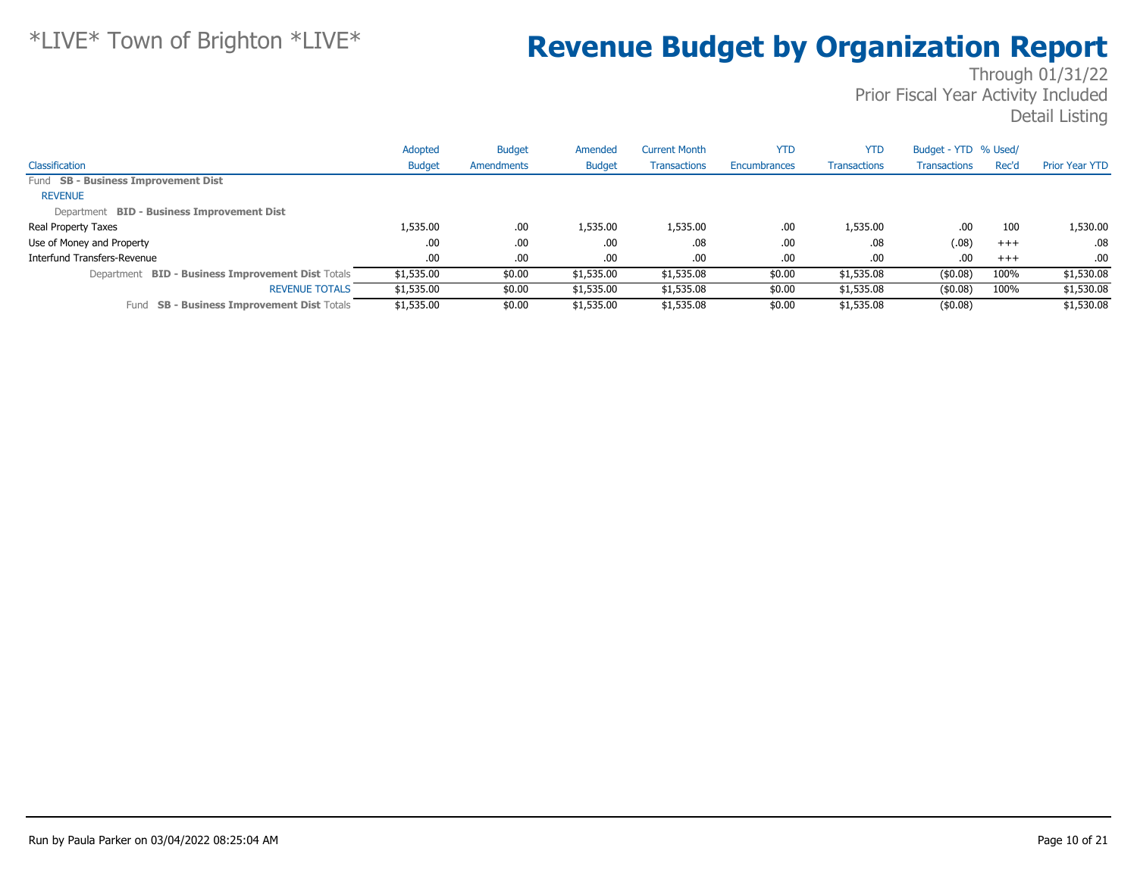|                                                             | Adopted       | <b>Budget</b> | Amended       | <b>Current Month</b> | YTD          | <b>YTD</b>          | Budget - YTD % Used/ |       |                       |
|-------------------------------------------------------------|---------------|---------------|---------------|----------------------|--------------|---------------------|----------------------|-------|-----------------------|
| Classification                                              | <b>Budget</b> | Amendments    | <b>Budget</b> | <b>Transactions</b>  | Encumbrances | <b>Transactions</b> | <b>Transactions</b>  | Rec'd | <b>Prior Year YTD</b> |
| Fund SB - Business Improvement Dist                         |               |               |               |                      |              |                     |                      |       |                       |
| <b>REVENUE</b>                                              |               |               |               |                      |              |                     |                      |       |                       |
| Department BID - Business Improvement Dist                  |               |               |               |                      |              |                     |                      |       |                       |
| Real Property Taxes                                         | 1,535.00      | .00.          | 1,535.00      | 1,535.00             | .00          | 1,535.00            | .00                  | 100   | 1,530.00              |
| Use of Money and Property                                   | .00.          | .00.          | .00.          | .08                  | .00.         | .08                 | (.08)                | $+++$ | $.08\,$               |
| Interfund Transfers-Revenue                                 | .00.          | .00           | .00.          | .00                  | .00          | .00                 | .00                  | $+++$ | .00.                  |
| <b>BID - Business Improvement Dist Totals</b><br>Department | \$1,535.00    | \$0.00        | \$1,535.00    | \$1,535.08           | \$0.00       | \$1,535.08          | $($ \$0.08)          | 100%  | \$1,530.08            |
| <b>REVENUE TOTALS</b>                                       | \$1,535.00    | \$0.00        | \$1,535.00    | \$1,535.08           | \$0.00       | \$1,535.08          | (\$0.08)             | 100%  | \$1,530.08            |
| <b>SB - Business Improvement Dist Totals</b><br>Fund        | \$1,535.00    | \$0.00        | \$1,535.00    | \$1,535.08           | \$0.00       | \$1,535.08          | (\$0.08)             |       | \$1,530.08            |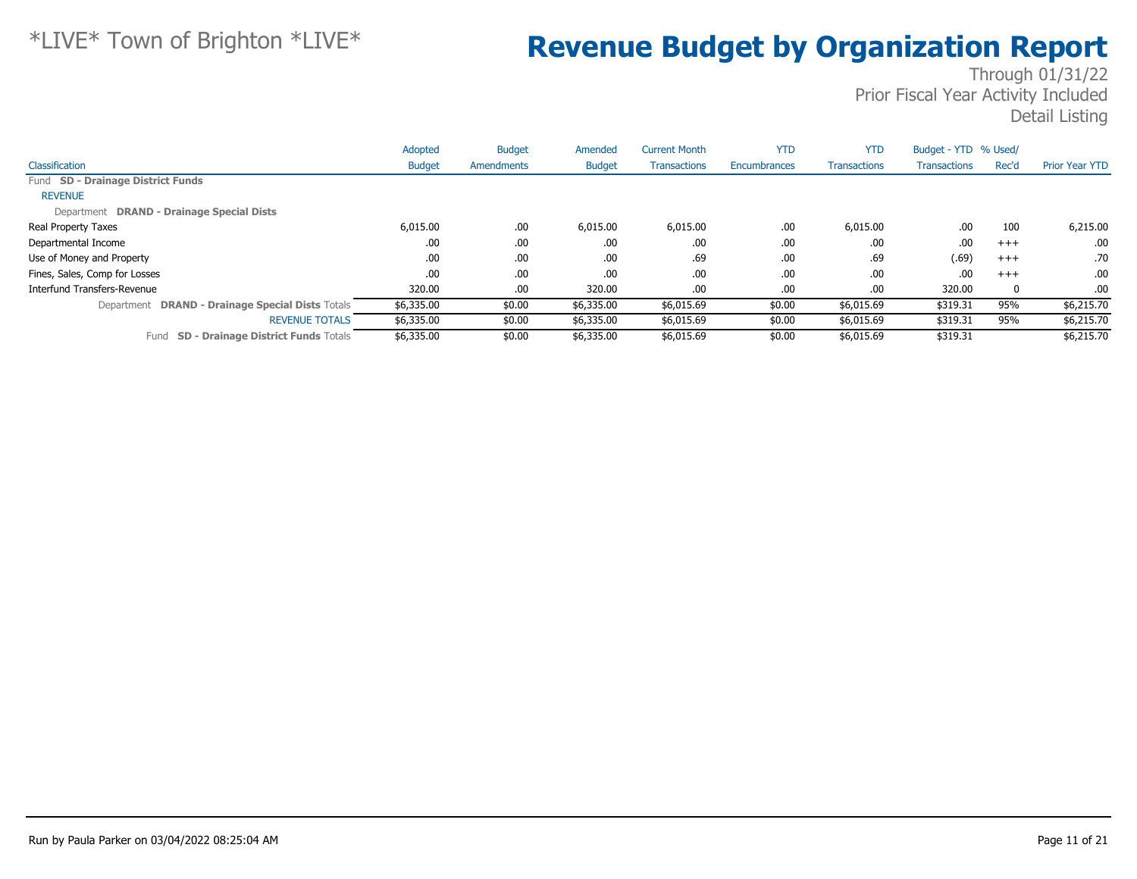|                                                    | Adopted       | <b>Budget</b> | Amended       | <b>Current Month</b> | <b>YTD</b>          | <b>YTD</b>          | Budget - YTD % Used/ |          |                       |
|----------------------------------------------------|---------------|---------------|---------------|----------------------|---------------------|---------------------|----------------------|----------|-----------------------|
| Classification                                     | <b>Budget</b> | Amendments    | <b>Budget</b> | <b>Transactions</b>  | <b>Encumbrances</b> | <b>Transactions</b> | Transactions         | Rec'd    | <b>Prior Year YTD</b> |
| Fund SD - Drainage District Funds                  |               |               |               |                      |                     |                     |                      |          |                       |
| <b>REVENUE</b>                                     |               |               |               |                      |                     |                     |                      |          |                       |
| Department DRAND - Drainage Special Dists          |               |               |               |                      |                     |                     |                      |          |                       |
| <b>Real Property Taxes</b>                         | 6,015.00      | .00           | 6,015.00      | 6,015.00             | .00                 | 6,015.00            | .00                  | 100      | 6,215.00              |
| Departmental Income                                | .00           | .00           | .00           | .00                  | .00                 | .00                 | .00                  | $+++$    | .00                   |
| Use of Money and Property                          | .00           | .00           | .00           | .69                  | .00                 | .69                 | (.69)                | $+++$    | .70                   |
| Fines, Sales, Comp for Losses                      | .00           | .00           | .00           | .00                  | .00                 | .00                 | .00                  | $+++$    | .00.                  |
| Interfund Transfers-Revenue                        | 320.00        | .00           | 320.00        | .00                  | .00                 | .00                 | 320.00               | $\bf{0}$ | .00.                  |
| Department DRAND - Drainage Special Dists Totals   | \$6,335.00    | \$0.00        | \$6,335.00    | \$6,015.69           | \$0.00              | \$6,015.69          | \$319.31             | 95%      | \$6,215.70            |
| <b>REVENUE TOTALS</b>                              | \$6,335.00    | \$0.00        | \$6,335.00    | \$6,015.69           | \$0.00              | \$6,015.69          | \$319.31             | 95%      | \$6,215.70            |
| <b>SD - Drainage District Funds Totals</b><br>Fund | \$6,335.00    | \$0.00        | \$6,335.00    | \$6,015.69           | \$0.00              | \$6,015.69          | \$319.31             |          | \$6,215,70            |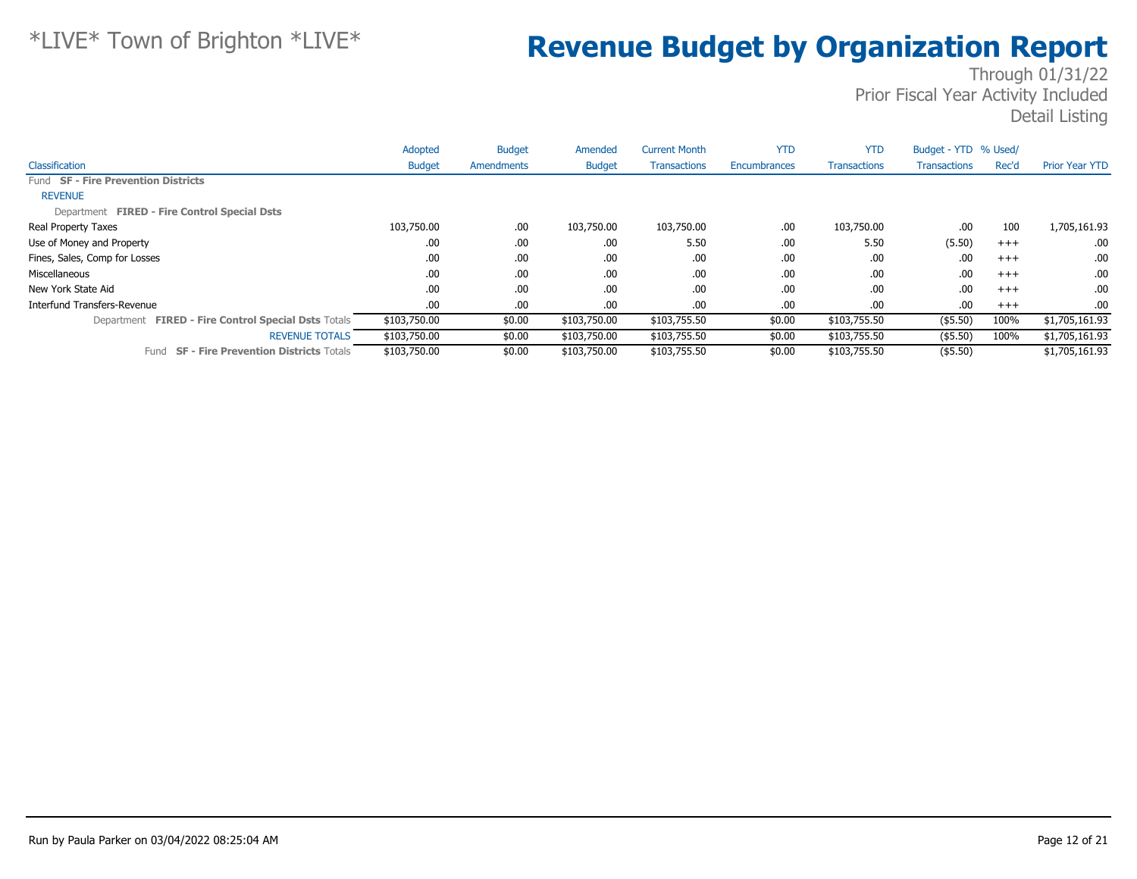|                                                      | Adopted       | <b>Budget</b> | Amended       | <b>Current Month</b> | <b>YTD</b>          | <b>YTD</b>          | Budget - YTD % Used/ |          |                       |
|------------------------------------------------------|---------------|---------------|---------------|----------------------|---------------------|---------------------|----------------------|----------|-----------------------|
| Classification                                       | <b>Budget</b> | Amendments    | <b>Budget</b> | <b>Transactions</b>  | <b>Encumbrances</b> | <b>Transactions</b> | <b>Transactions</b>  | Rec'd    | <b>Prior Year YTD</b> |
| Fund SF - Fire Prevention Districts                  |               |               |               |                      |                     |                     |                      |          |                       |
| <b>REVENUE</b>                                       |               |               |               |                      |                     |                     |                      |          |                       |
| Department FIRED - Fire Control Special Dsts         |               |               |               |                      |                     |                     |                      |          |                       |
| Real Property Taxes                                  | 103,750.00    | .00.          | 103,750.00    | 103,750.00           | .00                 | 103,750.00          | .00                  | 100      | 1,705,161.93          |
| Use of Money and Property                            | .00           | .00.          | .00.          | 5.50                 | .00                 | 5.50                | (5.50)               | $^{+++}$ | .00.                  |
| Fines, Sales, Comp for Losses                        | .00           | .00.          | .00           | .00                  | .00                 | .00                 | .00                  | $^{+++}$ | .00.                  |
| Miscellaneous                                        | .00           | .00.          | .00.          | .00                  | .00                 | .00                 | .00                  | $^{+++}$ | .00.                  |
| New York State Aid                                   | .00           | .00.          | .00           | .00                  | .00                 | .00                 | .00                  | $^{+++}$ | .00.                  |
| Interfund Transfers-Revenue                          | .00.          | .00.          | .00.          | .00                  | .00                 | .00                 | .00                  | $+++$    | .00.                  |
| Department FIRED - Fire Control Special Dsts Totals  | \$103,750.00  | \$0.00        | \$103,750.00  | \$103,755.50         | \$0.00              | \$103,755.50        | $($ \$5.50)          | 100%     | \$1,705,161.93        |
| <b>REVENUE TOTALS</b>                                | \$103,750.00  | \$0.00        | \$103,750.00  | \$103,755.50         | \$0.00              | \$103,755.50        | $($ \$5.50)          | 100%     | \$1,705,161.93        |
| <b>SF - Fire Prevention Districts Totals</b><br>Fund | \$103,750.00  | \$0.00        | \$103,750.00  | \$103,755.50         | \$0.00              | \$103,755.50        | $($ \$5.50)          |          | \$1,705,161.93        |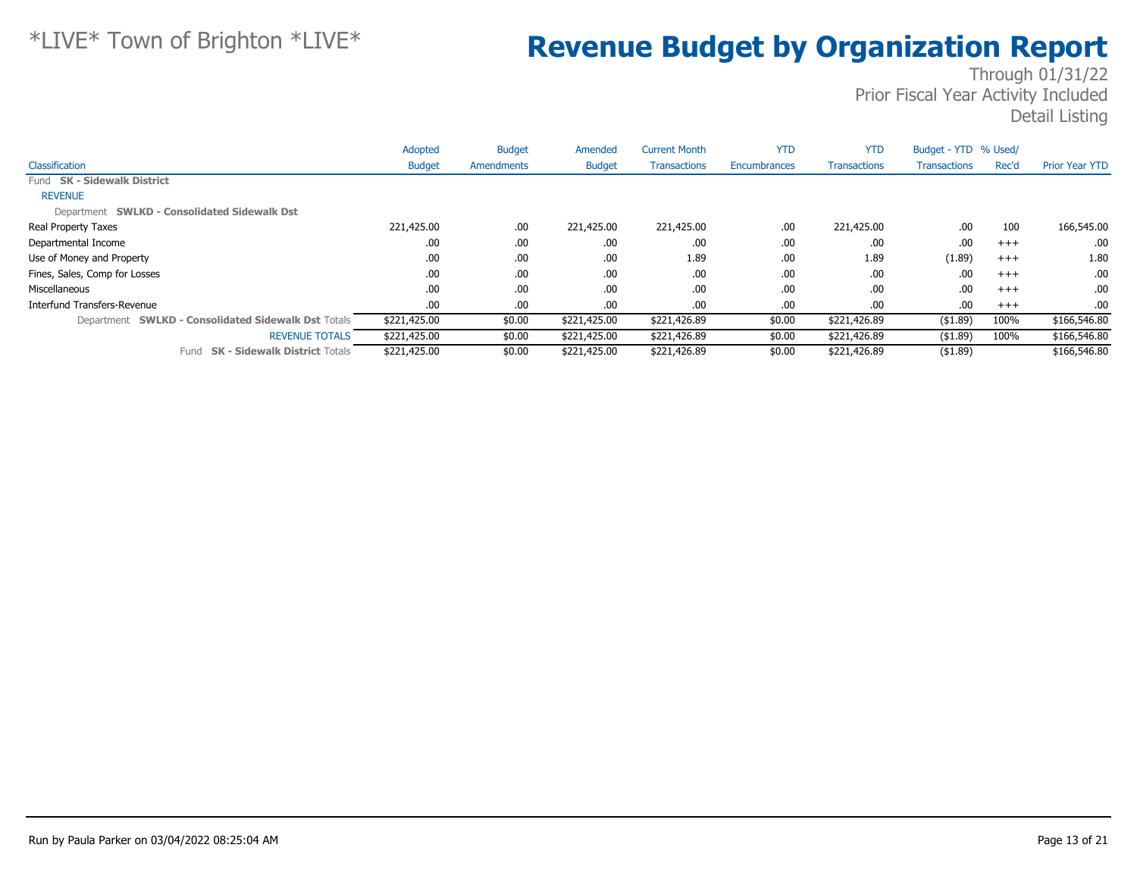|                                                     | Adopted       | <b>Budget</b> | Amended       | <b>Current Month</b> | <b>YTD</b>   | <b>YTD</b>          | Budget - YTD % Used/ |       |                       |
|-----------------------------------------------------|---------------|---------------|---------------|----------------------|--------------|---------------------|----------------------|-------|-----------------------|
| Classification                                      | <b>Budget</b> | Amendments    | <b>Budget</b> | <b>Transactions</b>  | Encumbrances | <b>Transactions</b> | <b>Transactions</b>  | Rec'd | <b>Prior Year YTD</b> |
| Fund SK - Sidewalk District                         |               |               |               |                      |              |                     |                      |       |                       |
| <b>REVENUE</b>                                      |               |               |               |                      |              |                     |                      |       |                       |
| Department SWLKD - Consolidated Sidewalk Dst        |               |               |               |                      |              |                     |                      |       |                       |
| Real Property Taxes                                 | 221,425.00    | .00.          | 221,425.00    | 221,425.00           | .00          | 221,425.00          | .00                  | 100   | 166,545.00            |
| Departmental Income                                 | .00           | .00.          | .00           | .00                  | .00          | .00                 | .00                  | $+++$ | .00.                  |
| Use of Money and Property                           | .00           | .00.          | .00.          | 1.89                 | .00          | 1.89                | (1.89)               | $+++$ | 1.80                  |
| Fines, Sales, Comp for Losses                       | .00           | .00.          | .00.          | .00                  | .00          | .00                 | .00                  | $+++$ | .00.                  |
| Miscellaneous                                       | .00           | .00.          | .00.          | .00                  | .00          | .00                 | .00                  | $+++$ | .00.                  |
| Interfund Transfers-Revenue                         | .00           | .00.          | .00.          | .00                  | .00          | .00                 | .00                  | $+++$ | $.00 \cdot$           |
| Department SWLKD - Consolidated Sidewalk Dst Totals | \$221,425.00  | \$0.00        | \$221,425.00  | \$221,426.89         | \$0.00       | \$221,426.89        | ( \$1.89)            | 100%  | \$166,546.80          |
| <b>REVENUE TOTALS</b>                               | \$221,425.00  | \$0.00        | \$221,425.00  | \$221,426.89         | \$0.00       | \$221,426.89        | ( \$1.89)            | 100%  | \$166,546.80          |
| <b>SK - Sidewalk District Totals</b><br>Fund        | \$221,425.00  | \$0.00        | \$221,425.00  | \$221,426.89         | \$0.00       | \$221,426.89        | ( \$1.89)            |       | \$166,546.80          |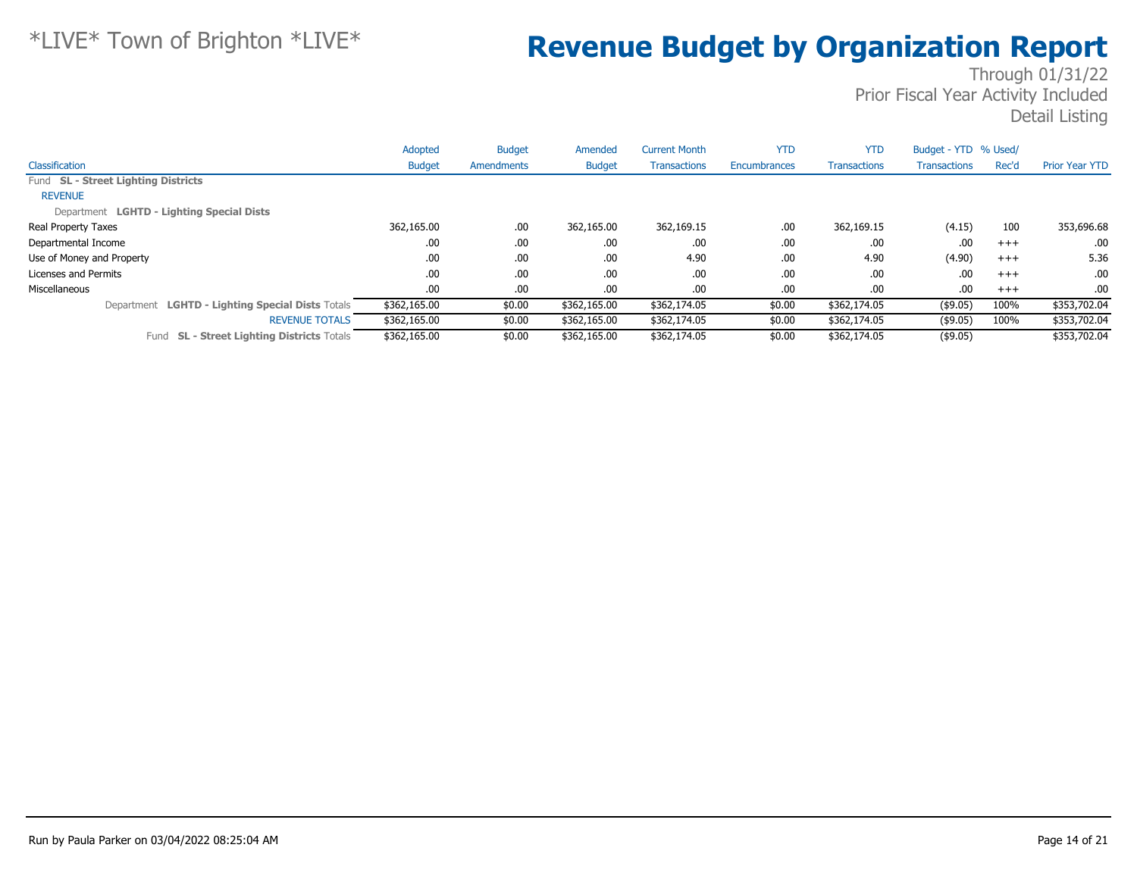|                                                      | Adopted       | <b>Budget</b> | Amended       | <b>Current Month</b> | <b>YTD</b>          | <b>YTD</b>          | Budget - YTD % Used/ |          |                       |
|------------------------------------------------------|---------------|---------------|---------------|----------------------|---------------------|---------------------|----------------------|----------|-----------------------|
| Classification                                       | <b>Budget</b> | Amendments    | <b>Budget</b> | <b>Transactions</b>  | <b>Encumbrances</b> | <b>Transactions</b> | Transactions         | Rec'd    | <b>Prior Year YTD</b> |
| Fund SL - Street Lighting Districts                  |               |               |               |                      |                     |                     |                      |          |                       |
| <b>REVENUE</b>                                       |               |               |               |                      |                     |                     |                      |          |                       |
| Department LGHTD - Lighting Special Dists            |               |               |               |                      |                     |                     |                      |          |                       |
| <b>Real Property Taxes</b>                           | 362,165.00    | .00           | 362,165.00    | 362,169.15           | .00                 | 362,169.15          | (4.15)               | 100      | 353,696.68            |
| Departmental Income                                  | .00.          | .00           | .00           | .00                  | .00                 | .00                 | .00                  | $+++$    | .00.                  |
| Use of Money and Property                            | .00           | .00           | .00           | 4.90                 | .00                 | 4.90                | (4.90)               | $^{+++}$ | 5.36                  |
| Licenses and Permits                                 | .00           | .00           | .00           | .00                  | .00                 | .00                 | .00                  | $+++$    | .00.                  |
| Miscellaneous                                        | .00.          | .00           | .00           | .00                  | .00                 | .00                 | .00                  | $+++$    | .00.                  |
| Department LGHTD - Lighting Special Dists Totals     | \$362,165.00  | \$0.00        | \$362,165.00  | \$362,174.05         | \$0.00              | \$362,174.05        | $($ \$9.05)          | 100%     | \$353,702.04          |
| <b>REVENUE TOTALS</b>                                | \$362,165.00  | \$0.00        | \$362,165.00  | \$362,174.05         | \$0.00              | \$362,174.05        | $($ \$9.05)          | 100%     | \$353,702.04          |
| <b>SL - Street Lighting Districts Totals</b><br>Fund | \$362,165.00  | \$0.00        | \$362,165.00  | \$362,174.05         | \$0.00              | \$362,174.05        | $($ \$9.05)          |          | \$353,702.04          |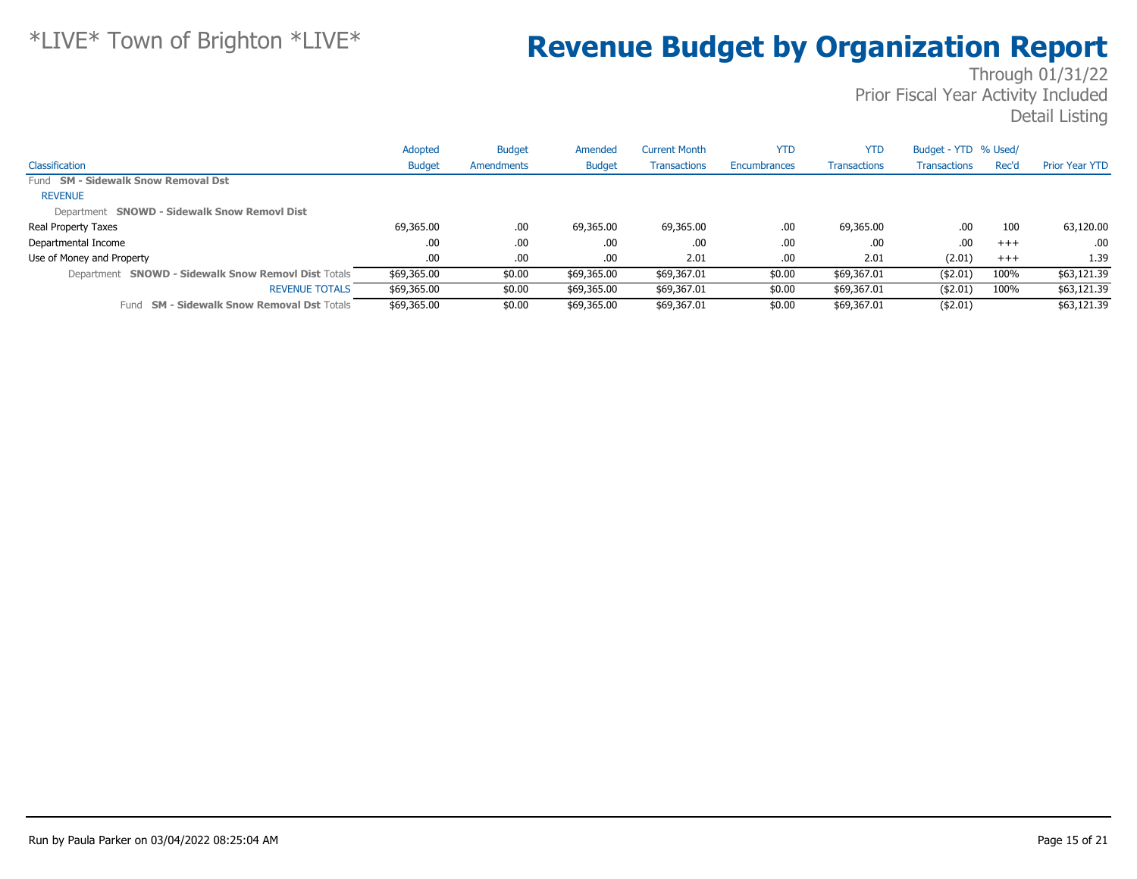|                                                      | Adopted       | <b>Budget</b>     | Amended       | Current Month       | <b>YTD</b>   | <b>YTD</b>          | Budget - YTD % Used/ |       |                       |
|------------------------------------------------------|---------------|-------------------|---------------|---------------------|--------------|---------------------|----------------------|-------|-----------------------|
| Classification                                       | <b>Budget</b> | <b>Amendments</b> | <b>Budget</b> | <b>Transactions</b> | Encumbrances | <b>Transactions</b> | <b>Transactions</b>  | Rec'd | <b>Prior Year YTD</b> |
| Fund SM - Sidewalk Snow Removal Dst                  |               |                   |               |                     |              |                     |                      |       |                       |
| <b>REVENUE</b>                                       |               |                   |               |                     |              |                     |                      |       |                       |
| Department SNOWD - Sidewalk Snow Removl Dist         |               |                   |               |                     |              |                     |                      |       |                       |
| Real Property Taxes                                  | 69,365.00     | .00.              | 69,365.00     | 69,365.00           | .00          | 69,365.00           | .00                  | 100   | 63,120.00             |
| Departmental Income                                  | .00           | .00.              | .00.          | .00                 | .00          | .00                 | .00                  | $+++$ | .00                   |
| Use of Money and Property                            | .00           | .00.              | .00.          | 2.01                | .00          | 2.01                | (2.01)               | $+++$ | 1.39                  |
| Department SNOWD - Sidewalk Snow Removl Dist Totals  | \$69,365.00   | \$0.00            | \$69,365.00   | \$69,367.01         | \$0.00       | \$69,367.01         | ( \$2.01)            | 100%  | \$63,121.39           |
| <b>REVENUE TOTALS</b>                                | \$69,365.00   | \$0.00            | \$69,365.00   | \$69,367.01         | \$0.00       | \$69,367.01         | ( \$2.01)            | 100%  | \$63,121.39           |
| <b>SM - Sidewalk Snow Removal Dst Totals</b><br>Fund | \$69,365.00   | \$0.00            | \$69,365.00   | \$69,367.01         | \$0.00       | \$69,367.01         | $($ \$2.01)          |       | \$63,121.39           |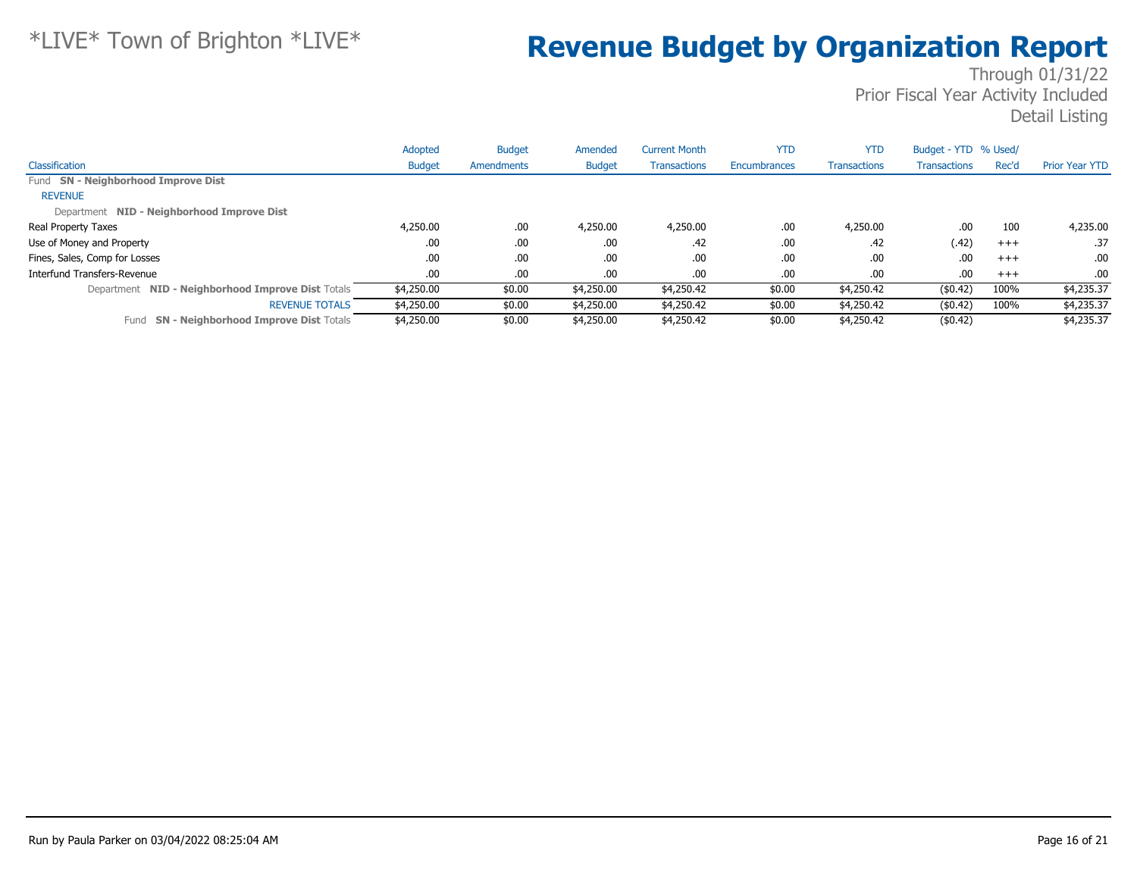|                                                      | Adopted       | <b>Budget</b> | Amended       | <b>Current Month</b> | <b>YTD</b>   | <b>YTD</b>          | Budget - YTD % Used/ |       |                       |
|------------------------------------------------------|---------------|---------------|---------------|----------------------|--------------|---------------------|----------------------|-------|-----------------------|
| Classification                                       | <b>Budget</b> | Amendments    | <b>Budget</b> | <b>Transactions</b>  | Encumbrances | <b>Transactions</b> | <b>Transactions</b>  | Rec'd | <b>Prior Year YTD</b> |
| Fund SN - Neighborhood Improve Dist                  |               |               |               |                      |              |                     |                      |       |                       |
| <b>REVENUE</b>                                       |               |               |               |                      |              |                     |                      |       |                       |
| Department NID - Neighborhood Improve Dist           |               |               |               |                      |              |                     |                      |       |                       |
| Real Property Taxes                                  | 4,250.00      | .00.          | 4,250.00      | 4,250.00             | .00          | 4,250.00            | .00                  | 100   | 4,235.00              |
| Use of Money and Property                            | .00           | .00.          | .00           | .42                  | .00          | .42                 | (.42)                | $+++$ | .37                   |
| Fines, Sales, Comp for Losses                        | .00           | .00.          | .00           | .00.                 | .00          | .00                 | .00                  | $+++$ | .00                   |
| Interfund Transfers-Revenue                          | .00           | .00.          | .00.          | .00.                 | .00          | .00                 | .00                  | $+++$ | .00                   |
| Department NID - Neighborhood Improve Dist Totals    | \$4,250.00    | \$0.00        | \$4,250.00    | \$4,250.42           | \$0.00       | \$4,250.42          | (\$0.42)             | 100%  | \$4,235.37            |
| <b>REVENUE TOTALS</b>                                | \$4,250.00    | \$0.00        | \$4,250.00    | \$4,250.42           | \$0.00       | \$4,250.42          | (\$0.42)             | 100%  | \$4,235.37            |
| <b>SN - Neighborhood Improve Dist Totals</b><br>Fund | \$4,250,00    | \$0.00        | \$4,250.00    | \$4,250.42           | \$0.00       | \$4,250.42          | (\$0.42)             |       | \$4,235.37            |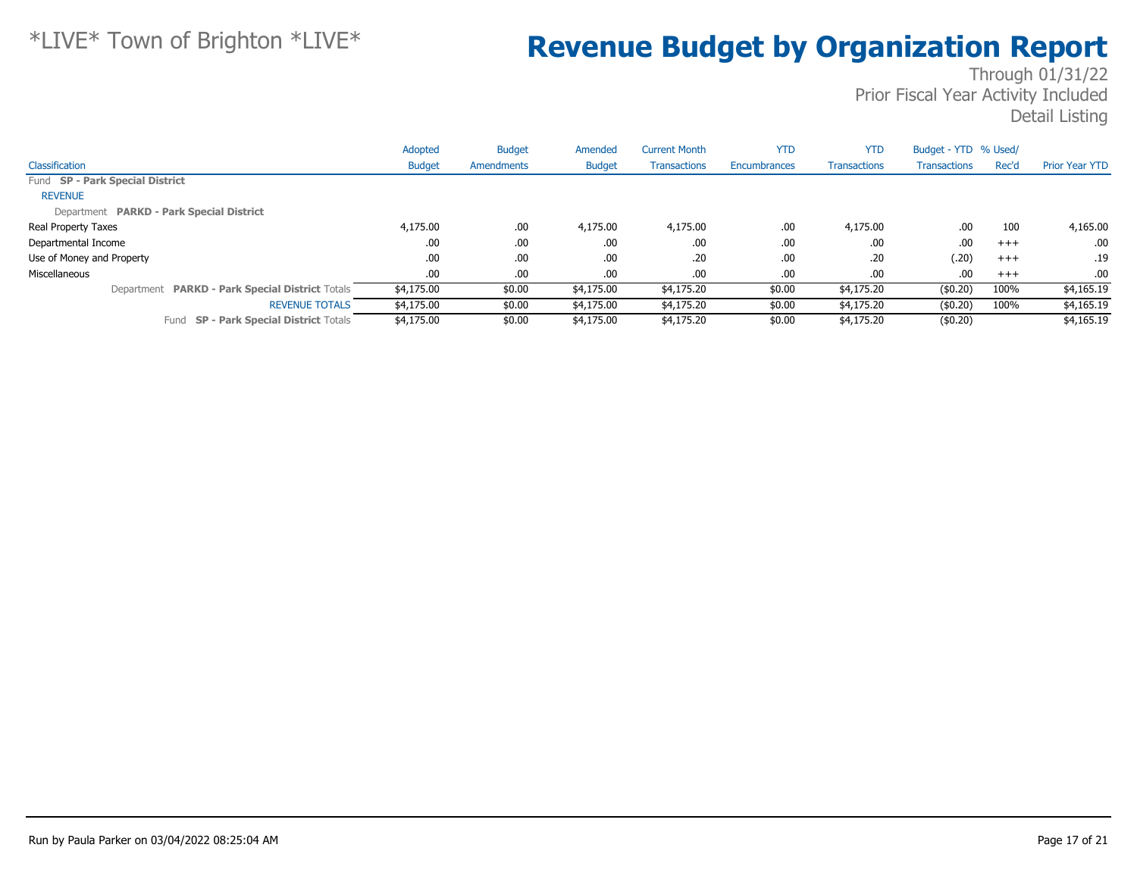|                                                 | Adopted       | <b>Budget</b> | Amended       | <b>Current Month</b> | <b>YTD</b>   | <b>YTD</b>          | Budget - YTD % Used/ |       |                       |
|-------------------------------------------------|---------------|---------------|---------------|----------------------|--------------|---------------------|----------------------|-------|-----------------------|
| Classification                                  | <b>Budget</b> | Amendments    | <b>Budget</b> | <b>Transactions</b>  | Encumbrances | <b>Transactions</b> | <b>Transactions</b>  | Rec'd | <b>Prior Year YTD</b> |
| Fund SP - Park Special District                 |               |               |               |                      |              |                     |                      |       |                       |
| <b>REVENUE</b>                                  |               |               |               |                      |              |                     |                      |       |                       |
| Department PARKD - Park Special District        |               |               |               |                      |              |                     |                      |       |                       |
| Real Property Taxes                             | 4,175.00      | .00.          | 4,175.00      | 4,175.00             | .00          | 4,175.00            | .00                  | 100   | 4,165.00              |
| Departmental Income                             | .00           | .00.          | .00.          | .00                  | .00          | .00.                | .00                  | $+++$ | .00.                  |
| Use of Money and Property                       | .00           | .00           | .00.          | .20                  | .00.         | .20                 | (.20)                | $+++$ | .19                   |
| Miscellaneous                                   | .00           | .00           | .00.          | .00                  | .00          | .00.                | .00                  | $+++$ | .00                   |
| Department PARKD - Park Special District Totals | \$4,175.00    | \$0.00        | \$4,175.00    | \$4,175.20           | \$0.00       | \$4,175.20          | $($ \$0.20)          | 100%  | \$4,165.19            |
| <b>REVENUE TOTALS</b>                           | \$4,175.00    | \$0.00        | \$4,175.00    | \$4,175.20           | \$0.00       | \$4,175.20          | $($ \$0.20)          | 100%  | \$4,165.19            |
| Fund SP - Park Special District Totals          | \$4,175.00    | \$0.00        | \$4,175,00    | \$4,175.20           | \$0.00       | \$4,175.20          | (\$0.20)             |       | \$4,165.19            |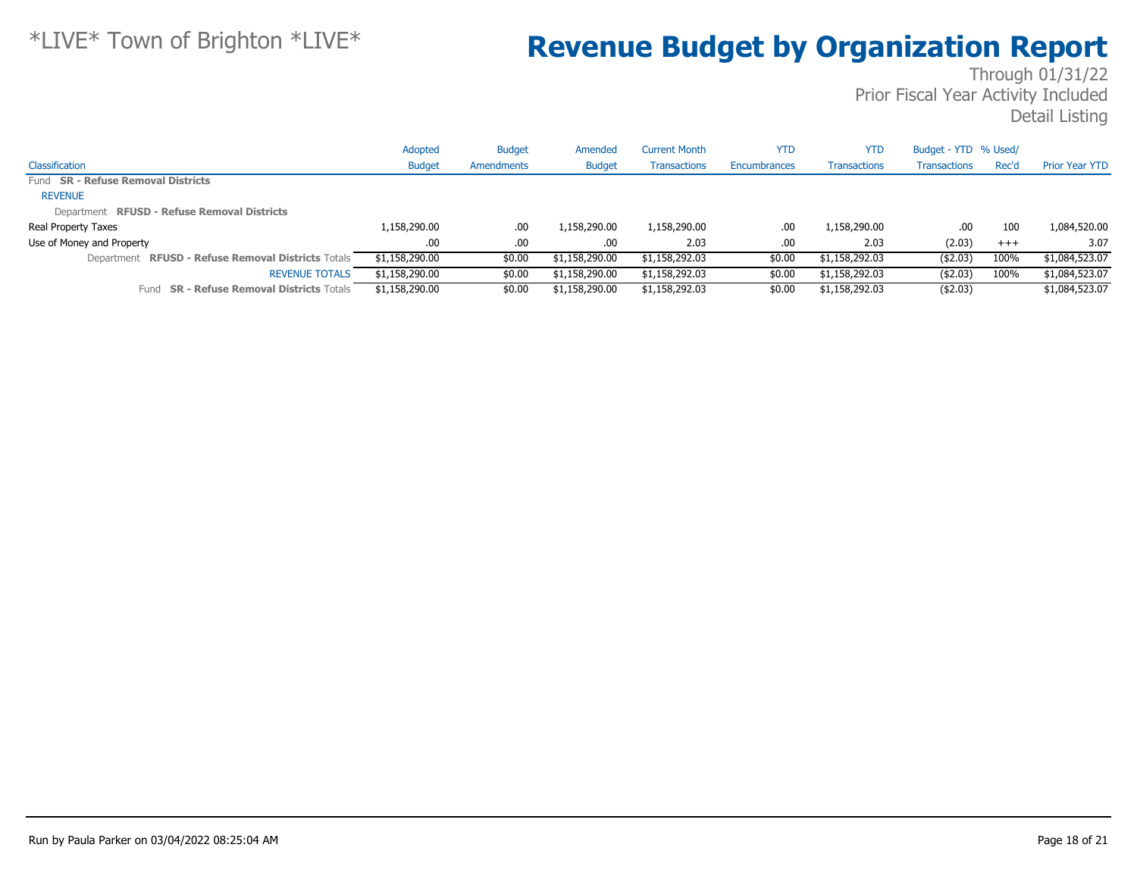|                                                              | Adopted        | <b>Budget</b> | Amended        | Current Month       | YTD          | <b>YTD</b>          | Budget - YTD % Used/ |          |                       |
|--------------------------------------------------------------|----------------|---------------|----------------|---------------------|--------------|---------------------|----------------------|----------|-----------------------|
| Classification                                               | <b>Budget</b>  | Amendments    | <b>Budget</b>  | <b>Transactions</b> | Encumbrances | <b>Transactions</b> | Transactions         | Rec'd    | <b>Prior Year YTD</b> |
| Fund SR - Refuse Removal Districts                           |                |               |                |                     |              |                     |                      |          |                       |
| <b>REVENUE</b>                                               |                |               |                |                     |              |                     |                      |          |                       |
| Department RFUSD - Refuse Removal Districts                  |                |               |                |                     |              |                     |                      |          |                       |
| Real Property Taxes                                          | 1,158,290.00   | .00.          | 1,158,290.00   | 1,158,290.00        | .00          | 1,158,290.00        | .00                  | 100      | 1,084,520.00          |
| Use of Money and Property                                    | $.00\,$        | $.00 \,$      | $.00 \cdot$    | 2.03                | .00.         | 2.03                | (2.03)               | $^{+++}$ | 3.07                  |
| <b>RFUSD - Refuse Removal Districts Totals</b><br>Department | \$1,158,290.00 | \$0.00        | \$1,158,290.00 | \$1,158,292.03      | \$0.00       | \$1,158,292.03      | ( \$2.03)            | 100%     | \$1,084,523.07        |
| <b>REVENUE TOTALS</b>                                        | \$1,158,290.00 | \$0.00        | \$1,158,290.00 | \$1,158,292.03      | \$0.00       | \$1,158,292.03      | ( \$2.03)            | 100%     | \$1,084,523.07        |
| <b>SR - Refuse Removal Districts Totals</b><br>Fund          | \$1,158,290.00 | \$0.00        | \$1,158,290.00 | \$1,158,292.03      | \$0.00       | \$1,158,292.03      | ( \$2.03)            |          | \$1,084,523.07        |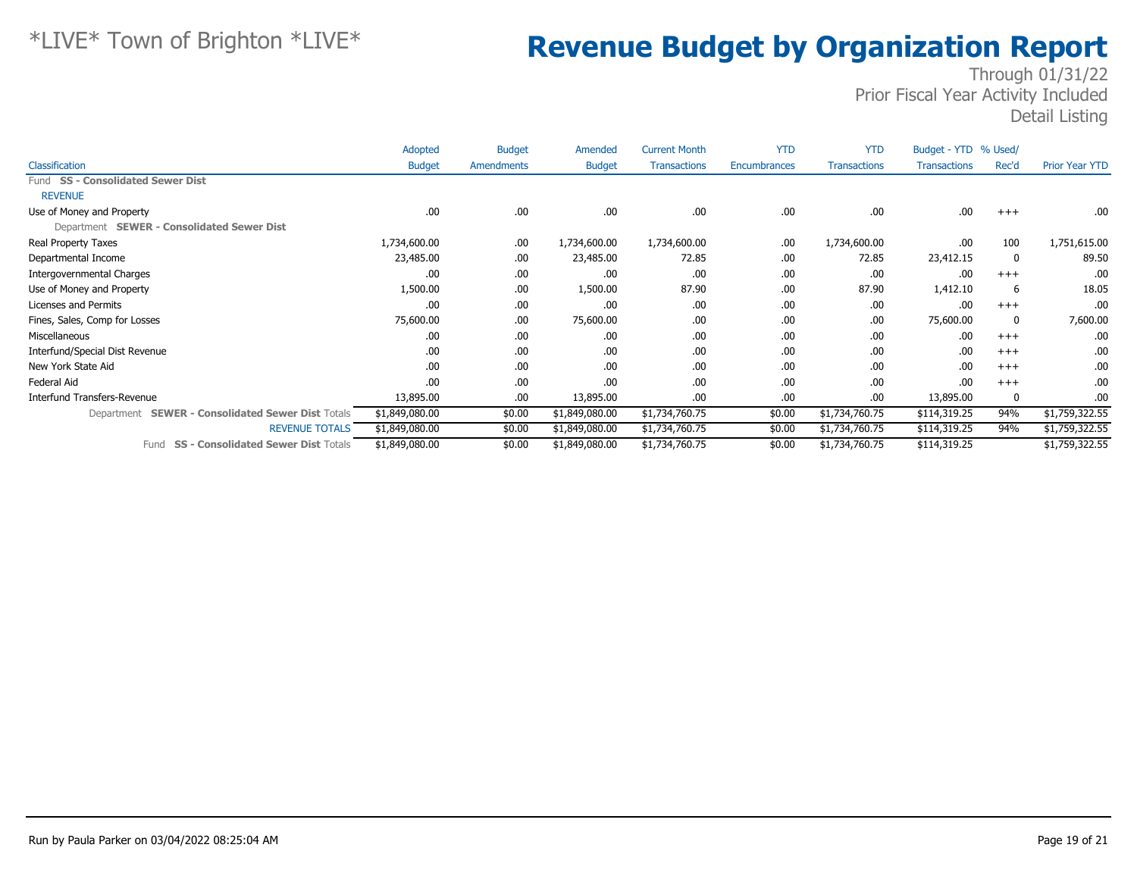|                                                             | Adopted        | <b>Budget</b> | Amended        | <b>Current Month</b> | <b>YTD</b>   | <b>YTD</b>          | Budget - YTD % Used/ |          |                       |
|-------------------------------------------------------------|----------------|---------------|----------------|----------------------|--------------|---------------------|----------------------|----------|-----------------------|
| <b>Classification</b>                                       | <b>Budget</b>  | Amendments    | <b>Budget</b>  | <b>Transactions</b>  | Encumbrances | <b>Transactions</b> | <b>Transactions</b>  | Rec'd    | <b>Prior Year YTD</b> |
| Fund SS - Consolidated Sewer Dist                           |                |               |                |                      |              |                     |                      |          |                       |
| <b>REVENUE</b>                                              |                |               |                |                      |              |                     |                      |          |                       |
| Use of Money and Property                                   | .00            | .00           | .00.           | .00                  | .00          | .00                 | .00                  | $+++$    | .00.                  |
| Department SEWER - Consolidated Sewer Dist                  |                |               |                |                      |              |                     |                      |          |                       |
| Real Property Taxes                                         | 1,734,600.00   | .00           | 1,734,600.00   | 1,734,600.00         | .00          | 1,734,600.00        | .00                  | 100      | 1,751,615.00          |
| Departmental Income                                         | 23,485.00      | .00           | 23,485.00      | 72.85                | .00          | 72.85               | 23,412.15            | 0        | 89.50                 |
| Intergovernmental Charges                                   | .00            | .00           | .00            | .00                  | .00          | .00                 | .00                  | $+++$    | .00                   |
| Use of Money and Property                                   | 1,500.00       | .00           | 1,500.00       | 87.90                | .00          | 87.90               | 1,412.10             | 6        | 18.05                 |
| Licenses and Permits                                        | .00            | .00           | .00            | .00                  | .00          | .00                 | .00                  | $+++$    | .00.                  |
| Fines, Sales, Comp for Losses                               | 75,600.00      | .00           | 75,600.00      | .00                  | .00          | .00                 | 75,600.00            | 0        | 7,600.00              |
| Miscellaneous                                               | .00            | .00           | .00.           | .00                  | .00          | .00                 | .00                  | $+++$    | .00                   |
| Interfund/Special Dist Revenue                              | .00            | .00           | .00            | .00                  | .00          | .00                 | .00                  | $+++$    | .00.                  |
| New York State Aid                                          | .00            | .00           | .00.           | .00                  | .00          | .00                 | .00                  | $^{+++}$ | .00.                  |
| Federal Aid                                                 | .00            | .00           | .00            | .00                  | .00          | .00                 | .00                  | $+++$    | .00.                  |
| Interfund Transfers-Revenue                                 | 13,895.00      | .00           | 13,895.00      | .00                  | .00          | .00                 | 13,895.00            | 0        | .00.                  |
| <b>SEWER - Consolidated Sewer Dist Totals</b><br>Department | \$1,849,080.00 | \$0.00        | \$1,849,080.00 | \$1,734,760.75       | \$0.00       | \$1,734,760.75      | \$114,319.25         | 94%      | \$1,759,322.55        |
| <b>REVENUE TOTALS</b>                                       | \$1,849,080.00 | \$0.00        | \$1,849,080.00 | \$1,734,760.75       | \$0.00       | \$1,734,760.75      | \$114,319.25         | 94%      | \$1,759,322.55        |
| <b>SS - Consolidated Sewer Dist Totals</b><br>Fund          | \$1,849,080.00 | \$0.00        | \$1,849,080.00 | \$1,734,760.75       | \$0.00       | \$1,734,760.75      | \$114,319.25         |          | \$1,759,322.55        |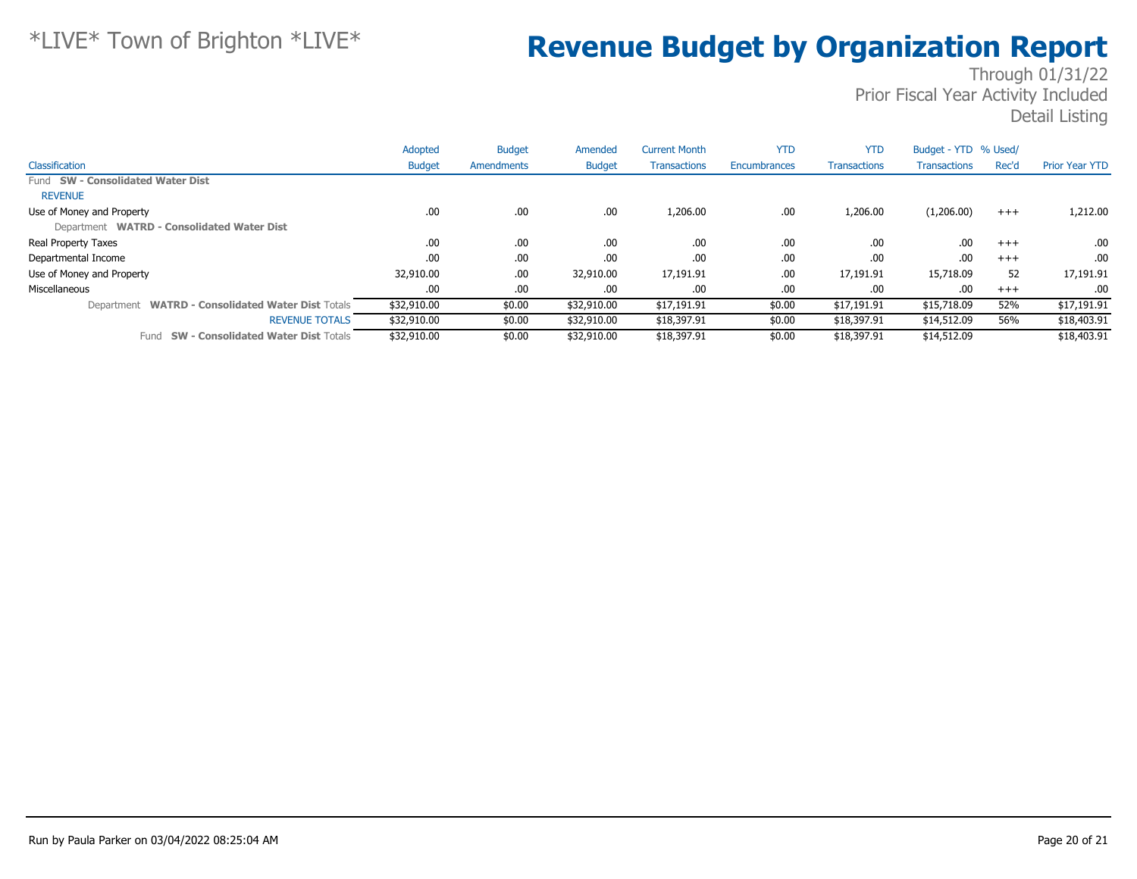|                                                             | Adopted       | <b>Budget</b> | Amended       | <b>Current Month</b> | <b>YTD</b>   | <b>YTD</b>          | Budget - YTD % Used/ |       |                       |
|-------------------------------------------------------------|---------------|---------------|---------------|----------------------|--------------|---------------------|----------------------|-------|-----------------------|
| Classification                                              | <b>Budget</b> | Amendments    | <b>Budget</b> | <b>Transactions</b>  | Encumbrances | <b>Transactions</b> | <b>Transactions</b>  | Rec'd | <b>Prior Year YTD</b> |
| Fund SW - Consolidated Water Dist                           |               |               |               |                      |              |                     |                      |       |                       |
| <b>REVENUE</b>                                              |               |               |               |                      |              |                     |                      |       |                       |
| Use of Money and Property                                   | .00.          | .00           | .00           | 1,206.00             | .00          | 1,206.00            | (1,206.00)           | $+++$ | 1,212.00              |
| Department WATRD - Consolidated Water Dist                  |               |               |               |                      |              |                     |                      |       |                       |
| Real Property Taxes                                         | .00.          | .00           | .00.          | .00                  | .00          | .00                 | .00                  | $+++$ | .00.                  |
| Departmental Income                                         | .00           | .00.          | .00.          | .00                  | .00          | .00                 | .00                  | $+++$ | .00.                  |
| Use of Money and Property                                   | 32,910.00     | .00.          | 32,910.00     | 17,191.91            | .00          | 17,191.91           | 15,718.09            | 52    | 17,191.91             |
| Miscellaneous                                               | .00           | .00           | .00.          | .00                  | .00          | .00                 | .00                  | $+++$ | .00                   |
| <b>WATRD - Consolidated Water Dist Totals</b><br>Department | \$32,910.00   | \$0.00        | \$32,910.00   | \$17,191.91          | \$0.00       | \$17,191.91         | \$15,718.09          | 52%   | \$17,191.91           |
| <b>REVENUE TOTALS</b>                                       | \$32,910.00   | \$0.00        | \$32,910.00   | \$18,397.91          | \$0.00       | \$18,397.91         | \$14,512.09          | 56%   | \$18,403.91           |
| <b>SW - Consolidated Water Dist Totals</b><br>Fund          | \$32,910.00   | \$0.00        | \$32,910.00   | \$18,397.91          | \$0.00       | \$18,397.91         | \$14,512.09          |       | \$18,403.91           |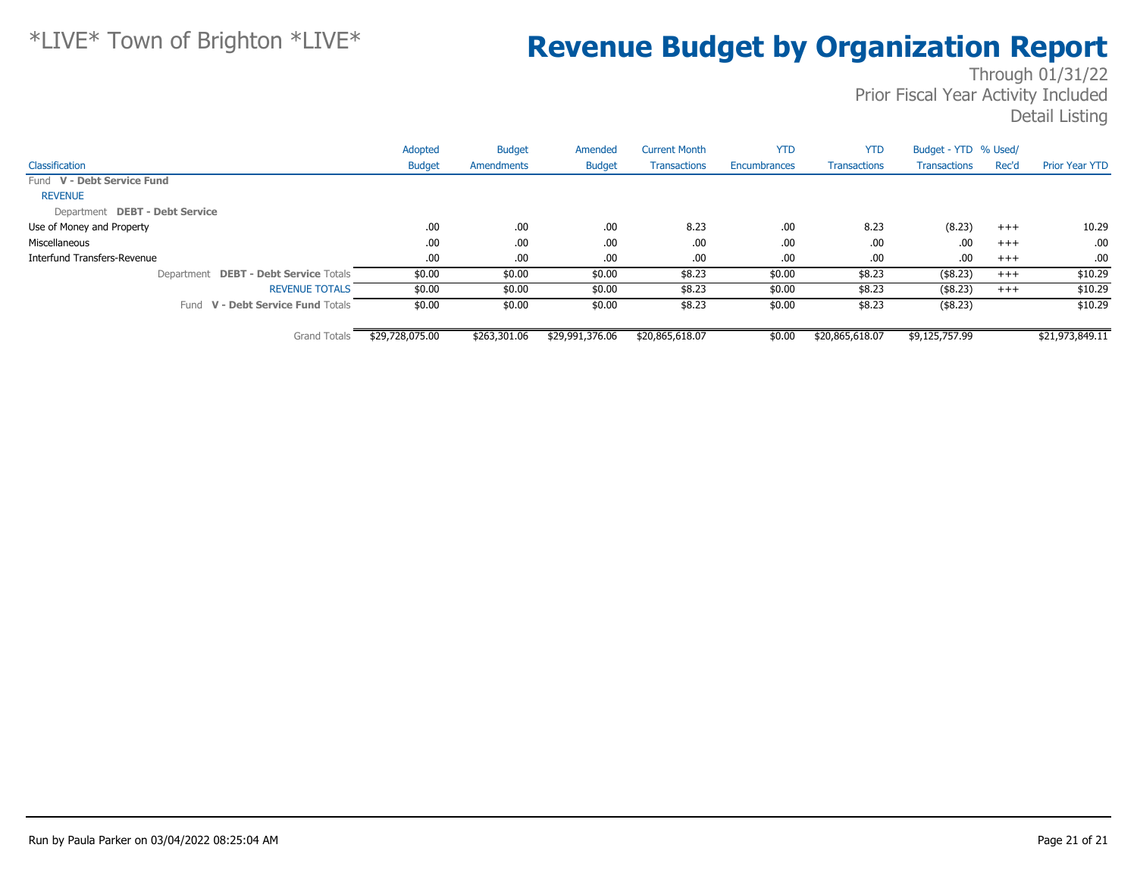|                                       | Adopted         | <b>Budget</b> | Amended         | <b>Current Month</b> | <b>YTD</b>   | <b>YTD</b>          | Budget - YTD % Used/ |          |                       |
|---------------------------------------|-----------------|---------------|-----------------|----------------------|--------------|---------------------|----------------------|----------|-----------------------|
| Classification                        | <b>Budget</b>   | Amendments    | <b>Budget</b>   | <b>Transactions</b>  | Encumbrances | <b>Transactions</b> | <b>Transactions</b>  | Rec'd    | <b>Prior Year YTD</b> |
| Fund V - Debt Service Fund            |                 |               |                 |                      |              |                     |                      |          |                       |
| <b>REVENUE</b>                        |                 |               |                 |                      |              |                     |                      |          |                       |
| Department DEBT - Debt Service        |                 |               |                 |                      |              |                     |                      |          |                       |
| Use of Money and Property             | .00.            | .00           | .00             | 8.23                 | .00          | 8.23                | (8.23)               | $^{+++}$ | 10.29                 |
| Miscellaneous                         | .00.            | .00.          | .00             | .00                  | .00          | .00.                | .00                  | $+++$    | .00                   |
| Interfund Transfers-Revenue           | .00.            | .00.          | .00.            | .00                  | .00          | .00.                | .00                  | $+++$    | .00                   |
| Department DEBT - Debt Service Totals | \$0.00          | \$0.00        | \$0.00          | \$8.23               | \$0.00       | \$8.23              | (\$8.23)             | $+++$    | \$10.29               |
| <b>REVENUE TOTALS</b>                 | \$0.00          | \$0.00        | \$0.00          | \$8.23               | \$0.00       | \$8.23              | $($ \$8.23)          | $^{+++}$ | \$10.29               |
| Fund V - Debt Service Fund Totals     | \$0.00          | \$0.00        | \$0.00          | \$8.23               | \$0.00       | \$8.23              | (\$8.23)             |          | \$10.29               |
| <b>Grand Totals</b>                   | \$29,728,075.00 | \$263,301.06  | \$29,991,376.06 | \$20,865,618.07      | \$0.00       | \$20,865,618.07     | \$9,125,757.99       |          | \$21,973,849.11       |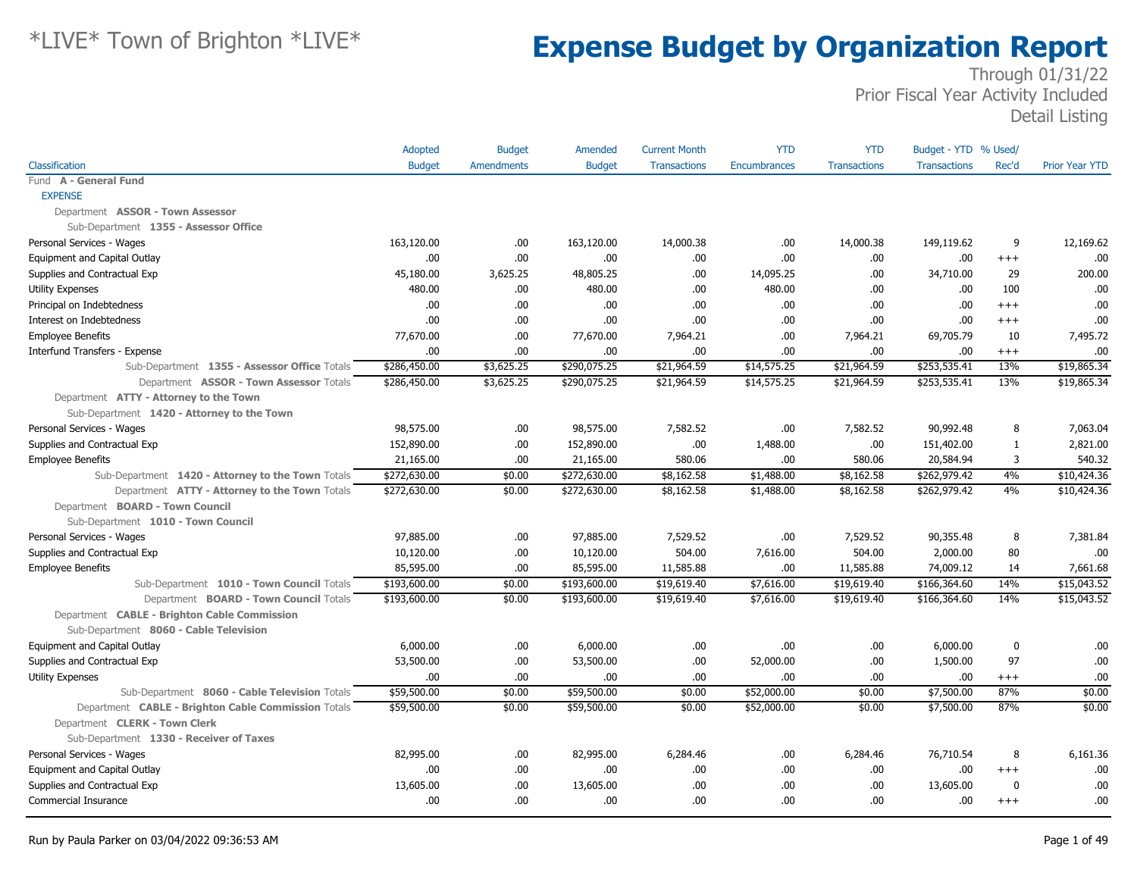|                                                     | Adopted       | <b>Budget</b>     | Amended       | <b>Current Month</b> | <b>YTD</b>   | <b>YTD</b>          | Budget - YTD % Used/ |              |                       |
|-----------------------------------------------------|---------------|-------------------|---------------|----------------------|--------------|---------------------|----------------------|--------------|-----------------------|
| Classification                                      | <b>Budget</b> | <b>Amendments</b> | <b>Budget</b> | <b>Transactions</b>  | Encumbrances | <b>Transactions</b> | <b>Transactions</b>  | Rec'd        | <b>Prior Year YTD</b> |
| Fund A - General Fund                               |               |                   |               |                      |              |                     |                      |              |                       |
| <b>EXPENSE</b>                                      |               |                   |               |                      |              |                     |                      |              |                       |
| Department ASSOR - Town Assessor                    |               |                   |               |                      |              |                     |                      |              |                       |
| Sub-Department 1355 - Assessor Office               |               |                   |               |                      |              |                     |                      |              |                       |
| Personal Services - Wages                           | 163,120.00    | .00               | 163,120.00    | 14,000.38            | .00.         | 14,000.38           | 149,119.62           | 9            | 12,169.62             |
| Equipment and Capital Outlay                        | .00.          | .00               | .00           | .00                  | .00          | .00                 | .00                  | $^{+++}$     | .00                   |
| Supplies and Contractual Exp                        | 45,180.00     | 3,625.25          | 48,805.25     | .00.                 | 14,095.25    | .00.                | 34,710.00            | 29           | 200.00                |
| <b>Utility Expenses</b>                             | 480.00        | .00.              | 480.00        | .00                  | 480.00       | .00                 | .00                  | 100          | .00                   |
| Principal on Indebtedness                           | .00           | .00.              | .00.          | .00                  | .00          | .00                 | .00                  | $^{++}$      | .00                   |
| Interest on Indebtedness                            | .00.          | .00.              | .00.          | .00                  | .00          | .00                 | .00                  | $+++$        | .00                   |
| <b>Employee Benefits</b>                            | 77,670.00     | .00.              | 77,670.00     | 7,964.21             | .00          | 7,964.21            | 69,705.79            | 10           | 7,495.72              |
| Interfund Transfers - Expense                       | .00           | .00.              | .00           | .00.                 | .00          | .00                 | .00                  | $^{++}$      | .00                   |
| Sub-Department 1355 - Assessor Office Totals        | \$286,450.00  | \$3,625.25        | \$290,075.25  | \$21,964.59          | \$14,575.25  | \$21,964.59         | \$253,535.41         | 13%          | \$19,865.34           |
| Department ASSOR - Town Assessor Totals             | \$286,450.00  | \$3,625.25        | \$290,075.25  | \$21,964.59          | \$14,575.25  | \$21,964.59         | \$253,535.41         | 13%          | \$19,865.34           |
| Department ATTY - Attorney to the Town              |               |                   |               |                      |              |                     |                      |              |                       |
| Sub-Department 1420 - Attorney to the Town          |               |                   |               |                      |              |                     |                      |              |                       |
| Personal Services - Wages                           | 98,575.00     | .00               | 98,575.00     | 7,582.52             | .00          | 7,582.52            | 90,992.48            | 8            | 7,063.04              |
| Supplies and Contractual Exp                        | 152,890.00    | .00.              | 152,890.00    | .00                  | 1,488.00     | .00                 | 151,402.00           | $\mathbf{1}$ | 2,821.00              |
| <b>Employee Benefits</b>                            | 21,165.00     | .00.              | 21,165.00     | 580.06               | .00          | 580.06              | 20,584.94            | 3            | 540.32                |
| Sub-Department 1420 - Attorney to the Town Totals   | \$272,630.00  | \$0.00            | \$272,630.00  | \$8,162.58           | \$1,488.00   | \$8,162.58          | \$262,979.42         | 4%           | \$10,424.36           |
| Department ATTY - Attorney to the Town Totals       | \$272,630.00  | \$0.00            | \$272,630.00  | \$8,162.58           | \$1,488.00   | \$8,162.58          | \$262,979.42         | 4%           | \$10,424.36           |
| Department BOARD - Town Council                     |               |                   |               |                      |              |                     |                      |              |                       |
| Sub-Department 1010 - Town Council                  |               |                   |               |                      |              |                     |                      |              |                       |
| Personal Services - Wages                           | 97,885.00     | .00               | 97,885.00     | 7,529.52             | .00          | 7,529.52            | 90,355.48            | 8            | 7,381.84              |
| Supplies and Contractual Exp                        | 10,120.00     | .00.              | 10,120.00     | 504.00               | 7,616.00     | 504.00              | 2,000.00             | 80           | .00                   |
| <b>Employee Benefits</b>                            | 85,595.00     | .00.              | 85,595.00     | 11,585.88            | .00.         | 11,585.88           | 74,009.12            | 14           | 7,661.68              |
| Sub-Department 1010 - Town Council Totals           | \$193,600.00  | \$0.00            | \$193,600.00  | \$19,619.40          | \$7,616.00   | \$19,619.40         | \$166,364.60         | 14%          | \$15,043.52           |
| Department BOARD - Town Council Totals              | \$193,600.00  | \$0.00            | \$193,600.00  | \$19,619.40          | \$7,616.00   | \$19,619.40         | \$166,364.60         | 14%          | \$15,043.52           |
| Department CABLE - Brighton Cable Commission        |               |                   |               |                      |              |                     |                      |              |                       |
| Sub-Department 8060 - Cable Television              |               |                   |               |                      |              |                     |                      |              |                       |
| Equipment and Capital Outlay                        | 6,000.00      | .00.              | 6,000.00      | .00                  | .00          | .00                 | 6,000.00             | $\mathbf 0$  | .00                   |
| Supplies and Contractual Exp                        | 53,500.00     | .00.              | 53,500.00     | .00                  | 52,000.00    | .00                 | 1,500.00             | 97           | .00                   |
| <b>Utility Expenses</b>                             | .00           | .00.              | .00.          | .00                  | .00          | .00                 | .00.                 | $^{+++}$     | .00                   |
| Sub-Department 8060 - Cable Television Totals       | \$59,500.00   | \$0.00            | \$59,500.00   | \$0.00               | \$52,000.00  | \$0.00              | \$7,500.00           | 87%          | \$0.00                |
| Department CABLE - Brighton Cable Commission Totals | \$59,500.00   | \$0.00            | \$59,500.00   | \$0.00               | \$52,000.00  | \$0.00              | \$7,500.00           | 87%          | \$0.00                |
| Department CLERK - Town Clerk                       |               |                   |               |                      |              |                     |                      |              |                       |
| Sub-Department 1330 - Receiver of Taxes             |               |                   |               |                      |              |                     |                      |              |                       |
| Personal Services - Wages                           | 82,995.00     | .00.              | 82,995.00     | 6,284.46             | .00.         | 6,284.46            | 76,710.54            | 8            | 6,161.36              |
| Equipment and Capital Outlay                        | .00.          | .00.              | .00.          | .00                  | .00          | .00                 | .00                  | $+++$        | .00                   |
| Supplies and Contractual Exp                        | 13,605.00     | .00.              | 13,605.00     | .00                  | .00          | .00                 | 13,605.00            | $\mathbf 0$  | .00                   |
| Commercial Insurance                                | .00           | .00               | .00.          | .00                  | .00          | .00                 | .00                  | $^{+++}$     | .00                   |
|                                                     |               |                   |               |                      |              |                     |                      |              |                       |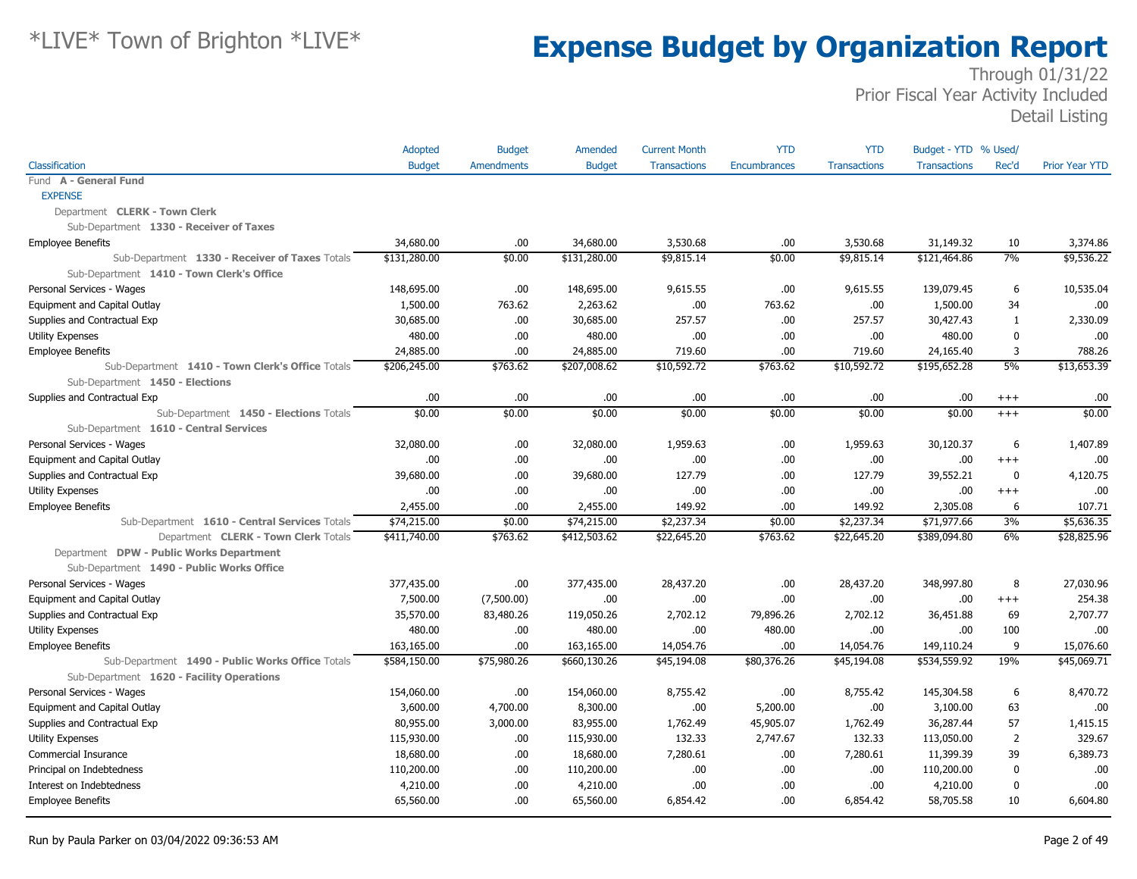|                                                  | Adopted       | <b>Budget</b>     | Amended       | <b>Current Month</b> | <b>YTD</b>   | <b>YTD</b>          | Budget - YTD % Used/ |                |                       |
|--------------------------------------------------|---------------|-------------------|---------------|----------------------|--------------|---------------------|----------------------|----------------|-----------------------|
| Classification                                   | <b>Budget</b> | <b>Amendments</b> | <b>Budget</b> | <b>Transactions</b>  | Encumbrances | <b>Transactions</b> | <b>Transactions</b>  | Rec'd          | <b>Prior Year YTD</b> |
| Fund A - General Fund                            |               |                   |               |                      |              |                     |                      |                |                       |
| <b>EXPENSE</b>                                   |               |                   |               |                      |              |                     |                      |                |                       |
| Department CLERK - Town Clerk                    |               |                   |               |                      |              |                     |                      |                |                       |
| Sub-Department 1330 - Receiver of Taxes          |               |                   |               |                      |              |                     |                      |                |                       |
| <b>Employee Benefits</b>                         | 34,680.00     | .00.              | 34,680.00     | 3,530.68             | .00          | 3,530.68            | 31,149.32            | 10             | 3,374.86              |
| Sub-Department 1330 - Receiver of Taxes Totals   | \$131,280.00  | \$0.00            | \$131,280.00  | \$9,815.14           | \$0.00       | \$9,815.14          | \$121,464.86         | 7%             | \$9,536.22            |
| Sub-Department 1410 - Town Clerk's Office        |               |                   |               |                      |              |                     |                      |                |                       |
| Personal Services - Wages                        | 148,695.00    | .00.              | 148,695.00    | 9,615.55             | .00          | 9,615.55            | 139,079.45           | 6              | 10,535.04             |
| Equipment and Capital Outlay                     | 1,500.00      | 763.62            | 2,263.62      | .00                  | 763.62       | .00                 | 1,500.00             | 34             | .00                   |
| Supplies and Contractual Exp                     | 30,685.00     | .00               | 30,685.00     | 257.57               | .00          | 257.57              | 30,427.43            | 1              | 2,330.09              |
| <b>Utility Expenses</b>                          | 480.00        | .00               | 480.00        | .00.                 | .00          | .00                 | 480.00               | $\bf{0}$       | .00                   |
| <b>Employee Benefits</b>                         | 24,885.00     | .00               | 24,885.00     | 719.60               | .00          | 719.60              | 24,165.40            | 3              | 788.26                |
| Sub-Department 1410 - Town Clerk's Office Totals | \$206,245.00  | \$763.62          | \$207,008.62  | \$10,592.72          | \$763.62     | \$10,592.72         | \$195,652.28         | 5%             | \$13,653.39           |
| Sub-Department 1450 - Elections                  |               |                   |               |                      |              |                     |                      |                |                       |
| Supplies and Contractual Exp                     | .00           | .00.              | .00.          | .00                  | .00          | .00                 | .00                  | $^{+++}$       | .00                   |
| Sub-Department 1450 - Elections Totals           | \$0.00        | \$0.00            | \$0.00        | \$0.00               | \$0.00       | \$0.00              | \$0.00               | $^{+++}$       | \$0.00                |
| Sub-Department 1610 - Central Services           |               |                   |               |                      |              |                     |                      |                |                       |
| Personal Services - Wages                        | 32,080.00     | .00.              | 32,080.00     | 1,959.63             | .00          | 1,959.63            | 30,120.37            | 6              | 1,407.89              |
| Equipment and Capital Outlay                     | .00           | .00.              | .00.          | .00                  | .00          | .00                 | .00                  | $^{+++}$       | .00                   |
| Supplies and Contractual Exp                     | 39,680.00     | .00               | 39,680.00     | 127.79               | .00          | 127.79              | 39,552.21            | $\mathbf 0$    | 4,120.75              |
| <b>Utility Expenses</b>                          | .00.          | .00               | .00.          | .00                  | .00          | .00                 | .00                  | $+++$          | .00                   |
| <b>Employee Benefits</b>                         | 2,455.00      | .00               | 2,455.00      | 149.92               | .00          | 149.92              | 2,305.08             | 6              | 107.71                |
| Sub-Department 1610 - Central Services Totals    | \$74,215.00   | \$0.00            | \$74,215.00   | \$2,237.34           | \$0.00       | \$2,237.34          | \$71,977.66          | 3%             | \$5,636.35            |
| Department CLERK - Town Clerk Totals             | \$411,740.00  | \$763.62          | \$412,503.62  | \$22,645.20          | \$763.62     | \$22,645.20         | \$389,094.80         | 6%             | \$28,825.96           |
| Department DPW - Public Works Department         |               |                   |               |                      |              |                     |                      |                |                       |
| Sub-Department 1490 - Public Works Office        |               |                   |               |                      |              |                     |                      |                |                       |
| Personal Services - Wages                        | 377,435.00    | .00.              | 377,435.00    | 28,437.20            | .00          | 28,437.20           | 348,997.80           | 8              | 27,030.96             |
| Equipment and Capital Outlay                     | 7,500.00      | (7,500.00)        | .00.          | .00                  | .00          | .00                 | .00                  | $+++$          | 254.38                |
| Supplies and Contractual Exp                     | 35,570.00     | 83,480.26         | 119,050.26    | 2,702.12             | 79,896.26    | 2,702.12            | 36,451.88            | 69             | 2,707.77              |
| <b>Utility Expenses</b>                          | 480.00        | .00               | 480.00        | .00                  | 480.00       | .00                 | .00                  | 100            | .00                   |
| <b>Employee Benefits</b>                         | 163,165.00    | .00.              | 163,165.00    | 14,054.76            | .00          | 14,054.76           | 149,110.24           | 9              | 15,076.60             |
| Sub-Department 1490 - Public Works Office Totals | \$584,150.00  | \$75,980.26       | \$660,130.26  | \$45,194.08          | \$80,376.26  | \$45,194.08         | \$534,559.92         | 19%            | \$45,069.71           |
| Sub-Department 1620 - Facility Operations        |               |                   |               |                      |              |                     |                      |                |                       |
| Personal Services - Wages                        | 154,060.00    | .00.              | 154,060.00    | 8,755.42             | .00          | 8,755.42            | 145,304.58           | 6              | 8,470.72              |
| Equipment and Capital Outlay                     | 3,600.00      | 4,700.00          | 8,300.00      | .00.                 | 5,200.00     | .00                 | 3,100.00             | 63             | .00                   |
| Supplies and Contractual Exp                     | 80,955.00     | 3,000.00          | 83,955.00     | 1,762.49             | 45,905.07    | 1,762.49            | 36,287.44            | 57             | 1,415.15              |
| <b>Utility Expenses</b>                          | 115,930.00    | .00.              | 115,930.00    | 132.33               | 2,747.67     | 132.33              | 113,050.00           | $\overline{2}$ | 329.67                |
| <b>Commercial Insurance</b>                      | 18,680.00     | .00               | 18,680.00     | 7,280.61             | .00          | 7,280.61            | 11,399.39            | 39             | 6,389.73              |
| Principal on Indebtedness                        | 110,200.00    | .00.              | 110,200.00    | .00                  | .00          | .00                 | 110,200.00           | 0              | .00                   |
| Interest on Indebtedness                         | 4,210.00      | .00.              | 4,210.00      | .00                  | .00          | .00                 | 4,210.00             | $\bf{0}$       | .00                   |
| <b>Employee Benefits</b>                         | 65,560.00     | .00.              | 65,560.00     | 6,854.42             | .00          | 6,854.42            | 58,705.58            | 10             | 6,604.80              |
|                                                  |               |                   |               |                      |              |                     |                      |                |                       |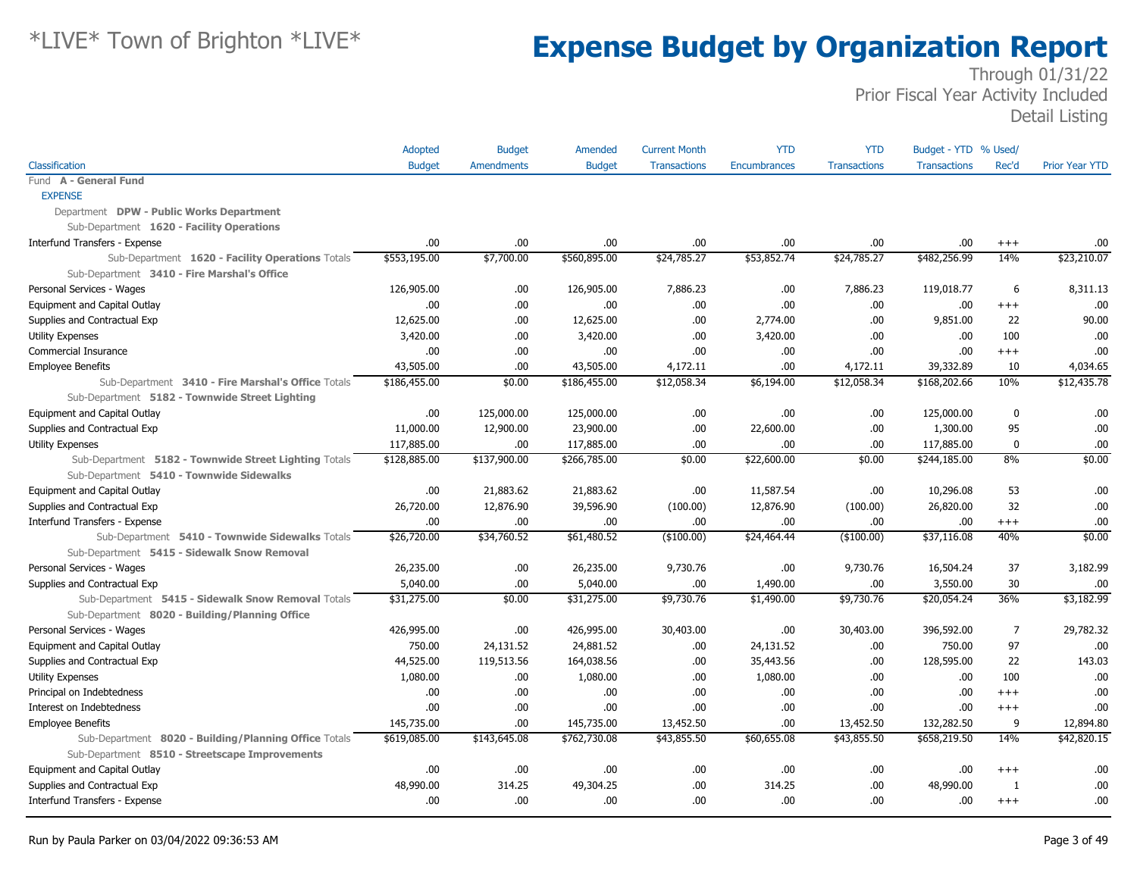|                                                       | Adopted       | <b>Budget</b>     | Amended       | <b>Current Month</b> | <b>YTD</b>   | <b>YTD</b>          | Budget - YTD % Used/ |                |                       |
|-------------------------------------------------------|---------------|-------------------|---------------|----------------------|--------------|---------------------|----------------------|----------------|-----------------------|
| Classification                                        | <b>Budget</b> | <b>Amendments</b> | <b>Budget</b> | <b>Transactions</b>  | Encumbrances | <b>Transactions</b> | <b>Transactions</b>  | Rec'd          | <b>Prior Year YTD</b> |
| Fund A - General Fund                                 |               |                   |               |                      |              |                     |                      |                |                       |
| <b>EXPENSE</b>                                        |               |                   |               |                      |              |                     |                      |                |                       |
| Department DPW - Public Works Department              |               |                   |               |                      |              |                     |                      |                |                       |
| Sub-Department 1620 - Facility Operations             |               |                   |               |                      |              |                     |                      |                |                       |
| Interfund Transfers - Expense                         | .00           | .00               | .00.          | .00.                 | .00.         | .00.                | .00                  | $+++$          | .00                   |
| Sub-Department 1620 - Facility Operations Totals      | \$553,195.00  | \$7,700.00        | \$560,895.00  | \$24,785.27          | \$53,852.74  | \$24,785.27         | \$482,256.99         | 14%            | $\sqrt{$23,210.07}$   |
| Sub-Department 3410 - Fire Marshal's Office           |               |                   |               |                      |              |                     |                      |                |                       |
| Personal Services - Wages                             | 126,905.00    | .00               | 126,905.00    | 7,886.23             | .00.         | 7,886.23            | 119,018.77           | 6              | 8,311.13              |
| Equipment and Capital Outlay                          | .00           | .00               | .00.          | .00.                 | .00          | .00                 | .00                  | $+++$          | .00                   |
| Supplies and Contractual Exp                          | 12,625.00     | .00               | 12,625.00     | .00                  | 2,774.00     | .00                 | 9,851.00             | 22             | 90.00                 |
| <b>Utility Expenses</b>                               | 3,420.00      | .00.              | 3,420.00      | .00                  | 3,420.00     | .00                 | .00                  | 100            | .00                   |
| Commercial Insurance                                  | .00           | .00.              | .00.          | .00.                 | .00.         | .00.                | .00                  | $+++$          | .00                   |
| <b>Employee Benefits</b>                              | 43,505.00     | .00               | 43,505.00     | 4,172.11             | .00          | 4,172.11            | 39,332.89            | 10             | 4.034.65              |
| Sub-Department 3410 - Fire Marshal's Office Totals    | \$186,455.00  | \$0.00            | \$186,455.00  | \$12,058.34          | \$6,194.00   | \$12,058.34         | \$168,202.66         | 10%            | \$12,435.78           |
| Sub-Department 5182 - Townwide Street Lighting        |               |                   |               |                      |              |                     |                      |                |                       |
| Equipment and Capital Outlay                          | .00           | 125,000.00        | 125,000.00    | .00                  | .00          | .00.                | 125,000.00           | 0              | .00                   |
| Supplies and Contractual Exp                          | 11,000.00     | 12,900.00         | 23,900.00     | .00.                 | 22,600.00    | .00                 | 1,300.00             | 95             | .00                   |
| <b>Utility Expenses</b>                               | 117,885.00    | .00.              | 117,885.00    | .00.                 | .00.         | .00.                | 117,885.00           | $\bf{0}$       | .00                   |
| Sub-Department 5182 - Townwide Street Lighting Totals | \$128,885.00  | \$137,900.00      | \$266,785.00  | \$0.00               | \$22,600.00  | \$0.00              | \$244,185.00         | 8%             | \$0.00                |
| Sub-Department 5410 - Townwide Sidewalks              |               |                   |               |                      |              |                     |                      |                |                       |
| Equipment and Capital Outlay                          | .00           | 21,883.62         | 21,883.62     | .00.                 | 11,587.54    | .00.                | 10,296.08            | 53             | .00                   |
| Supplies and Contractual Exp                          | 26,720.00     | 12,876.90         | 39,596.90     | (100.00)             | 12,876.90    | (100.00)            | 26,820.00            | 32             | .00                   |
| Interfund Transfers - Expense                         | .00           | .00               | .00.          | .00.                 | .00.         | .00.                | .00.                 | $^{+++}$       | .00                   |
| Sub-Department 5410 - Townwide Sidewalks Totals       | \$26,720.00   | \$34,760.52       | \$61,480.52   | ( \$100.00)          | \$24,464.44  | $($ \$100.00)       | \$37,116.08          | 40%            | \$0.00                |
| Sub-Department 5415 - Sidewalk Snow Removal           |               |                   |               |                      |              |                     |                      |                |                       |
| Personal Services - Wages                             | 26,235.00     | .00               | 26,235.00     | 9,730.76             | .00.         | 9,730.76            | 16,504.24            | 37             | 3,182.99              |
| Supplies and Contractual Exp                          | 5,040.00      | .00               | 5,040.00      | .00                  | 1,490.00     | .00                 | 3,550.00             | 30             | .00                   |
| Sub-Department 5415 - Sidewalk Snow Removal Totals    | \$31,275.00   | \$0.00            | \$31,275.00   | \$9,730.76           | \$1,490.00   | \$9,730.76          | \$20,054.24          | 36%            | \$3,182.99            |
| Sub-Department 8020 - Building/Planning Office        |               |                   |               |                      |              |                     |                      |                |                       |
| Personal Services - Wages                             | 426,995.00    | .00.              | 426,995.00    | 30,403.00            | .00.         | 30,403.00           | 396,592.00           | $\overline{7}$ | 29,782.32             |
| Equipment and Capital Outlay                          | 750.00        | 24,131.52         | 24,881.52     | .00                  | 24,131.52    | .00                 | 750.00               | 97             | .00                   |
| Supplies and Contractual Exp                          | 44,525.00     | 119,513.56        | 164,038.56    | .00.                 | 35,443.56    | .00.                | 128,595.00           | 22             | 143.03                |
| <b>Utility Expenses</b>                               | 1,080.00      | .00.              | 1,080.00      | .00.                 | 1,080.00     | .00                 | .00                  | 100            | .00                   |
| Principal on Indebtedness                             | .00           | .00               | .00.          | .00                  | .00.         | .00                 | .00                  | $+++$          | .00                   |
| Interest on Indebtedness                              | .00           | .00.              | .00           | .00                  | .00          | .00                 | .00                  | $^{+++}$       | .00                   |
| <b>Employee Benefits</b>                              | 145,735.00    | .00.              | 145,735.00    | 13,452.50            | .00          | 13,452.50           | 132,282.50           | 9              | 12,894.80             |
| Sub-Department 8020 - Building/Planning Office Totals | \$619,085.00  | \$143,645.08      | \$762,730.08  | \$43,855.50          | \$60,655.08  | \$43,855.50         | \$658,219.50         | 14%            | \$42,820.15           |
| Sub-Department 8510 - Streetscape Improvements        |               |                   |               |                      |              |                     |                      |                |                       |
| Equipment and Capital Outlay                          | .00           | .00.              | .00.          | .00.                 | .00.         | .00.                | .00                  | $^{++}$        | .00                   |
| Supplies and Contractual Exp                          | 48,990.00     | 314.25            | 49,304.25     | .00.                 | 314.25       | .00.                | 48,990.00            | $\mathbf{1}$   | .00.                  |
| Interfund Transfers - Expense                         | .00           | .00               | .00.          | .00.                 | .00.         | .00.                | .00.                 | $^{++}$        | .00                   |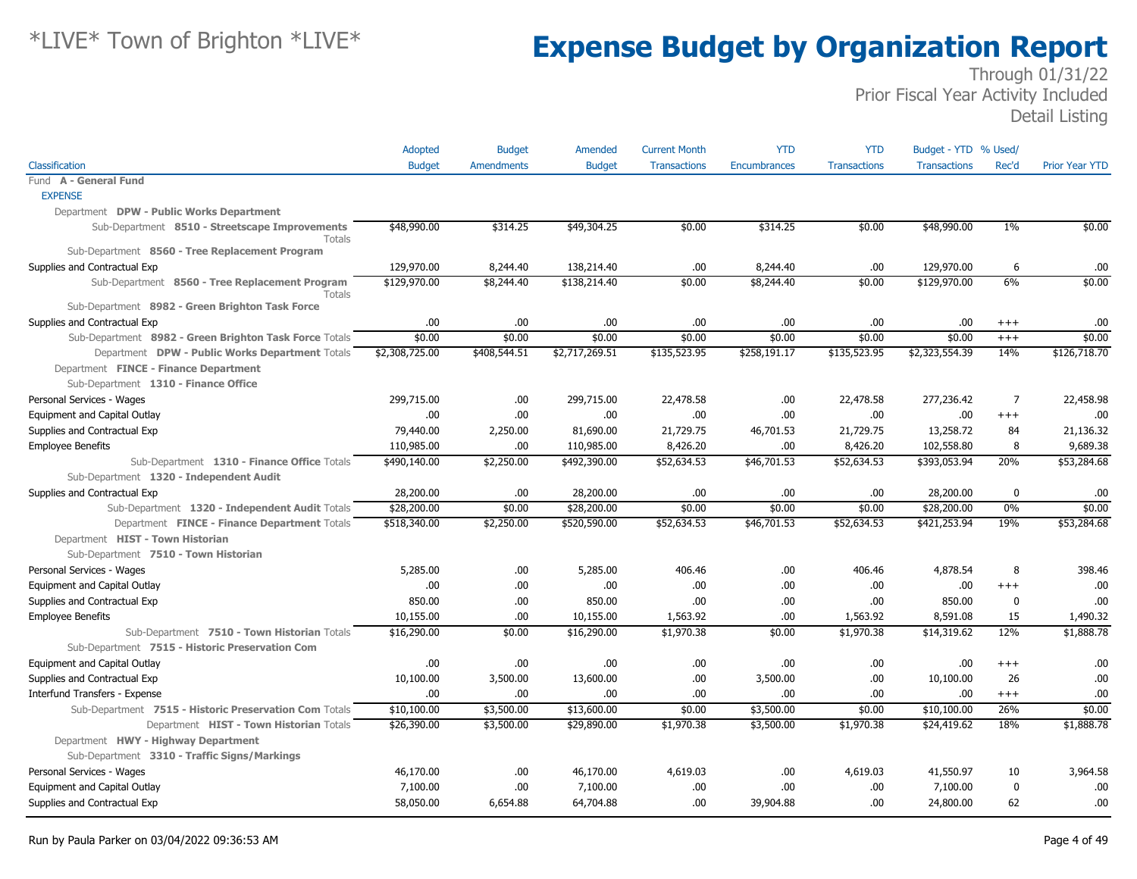|                                                                 | Adopted        | <b>Budget</b>     | Amended        | <b>Current Month</b> | <b>YTD</b>          | <b>YTD</b>          | Budget - YTD % Used/ |                |                       |
|-----------------------------------------------------------------|----------------|-------------------|----------------|----------------------|---------------------|---------------------|----------------------|----------------|-----------------------|
| Classification                                                  | <b>Budget</b>  | <b>Amendments</b> | <b>Budget</b>  | <b>Transactions</b>  | <b>Encumbrances</b> | <b>Transactions</b> | <b>Transactions</b>  | Rec'd          | <b>Prior Year YTD</b> |
| Fund A - General Fund                                           |                |                   |                |                      |                     |                     |                      |                |                       |
| <b>EXPENSE</b>                                                  |                |                   |                |                      |                     |                     |                      |                |                       |
| Department DPW - Public Works Department                        |                |                   |                |                      |                     |                     |                      |                |                       |
| Sub-Department 8510 - Streetscape Improvements<br><b>Totals</b> | \$48,990.00    | \$314.25          | \$49,304.25    | \$0.00               | \$314.25            | \$0.00              | \$48,990.00          | $1\%$          | \$0.00                |
| Sub-Department 8560 - Tree Replacement Program                  |                |                   |                |                      |                     |                     |                      |                |                       |
| Supplies and Contractual Exp                                    | 129,970.00     | 8,244.40          | 138,214.40     | .00                  | 8,244.40            | .00.                | 129,970.00           | 6              | .00                   |
| Sub-Department 8560 - Tree Replacement Program<br>Totals        | \$129,970.00   | \$8,244.40        | \$138,214.40   | \$0.00               | \$8,244.40          | \$0.00              | \$129,970.00         | 6%             | \$0.00                |
| Sub-Department 8982 - Green Brighton Task Force                 |                |                   |                |                      |                     |                     |                      |                |                       |
| Supplies and Contractual Exp                                    | .00            | .00               | .00            | .00                  | .00.                | .00.                | .00.                 | $^{++}$        | .00                   |
| Sub-Department 8982 - Green Brighton Task Force Totals          | \$0.00         | \$0.00            | \$0.00         | \$0.00               | \$0.00              | \$0.00              | \$0.00               | $+++$          | \$0.00                |
| Department DPW - Public Works Department Totals                 | \$2,308,725.00 | \$408,544.51      | \$2,717,269.51 | \$135,523.95         | \$258,191.17        | \$135,523.95        | \$2,323,554.39       | 14%            | \$126,718.70          |
| Department FINCE - Finance Department                           |                |                   |                |                      |                     |                     |                      |                |                       |
| Sub-Department 1310 - Finance Office                            |                |                   |                |                      |                     |                     |                      |                |                       |
| Personal Services - Wages                                       | 299,715.00     | .00.              | 299,715.00     | 22,478.58            | .00.                | 22,478.58           | 277,236.42           | $\overline{7}$ | 22,458.98             |
| Equipment and Capital Outlay                                    | .00.           | .00               | .00            | .00                  | .00.                | .00.                | .00.                 | $+++$          | .00                   |
| Supplies and Contractual Exp                                    | 79,440.00      | 2,250.00          | 81,690.00      | 21,729.75            | 46,701.53           | 21,729.75           | 13,258.72            | 84             | 21,136.32             |
| <b>Employee Benefits</b>                                        | 110,985.00     | .00.              | 110,985.00     | 8,426.20             | .00.                | 8,426.20            | 102,558.80           | 8              | 9,689.38              |
| Sub-Department 1310 - Finance Office Totals                     | \$490,140.00   | \$2,250.00        | \$492,390.00   | \$52,634.53          | \$46,701.53         | \$52,634.53         | \$393,053.94         | 20%            | \$53,284.68           |
| Sub-Department 1320 - Independent Audit                         |                |                   |                |                      |                     |                     |                      |                |                       |
| Supplies and Contractual Exp                                    | 28,200.00      | .00.              | 28,200.00      | .00                  | .00.                | .00                 | 28,200.00            | 0              | .00                   |
| Sub-Department 1320 - Independent Audit Totals                  | \$28,200.00    | \$0.00            | \$28,200.00    | \$0.00               | \$0.00              | \$0.00              | \$28,200.00          | $0\%$          | \$0.00                |
| Department FINCE - Finance Department Totals                    | \$518,340.00   | \$2,250.00        | \$520,590.00   | \$52,634.53          | \$46,701.53         | \$52,634.53         | \$421,253.94         | 19%            | \$53,284.68           |
| Department HIST - Town Historian                                |                |                   |                |                      |                     |                     |                      |                |                       |
| Sub-Department 7510 - Town Historian                            |                |                   |                |                      |                     |                     |                      |                |                       |
| Personal Services - Wages                                       | 5,285.00       | .00.              | 5,285.00       | 406.46               | .00.                | 406.46              | 4,878.54             | 8              | 398.46                |
| Equipment and Capital Outlay                                    | .00.           | .00               | .00            | .00                  | .00.                | .00                 | .00.                 | $+++$          | .00                   |
| Supplies and Contractual Exp                                    | 850.00         | .00.              | 850.00         | .00                  | .00.                | .00.                | 850.00               | 0              | .00                   |
| <b>Employee Benefits</b>                                        | 10,155.00      | .00               | 10,155.00      | 1,563.92             | .00.                | 1,563.92            | 8,591.08             | 15             | 1,490.32              |
| Sub-Department 7510 - Town Historian Totals                     | \$16,290.00    | \$0.00            | \$16,290.00    | \$1,970.38           | \$0.00              | \$1,970.38          | \$14,319.62          | 12%            | \$1,888.78            |
| Sub-Department 7515 - Historic Preservation Com                 |                |                   |                |                      |                     |                     |                      |                |                       |
| Equipment and Capital Outlay                                    | .00.           | 00.               | .00            | .00                  | .00                 | .00.                | .00                  | $^{++}$        | .00                   |
| Supplies and Contractual Exp                                    | 10,100.00      | 3,500.00          | 13,600.00      | .00                  | 3,500.00            | .00.                | 10,100.00            | 26             | .00                   |
| Interfund Transfers - Expense                                   | .00.           | .00               | .00            | .00                  | .00.                | .00.                | .00.                 | $^{+++}$       | .00                   |
| Sub-Department 7515 - Historic Preservation Com Totals          | \$10,100.00    | \$3,500.00        | \$13,600.00    | \$0.00               | \$3,500.00          | \$0.00              | \$10,100.00          | 26%            | \$0.00                |
| Department HIST - Town Historian Totals                         | \$26,390.00    | \$3,500.00        | \$29,890.00    | \$1,970.38           | \$3,500.00          | \$1,970.38          | \$24,419.62          | 18%            | \$1,888.78            |
| Department HWY - Highway Department                             |                |                   |                |                      |                     |                     |                      |                |                       |
| Sub-Department 3310 - Traffic Signs/Markings                    |                |                   |                |                      |                     |                     |                      |                |                       |
| Personal Services - Wages                                       | 46,170.00      | .00.              | 46,170.00      | 4,619.03             | .00.                | 4,619.03            | 41,550.97            | 10             | 3,964.58              |
| Equipment and Capital Outlay                                    | 7,100.00       | .00.              | 7,100.00       | .00                  | .00                 | .00                 | 7,100.00             | $\mathbf 0$    | .00                   |
| Supplies and Contractual Exp                                    | 58,050.00      | 6,654.88          | 64,704.88      | .00                  | 39,904.88           | .00.                | 24,800.00            | 62             | .00                   |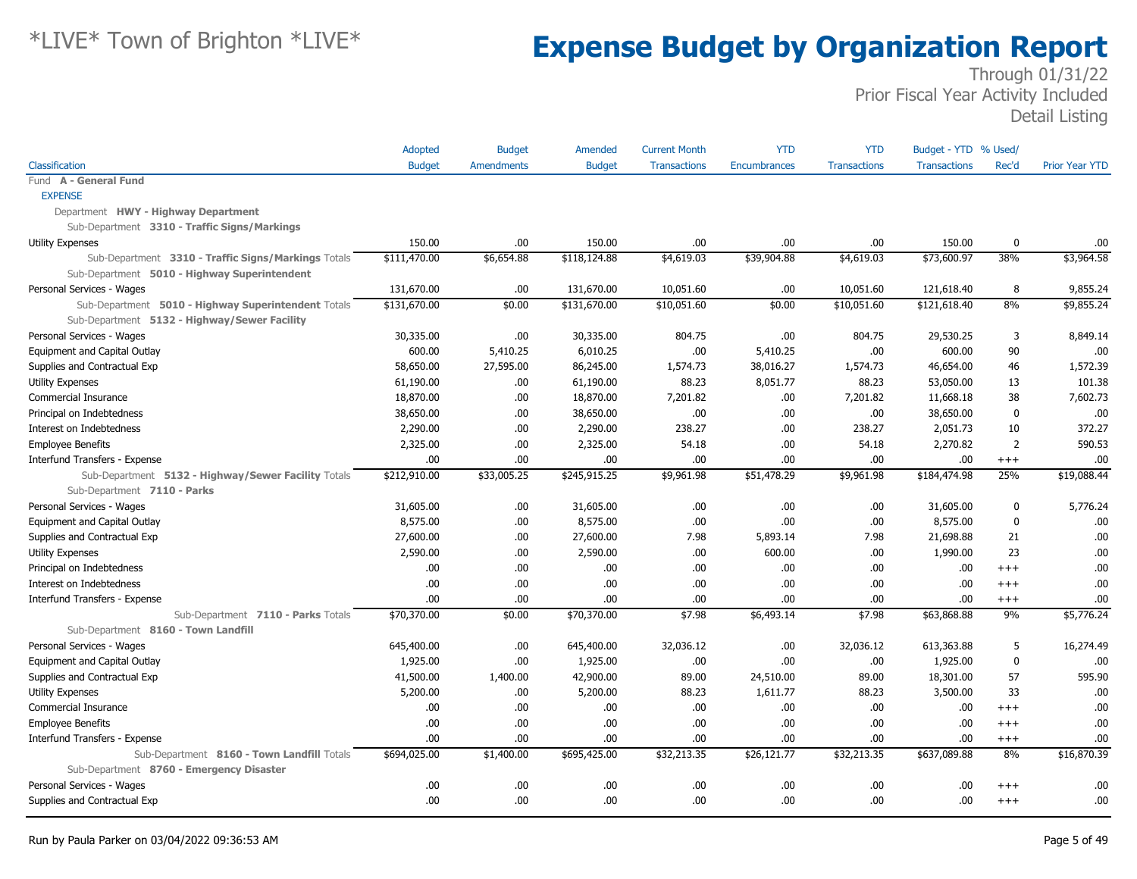|                                                     | Adopted       | <b>Budget</b> | Amended       | <b>Current Month</b> | <b>YTD</b>          | <b>YTD</b>          | Budget - YTD % Used/ |                |                       |
|-----------------------------------------------------|---------------|---------------|---------------|----------------------|---------------------|---------------------|----------------------|----------------|-----------------------|
| Classification                                      | <b>Budget</b> | Amendments    | <b>Budget</b> | <b>Transactions</b>  | <b>Encumbrances</b> | <b>Transactions</b> | <b>Transactions</b>  | Rec'd          | <b>Prior Year YTD</b> |
| Fund A - General Fund                               |               |               |               |                      |                     |                     |                      |                |                       |
| <b>EXPENSE</b>                                      |               |               |               |                      |                     |                     |                      |                |                       |
| Department HWY - Highway Department                 |               |               |               |                      |                     |                     |                      |                |                       |
| Sub-Department 3310 - Traffic Signs/Markings        |               |               |               |                      |                     |                     |                      |                |                       |
| <b>Utility Expenses</b>                             | 150.00        | .00           | 150.00        | .00                  | .00                 | .00                 | 150.00               | 0              | .00.                  |
| Sub-Department 3310 - Traffic Signs/Markings Totals | \$111,470.00  | \$6,654.88    | \$118,124.88  | \$4,619.03           | \$39,904.88         | \$4,619.03          | \$73,600.97          | 38%            | \$3,964.58            |
| Sub-Department 5010 - Highway Superintendent        |               |               |               |                      |                     |                     |                      |                |                       |
| Personal Services - Wages                           | 131,670.00    | .00           | 131,670.00    | 10,051.60            | .00                 | 10,051.60           | 121,618.40           | 8              | 9,855.24              |
| Sub-Department 5010 - Highway Superintendent Totals | \$131,670.00  | \$0.00        | \$131,670.00  | \$10,051.60          | \$0.00              | \$10,051.60         | \$121,618.40         | 8%             | \$9,855.24            |
| Sub-Department 5132 - Highway/Sewer Facility        |               |               |               |                      |                     |                     |                      |                |                       |
| Personal Services - Wages                           | 30,335.00     | .00           | 30,335.00     | 804.75               | .00.                | 804.75              | 29,530.25            | 3              | 8,849.14              |
| Equipment and Capital Outlay                        | 600.00        | 5,410.25      | 6,010.25      | .00                  | 5,410.25            | .00                 | 600.00               | 90             | .00                   |
| Supplies and Contractual Exp                        | 58,650.00     | 27,595.00     | 86,245.00     | 1,574.73             | 38,016.27           | 1,574.73            | 46,654.00            | 46             | 1,572.39              |
| <b>Utility Expenses</b>                             | 61,190.00     | .00.          | 61,190.00     | 88.23                | 8,051.77            | 88.23               | 53,050.00            | 13             | 101.38                |
| Commercial Insurance                                | 18,870.00     | .00           | 18,870.00     | 7,201.82             | .00.                | 7,201.82            | 11,668.18            | 38             | 7,602.73              |
| Principal on Indebtedness                           | 38,650.00     | .00.          | 38,650.00     | .00                  | .00.                | .00                 | 38,650.00            | $\bf{0}$       | .00                   |
| Interest on Indebtedness                            | 2,290.00      | .00           | 2,290.00      | 238.27               | 00.                 | 238.27              | 2,051.73             | 10             | 372.27                |
| <b>Employee Benefits</b>                            | 2,325.00      | .00           | 2,325.00      | 54.18                | .00                 | 54.18               | 2,270.82             | $\overline{2}$ | 590.53                |
| Interfund Transfers - Expense                       | .00           | .00           | .00.          | .00.                 | .00                 | .00                 | .00.                 | $+++$          | .00                   |
| Sub-Department 5132 - Highway/Sewer Facility Totals | \$212,910.00  | \$33,005.25   | \$245,915.25  | \$9,961.98           | \$51,478.29         | \$9,961.98          | \$184,474.98         | 25%            | \$19,088.44           |
| Sub-Department 7110 - Parks                         |               |               |               |                      |                     |                     |                      |                |                       |
| Personal Services - Wages                           | 31,605.00     | .00.          | 31,605.00     | .00                  | .00.                | .00                 | 31,605.00            | 0              | 5,776.24              |
| Equipment and Capital Outlay                        | 8,575.00      | .00.          | 8,575.00      | .00                  | .00                 | .00                 | 8,575.00             | $\mathbf 0$    | .00                   |
| Supplies and Contractual Exp                        | 27,600.00     | .00           | 27,600.00     | 7.98                 | 5,893.14            | 7.98                | 21,698.88            | 21             | .00                   |
| <b>Utility Expenses</b>                             | 2,590.00      | .00.          | 2,590.00      | .00                  | 600.00              | .00                 | 1,990.00             | 23             | .00                   |
| Principal on Indebtedness                           | .00.          | .00           | .00.          | .00                  | .00                 | .00                 | .00.                 | $+++$          | .00                   |
| Interest on Indebtedness                            | .00           | .00.          | .00.          | .00                  | .00                 | .00                 | .00.                 | $+++$          | .00                   |
| Interfund Transfers - Expense                       | .00.          | .00           | .00.          | .00                  | .00.                | .00                 | .00.                 | $+++$          | .00                   |
| Sub-Department 7110 - Parks Totals                  | \$70,370.00   | \$0.00        | \$70,370.00   | \$7.98               | \$6,493.14          | \$7.98              | \$63,868.88          | 9%             | \$5,776.24            |
| Sub-Department 8160 - Town Landfill                 |               |               |               |                      |                     |                     |                      |                |                       |
| Personal Services - Wages                           | 645,400.00    | .00.          | 645,400.00    | 32,036.12            | .00.                | 32,036.12           | 613,363.88           | 5              | 16,274.49             |
| <b>Equipment and Capital Outlay</b>                 | 1,925.00      | .00           | 1,925.00      | .00                  | .00.                | .00                 | 1,925.00             | $\mathbf 0$    | .00                   |
| Supplies and Contractual Exp                        | 41,500.00     | 1,400.00      | 42,900.00     | 89.00                | 24,510.00           | 89.00               | 18,301.00            | 57             | 595.90                |
| <b>Utility Expenses</b>                             | 5,200.00      | .00.          | 5,200.00      | 88.23                | 1,611.77            | 88.23               | 3,500.00             | 33             | .00                   |
| Commercial Insurance                                | .00           | .00           | .00.          | .00                  | .00.                | .00                 | .00.                 | $+++$          | .00                   |
| <b>Employee Benefits</b>                            | .00.          | .00           | .00.          | .00                  | .00                 | .00                 | .00.                 | $+++$          | .00                   |
| Interfund Transfers - Expense                       | .00           | .00           | .00.          | .00                  | 00.                 | .00                 | .00.                 | $^{+++}$       | .00.                  |
| Sub-Department 8160 - Town Landfill Totals          | \$694,025.00  | \$1,400.00    | \$695,425.00  | \$32,213.35          | \$26,121.77         | \$32,213.35         | \$637,089.88         | 8%             | \$16,870.39           |
| Sub-Department 8760 - Emergency Disaster            |               |               |               |                      |                     |                     |                      |                |                       |
| Personal Services - Wages                           | .00.          | .00           | .00           | .00                  | .00                 | .00                 | .00.                 | $+++$          | .00                   |
| Supplies and Contractual Exp                        | .00           | .00           | .00.          | .00                  | 00.                 | .00                 | .00.                 | $+++$          | .00                   |
|                                                     |               |               |               |                      |                     |                     |                      |                |                       |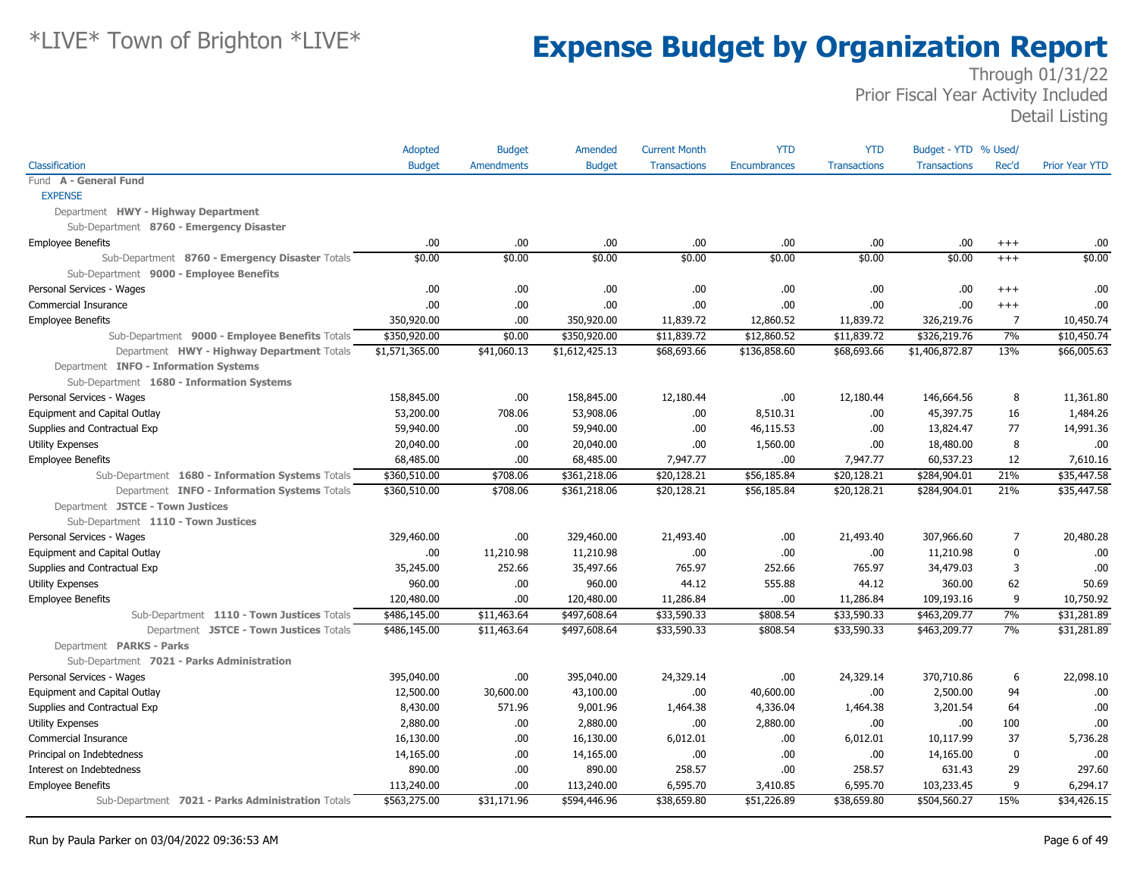|                                                   | Adopted        | <b>Budget</b>     | Amended        | <b>Current Month</b> | <b>YTD</b>          | <b>YTD</b>          | Budget - YTD % Used/ |                |                       |
|---------------------------------------------------|----------------|-------------------|----------------|----------------------|---------------------|---------------------|----------------------|----------------|-----------------------|
| Classification                                    | <b>Budget</b>  | <b>Amendments</b> | <b>Budget</b>  | <b>Transactions</b>  | <b>Encumbrances</b> | <b>Transactions</b> | <b>Transactions</b>  | Rec'd          | <b>Prior Year YTD</b> |
| Fund A - General Fund                             |                |                   |                |                      |                     |                     |                      |                |                       |
| <b>EXPENSE</b>                                    |                |                   |                |                      |                     |                     |                      |                |                       |
| Department HWY - Highway Department               |                |                   |                |                      |                     |                     |                      |                |                       |
| Sub-Department 8760 - Emergency Disaster          |                |                   |                |                      |                     |                     |                      |                |                       |
| <b>Employee Benefits</b>                          | .00.           | .00.              | .00            | .00                  | .00                 | .00.                | .00                  | $^{+++}$       | .00                   |
| Sub-Department 8760 - Emergency Disaster Totals   | \$0.00         | \$0.00            | \$0.00         | \$0.00               | \$0.00              | \$0.00              | \$0.00               | $+++$          | \$0.00                |
| Sub-Department 9000 - Employee Benefits           |                |                   |                |                      |                     |                     |                      |                |                       |
| Personal Services - Wages                         | .00            | .00.              | .00            | .00.                 | .00                 | .00.                | .00                  | $^{+++}$       | .00                   |
| <b>Commercial Insurance</b>                       | .00.           | .00.              | .00            | .00.                 | .00                 | .00.                | .00                  | $^{+++}$       | .00                   |
| <b>Employee Benefits</b>                          | 350,920.00     | .00               | 350,920.00     | 11,839.72            | 12,860.52           | 11,839.72           | 326,219.76           | 7              | 10,450.74             |
| Sub-Department 9000 - Employee Benefits Totals    | \$350,920.00   | \$0.00            | \$350,920.00   | \$11,839.72          | \$12,860.52         | \$11,839.72         | \$326,219.76         | 7%             | \$10,450.74           |
| Department HWY - Highway Department Totals        | \$1,571,365.00 | \$41,060.13       | \$1,612,425.13 | \$68,693.66          | \$136,858.60        | \$68,693.66         | \$1,406,872.87       | 13%            | \$66,005.63           |
| Department INFO - Information Systems             |                |                   |                |                      |                     |                     |                      |                |                       |
| Sub-Department 1680 - Information Systems         |                |                   |                |                      |                     |                     |                      |                |                       |
| Personal Services - Wages                         | 158,845.00     | .00.              | 158,845.00     | 12,180.44            | .00                 | 12,180.44           | 146,664.56           | 8              | 11,361.80             |
| Equipment and Capital Outlay                      | 53,200.00      | 708.06            | 53,908.06      | .00.                 | 8,510.31            | .00                 | 45,397.75            | 16             | 1,484.26              |
| Supplies and Contractual Exp                      | 59,940.00      | .00.              | 59,940.00      | .00.                 | 46,115.53           | .00.                | 13,824.47            | 77             | 14,991.36             |
| <b>Utility Expenses</b>                           | 20,040.00      | .00.              | 20,040.00      | .00.                 | 1,560.00            | .00.                | 18,480.00            | 8              | .00                   |
| <b>Employee Benefits</b>                          | 68,485.00      | .00.              | 68,485.00      | 7,947.77             | .00                 | 7,947.77            | 60,537.23            | 12             | 7,610.16              |
| Sub-Department 1680 - Information Systems Totals  | \$360,510.00   | \$708.06          | \$361,218.06   | \$20,128.21          | \$56,185.84         | \$20,128.21         | \$284,904.01         | 21%            | \$35,447.58           |
| Department INFO - Information Systems Totals      | \$360,510.00   | \$708.06          | \$361,218.06   | \$20,128.21          | \$56,185.84         | \$20,128.21         | \$284,904.01         | 21%            | \$35,447.58           |
| Department JSTCE - Town Justices                  |                |                   |                |                      |                     |                     |                      |                |                       |
| Sub-Department 1110 - Town Justices               |                |                   |                |                      |                     |                     |                      |                |                       |
| Personal Services - Wages                         | 329,460.00     | .00.              | 329,460.00     | 21,493.40            | .00                 | 21,493.40           | 307,966.60           | $\overline{7}$ | 20,480.28             |
| Equipment and Capital Outlay                      | .00            | 11,210.98         | 11,210.98      | .00                  | .00                 | .00.                | 11,210.98            | $\mathbf 0$    | .00                   |
| Supplies and Contractual Exp                      | 35,245.00      | 252.66            | 35,497.66      | 765.97               | 252.66              | 765.97              | 34,479.03            | 3              | .00                   |
| <b>Utility Expenses</b>                           | 960.00         | .00.              | 960.00         | 44.12                | 555.88              | 44.12               | 360.00               | 62             | 50.69                 |
| <b>Employee Benefits</b>                          | 120,480.00     | .00.              | 120,480.00     | 11,286.84            | .00                 | 11,286.84           | 109,193.16           | 9              | 10,750.92             |
| Sub-Department 1110 - Town Justices Totals        | \$486,145.00   | \$11,463.64       | \$497,608.64   | \$33,590.33          | \$808.54            | \$33,590.33         | \$463,209.77         | 7%             | \$31,281.89           |
| Department JSTCE - Town Justices Totals           | \$486,145.00   | \$11,463.64       | \$497,608.64   | \$33,590.33          | \$808.54            | \$33,590.33         | \$463,209.77         | 7%             | \$31,281.89           |
| Department PARKS - Parks                          |                |                   |                |                      |                     |                     |                      |                |                       |
| Sub-Department 7021 - Parks Administration        |                |                   |                |                      |                     |                     |                      |                |                       |
| Personal Services - Wages                         | 395,040.00     | .00.              | 395,040.00     | 24,329.14            | .00                 | 24,329.14           | 370,710.86           | 6              | 22,098.10             |
| Equipment and Capital Outlay                      | 12,500.00      | 30,600.00         | 43,100.00      | .00.                 | 40,600.00           | .00                 | 2,500.00             | 94             | .00                   |
| Supplies and Contractual Exp                      | 8,430.00       | 571.96            | 9,001.96       | 1,464.38             | 4,336.04            | 1,464.38            | 3,201.54             | 64             | .00                   |
| <b>Utility Expenses</b>                           | 2,880.00       | .00.              | 2,880.00       | .00.                 | 2,880.00            | .00                 | .00.                 | 100            | .00                   |
| Commercial Insurance                              | 16,130.00      | .00.              | 16,130.00      | 6,012.01             | .00                 | 6,012.01            | 10,117.99            | 37             | 5,736.28              |
| Principal on Indebtedness                         | 14,165.00      | .00.              | 14,165.00      | .00.                 | .00                 | .00                 | 14,165.00            | 0              | .00                   |
| Interest on Indebtedness                          | 890.00         | .00.              | 890.00         | 258.57               | .00                 | 258.57              | 631.43               | 29             | 297.60                |
| <b>Employee Benefits</b>                          | 113,240.00     | .00.              | 113,240.00     | 6,595.70             | 3,410.85            | 6,595.70            | 103,233.45           | 9              | 6,294.17              |
| Sub-Department 7021 - Parks Administration Totals | \$563,275.00   | \$31,171.96       | \$594,446.96   | \$38,659.80          | \$51,226.89         | \$38,659.80         | \$504,560.27         | 15%            | \$34,426.15           |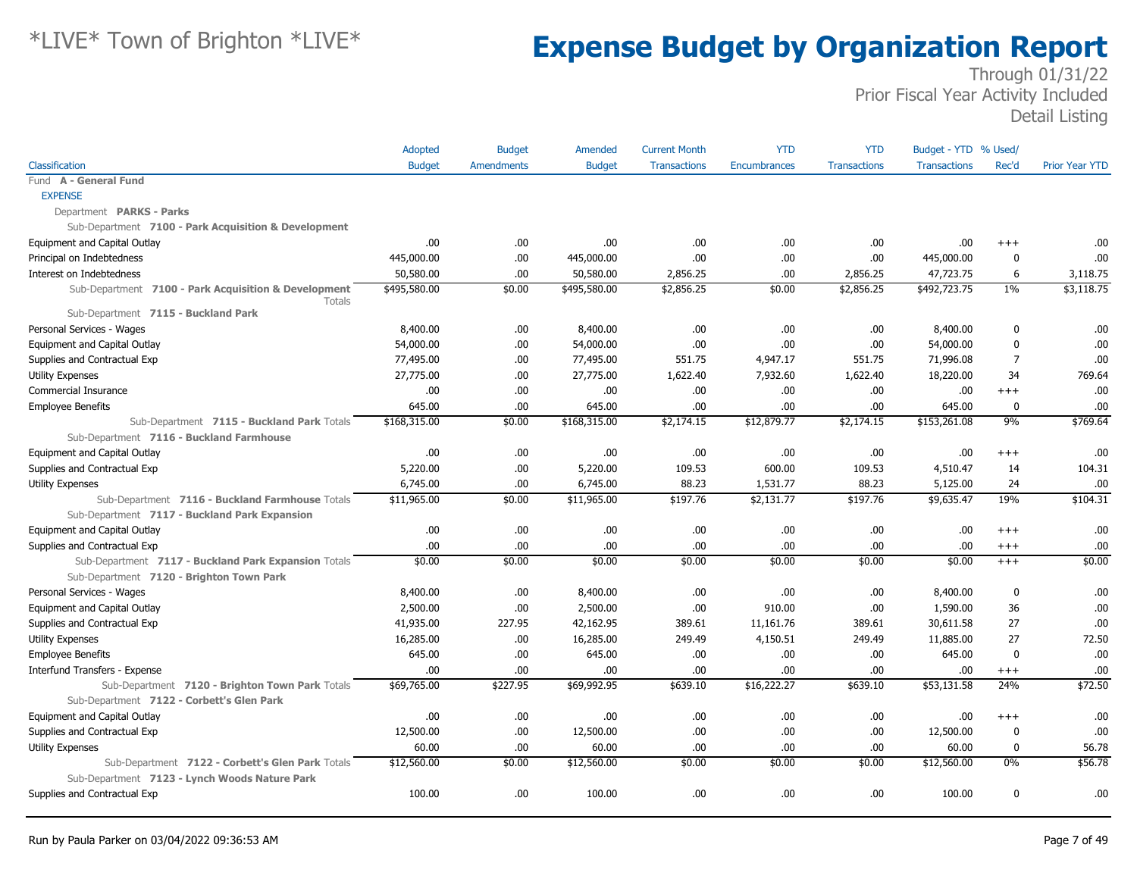|                                                                       | <b>Adopted</b> | <b>Budget</b>     | Amended       | <b>Current Month</b> | <b>YTD</b>          | <b>YTD</b>          | Budget - YTD % Used/ |              |                       |
|-----------------------------------------------------------------------|----------------|-------------------|---------------|----------------------|---------------------|---------------------|----------------------|--------------|-----------------------|
| Classification                                                        | <b>Budget</b>  | <b>Amendments</b> | <b>Budget</b> | <b>Transactions</b>  | <b>Encumbrances</b> | <b>Transactions</b> | <b>Transactions</b>  | Rec'd        | <b>Prior Year YTD</b> |
| Fund A - General Fund                                                 |                |                   |               |                      |                     |                     |                      |              |                       |
| <b>EXPENSE</b>                                                        |                |                   |               |                      |                     |                     |                      |              |                       |
| Department PARKS - Parks                                              |                |                   |               |                      |                     |                     |                      |              |                       |
| Sub-Department 7100 - Park Acquisition & Development                  |                |                   |               |                      |                     |                     |                      |              |                       |
| Equipment and Capital Outlay                                          | .00            | .00.              | .00           | .00                  | .00                 | .00.                | .00.                 | $^{+++}$     | .00                   |
| Principal on Indebtedness                                             | 445,000.00     | .00               | 445,000.00    | .00                  | .00                 | .00.                | 445,000.00           | 0            | .00                   |
| Interest on Indebtedness                                              | 50,580.00      | .00.              | 50,580.00     | 2,856.25             | .00                 | 2,856.25            | 47,723.75            | 6            | 3,118.75              |
| Sub-Department 7100 - Park Acquisition & Development<br><b>Totals</b> | \$495,580.00   | \$0.00            | \$495,580.00  | \$2,856.25           | \$0.00              | \$2,856.25          | \$492,723.75         | $1\%$        | \$3,118.75            |
| Sub-Department 7115 - Buckland Park                                   |                |                   |               |                      |                     |                     |                      |              |                       |
| Personal Services - Wages                                             | 8,400.00       | .00.              | 8,400.00      | .00                  | .00                 | .00.                | 8,400.00             | $\mathbf 0$  | .00                   |
| Equipment and Capital Outlay                                          | 54,000.00      | .00.              | 54,000.00     | .00                  | .00                 | .00.                | 54,000.00            | $\mathbf{0}$ | .00                   |
| Supplies and Contractual Exp                                          | 77,495.00      | .00.              | 77,495.00     | 551.75               | 4,947.17            | 551.75              | 71,996.08            | 7            | .00                   |
| <b>Utility Expenses</b>                                               | 27,775.00      | .00.              | 27,775.00     | 1,622.40             | 7,932.60            | 1,622.40            | 18,220.00            | 34           | 769.64                |
| Commercial Insurance                                                  | .00.           | .00.              | .00.          | .00                  | .00                 | .00.                | .00.                 | $++++$       | .00                   |
| <b>Employee Benefits</b>                                              | 645.00         | .00               | 645.00        | .00                  | .00                 | .00.                | 645.00               | $\mathbf 0$  | .00                   |
| Sub-Department 7115 - Buckland Park Totals                            | \$168,315.00   | \$0.00            | \$168,315.00  | \$2,174.15           | \$12,879.77         | \$2,174.15          | \$153,261.08         | 9%           | \$769.64              |
| Sub-Department 7116 - Buckland Farmhouse                              |                |                   |               |                      |                     |                     |                      |              |                       |
| Equipment and Capital Outlay                                          | .00.           | .00               | .00.          | .00                  | .00                 | .00                 | .00.                 | $^{+++}$     | .00                   |
| Supplies and Contractual Exp                                          | 5,220.00       | .00               | 5,220.00      | 109.53               | 600.00              | 109.53              | 4,510.47             | 14           | 104.31                |
| <b>Utility Expenses</b>                                               | 6,745.00       | .00               | 6,745.00      | 88.23                | 1,531.77            | 88.23               | 5,125.00             | 24           | .00                   |
| Sub-Department 7116 - Buckland Farmhouse Totals                       | \$11,965.00    | \$0.00            | \$11,965.00   | \$197.76             | \$2,131.77          | \$197.76            | \$9,635.47           | 19%          | \$104.31              |
| Sub-Department 7117 - Buckland Park Expansion                         |                |                   |               |                      |                     |                     |                      |              |                       |
| Equipment and Capital Outlay                                          | .00.           | .00               | .00.          | .00                  | .00                 | .00.                | .00.                 | $+++$        | .00                   |
| Supplies and Contractual Exp                                          | .00.           | .00               | .00           | .00                  | .00                 | .00                 | .00.                 | $^{+++}$     | .00                   |
| Sub-Department 7117 - Buckland Park Expansion Totals                  | \$0.00         | \$0.00            | \$0.00        | \$0.00               | \$0.00              | \$0.00              | \$0.00               | $+++$        | \$0.00                |
| Sub-Department 7120 - Brighton Town Park                              |                |                   |               |                      |                     |                     |                      |              |                       |
| Personal Services - Wages                                             | 8,400.00       | .00               | 8,400.00      | .00                  | .00                 | .00                 | 8,400.00             | 0            | .00                   |
| Equipment and Capital Outlay                                          | 2,500.00       | .00               | 2,500.00      | .00                  | 910.00              | .00                 | 1,590.00             | 36           | .00                   |
| Supplies and Contractual Exp                                          | 41,935.00      | 227.95            | 42,162.95     | 389.61               | 11,161.76           | 389.61              | 30,611.58            | 27           | .00                   |
| <b>Utility Expenses</b>                                               | 16,285.00      | .00.              | 16,285.00     | 249.49               | 4,150.51            | 249.49              | 11,885.00            | 27           | 72.50                 |
| <b>Employee Benefits</b>                                              | 645.00         | .00               | 645.00        | .00                  | .00                 | .00.                | 645.00               | $\mathbf 0$  | .00                   |
| Interfund Transfers - Expense                                         | .00.           | .00               | .00           | .00                  | .00                 | .00.                | .00.                 | $^{+++}$     | .00                   |
| Sub-Department 7120 - Brighton Town Park Totals                       | \$69,765.00    | \$227.95          | \$69,992.95   | \$639.10             | \$16,222.27         | \$639.10            | \$53,131.58          | 24%          | \$72.50               |
| Sub-Department 7122 - Corbett's Glen Park                             |                |                   |               |                      |                     |                     |                      |              |                       |
| Equipment and Capital Outlay                                          | .00            | .00               | .00           | .00                  | .00                 | .00                 | .00                  | $^{+++}$     | .00                   |
| Supplies and Contractual Exp                                          | 12,500.00      | .00.              | 12,500.00     | .00                  | .00                 | .00.                | 12,500.00            | 0            | .00                   |
| <b>Utility Expenses</b>                                               | 60.00          | .00               | 60.00         | .00                  | .00                 | .00                 | 60.00                | 0            | 56.78                 |
| Sub-Department 7122 - Corbett's Glen Park Totals                      | \$12,560.00    | \$0.00            | \$12,560.00   | \$0.00               | \$0.00              | \$0.00              | \$12,560.00          | $0\%$        | \$56.78               |
| Sub-Department 7123 - Lynch Woods Nature Park                         |                |                   |               |                      |                     |                     |                      |              |                       |
| Supplies and Contractual Exp                                          | 100.00         | .00               | 100.00        | .00                  | .00                 | .00.                | 100.00               | 0            | .00                   |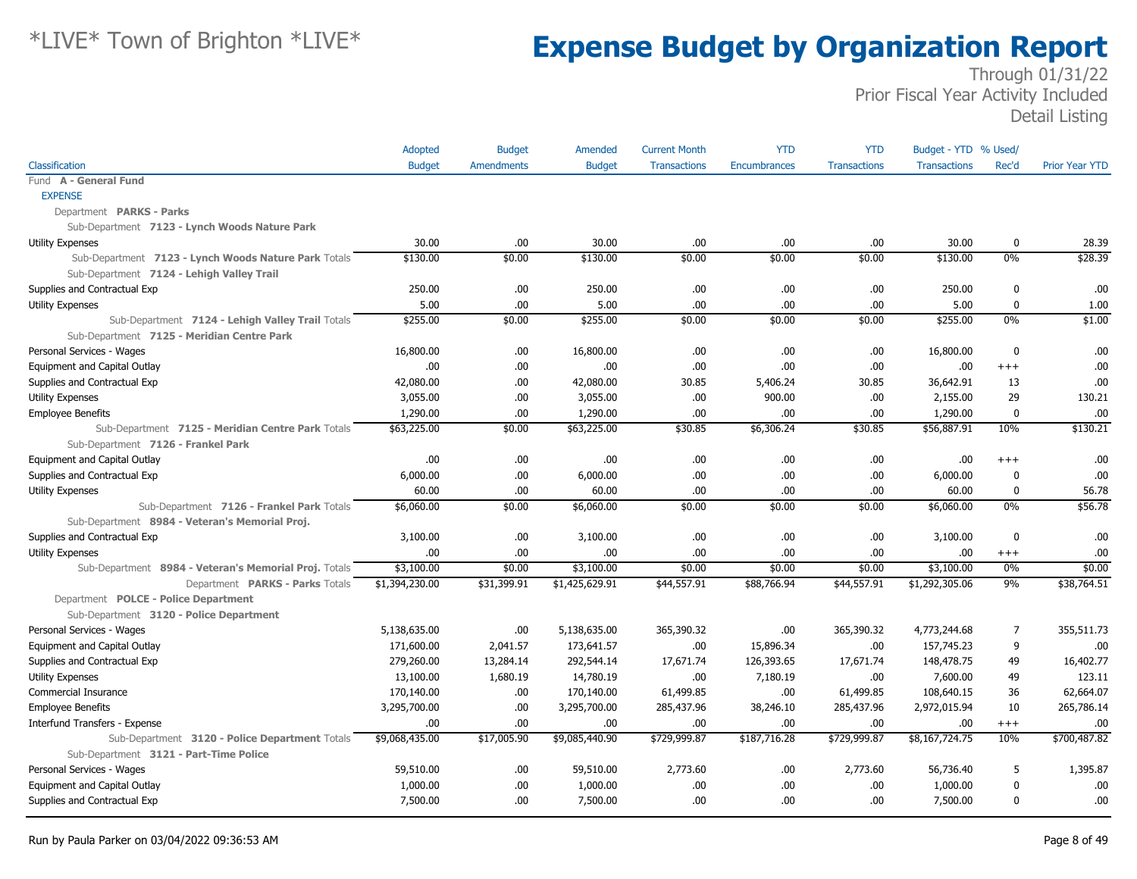|                                                       | Adopted        | <b>Budget</b>     | Amended        | <b>Current Month</b> | <b>YTD</b>   | <b>YTD</b>          | Budget - YTD % Used/ |                  |                       |
|-------------------------------------------------------|----------------|-------------------|----------------|----------------------|--------------|---------------------|----------------------|------------------|-----------------------|
| Classification                                        | <b>Budget</b>  | <b>Amendments</b> | <b>Budget</b>  | <b>Transactions</b>  | Encumbrances | <b>Transactions</b> | <b>Transactions</b>  | Rec'd            | <b>Prior Year YTD</b> |
| Fund A - General Fund                                 |                |                   |                |                      |              |                     |                      |                  |                       |
| <b>EXPENSE</b>                                        |                |                   |                |                      |              |                     |                      |                  |                       |
| Department PARKS - Parks                              |                |                   |                |                      |              |                     |                      |                  |                       |
| Sub-Department 7123 - Lynch Woods Nature Park         |                |                   |                |                      |              |                     |                      |                  |                       |
| <b>Utility Expenses</b>                               | 30.00          | .00               | 30.00          | .00                  | .00          | .00.                | 30.00                | 0                | 28.39                 |
| Sub-Department 7123 - Lynch Woods Nature Park Totals  | \$130.00       | \$0.00            | \$130.00       | \$0.00               | \$0.00       | \$0.00              | \$130.00             | 0%               | \$28.39               |
| Sub-Department 7124 - Lehigh Valley Trail             |                |                   |                |                      |              |                     |                      |                  |                       |
| Supplies and Contractual Exp                          | 250.00         | .00.              | 250.00         | .00.                 | .00          | .00.                | 250.00               | $\mathbf{0}$     | .00                   |
| <b>Utility Expenses</b>                               | 5.00           | .00               | 5.00           | .00.                 | .00          | .00.                | 5.00                 | $\pmb{0}$        | 1.00                  |
| Sub-Department 7124 - Lehigh Valley Trail Totals      | \$255.00       | \$0.00            | \$255.00       | \$0.00               | \$0.00       | \$0.00              | \$255.00             | 0%               | \$1.00                |
| Sub-Department 7125 - Meridian Centre Park            |                |                   |                |                      |              |                     |                      |                  |                       |
| Personal Services - Wages                             | 16,800.00      | .00.              | 16,800.00      | .00.                 | .00          | .00.                | 16,800.00            | $\boldsymbol{0}$ | .00                   |
| Equipment and Capital Outlay                          | .00            | .00               | .00            | .00.                 | .00          | .00.                | .00                  | $^{+++}$         | .00                   |
| Supplies and Contractual Exp                          | 42,080.00      | .00.              | 42,080.00      | 30.85                | 5,406.24     | 30.85               | 36,642.91            | 13               | .00                   |
| <b>Utility Expenses</b>                               | 3,055.00       | .00.              | 3,055.00       | .00.                 | 900.00       | .00.                | 2,155.00             | 29               | 130.21                |
| <b>Employee Benefits</b>                              | 1,290.00       | .00               | 1,290.00       | .00.                 | .00          | .00.                | 1,290.00             | $\mathbf 0$      | .00                   |
| Sub-Department 7125 - Meridian Centre Park Totals     | \$63,225.00    | \$0.00            | \$63,225.00    | \$30.85              | \$6,306.24   | \$30.85             | \$56,887.91          | 10%              | \$130.21              |
| Sub-Department 7126 - Frankel Park                    |                |                   |                |                      |              |                     |                      |                  |                       |
| Equipment and Capital Outlay                          | .00.           | .00               | .00            | .00.                 | .00          | .00.                | .00                  | $^{+++}$         | .00                   |
| Supplies and Contractual Exp                          | 6,000.00       | .00               | 6,000.00       | .00.                 | .00          | .00.                | 6,000.00             | $\Omega$         | .00                   |
| <b>Utility Expenses</b>                               | 60.00          | .00               | 60.00          | .00.                 | .00          | .00.                | 60.00                | 0                | 56.78                 |
| Sub-Department 7126 - Frankel Park Totals             | \$6,060.00     | \$0.00            | \$6,060.00     | \$0.00               | \$0.00       | \$0.00              | \$6,060.00           | $0\%$            | \$56.78               |
| Sub-Department 8984 - Veteran's Memorial Proj.        |                |                   |                |                      |              |                     |                      |                  |                       |
| Supplies and Contractual Exp                          | 3,100.00       | .00.              | 3,100.00       | .00.                 | .00          | .00.                | 3,100.00             | $\mathbf{0}$     | .00                   |
| <b>Utility Expenses</b>                               | .00            | .00               | .00            | .00.                 | .00          | .00.                | .00                  | $^{+++}$         | .00                   |
| Sub-Department 8984 - Veteran's Memorial Proj. Totals | \$3,100.00     | \$0.00            | \$3,100.00     | \$0.00               | \$0.00       | \$0.00              | \$3,100.00           | 0%               | \$0.00                |
| Department PARKS - Parks Totals                       | \$1,394,230.00 | \$31,399.91       | \$1,425,629.91 | \$44,557.91          | \$88,766.94  | \$44,557.91         | \$1,292,305.06       | 9%               | \$38,764.51           |
| Department POLCE - Police Department                  |                |                   |                |                      |              |                     |                      |                  |                       |
| Sub-Department 3120 - Police Department               |                |                   |                |                      |              |                     |                      |                  |                       |
| Personal Services - Wages                             | 5,138,635.00   | .00               | 5,138,635.00   | 365,390.32           | .00          | 365,390.32          | 4,773,244.68         | 7                | 355,511.73            |
| Equipment and Capital Outlay                          | 171,600.00     | 2,041.57          | 173,641.57     | .00.                 | 15,896.34    | .00.                | 157,745.23           | 9                | .00                   |
| Supplies and Contractual Exp                          | 279,260.00     | 13,284.14         | 292,544.14     | 17,671.74            | 126,393.65   | 17,671.74           | 148,478.75           | 49               | 16,402.77             |
| <b>Utility Expenses</b>                               | 13,100.00      | 1,680.19          | 14,780.19      | .00.                 | 7,180.19     | .00.                | 7,600.00             | 49               | 123.11                |
| Commercial Insurance                                  | 170,140.00     | .00.              | 170,140.00     | 61,499.85            | .00          | 61,499.85           | 108,640.15           | 36               | 62,664.07             |
| <b>Employee Benefits</b>                              | 3,295,700.00   | .00.              | 3,295,700.00   | 285,437.96           | 38,246.10    | 285,437.96          | 2,972,015.94         | 10               | 265,786.14            |
| Interfund Transfers - Expense                         | .00            | .00               | .00.           | .00.                 | .00          | .00                 | .00                  | $^{+++}$         | .00                   |
| Sub-Department 3120 - Police Department Totals        | \$9,068,435.00 | \$17,005.90       | \$9,085,440.90 | \$729,999.87         | \$187,716.28 | \$729,999.87        | \$8,167,724.75       | 10%              | \$700,487.82          |
| Sub-Department 3121 - Part-Time Police                |                |                   |                |                      |              |                     |                      |                  |                       |
| Personal Services - Wages                             | 59,510.00      | .00.              | 59,510.00      | 2,773.60             | .00          | 2,773.60            | 56,736.40            | 5                | 1,395.87              |
| Equipment and Capital Outlay                          | 1,000.00       | .00               | 1,000.00       | .00                  | .00          | .00.                | 1,000.00             | $\mathbf 0$      | .00                   |
| Supplies and Contractual Exp                          | 7,500.00       | .00               | 7,500.00       | .00.                 | .00          | .00.                | 7,500.00             | $\boldsymbol{0}$ | .00                   |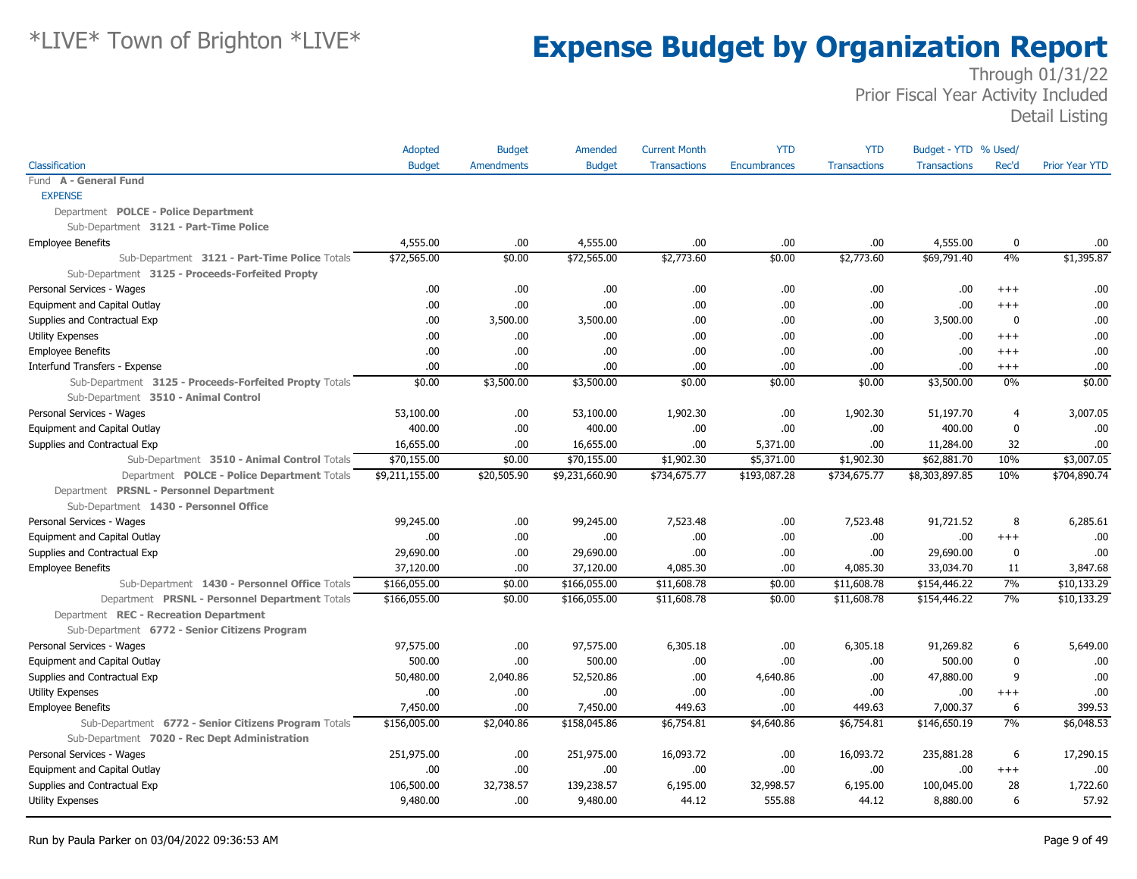| Classification<br><b>Budget</b><br>Amendments<br><b>Budget</b><br><b>Encumbrances</b><br><b>Transactions</b><br><b>Transactions</b><br>Rec'd<br><b>Prior Year YTD</b><br><b>Transactions</b><br>Fund A - General Fund<br><b>EXPENSE</b><br>Department POLCE - Police Department<br>Sub-Department 3121 - Part-Time Police<br>4,555.00<br>.00<br>4,555.00<br>.00<br>.00<br>.00<br>4,555.00<br>0<br><b>Employee Benefits</b><br>.00<br>\$72,565.00<br>\$72,565.00<br>\$2,773.60<br>\$2,773.60<br>\$69,791.40<br>4%<br>\$1,395.87<br>\$0.00<br>\$0.00<br>Sub-Department 3121 - Part-Time Police Totals<br>Sub-Department 3125 - Proceeds-Forfeited Propty<br>Personal Services - Wages<br>.00.<br>.00.<br>.00.<br>.00<br>.00<br>.00<br>.00<br>.00<br>$++++$<br>.00<br>.00<br>.00<br>.00<br>.00<br>Equipment and Capital Outlay<br>.00<br>.00<br>.00<br>$+++$<br>Supplies and Contractual Exp<br>.00<br>3,500.00<br>3,500.00<br>.00<br>.00<br>3,500.00<br>$\mathbf 0$<br>.00<br>.00<br>.00<br>.00.<br>.00<br>.00<br>.00<br>.00<br>.00<br>.00<br>Utility Expenses<br>$+++$<br><b>Employee Benefits</b><br>.00<br>.00<br>.00.<br>.00<br>.00<br>.00<br>.00<br>.00<br>$++++$<br>.00<br>.00.<br>.00<br>.00.<br>.00<br>.00<br>Interfund Transfers - Expense<br>.00<br>.00<br>$^{+++}$<br>$0\%$<br>Sub-Department 3125 - Proceeds-Forfeited Propty Totals<br>\$0.00<br>\$3,500.00<br>\$3,500.00<br>\$0.00<br>\$0.00<br>\$0.00<br>\$3,500.00<br>\$0.00<br>Sub-Department 3510 - Animal Control<br>1,902.30<br>.00<br>Personal Services - Wages<br>53,100.00<br>.00.<br>53,100.00<br>1,902.30<br>51,197.70<br>3,007.05<br>4<br>400.00<br>.00<br>400.00<br>400.00<br>.00<br>Equipment and Capital Outlay<br>.00<br>.00<br>.00<br>0<br>16,655.00<br>.00<br>.00<br>.00<br>32<br>.00<br>Supplies and Contractual Exp<br>16,655.00<br>5,371.00<br>11,284.00<br>\$70,155.00<br>\$0.00<br>\$70,155.00<br>\$1,902.30<br>\$5,371.00<br>\$1,902.30<br>\$62,881.70<br>10%<br>\$3,007.05<br>Sub-Department 3510 - Animal Control Totals<br>10%<br>\$704,890.74<br>Department POLCE - Police Department Totals<br>\$9,211,155.00<br>\$20,505.90<br>\$9,231,660.90<br>\$734,675.77<br>\$193,087.28<br>\$734,675.77<br>\$8,303,897.85<br>Department PRSNL - Personnel Department<br>Sub-Department 1430 - Personnel Office<br>99,245.00<br>.00.<br>7,523.48<br>.00<br>7,523.48<br>91,721.52<br>8<br>6,285.61<br>Personal Services - Wages<br>99,245.00<br>.00<br>.00<br>.00<br>.00<br>.00<br>.00<br>.00<br>Equipment and Capital Outlay<br>.00<br>$++++$<br>29,690.00<br>.00.<br>.00<br>.00<br>.00<br>Supplies and Contractual Exp<br>29,690.00<br>29,690.00<br>0<br>.00<br>37,120.00<br>4,085.30<br><b>Employee Benefits</b><br>.00<br>37,120.00<br>.00<br>4,085.30<br>33,034.70<br>11<br>3,847.68<br>7%<br>\$10,133.29<br>Sub-Department 1430 - Personnel Office Totals<br>\$166,055.00<br>\$0.00<br>\$166,055.00<br>\$11,608.78<br>\$0.00<br>\$11,608.78<br>\$154,446.22<br>7%<br>Department PRSNL - Personnel Department Totals<br>\$166,055.00<br>\$0.00<br>\$166,055.00<br>\$11,608.78<br>\$0.00<br>\$11,608.78<br>\$154,446.22<br>\$10,133.29<br>Department REC - Recreation Department<br>Sub-Department 6772 - Senior Citizens Program<br>Personal Services - Wages<br>97,575.00<br>.00.<br>97,575.00<br>6,305.18<br>.00<br>6,305.18<br>91,269.82<br>6<br>5,649.00<br>500.00<br>.00.<br>500.00<br>500.00<br>.00<br>Equipment and Capital Outlay<br>.00<br>.00<br>.00<br>0<br>52,520.86<br>47,880.00<br>Supplies and Contractual Exp<br>50,480.00<br>2,040.86<br>.00<br>4,640.86<br>.00<br>9<br>.00<br>.00<br>.00.<br>.00<br>.00<br>.00<br>.00<br>.00<br>.00<br>Utility Expenses<br>$^{+++}$<br>7,450.00<br>7,450.00<br>449.63<br>449.63<br>7,000.37<br>399.53<br>.00.<br>.00<br><b>Employee Benefits</b><br>6<br>7%<br>\$156,005.00<br>\$2,040.86<br>\$158,045.86<br>\$6,754.81<br>\$4,640.86<br>\$6,754.81<br>\$146,650.19<br>\$6,048.53<br>Sub-Department 6772 - Senior Citizens Program Totals<br>Sub-Department 7020 - Rec Dept Administration<br>Personal Services - Wages<br>251,975.00<br>251,975.00<br>16,093.72<br>.00<br>16,093.72<br>235,881.28<br>17,290.15<br>.00<br>6<br>Equipment and Capital Outlay<br>.00<br>.00<br>.00<br>.00<br>.00<br>.00<br>.00<br>.00<br>$++++$<br>Supplies and Contractual Exp<br>106,500.00<br>32,738.57<br>139,238.57<br>6,195.00<br>32,998.57<br>6,195.00<br>100,045.00<br>28<br>1,722.60<br>555.88<br>57.92<br><b>Utility Expenses</b><br>9,480.00<br>.00<br>9,480.00<br>44.12<br>44.12<br>8,880.00<br>6 | Adopted | <b>Budget</b> | Amended | <b>Current Month</b> | <b>YTD</b> | <b>YTD</b> | Budget - YTD % Used/ |  |
|----------------------------------------------------------------------------------------------------------------------------------------------------------------------------------------------------------------------------------------------------------------------------------------------------------------------------------------------------------------------------------------------------------------------------------------------------------------------------------------------------------------------------------------------------------------------------------------------------------------------------------------------------------------------------------------------------------------------------------------------------------------------------------------------------------------------------------------------------------------------------------------------------------------------------------------------------------------------------------------------------------------------------------------------------------------------------------------------------------------------------------------------------------------------------------------------------------------------------------------------------------------------------------------------------------------------------------------------------------------------------------------------------------------------------------------------------------------------------------------------------------------------------------------------------------------------------------------------------------------------------------------------------------------------------------------------------------------------------------------------------------------------------------------------------------------------------------------------------------------------------------------------------------------------------------------------------------------------------------------------------------------------------------------------------------------------------------------------------------------------------------------------------------------------------------------------------------------------------------------------------------------------------------------------------------------------------------------------------------------------------------------------------------------------------------------------------------------------------------------------------------------------------------------------------------------------------------------------------------------------------------------------------------------------------------------------------------------------------------------------------------------------------------------------------------------------------------------------------------------------------------------------------------------------------------------------------------------------------------------------------------------------------------------------------------------------------------------------------------------------------------------------------------------------------------------------------------------------------------------------------------------------------------------------------------------------------------------------------------------------------------------------------------------------------------------------------------------------------------------------------------------------------------------------------------------------------------------------------------------------------------------------------------------------------------------------------------------------------------------------------------------------------------------------------------------------------------------------------------------------------------------------------------------------------------------------------------------------------------------------------------------------------------------------------------------------------------------------------------------------------------------------------------------------------------------------------------------------------------------------------------------------------------------------------------------------------------------------------------------------------------------------------------------------------------------------------------------------------------------------------------------------------------|---------|---------------|---------|----------------------|------------|------------|----------------------|--|
|                                                                                                                                                                                                                                                                                                                                                                                                                                                                                                                                                                                                                                                                                                                                                                                                                                                                                                                                                                                                                                                                                                                                                                                                                                                                                                                                                                                                                                                                                                                                                                                                                                                                                                                                                                                                                                                                                                                                                                                                                                                                                                                                                                                                                                                                                                                                                                                                                                                                                                                                                                                                                                                                                                                                                                                                                                                                                                                                                                                                                                                                                                                                                                                                                                                                                                                                                                                                                                                                                                                                                                                                                                                                                                                                                                                                                                                                                                                                                                                                                                                                                                                                                                                                                                                                                                                                                                                                                                                                                                                                  |         |               |         |                      |            |            |                      |  |
|                                                                                                                                                                                                                                                                                                                                                                                                                                                                                                                                                                                                                                                                                                                                                                                                                                                                                                                                                                                                                                                                                                                                                                                                                                                                                                                                                                                                                                                                                                                                                                                                                                                                                                                                                                                                                                                                                                                                                                                                                                                                                                                                                                                                                                                                                                                                                                                                                                                                                                                                                                                                                                                                                                                                                                                                                                                                                                                                                                                                                                                                                                                                                                                                                                                                                                                                                                                                                                                                                                                                                                                                                                                                                                                                                                                                                                                                                                                                                                                                                                                                                                                                                                                                                                                                                                                                                                                                                                                                                                                                  |         |               |         |                      |            |            |                      |  |
|                                                                                                                                                                                                                                                                                                                                                                                                                                                                                                                                                                                                                                                                                                                                                                                                                                                                                                                                                                                                                                                                                                                                                                                                                                                                                                                                                                                                                                                                                                                                                                                                                                                                                                                                                                                                                                                                                                                                                                                                                                                                                                                                                                                                                                                                                                                                                                                                                                                                                                                                                                                                                                                                                                                                                                                                                                                                                                                                                                                                                                                                                                                                                                                                                                                                                                                                                                                                                                                                                                                                                                                                                                                                                                                                                                                                                                                                                                                                                                                                                                                                                                                                                                                                                                                                                                                                                                                                                                                                                                                                  |         |               |         |                      |            |            |                      |  |
|                                                                                                                                                                                                                                                                                                                                                                                                                                                                                                                                                                                                                                                                                                                                                                                                                                                                                                                                                                                                                                                                                                                                                                                                                                                                                                                                                                                                                                                                                                                                                                                                                                                                                                                                                                                                                                                                                                                                                                                                                                                                                                                                                                                                                                                                                                                                                                                                                                                                                                                                                                                                                                                                                                                                                                                                                                                                                                                                                                                                                                                                                                                                                                                                                                                                                                                                                                                                                                                                                                                                                                                                                                                                                                                                                                                                                                                                                                                                                                                                                                                                                                                                                                                                                                                                                                                                                                                                                                                                                                                                  |         |               |         |                      |            |            |                      |  |
|                                                                                                                                                                                                                                                                                                                                                                                                                                                                                                                                                                                                                                                                                                                                                                                                                                                                                                                                                                                                                                                                                                                                                                                                                                                                                                                                                                                                                                                                                                                                                                                                                                                                                                                                                                                                                                                                                                                                                                                                                                                                                                                                                                                                                                                                                                                                                                                                                                                                                                                                                                                                                                                                                                                                                                                                                                                                                                                                                                                                                                                                                                                                                                                                                                                                                                                                                                                                                                                                                                                                                                                                                                                                                                                                                                                                                                                                                                                                                                                                                                                                                                                                                                                                                                                                                                                                                                                                                                                                                                                                  |         |               |         |                      |            |            |                      |  |
|                                                                                                                                                                                                                                                                                                                                                                                                                                                                                                                                                                                                                                                                                                                                                                                                                                                                                                                                                                                                                                                                                                                                                                                                                                                                                                                                                                                                                                                                                                                                                                                                                                                                                                                                                                                                                                                                                                                                                                                                                                                                                                                                                                                                                                                                                                                                                                                                                                                                                                                                                                                                                                                                                                                                                                                                                                                                                                                                                                                                                                                                                                                                                                                                                                                                                                                                                                                                                                                                                                                                                                                                                                                                                                                                                                                                                                                                                                                                                                                                                                                                                                                                                                                                                                                                                                                                                                                                                                                                                                                                  |         |               |         |                      |            |            |                      |  |
|                                                                                                                                                                                                                                                                                                                                                                                                                                                                                                                                                                                                                                                                                                                                                                                                                                                                                                                                                                                                                                                                                                                                                                                                                                                                                                                                                                                                                                                                                                                                                                                                                                                                                                                                                                                                                                                                                                                                                                                                                                                                                                                                                                                                                                                                                                                                                                                                                                                                                                                                                                                                                                                                                                                                                                                                                                                                                                                                                                                                                                                                                                                                                                                                                                                                                                                                                                                                                                                                                                                                                                                                                                                                                                                                                                                                                                                                                                                                                                                                                                                                                                                                                                                                                                                                                                                                                                                                                                                                                                                                  |         |               |         |                      |            |            |                      |  |
|                                                                                                                                                                                                                                                                                                                                                                                                                                                                                                                                                                                                                                                                                                                                                                                                                                                                                                                                                                                                                                                                                                                                                                                                                                                                                                                                                                                                                                                                                                                                                                                                                                                                                                                                                                                                                                                                                                                                                                                                                                                                                                                                                                                                                                                                                                                                                                                                                                                                                                                                                                                                                                                                                                                                                                                                                                                                                                                                                                                                                                                                                                                                                                                                                                                                                                                                                                                                                                                                                                                                                                                                                                                                                                                                                                                                                                                                                                                                                                                                                                                                                                                                                                                                                                                                                                                                                                                                                                                                                                                                  |         |               |         |                      |            |            |                      |  |
|                                                                                                                                                                                                                                                                                                                                                                                                                                                                                                                                                                                                                                                                                                                                                                                                                                                                                                                                                                                                                                                                                                                                                                                                                                                                                                                                                                                                                                                                                                                                                                                                                                                                                                                                                                                                                                                                                                                                                                                                                                                                                                                                                                                                                                                                                                                                                                                                                                                                                                                                                                                                                                                                                                                                                                                                                                                                                                                                                                                                                                                                                                                                                                                                                                                                                                                                                                                                                                                                                                                                                                                                                                                                                                                                                                                                                                                                                                                                                                                                                                                                                                                                                                                                                                                                                                                                                                                                                                                                                                                                  |         |               |         |                      |            |            |                      |  |
|                                                                                                                                                                                                                                                                                                                                                                                                                                                                                                                                                                                                                                                                                                                                                                                                                                                                                                                                                                                                                                                                                                                                                                                                                                                                                                                                                                                                                                                                                                                                                                                                                                                                                                                                                                                                                                                                                                                                                                                                                                                                                                                                                                                                                                                                                                                                                                                                                                                                                                                                                                                                                                                                                                                                                                                                                                                                                                                                                                                                                                                                                                                                                                                                                                                                                                                                                                                                                                                                                                                                                                                                                                                                                                                                                                                                                                                                                                                                                                                                                                                                                                                                                                                                                                                                                                                                                                                                                                                                                                                                  |         |               |         |                      |            |            |                      |  |
|                                                                                                                                                                                                                                                                                                                                                                                                                                                                                                                                                                                                                                                                                                                                                                                                                                                                                                                                                                                                                                                                                                                                                                                                                                                                                                                                                                                                                                                                                                                                                                                                                                                                                                                                                                                                                                                                                                                                                                                                                                                                                                                                                                                                                                                                                                                                                                                                                                                                                                                                                                                                                                                                                                                                                                                                                                                                                                                                                                                                                                                                                                                                                                                                                                                                                                                                                                                                                                                                                                                                                                                                                                                                                                                                                                                                                                                                                                                                                                                                                                                                                                                                                                                                                                                                                                                                                                                                                                                                                                                                  |         |               |         |                      |            |            |                      |  |
|                                                                                                                                                                                                                                                                                                                                                                                                                                                                                                                                                                                                                                                                                                                                                                                                                                                                                                                                                                                                                                                                                                                                                                                                                                                                                                                                                                                                                                                                                                                                                                                                                                                                                                                                                                                                                                                                                                                                                                                                                                                                                                                                                                                                                                                                                                                                                                                                                                                                                                                                                                                                                                                                                                                                                                                                                                                                                                                                                                                                                                                                                                                                                                                                                                                                                                                                                                                                                                                                                                                                                                                                                                                                                                                                                                                                                                                                                                                                                                                                                                                                                                                                                                                                                                                                                                                                                                                                                                                                                                                                  |         |               |         |                      |            |            |                      |  |
|                                                                                                                                                                                                                                                                                                                                                                                                                                                                                                                                                                                                                                                                                                                                                                                                                                                                                                                                                                                                                                                                                                                                                                                                                                                                                                                                                                                                                                                                                                                                                                                                                                                                                                                                                                                                                                                                                                                                                                                                                                                                                                                                                                                                                                                                                                                                                                                                                                                                                                                                                                                                                                                                                                                                                                                                                                                                                                                                                                                                                                                                                                                                                                                                                                                                                                                                                                                                                                                                                                                                                                                                                                                                                                                                                                                                                                                                                                                                                                                                                                                                                                                                                                                                                                                                                                                                                                                                                                                                                                                                  |         |               |         |                      |            |            |                      |  |
|                                                                                                                                                                                                                                                                                                                                                                                                                                                                                                                                                                                                                                                                                                                                                                                                                                                                                                                                                                                                                                                                                                                                                                                                                                                                                                                                                                                                                                                                                                                                                                                                                                                                                                                                                                                                                                                                                                                                                                                                                                                                                                                                                                                                                                                                                                                                                                                                                                                                                                                                                                                                                                                                                                                                                                                                                                                                                                                                                                                                                                                                                                                                                                                                                                                                                                                                                                                                                                                                                                                                                                                                                                                                                                                                                                                                                                                                                                                                                                                                                                                                                                                                                                                                                                                                                                                                                                                                                                                                                                                                  |         |               |         |                      |            |            |                      |  |
|                                                                                                                                                                                                                                                                                                                                                                                                                                                                                                                                                                                                                                                                                                                                                                                                                                                                                                                                                                                                                                                                                                                                                                                                                                                                                                                                                                                                                                                                                                                                                                                                                                                                                                                                                                                                                                                                                                                                                                                                                                                                                                                                                                                                                                                                                                                                                                                                                                                                                                                                                                                                                                                                                                                                                                                                                                                                                                                                                                                                                                                                                                                                                                                                                                                                                                                                                                                                                                                                                                                                                                                                                                                                                                                                                                                                                                                                                                                                                                                                                                                                                                                                                                                                                                                                                                                                                                                                                                                                                                                                  |         |               |         |                      |            |            |                      |  |
|                                                                                                                                                                                                                                                                                                                                                                                                                                                                                                                                                                                                                                                                                                                                                                                                                                                                                                                                                                                                                                                                                                                                                                                                                                                                                                                                                                                                                                                                                                                                                                                                                                                                                                                                                                                                                                                                                                                                                                                                                                                                                                                                                                                                                                                                                                                                                                                                                                                                                                                                                                                                                                                                                                                                                                                                                                                                                                                                                                                                                                                                                                                                                                                                                                                                                                                                                                                                                                                                                                                                                                                                                                                                                                                                                                                                                                                                                                                                                                                                                                                                                                                                                                                                                                                                                                                                                                                                                                                                                                                                  |         |               |         |                      |            |            |                      |  |
|                                                                                                                                                                                                                                                                                                                                                                                                                                                                                                                                                                                                                                                                                                                                                                                                                                                                                                                                                                                                                                                                                                                                                                                                                                                                                                                                                                                                                                                                                                                                                                                                                                                                                                                                                                                                                                                                                                                                                                                                                                                                                                                                                                                                                                                                                                                                                                                                                                                                                                                                                                                                                                                                                                                                                                                                                                                                                                                                                                                                                                                                                                                                                                                                                                                                                                                                                                                                                                                                                                                                                                                                                                                                                                                                                                                                                                                                                                                                                                                                                                                                                                                                                                                                                                                                                                                                                                                                                                                                                                                                  |         |               |         |                      |            |            |                      |  |
|                                                                                                                                                                                                                                                                                                                                                                                                                                                                                                                                                                                                                                                                                                                                                                                                                                                                                                                                                                                                                                                                                                                                                                                                                                                                                                                                                                                                                                                                                                                                                                                                                                                                                                                                                                                                                                                                                                                                                                                                                                                                                                                                                                                                                                                                                                                                                                                                                                                                                                                                                                                                                                                                                                                                                                                                                                                                                                                                                                                                                                                                                                                                                                                                                                                                                                                                                                                                                                                                                                                                                                                                                                                                                                                                                                                                                                                                                                                                                                                                                                                                                                                                                                                                                                                                                                                                                                                                                                                                                                                                  |         |               |         |                      |            |            |                      |  |
|                                                                                                                                                                                                                                                                                                                                                                                                                                                                                                                                                                                                                                                                                                                                                                                                                                                                                                                                                                                                                                                                                                                                                                                                                                                                                                                                                                                                                                                                                                                                                                                                                                                                                                                                                                                                                                                                                                                                                                                                                                                                                                                                                                                                                                                                                                                                                                                                                                                                                                                                                                                                                                                                                                                                                                                                                                                                                                                                                                                                                                                                                                                                                                                                                                                                                                                                                                                                                                                                                                                                                                                                                                                                                                                                                                                                                                                                                                                                                                                                                                                                                                                                                                                                                                                                                                                                                                                                                                                                                                                                  |         |               |         |                      |            |            |                      |  |
|                                                                                                                                                                                                                                                                                                                                                                                                                                                                                                                                                                                                                                                                                                                                                                                                                                                                                                                                                                                                                                                                                                                                                                                                                                                                                                                                                                                                                                                                                                                                                                                                                                                                                                                                                                                                                                                                                                                                                                                                                                                                                                                                                                                                                                                                                                                                                                                                                                                                                                                                                                                                                                                                                                                                                                                                                                                                                                                                                                                                                                                                                                                                                                                                                                                                                                                                                                                                                                                                                                                                                                                                                                                                                                                                                                                                                                                                                                                                                                                                                                                                                                                                                                                                                                                                                                                                                                                                                                                                                                                                  |         |               |         |                      |            |            |                      |  |
|                                                                                                                                                                                                                                                                                                                                                                                                                                                                                                                                                                                                                                                                                                                                                                                                                                                                                                                                                                                                                                                                                                                                                                                                                                                                                                                                                                                                                                                                                                                                                                                                                                                                                                                                                                                                                                                                                                                                                                                                                                                                                                                                                                                                                                                                                                                                                                                                                                                                                                                                                                                                                                                                                                                                                                                                                                                                                                                                                                                                                                                                                                                                                                                                                                                                                                                                                                                                                                                                                                                                                                                                                                                                                                                                                                                                                                                                                                                                                                                                                                                                                                                                                                                                                                                                                                                                                                                                                                                                                                                                  |         |               |         |                      |            |            |                      |  |
|                                                                                                                                                                                                                                                                                                                                                                                                                                                                                                                                                                                                                                                                                                                                                                                                                                                                                                                                                                                                                                                                                                                                                                                                                                                                                                                                                                                                                                                                                                                                                                                                                                                                                                                                                                                                                                                                                                                                                                                                                                                                                                                                                                                                                                                                                                                                                                                                                                                                                                                                                                                                                                                                                                                                                                                                                                                                                                                                                                                                                                                                                                                                                                                                                                                                                                                                                                                                                                                                                                                                                                                                                                                                                                                                                                                                                                                                                                                                                                                                                                                                                                                                                                                                                                                                                                                                                                                                                                                                                                                                  |         |               |         |                      |            |            |                      |  |
|                                                                                                                                                                                                                                                                                                                                                                                                                                                                                                                                                                                                                                                                                                                                                                                                                                                                                                                                                                                                                                                                                                                                                                                                                                                                                                                                                                                                                                                                                                                                                                                                                                                                                                                                                                                                                                                                                                                                                                                                                                                                                                                                                                                                                                                                                                                                                                                                                                                                                                                                                                                                                                                                                                                                                                                                                                                                                                                                                                                                                                                                                                                                                                                                                                                                                                                                                                                                                                                                                                                                                                                                                                                                                                                                                                                                                                                                                                                                                                                                                                                                                                                                                                                                                                                                                                                                                                                                                                                                                                                                  |         |               |         |                      |            |            |                      |  |
|                                                                                                                                                                                                                                                                                                                                                                                                                                                                                                                                                                                                                                                                                                                                                                                                                                                                                                                                                                                                                                                                                                                                                                                                                                                                                                                                                                                                                                                                                                                                                                                                                                                                                                                                                                                                                                                                                                                                                                                                                                                                                                                                                                                                                                                                                                                                                                                                                                                                                                                                                                                                                                                                                                                                                                                                                                                                                                                                                                                                                                                                                                                                                                                                                                                                                                                                                                                                                                                                                                                                                                                                                                                                                                                                                                                                                                                                                                                                                                                                                                                                                                                                                                                                                                                                                                                                                                                                                                                                                                                                  |         |               |         |                      |            |            |                      |  |
|                                                                                                                                                                                                                                                                                                                                                                                                                                                                                                                                                                                                                                                                                                                                                                                                                                                                                                                                                                                                                                                                                                                                                                                                                                                                                                                                                                                                                                                                                                                                                                                                                                                                                                                                                                                                                                                                                                                                                                                                                                                                                                                                                                                                                                                                                                                                                                                                                                                                                                                                                                                                                                                                                                                                                                                                                                                                                                                                                                                                                                                                                                                                                                                                                                                                                                                                                                                                                                                                                                                                                                                                                                                                                                                                                                                                                                                                                                                                                                                                                                                                                                                                                                                                                                                                                                                                                                                                                                                                                                                                  |         |               |         |                      |            |            |                      |  |
|                                                                                                                                                                                                                                                                                                                                                                                                                                                                                                                                                                                                                                                                                                                                                                                                                                                                                                                                                                                                                                                                                                                                                                                                                                                                                                                                                                                                                                                                                                                                                                                                                                                                                                                                                                                                                                                                                                                                                                                                                                                                                                                                                                                                                                                                                                                                                                                                                                                                                                                                                                                                                                                                                                                                                                                                                                                                                                                                                                                                                                                                                                                                                                                                                                                                                                                                                                                                                                                                                                                                                                                                                                                                                                                                                                                                                                                                                                                                                                                                                                                                                                                                                                                                                                                                                                                                                                                                                                                                                                                                  |         |               |         |                      |            |            |                      |  |
|                                                                                                                                                                                                                                                                                                                                                                                                                                                                                                                                                                                                                                                                                                                                                                                                                                                                                                                                                                                                                                                                                                                                                                                                                                                                                                                                                                                                                                                                                                                                                                                                                                                                                                                                                                                                                                                                                                                                                                                                                                                                                                                                                                                                                                                                                                                                                                                                                                                                                                                                                                                                                                                                                                                                                                                                                                                                                                                                                                                                                                                                                                                                                                                                                                                                                                                                                                                                                                                                                                                                                                                                                                                                                                                                                                                                                                                                                                                                                                                                                                                                                                                                                                                                                                                                                                                                                                                                                                                                                                                                  |         |               |         |                      |            |            |                      |  |
|                                                                                                                                                                                                                                                                                                                                                                                                                                                                                                                                                                                                                                                                                                                                                                                                                                                                                                                                                                                                                                                                                                                                                                                                                                                                                                                                                                                                                                                                                                                                                                                                                                                                                                                                                                                                                                                                                                                                                                                                                                                                                                                                                                                                                                                                                                                                                                                                                                                                                                                                                                                                                                                                                                                                                                                                                                                                                                                                                                                                                                                                                                                                                                                                                                                                                                                                                                                                                                                                                                                                                                                                                                                                                                                                                                                                                                                                                                                                                                                                                                                                                                                                                                                                                                                                                                                                                                                                                                                                                                                                  |         |               |         |                      |            |            |                      |  |
|                                                                                                                                                                                                                                                                                                                                                                                                                                                                                                                                                                                                                                                                                                                                                                                                                                                                                                                                                                                                                                                                                                                                                                                                                                                                                                                                                                                                                                                                                                                                                                                                                                                                                                                                                                                                                                                                                                                                                                                                                                                                                                                                                                                                                                                                                                                                                                                                                                                                                                                                                                                                                                                                                                                                                                                                                                                                                                                                                                                                                                                                                                                                                                                                                                                                                                                                                                                                                                                                                                                                                                                                                                                                                                                                                                                                                                                                                                                                                                                                                                                                                                                                                                                                                                                                                                                                                                                                                                                                                                                                  |         |               |         |                      |            |            |                      |  |
|                                                                                                                                                                                                                                                                                                                                                                                                                                                                                                                                                                                                                                                                                                                                                                                                                                                                                                                                                                                                                                                                                                                                                                                                                                                                                                                                                                                                                                                                                                                                                                                                                                                                                                                                                                                                                                                                                                                                                                                                                                                                                                                                                                                                                                                                                                                                                                                                                                                                                                                                                                                                                                                                                                                                                                                                                                                                                                                                                                                                                                                                                                                                                                                                                                                                                                                                                                                                                                                                                                                                                                                                                                                                                                                                                                                                                                                                                                                                                                                                                                                                                                                                                                                                                                                                                                                                                                                                                                                                                                                                  |         |               |         |                      |            |            |                      |  |
|                                                                                                                                                                                                                                                                                                                                                                                                                                                                                                                                                                                                                                                                                                                                                                                                                                                                                                                                                                                                                                                                                                                                                                                                                                                                                                                                                                                                                                                                                                                                                                                                                                                                                                                                                                                                                                                                                                                                                                                                                                                                                                                                                                                                                                                                                                                                                                                                                                                                                                                                                                                                                                                                                                                                                                                                                                                                                                                                                                                                                                                                                                                                                                                                                                                                                                                                                                                                                                                                                                                                                                                                                                                                                                                                                                                                                                                                                                                                                                                                                                                                                                                                                                                                                                                                                                                                                                                                                                                                                                                                  |         |               |         |                      |            |            |                      |  |
|                                                                                                                                                                                                                                                                                                                                                                                                                                                                                                                                                                                                                                                                                                                                                                                                                                                                                                                                                                                                                                                                                                                                                                                                                                                                                                                                                                                                                                                                                                                                                                                                                                                                                                                                                                                                                                                                                                                                                                                                                                                                                                                                                                                                                                                                                                                                                                                                                                                                                                                                                                                                                                                                                                                                                                                                                                                                                                                                                                                                                                                                                                                                                                                                                                                                                                                                                                                                                                                                                                                                                                                                                                                                                                                                                                                                                                                                                                                                                                                                                                                                                                                                                                                                                                                                                                                                                                                                                                                                                                                                  |         |               |         |                      |            |            |                      |  |
|                                                                                                                                                                                                                                                                                                                                                                                                                                                                                                                                                                                                                                                                                                                                                                                                                                                                                                                                                                                                                                                                                                                                                                                                                                                                                                                                                                                                                                                                                                                                                                                                                                                                                                                                                                                                                                                                                                                                                                                                                                                                                                                                                                                                                                                                                                                                                                                                                                                                                                                                                                                                                                                                                                                                                                                                                                                                                                                                                                                                                                                                                                                                                                                                                                                                                                                                                                                                                                                                                                                                                                                                                                                                                                                                                                                                                                                                                                                                                                                                                                                                                                                                                                                                                                                                                                                                                                                                                                                                                                                                  |         |               |         |                      |            |            |                      |  |
|                                                                                                                                                                                                                                                                                                                                                                                                                                                                                                                                                                                                                                                                                                                                                                                                                                                                                                                                                                                                                                                                                                                                                                                                                                                                                                                                                                                                                                                                                                                                                                                                                                                                                                                                                                                                                                                                                                                                                                                                                                                                                                                                                                                                                                                                                                                                                                                                                                                                                                                                                                                                                                                                                                                                                                                                                                                                                                                                                                                                                                                                                                                                                                                                                                                                                                                                                                                                                                                                                                                                                                                                                                                                                                                                                                                                                                                                                                                                                                                                                                                                                                                                                                                                                                                                                                                                                                                                                                                                                                                                  |         |               |         |                      |            |            |                      |  |
|                                                                                                                                                                                                                                                                                                                                                                                                                                                                                                                                                                                                                                                                                                                                                                                                                                                                                                                                                                                                                                                                                                                                                                                                                                                                                                                                                                                                                                                                                                                                                                                                                                                                                                                                                                                                                                                                                                                                                                                                                                                                                                                                                                                                                                                                                                                                                                                                                                                                                                                                                                                                                                                                                                                                                                                                                                                                                                                                                                                                                                                                                                                                                                                                                                                                                                                                                                                                                                                                                                                                                                                                                                                                                                                                                                                                                                                                                                                                                                                                                                                                                                                                                                                                                                                                                                                                                                                                                                                                                                                                  |         |               |         |                      |            |            |                      |  |
|                                                                                                                                                                                                                                                                                                                                                                                                                                                                                                                                                                                                                                                                                                                                                                                                                                                                                                                                                                                                                                                                                                                                                                                                                                                                                                                                                                                                                                                                                                                                                                                                                                                                                                                                                                                                                                                                                                                                                                                                                                                                                                                                                                                                                                                                                                                                                                                                                                                                                                                                                                                                                                                                                                                                                                                                                                                                                                                                                                                                                                                                                                                                                                                                                                                                                                                                                                                                                                                                                                                                                                                                                                                                                                                                                                                                                                                                                                                                                                                                                                                                                                                                                                                                                                                                                                                                                                                                                                                                                                                                  |         |               |         |                      |            |            |                      |  |
|                                                                                                                                                                                                                                                                                                                                                                                                                                                                                                                                                                                                                                                                                                                                                                                                                                                                                                                                                                                                                                                                                                                                                                                                                                                                                                                                                                                                                                                                                                                                                                                                                                                                                                                                                                                                                                                                                                                                                                                                                                                                                                                                                                                                                                                                                                                                                                                                                                                                                                                                                                                                                                                                                                                                                                                                                                                                                                                                                                                                                                                                                                                                                                                                                                                                                                                                                                                                                                                                                                                                                                                                                                                                                                                                                                                                                                                                                                                                                                                                                                                                                                                                                                                                                                                                                                                                                                                                                                                                                                                                  |         |               |         |                      |            |            |                      |  |
|                                                                                                                                                                                                                                                                                                                                                                                                                                                                                                                                                                                                                                                                                                                                                                                                                                                                                                                                                                                                                                                                                                                                                                                                                                                                                                                                                                                                                                                                                                                                                                                                                                                                                                                                                                                                                                                                                                                                                                                                                                                                                                                                                                                                                                                                                                                                                                                                                                                                                                                                                                                                                                                                                                                                                                                                                                                                                                                                                                                                                                                                                                                                                                                                                                                                                                                                                                                                                                                                                                                                                                                                                                                                                                                                                                                                                                                                                                                                                                                                                                                                                                                                                                                                                                                                                                                                                                                                                                                                                                                                  |         |               |         |                      |            |            |                      |  |
|                                                                                                                                                                                                                                                                                                                                                                                                                                                                                                                                                                                                                                                                                                                                                                                                                                                                                                                                                                                                                                                                                                                                                                                                                                                                                                                                                                                                                                                                                                                                                                                                                                                                                                                                                                                                                                                                                                                                                                                                                                                                                                                                                                                                                                                                                                                                                                                                                                                                                                                                                                                                                                                                                                                                                                                                                                                                                                                                                                                                                                                                                                                                                                                                                                                                                                                                                                                                                                                                                                                                                                                                                                                                                                                                                                                                                                                                                                                                                                                                                                                                                                                                                                                                                                                                                                                                                                                                                                                                                                                                  |         |               |         |                      |            |            |                      |  |
|                                                                                                                                                                                                                                                                                                                                                                                                                                                                                                                                                                                                                                                                                                                                                                                                                                                                                                                                                                                                                                                                                                                                                                                                                                                                                                                                                                                                                                                                                                                                                                                                                                                                                                                                                                                                                                                                                                                                                                                                                                                                                                                                                                                                                                                                                                                                                                                                                                                                                                                                                                                                                                                                                                                                                                                                                                                                                                                                                                                                                                                                                                                                                                                                                                                                                                                                                                                                                                                                                                                                                                                                                                                                                                                                                                                                                                                                                                                                                                                                                                                                                                                                                                                                                                                                                                                                                                                                                                                                                                                                  |         |               |         |                      |            |            |                      |  |
|                                                                                                                                                                                                                                                                                                                                                                                                                                                                                                                                                                                                                                                                                                                                                                                                                                                                                                                                                                                                                                                                                                                                                                                                                                                                                                                                                                                                                                                                                                                                                                                                                                                                                                                                                                                                                                                                                                                                                                                                                                                                                                                                                                                                                                                                                                                                                                                                                                                                                                                                                                                                                                                                                                                                                                                                                                                                                                                                                                                                                                                                                                                                                                                                                                                                                                                                                                                                                                                                                                                                                                                                                                                                                                                                                                                                                                                                                                                                                                                                                                                                                                                                                                                                                                                                                                                                                                                                                                                                                                                                  |         |               |         |                      |            |            |                      |  |
|                                                                                                                                                                                                                                                                                                                                                                                                                                                                                                                                                                                                                                                                                                                                                                                                                                                                                                                                                                                                                                                                                                                                                                                                                                                                                                                                                                                                                                                                                                                                                                                                                                                                                                                                                                                                                                                                                                                                                                                                                                                                                                                                                                                                                                                                                                                                                                                                                                                                                                                                                                                                                                                                                                                                                                                                                                                                                                                                                                                                                                                                                                                                                                                                                                                                                                                                                                                                                                                                                                                                                                                                                                                                                                                                                                                                                                                                                                                                                                                                                                                                                                                                                                                                                                                                                                                                                                                                                                                                                                                                  |         |               |         |                      |            |            |                      |  |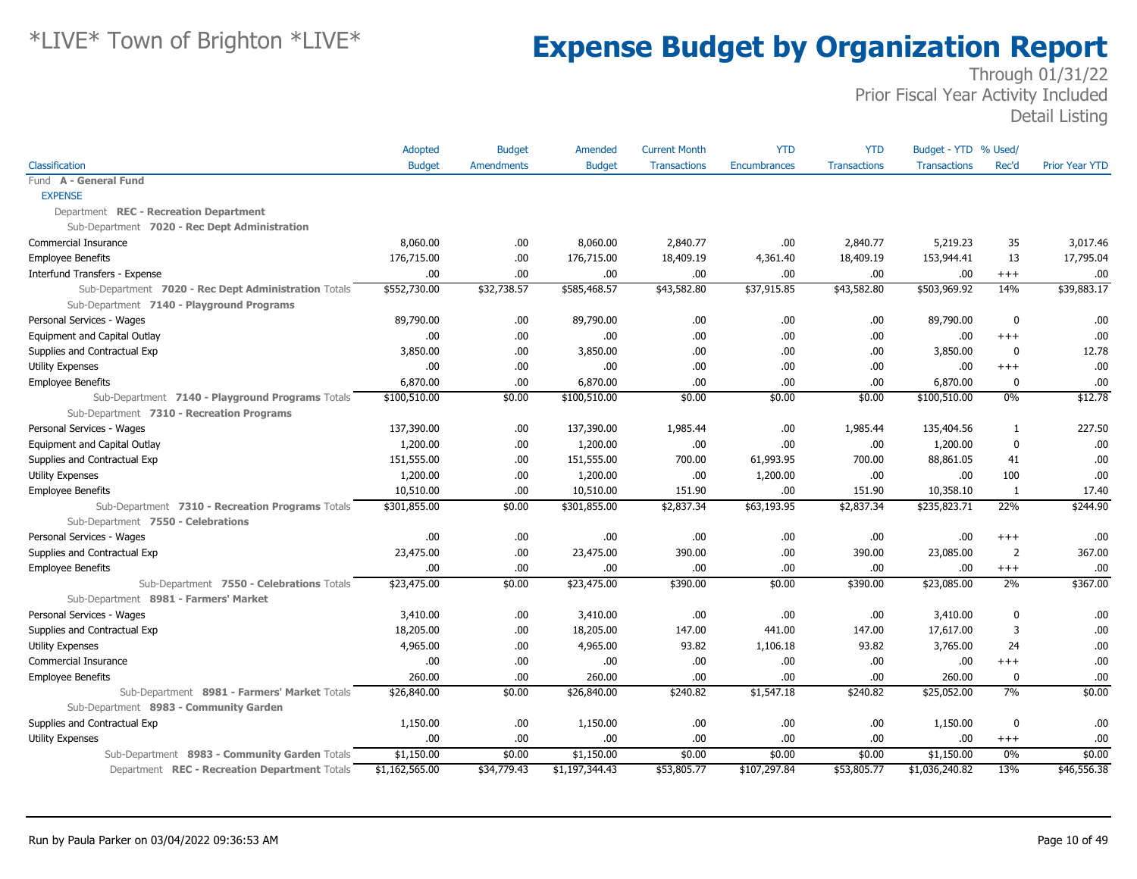|                                                      | Adopted        | <b>Budget</b>     | Amended        | <b>Current Month</b> | <b>YTD</b>   | <b>YTD</b>          | Budget - YTD % Used/ |                |                       |
|------------------------------------------------------|----------------|-------------------|----------------|----------------------|--------------|---------------------|----------------------|----------------|-----------------------|
| Classification                                       | <b>Budget</b>  | <b>Amendments</b> | <b>Budget</b>  | <b>Transactions</b>  | Encumbrances | <b>Transactions</b> | <b>Transactions</b>  | Rec'd          | <b>Prior Year YTD</b> |
| Fund A - General Fund                                |                |                   |                |                      |              |                     |                      |                |                       |
| <b>EXPENSE</b>                                       |                |                   |                |                      |              |                     |                      |                |                       |
| Department REC - Recreation Department               |                |                   |                |                      |              |                     |                      |                |                       |
| Sub-Department 7020 - Rec Dept Administration        |                |                   |                |                      |              |                     |                      |                |                       |
| Commercial Insurance                                 | 8,060.00       | .00.              | 8,060.00       | 2,840.77             | .00.         | 2,840.77            | 5,219.23             | 35             | 3,017.46              |
| <b>Employee Benefits</b>                             | 176,715.00     | .00               | 176,715.00     | 18,409.19            | 4,361.40     | 18,409.19           | 153,944.41           | 13             | 17,795.04             |
| Interfund Transfers - Expense                        | .00.           | .00               | .00.           | .00.                 | .00.         | .00                 | .00                  | $^{+++}$       | .00                   |
| Sub-Department 7020 - Rec Dept Administration Totals | \$552,730.00   | \$32,738.57       | \$585,468.57   | \$43,582.80          | \$37,915.85  | \$43,582.80         | \$503,969.92         | 14%            | \$39,883.17           |
| Sub-Department 7140 - Playground Programs            |                |                   |                |                      |              |                     |                      |                |                       |
| Personal Services - Wages                            | 89,790.00      | .00               | 89,790.00      | .00                  | .00          | .00                 | 89,790.00            | 0              | .00                   |
| Equipment and Capital Outlay                         | 00.            | .00               | .00.           | .00.                 | .00.         | .00.                | .00                  | $^{+++}$       | .00                   |
| Supplies and Contractual Exp                         | 3,850.00       | .00.              | 3,850.00       | .00.                 | .00.         | .00                 | 3,850.00             | 0              | 12.78                 |
| <b>Utility Expenses</b>                              | 00.            | .00.              | .00.           | .00                  | .00          | .00                 | .00                  | $^{+++}$       | .00                   |
| <b>Employee Benefits</b>                             | 6,870.00       | .00               | 6,870.00       | .00                  | .00          | .00                 | 6,870.00             | 0              | .00                   |
| Sub-Department 7140 - Playground Programs Totals     | \$100,510.00   | \$0.00            | \$100,510.00   | \$0.00               | \$0.00       | \$0.00              | \$100,510.00         | 0%             | \$12.78               |
| Sub-Department 7310 - Recreation Programs            |                |                   |                |                      |              |                     |                      |                |                       |
| Personal Services - Wages                            | 137,390.00     | .00.              | 137,390.00     | 1,985.44             | .00          | 1,985.44            | 135,404.56           | 1              | 227.50                |
| Equipment and Capital Outlay                         | 1,200.00       | .00               | 1,200.00       | .00                  | .00.         | .00                 | 1,200.00             | $\mathbf 0$    | .00                   |
| Supplies and Contractual Exp                         | 151,555.00     | .00               | 151,555.00     | 700.00               | 61,993.95    | 700.00              | 88,861.05            | 41             | .00                   |
| <b>Utility Expenses</b>                              | 1,200.00       | .00               | 1,200.00       | .00                  | 1,200.00     | .00                 | .00.                 | 100            | .00                   |
| <b>Employee Benefits</b>                             | 10,510.00      | .00               | 10,510.00      | 151.90               | .00.         | 151.90              | 10,358.10            | 1              | 17.40                 |
| Sub-Department 7310 - Recreation Programs Totals     | \$301,855.00   | \$0.00            | \$301,855.00   | \$2,837.34           | \$63,193.95  | \$2,837.34          | \$235,823.71         | 22%            | \$244.90              |
| Sub-Department 7550 - Celebrations                   |                |                   |                |                      |              |                     |                      |                |                       |
| Personal Services - Wages                            | .00            | .00               | .00.           | .00.                 | .00.         | .00.                | .00.                 | $^{+++}$       | .00                   |
| Supplies and Contractual Exp                         | 23,475.00      | .00               | 23,475.00      | 390.00               | .00          | 390.00              | 23,085.00            | $\overline{2}$ | 367.00                |
| <b>Employee Benefits</b>                             | .00.           | .00               | .00            | .00                  | .00.         | .00                 | .00                  | $^{+++}$       | .00                   |
| Sub-Department 7550 - Celebrations Totals            | \$23,475.00    | \$0.00            | \$23,475.00    | \$390.00             | \$0.00       | \$390.00            | \$23,085.00          | 2%             | \$367.00              |
| Sub-Department 8981 - Farmers' Market                |                |                   |                |                      |              |                     |                      |                |                       |
| Personal Services - Wages                            | 3,410.00       | .00               | 3,410.00       | .00.                 | .00.         | .00                 | 3,410.00             | $\mathbf 0$    | .00.                  |
| Supplies and Contractual Exp                         | 18,205.00      | .00               | 18,205.00      | 147.00               | 441.00       | 147.00              | 17,617.00            | 3              | .00                   |
| <b>Utility Expenses</b>                              | 4,965.00       | .00               | 4,965.00       | 93.82                | 1,106.18     | 93.82               | 3,765.00             | 24             | .00                   |
| Commercial Insurance                                 | .00            | .00.              | .00.           | .00.                 | .00.         | .00.                | .00.                 | $+++$          | .00                   |
| <b>Employee Benefits</b>                             | 260.00         | .00               | 260.00         | .00.                 | .00.         | .00.                | 260.00               | 0              | .00                   |
| Sub-Department 8981 - Farmers' Market Totals         | \$26,840.00    | \$0.00            | \$26,840,00    | \$240.82             | \$1,547.18   | \$240.82            | \$25,052.00          | 7%             | \$0.00                |
| Sub-Department 8983 - Community Garden               |                |                   |                |                      |              |                     |                      |                |                       |
| Supplies and Contractual Exp                         | 1,150.00       | .00.              | 1,150.00       | .00                  | .00.         | .00.                | 1,150.00             | 0              | .00                   |
| <b>Utility Expenses</b>                              | .00.           | .00               | .00            | .00.                 | .00.         | .00.                | .00.                 | $+++$          | .00                   |
| Sub-Department 8983 - Community Garden Totals        | \$1,150.00     | \$0.00            | \$1,150.00     | \$0.00               | \$0.00       | \$0.00              | \$1,150.00           | 0%             | \$0.00                |
| Department REC - Recreation Department Totals        | \$1,162,565.00 | \$34,779.43       | \$1,197,344.43 | \$53,805.77          | \$107,297.84 | \$53,805.77         | \$1,036,240.82       | 13%            | \$46,556.38           |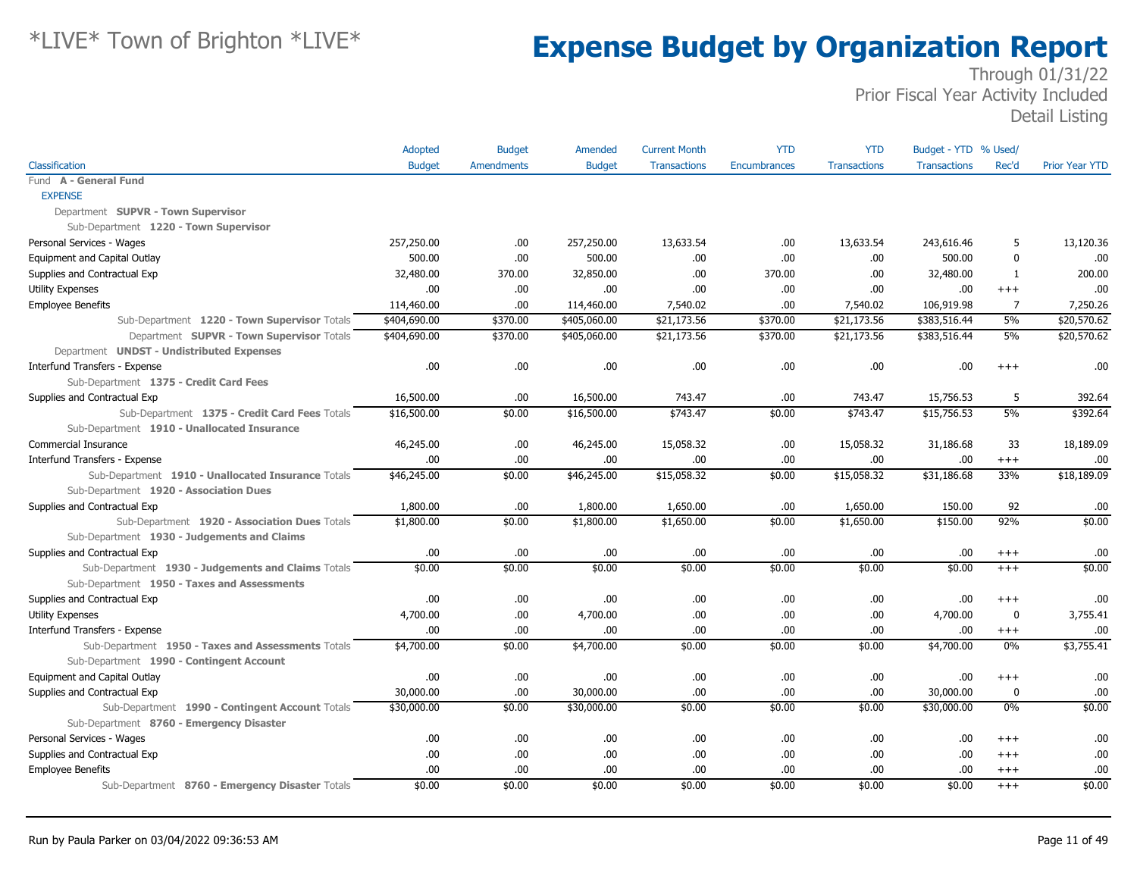|                                                    | Adopted       | <b>Budget</b> | Amended       | <b>Current Month</b> | <b>YTD</b>   | <b>YTD</b>          | Budget - YTD % Used/ |                |                       |
|----------------------------------------------------|---------------|---------------|---------------|----------------------|--------------|---------------------|----------------------|----------------|-----------------------|
| Classification                                     | <b>Budget</b> | Amendments    | <b>Budget</b> | <b>Transactions</b>  | Encumbrances | <b>Transactions</b> | <b>Transactions</b>  | Rec'd          | <b>Prior Year YTD</b> |
| Fund A - General Fund                              |               |               |               |                      |              |                     |                      |                |                       |
| <b>EXPENSE</b>                                     |               |               |               |                      |              |                     |                      |                |                       |
| Department SUPVR - Town Supervisor                 |               |               |               |                      |              |                     |                      |                |                       |
| Sub-Department 1220 - Town Supervisor              |               |               |               |                      |              |                     |                      |                |                       |
| Personal Services - Wages                          | 257,250.00    | .00           | 257,250.00    | 13,633.54            | .00.         | 13,633.54           | 243,616.46           | 5              | 13,120.36             |
| Equipment and Capital Outlay                       | 500.00        | .00           | 500.00        | .00                  | .00          | .00                 | 500.00               | $\mathbf 0$    | .00                   |
| Supplies and Contractual Exp                       | 32,480.00     | 370.00        | 32,850.00     | .00                  | 370.00       | .00                 | 32,480.00            | -1             | 200,00                |
| <b>Utility Expenses</b>                            | 00.           | .00           | .00.          | .00                  | .00          | .00                 | .00.                 | $+++$          | .00                   |
| <b>Employee Benefits</b>                           | 114,460.00    | .00           | 114,460.00    | 7,540.02             | .00          | 7,540.02            | 106,919.98           | $\overline{7}$ | 7,250.26              |
| Sub-Department 1220 - Town Supervisor Totals       | \$404,690.00  | \$370.00      | \$405,060.00  | \$21,173.56          | \$370.00     | \$21,173.56         | \$383,516.44         | 5%             | \$20,570.62           |
| Department SUPVR - Town Supervisor Totals          | \$404,690.00  | \$370.00      | \$405,060.00  | \$21,173.56          | \$370.00     | \$21,173.56         | \$383,516.44         | 5%             | \$20,570.62           |
| Department UNDST - Undistributed Expenses          |               |               |               |                      |              |                     |                      |                |                       |
| Interfund Transfers - Expense                      | .00           | .00           | .00.          | .00                  | .00          | .00                 | .00                  | $^{++}$        | .00                   |
| Sub-Department 1375 - Credit Card Fees             |               |               |               |                      |              |                     |                      |                |                       |
| Supplies and Contractual Exp                       | 16,500.00     | .00           | 16,500.00     | 743.47               | .00          | 743.47              | 15,756.53            | 5              | 392.64                |
| Sub-Department 1375 - Credit Card Fees Totals      | \$16,500.00   | \$0.00        | \$16,500.00   | \$743.47             | \$0.00       | \$743.47            | \$15,756.53          | 5%             | \$392.64              |
| Sub-Department 1910 - Unallocated Insurance        |               |               |               |                      |              |                     |                      |                |                       |
| Commercial Insurance                               | 46,245.00     | .00           | 46,245.00     | 15,058.32            | .00.         | 15,058.32           | 31,186.68            | 33             | 18,189.09             |
| Interfund Transfers - Expense                      | .00.          | .00           | .00.          | .00                  | .00.         | .00                 | .00.                 | $^{+++}$       | .00                   |
| Sub-Department 1910 - Unallocated Insurance Totals | \$46,245.00   | \$0.00        | \$46,245.00   | \$15,058.32          | \$0.00       | \$15,058.32         | \$31,186.68          | 33%            | \$18,189.09           |
| Sub-Department 1920 - Association Dues             |               |               |               |                      |              |                     |                      |                |                       |
| Supplies and Contractual Exp                       | 1,800.00      | .00           | 1,800.00      | 1,650.00             | .00          | 1,650.00            | 150.00               | 92             | .00                   |
| Sub-Department 1920 - Association Dues Totals      | \$1,800.00    | \$0.00        | \$1,800.00    | \$1,650.00           | \$0.00       | \$1,650.00          | \$150.00             | 92%            | \$0.00                |
| Sub-Department 1930 - Judgements and Claims        |               |               |               |                      |              |                     |                      |                |                       |
| Supplies and Contractual Exp                       | .00.          | .00           | .00.          | .00                  | .00.         | .00                 | .00.                 | $^{+++}$       | .00                   |
| Sub-Department 1930 - Judgements and Claims Totals | \$0.00        | \$0.00        | \$0.00        | \$0.00               | \$0.00       | \$0.00              | \$0.00               | $^{+++}$       | \$0.00                |
| Sub-Department 1950 - Taxes and Assessments        |               |               |               |                      |              |                     |                      |                |                       |
| Supplies and Contractual Exp                       | .00.          | .00           | .00.          | .00                  | .00          | .00                 | .00                  | $^{+++}$       | .00                   |
| <b>Utility Expenses</b>                            | 4,700.00      | .00           | 4,700.00      | .00                  | .00          | .00                 | 4,700.00             | 0              | 3,755.41              |
| Interfund Transfers - Expense                      | .00           | .00           | .00.          | .00                  | .00          | .00                 | .00                  | $^{+++}$       | .00                   |
| Sub-Department 1950 - Taxes and Assessments Totals | \$4,700.00    | \$0.00        | \$4,700.00    | \$0.00               | \$0.00       | \$0.00              | \$4,700.00           | $0\%$          | \$3,755.41            |
| Sub-Department 1990 - Contingent Account           |               |               |               |                      |              |                     |                      |                |                       |
| Equipment and Capital Outlay                       | .00           | .00           | .00.          | .00                  | .00.         | .00                 | .00.                 | $^{+++}$       | .00                   |
| Supplies and Contractual Exp                       | 30,000.00     | .00           | 30,000.00     | .00                  | .00.         | .00                 | 30,000.00            | 0              | .00                   |
| Sub-Department 1990 - Contingent Account Totals    | \$30,000.00   | \$0.00        | \$30,000.00   | \$0.00               | \$0.00       | \$0.00              | \$30,000.00          | $0\%$          | \$0.00                |
| Sub-Department 8760 - Emergency Disaster           |               |               |               |                      |              |                     |                      |                |                       |
| Personal Services - Wages                          | .00           | .00           | .00.          | .00                  | .00          | .00                 | .00                  | $^{++}$        | .00                   |
| Supplies and Contractual Exp                       | .00.          | .00           | .00.          | .00                  | .00.         | .00                 | .00.                 | $^{+++}$       | .00                   |
| <b>Employee Benefits</b>                           | .00.          | .00           | .00.          | .00                  | .00.         | .00                 | .00.                 | $^{+++}$       | .00                   |
| Sub-Department 8760 - Emergency Disaster Totals    | \$0.00        | \$0.00        | \$0.00        | \$0.00               | \$0.00       | \$0.00              | \$0.00               | $+++$          | \$0.00                |
|                                                    |               |               |               |                      |              |                     |                      |                |                       |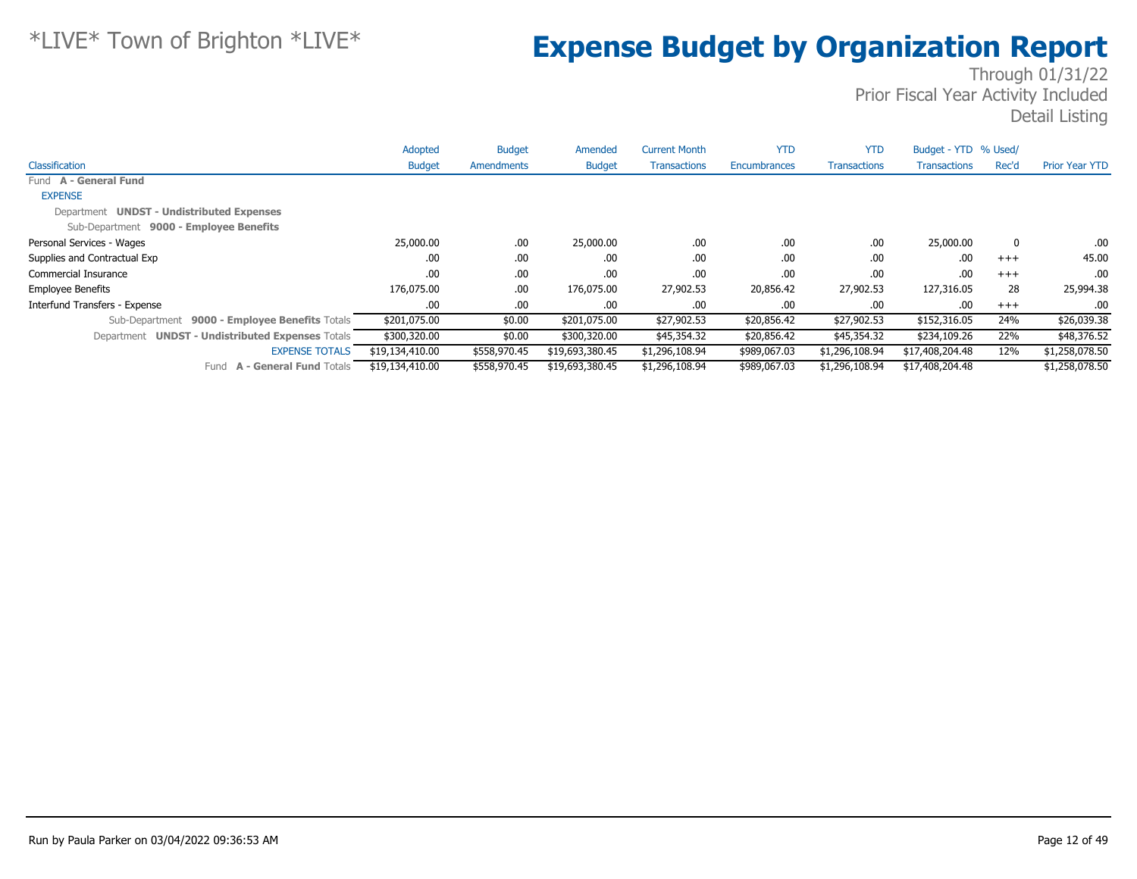|                                                  | Adopted         | <b>Budget</b>     | Amended         | <b>Current Month</b> | <b>YTD</b>          | <b>YTD</b>          | Budget - YTD % Used/ |       |                       |
|--------------------------------------------------|-----------------|-------------------|-----------------|----------------------|---------------------|---------------------|----------------------|-------|-----------------------|
| Classification                                   | <b>Budget</b>   | <b>Amendments</b> | <b>Budget</b>   | <b>Transactions</b>  | <b>Encumbrances</b> | <b>Transactions</b> | <b>Transactions</b>  | Rec'd | <b>Prior Year YTD</b> |
| Fund A - General Fund                            |                 |                   |                 |                      |                     |                     |                      |       |                       |
| <b>EXPENSE</b>                                   |                 |                   |                 |                      |                     |                     |                      |       |                       |
| Department UNDST - Undistributed Expenses        |                 |                   |                 |                      |                     |                     |                      |       |                       |
| Sub-Department 9000 - Employee Benefits          |                 |                   |                 |                      |                     |                     |                      |       |                       |
| Personal Services - Wages                        | 25,000.00       | .00               | 25,000.00       | .00                  | .00                 | .00                 | 25,000.00            | 0     | .00.                  |
| Supplies and Contractual Exp                     | .00             | .00               | .00             | .00                  | .00.                | .00                 | .00                  | $+++$ | 45.00                 |
| Commercial Insurance                             | .00             | .00               | .00             | .00                  | .00                 | .00                 | .00                  | $+++$ | .00.                  |
| <b>Employee Benefits</b>                         | 176,075.00      | .00.              | 176,075.00      | 27,902.53            | 20,856.42           | 27,902.53           | 127,316.05           | 28    | 25,994.38             |
| Interfund Transfers - Expense                    | .00.            | .00.              | .00             | .00                  | .00                 | .00                 | .00                  | $+++$ | .00                   |
| Sub-Department 9000 - Employee Benefits Totals   | \$201,075.00    | \$0.00            | \$201,075.00    | \$27,902.53          | \$20,856.42         | \$27,902.53         | \$152,316.05         | 24%   | \$26,039.38           |
| Department UNDST - Undistributed Expenses Totals | \$300,320.00    | \$0.00            | \$300,320.00    | \$45,354.32          | \$20,856.42         | \$45,354.32         | \$234,109.26         | 22%   | \$48,376.52           |
| <b>EXPENSE TOTALS</b>                            | \$19,134,410.00 | \$558,970.45      | \$19,693,380.45 | \$1,296,108.94       | \$989,067.03        | \$1,296,108.94      | \$17,408,204.48      | 12%   | \$1,258,078.50        |
| <b>A - General Fund Totals</b><br>Fund           | \$19,134,410.00 | \$558,970.45      | \$19,693,380.45 | \$1,296,108.94       | \$989,067.03        | \$1,296,108.94      | \$17,408,204.48      |       | \$1,258,078.50        |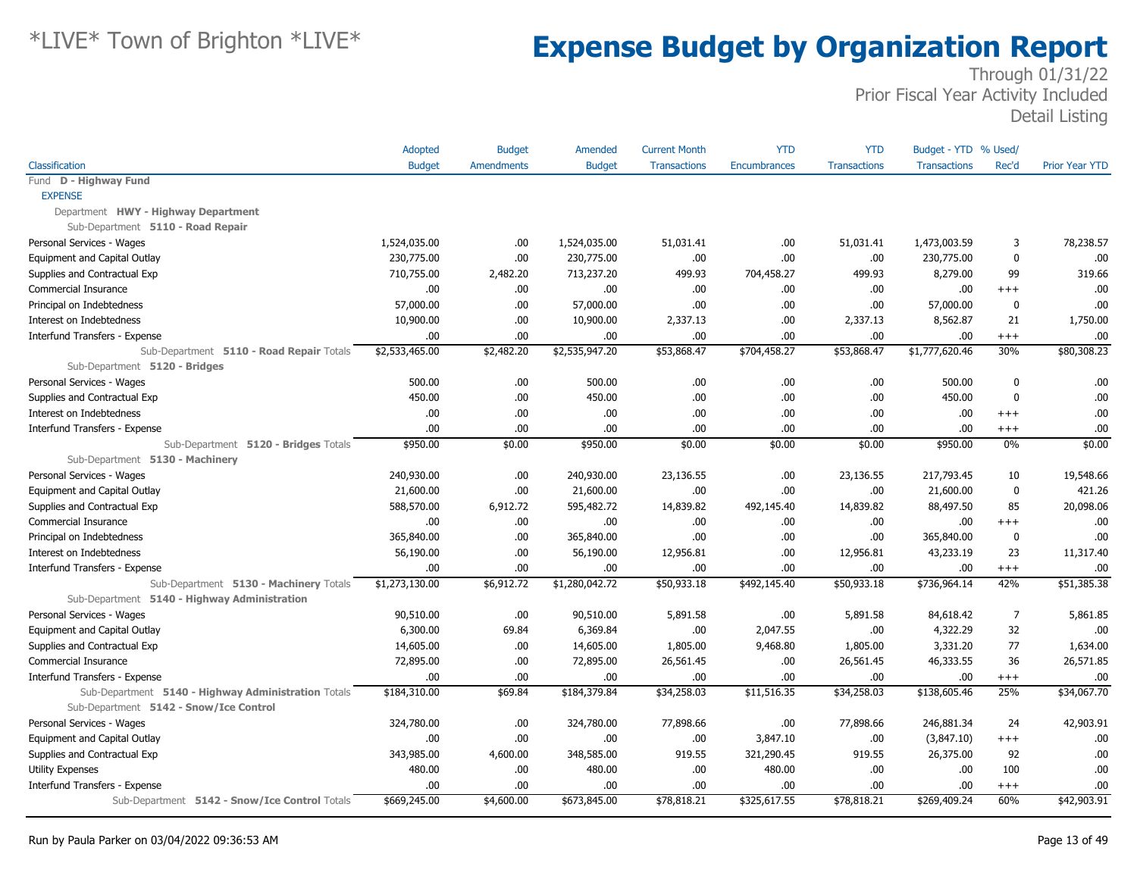|                                                                           | <b>Adopted</b> | <b>Budget</b>     | Amended        | <b>Current Month</b> | <b>YTD</b>   | <b>YTD</b>          | Budget - YTD % Used/ |                |                       |
|---------------------------------------------------------------------------|----------------|-------------------|----------------|----------------------|--------------|---------------------|----------------------|----------------|-----------------------|
| Classification                                                            | <b>Budget</b>  | <b>Amendments</b> | <b>Budget</b>  | <b>Transactions</b>  | Encumbrances | <b>Transactions</b> | <b>Transactions</b>  | Rec'd          | <b>Prior Year YTD</b> |
| Fund D - Highway Fund                                                     |                |                   |                |                      |              |                     |                      |                |                       |
| <b>EXPENSE</b>                                                            |                |                   |                |                      |              |                     |                      |                |                       |
| Department HWY - Highway Department                                       |                |                   |                |                      |              |                     |                      |                |                       |
| Sub-Department 5110 - Road Repair                                         |                |                   |                |                      |              |                     |                      |                |                       |
| Personal Services - Wages                                                 | 1,524,035.00   | .00               | 1,524,035.00   | 51,031.41            | .00.         | 51,031.41           | 1,473,003.59         | 3              | 78,238.57             |
| Equipment and Capital Outlay                                              | 230,775.00     | .00               | 230,775.00     | .00                  | .00.         | .00                 | 230,775.00           | 0              | .00                   |
| Supplies and Contractual Exp                                              | 710,755.00     | 2,482.20          | 713,237.20     | 499.93               | 704,458.27   | 499.93              | 8,279.00             | 99             | 319.66                |
| Commercial Insurance                                                      | .00            | .00               | .00.           | .00                  | .00.         | .00                 | .00.                 | $^{+++}$       | .00                   |
| Principal on Indebtedness                                                 | 57,000.00      | .00               | 57,000.00      | .00                  | .00.         | .00                 | 57,000.00            | 0              | .00                   |
| Interest on Indebtedness                                                  | 10,900.00      | .00               | 10,900.00      | 2,337.13             | .00.         | 2,337.13            | 8,562.87             | 21             | 1,750.00              |
| Interfund Transfers - Expense                                             | .00            | .00               | .00.           | .00                  | .00.         | .00                 | .00.                 | $^{+++}$       | .00                   |
| Sub-Department 5110 - Road Repair Totals<br>Sub-Department 5120 - Bridges | \$2,533,465.00 | \$2,482.20        | \$2,535,947.20 | \$53,868.47          | \$704,458.27 | \$53,868.47         | \$1,777,620.46       | 30%            | \$80,308.23           |
| Personal Services - Wages                                                 | 500.00         | .00.              | 500.00         | .00.                 | .00.         | .00                 | 500.00               | 0              | .00                   |
| Supplies and Contractual Exp                                              | 450.00         | .00.              | 450.00         | .00                  | .00.         | .00.                | 450.00               | 0              | .00                   |
| Interest on Indebtedness                                                  | .00            | .00               | .00.           | .00                  | .00.         | .00                 | .00.                 | $^{+++}$       | .00                   |
| Interfund Transfers - Expense                                             | .00            | .00               | .00.           | .00                  | .00.         | .00                 | .00.                 | $^{+++}$       | .00                   |
| Sub-Department 5120 - Bridges Totals                                      | \$950.00       | \$0.00            | \$950.00       | \$0.00               | \$0.00       | \$0.00              | \$950.00             | $0\%$          | \$0.00                |
| Sub-Department 5130 - Machinery                                           |                |                   |                |                      |              |                     |                      |                |                       |
| Personal Services - Wages                                                 | 240,930.00     | .00               | 240,930.00     | 23,136.55            | .00.         | 23,136.55           | 217,793.45           | 10             | 19,548.66             |
| Equipment and Capital Outlay                                              | 21,600.00      | .00               | 21,600.00      | .00                  | .00.         | .00                 | 21,600.00            | $\mathbf 0$    | 421.26                |
| Supplies and Contractual Exp                                              | 588,570.00     | 6,912.72          | 595,482.72     | 14,839.82            | 492,145.40   | 14,839.82           | 88,497.50            | 85             | 20,098.06             |
| Commercial Insurance                                                      | .00            | .00.              | .00            | .00                  | .00.         | .00                 | .00.                 | $^{+++}$       | .00                   |
| Principal on Indebtedness                                                 | 365,840.00     | .00.              | 365,840.00     | .00                  | .00.         | .00                 | 365,840.00           | 0              | .00                   |
| Interest on Indebtedness                                                  | 56,190.00      | .00               | 56,190.00      | 12,956.81            | .00.         | 12,956.81           | 43,233.19            | 23             | 11,317.40             |
| Interfund Transfers - Expense                                             | .00            | .00               | .00            | .00                  | .00.         | .00                 | .00.                 | $^{+++}$       | .00                   |
| Sub-Department 5130 - Machinery Totals                                    | \$1,273,130.00 | \$6,912.72        | \$1,280,042.72 | \$50,933.18          | \$492,145.40 | \$50,933.18         | \$736,964.14         | 42%            | \$51,385.38           |
| Sub-Department 5140 - Highway Administration                              |                |                   |                |                      |              |                     |                      |                |                       |
| Personal Services - Wages                                                 | 90,510.00      | .00               | 90,510.00      | 5,891.58             | .00.         | 5,891.58            | 84,618.42            | $\overline{7}$ | 5,861.85              |
| Equipment and Capital Outlay                                              | 6,300.00       | 69.84             | 6,369.84       | .00                  | 2,047.55     | .00                 | 4,322.29             | 32             | .00                   |
| Supplies and Contractual Exp                                              | 14,605.00      | .00               | 14,605.00      | 1,805.00             | 9,468.80     | 1,805.00            | 3,331.20             | 77             | 1,634.00              |
| Commercial Insurance                                                      | 72,895.00      | .00               | 72,895.00      | 26,561.45            | .00.         | 26,561.45           | 46,333.55            | 36             | 26,571.85             |
| Interfund Transfers - Expense                                             | .00            | .00               | .00.           | .00                  | .00.         | .00                 | .00.                 | $^{+++}$       | .00                   |
| Sub-Department 5140 - Highway Administration Totals                       | \$184,310.00   | \$69.84           | \$184,379.84   | \$34,258.03          | \$11,516.35  | \$34,258.03         | \$138,605.46         | 25%            | \$34,067.70           |
| Sub-Department 5142 - Snow/Ice Control                                    |                |                   |                |                      |              |                     |                      |                |                       |
| Personal Services - Wages                                                 | 324,780.00     | .00               | 324,780.00     | 77,898.66            | .00.         | 77,898.66           | 246,881.34           | 24             | 42,903.91             |
| Equipment and Capital Outlay                                              | .00            | .00               | .00.           | .00                  | 3,847.10     | .00                 | (3,847.10)           | $^{+++}$       | .00                   |
| Supplies and Contractual Exp                                              | 343,985.00     | 4,600.00          | 348,585.00     | 919.55               | 321,290.45   | 919.55              | 26,375.00            | 92             | .00                   |
| Utility Expenses                                                          | 480.00         | .00               | 480.00         | .00                  | 480.00       | .00.                | .00                  | 100            | .00                   |
| Interfund Transfers - Expense                                             | .00            | .00               | .00.           | .00                  | .00.         | .00                 | .00.                 | $^{+++}$       | .00                   |
| Sub-Department 5142 - Snow/Ice Control Totals                             | \$669,245.00   | \$4,600.00        | \$673,845.00   | \$78,818.21          | \$325,617.55 | \$78,818.21         | \$269,409.24         | 60%            | \$42,903.91           |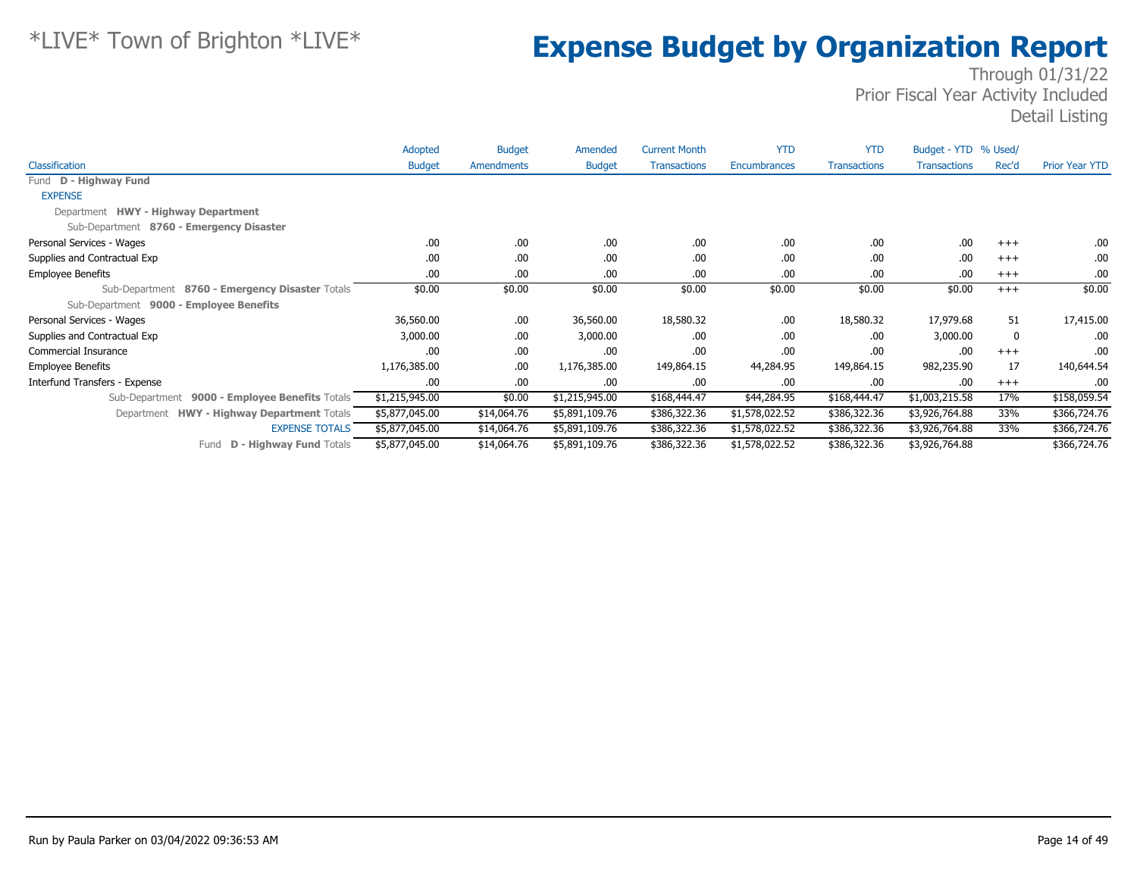|                                                      | Adopted        | <b>Budget</b> | Amended        | <b>Current Month</b> | <b>YTD</b>     | <b>YTD</b>          | Budget - YTD % Used/ |       |                       |
|------------------------------------------------------|----------------|---------------|----------------|----------------------|----------------|---------------------|----------------------|-------|-----------------------|
| <b>Classification</b>                                | <b>Budget</b>  | Amendments    | <b>Budget</b>  | <b>Transactions</b>  | Encumbrances   | <b>Transactions</b> | <b>Transactions</b>  | Rec'd | <b>Prior Year YTD</b> |
| Fund D - Highway Fund                                |                |               |                |                      |                |                     |                      |       |                       |
| <b>EXPENSE</b>                                       |                |               |                |                      |                |                     |                      |       |                       |
| Department HWY - Highway Department                  |                |               |                |                      |                |                     |                      |       |                       |
| Sub-Department 8760 - Emergency Disaster             |                |               |                |                      |                |                     |                      |       |                       |
| Personal Services - Wages                            | .00            | .00.          | .00.           | .00                  | .00            | .00                 | .00                  | $+++$ | .00.                  |
| Supplies and Contractual Exp                         | .00            | .00.          | .00.           | .00                  | .00            | .00                 | .00                  | $+++$ | .00                   |
| <b>Employee Benefits</b>                             | .00            | .00           | .00.           | .00                  | .00            | .00                 | .00                  | $+++$ | .00                   |
| Sub-Department 8760 - Emergency Disaster Totals      | \$0.00         | \$0.00        | \$0.00         | \$0.00               | \$0.00         | \$0.00              | \$0.00               | $+++$ | \$0.00                |
| Sub-Department 9000 - Employee Benefits              |                |               |                |                      |                |                     |                      |       |                       |
| Personal Services - Wages                            | 36,560.00      | .00.          | 36,560.00      | 18,580.32            | .00            | 18,580.32           | 17,979.68            | 51    | 17,415.00             |
| Supplies and Contractual Exp                         | 3,000.00       | .00.          | 3,000.00       | .00                  | .00            | .00                 | 3,000.00             | 0     | .00.                  |
| Commercial Insurance                                 | .00            | .00.          | .00            | .00                  | .00            | .00                 | .00                  | $+++$ | .00.                  |
| <b>Employee Benefits</b>                             | 1,176,385.00   | .00.          | 1,176,385.00   | 149,864.15           | 44,284.95      | 149,864.15          | 982,235.90           | 17    | 140,644.54            |
| Interfund Transfers - Expense                        | .00            | .00.          | .00.           | .00                  | .00            | .00                 | .00                  | $+++$ | .00                   |
| 9000 - Employee Benefits Totals<br>Sub-Department    | \$1,215,945.00 | \$0.00        | \$1,215,945.00 | \$168,444.47         | \$44,284.95    | \$168,444.47        | \$1,003,215.58       | 17%   | \$158,059.54          |
| <b>HWY - Highway Department Totals</b><br>Department | \$5,877,045.00 | \$14,064.76   | \$5,891,109.76 | \$386,322.36         | \$1,578,022.52 | \$386,322.36        | \$3,926,764.88       | 33%   | \$366,724.76          |
| <b>EXPENSE TOTALS</b>                                | \$5,877,045.00 | \$14,064.76   | \$5,891,109.76 | \$386,322.36         | \$1,578,022.52 | \$386,322.36        | \$3,926,764.88       | 33%   | \$366,724.76          |
| <b>D - Highway Fund Totals</b><br>Fund               | \$5,877,045.00 | \$14,064.76   | \$5,891,109.76 | \$386,322.36         | \$1,578,022.52 | \$386,322.36        | \$3,926,764.88       |       | \$366,724.76          |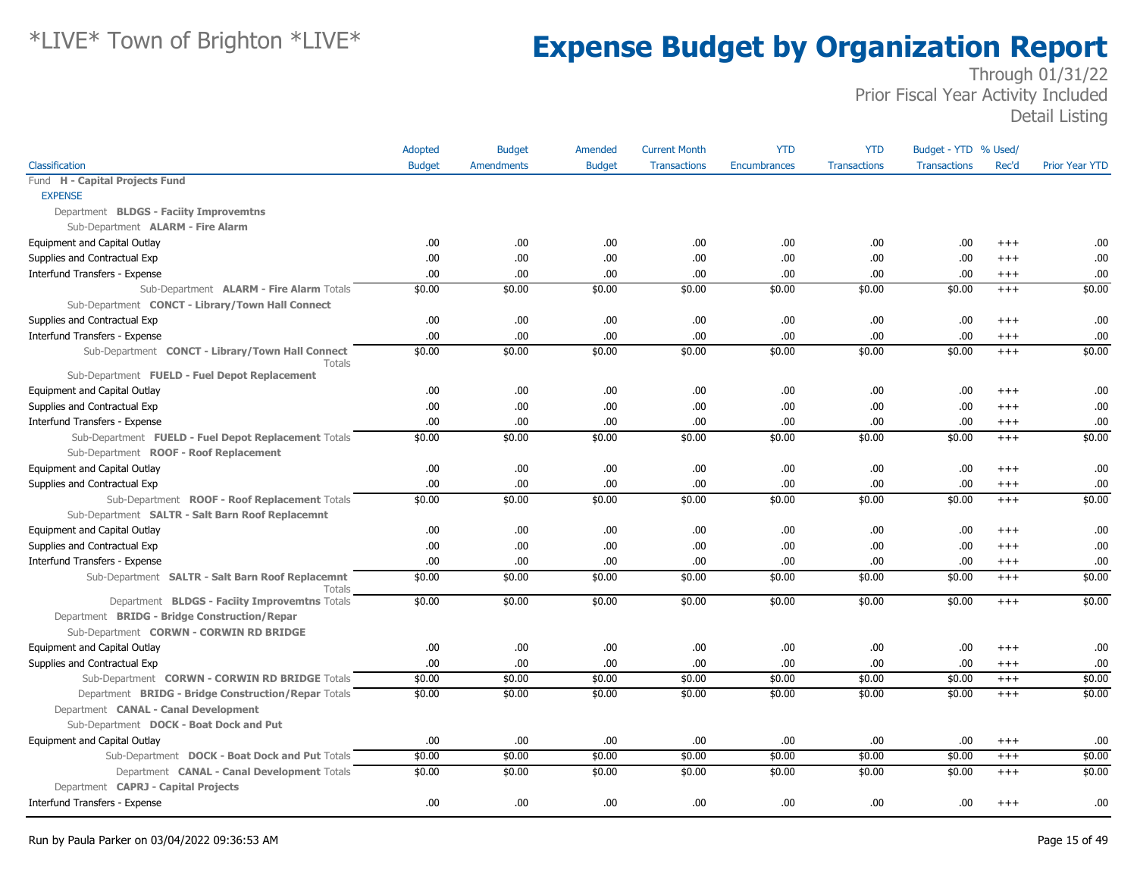|                                                                   | Adopted       | <b>Budget</b>     | Amended       | <b>Current Month</b> | <b>YTD</b>   | <b>YTD</b>          | Budget - YTD % Used/ |          |                       |
|-------------------------------------------------------------------|---------------|-------------------|---------------|----------------------|--------------|---------------------|----------------------|----------|-----------------------|
| Classification                                                    | <b>Budget</b> | <b>Amendments</b> | <b>Budget</b> | <b>Transactions</b>  | Encumbrances | <b>Transactions</b> | <b>Transactions</b>  | Rec'd    | <b>Prior Year YTD</b> |
| Fund H - Capital Projects Fund                                    |               |                   |               |                      |              |                     |                      |          |                       |
| <b>EXPENSE</b>                                                    |               |                   |               |                      |              |                     |                      |          |                       |
| Department BLDGS - Faciity Improvemtns                            |               |                   |               |                      |              |                     |                      |          |                       |
| Sub-Department <b>ALARM - Fire Alarm</b>                          |               |                   |               |                      |              |                     |                      |          |                       |
| Equipment and Capital Outlay                                      | .00.          | .00.              | .00.          | .00                  | .00          | .00                 | .00                  | $+++$    | .00.                  |
| Supplies and Contractual Exp                                      | .00.          | .00               | .00           | .00                  | .00          | .00                 | .00                  | $+++$    | .00                   |
| Interfund Transfers - Expense                                     | .00.          | .00               | .00.          | .00                  | .00          | .00                 | .00                  | $^{+++}$ | .00.                  |
| Sub-Department ALARM - Fire Alarm Totals                          | \$0.00        | \$0.00            | \$0.00        | \$0.00               | \$0.00       | \$0.00              | \$0.00               | $+++$    | \$0.00                |
| Sub-Department CONCT - Library/Town Hall Connect                  |               |                   |               |                      |              |                     |                      |          |                       |
| Supplies and Contractual Exp                                      | .00           | .00               | .00.          | .00                  | .00          | .00                 | .00                  | $+++$    | .00                   |
| Interfund Transfers - Expense                                     | .00.          | .00               | .00.          | .00.                 | .00          | .00                 | .00                  | $^{+++}$ | .00                   |
| Sub-Department CONCT - Library/Town Hall Connect<br>Totals        | \$0.00        | \$0.00            | \$0.00        | \$0.00               | \$0.00       | \$0.00              | \$0.00               | $+ + +$  | \$0.00                |
| Sub-Department FUELD - Fuel Depot Replacement                     |               |                   |               |                      |              |                     |                      |          |                       |
| Equipment and Capital Outlay                                      | .00.          | .00.              | .00.          | .00                  | .00          | .00                 | .00                  | $+++$    | .00.                  |
| Supplies and Contractual Exp                                      | .00.          | .00               | .00.          | .00                  | .00          | .00                 | .00                  | $+++$    | .00.                  |
| Interfund Transfers - Expense                                     | .00.          | .00               | .00.          | .00.                 | .00          | .00                 | .00                  | $^{+++}$ | .00.                  |
| Sub-Department FUELD - Fuel Depot Replacement Totals              | \$0.00        | \$0.00            | \$0.00        | \$0.00               | \$0.00       | \$0.00              | \$0.00               | $+++$    | \$0.00                |
| Sub-Department ROOF - Roof Replacement                            |               |                   |               |                      |              |                     |                      |          |                       |
| Equipment and Capital Outlay                                      | .00.          | .00               | .00.          | .00                  | .00          | .00                 | .00                  | $+++$    | .00                   |
| Supplies and Contractual Exp                                      | .00.          | .00               | .00.          | .00                  | .00          | .00                 | .00                  | $^{+++}$ | .00                   |
| Sub-Department ROOF - Roof Replacement Totals                     | \$0.00        | \$0.00            | \$0.00        | \$0.00               | \$0.00       | \$0.00              | \$0.00               | $+++$    | \$0.00                |
| Sub-Department SALTR - Salt Barn Roof Replacemnt                  |               |                   |               |                      |              |                     |                      |          |                       |
| Equipment and Capital Outlay                                      | .00.          | .00.              | .00.          | .00.                 | .00          | .00                 | .00                  | $+++$    | .00                   |
| Supplies and Contractual Exp                                      | .00.          | .00               | .00.          | .00                  | .00          | .00                 | .00                  | $+++$    | .00                   |
| Interfund Transfers - Expense                                     | .00.          | .00               | .00.          | .00.                 | .00          | .00                 | .00                  | $+++$    | .00                   |
| Sub-Department SALTR - Salt Barn Roof Replacemnt<br><b>Totals</b> | \$0.00        | \$0.00            | \$0.00        | \$0.00               | \$0.00       | \$0.00              | \$0.00               | $+++$    | \$0.00                |
| Department BLDGS - Faciity Improvemtns Totals                     | \$0.00        | \$0.00            | \$0.00        | \$0.00               | \$0.00       | \$0.00              | \$0.00               | $^{+++}$ | \$0.00                |
| Department BRIDG - Bridge Construction/Repar                      |               |                   |               |                      |              |                     |                      |          |                       |
| Sub-Department CORWN - CORWIN RD BRIDGE                           |               |                   |               |                      |              |                     |                      |          |                       |
| Equipment and Capital Outlay                                      | .00.          | .00               | .00.          | .00                  | .00          | .00                 | .00                  | $+++$    | .00                   |
| Supplies and Contractual Exp                                      | .00.          | .00               | .00.          | .00                  | .00          | .00                 | .00                  | $^{+++}$ | .00                   |
| Sub-Department CORWN - CORWIN RD BRIDGE Totals                    | \$0.00        | \$0.00            | \$0.00        | \$0.00               | \$0.00       | \$0.00              | \$0.00               | $^{+++}$ | \$0.00                |
| Department BRIDG - Bridge Construction/Repar Totals               | \$0.00        | \$0.00            | \$0.00        | \$0.00               | \$0.00       | \$0.00              | \$0.00               | $+++$    | \$0.00                |
| Department CANAL - Canal Development                              |               |                   |               |                      |              |                     |                      |          |                       |
| Sub-Department DOCK - Boat Dock and Put                           |               |                   |               |                      |              |                     |                      |          |                       |
| Equipment and Capital Outlay                                      | .00.          | .00               | .00.          | .00                  | .00          | .00                 | .00                  | $^{+++}$ | .00                   |
| Sub-Department DOCK - Boat Dock and Put Totals                    | \$0.00        | \$0.00            | \$0.00        | \$0.00               | \$0.00       | \$0.00              | \$0.00               | $+++$    | \$0.00                |
| Department CANAL - Canal Development Totals                       | \$0.00        | \$0.00            | \$0.00        | \$0.00               | \$0.00       | \$0.00              | \$0.00               | $+++$    | \$0.00                |
| Department CAPRJ - Capital Projects                               |               |                   |               |                      |              |                     |                      |          |                       |
| Interfund Transfers - Expense                                     | .00.          | .00               | .00.          | .00                  | .00          | .00                 | .00                  | $^{+++}$ | .00.                  |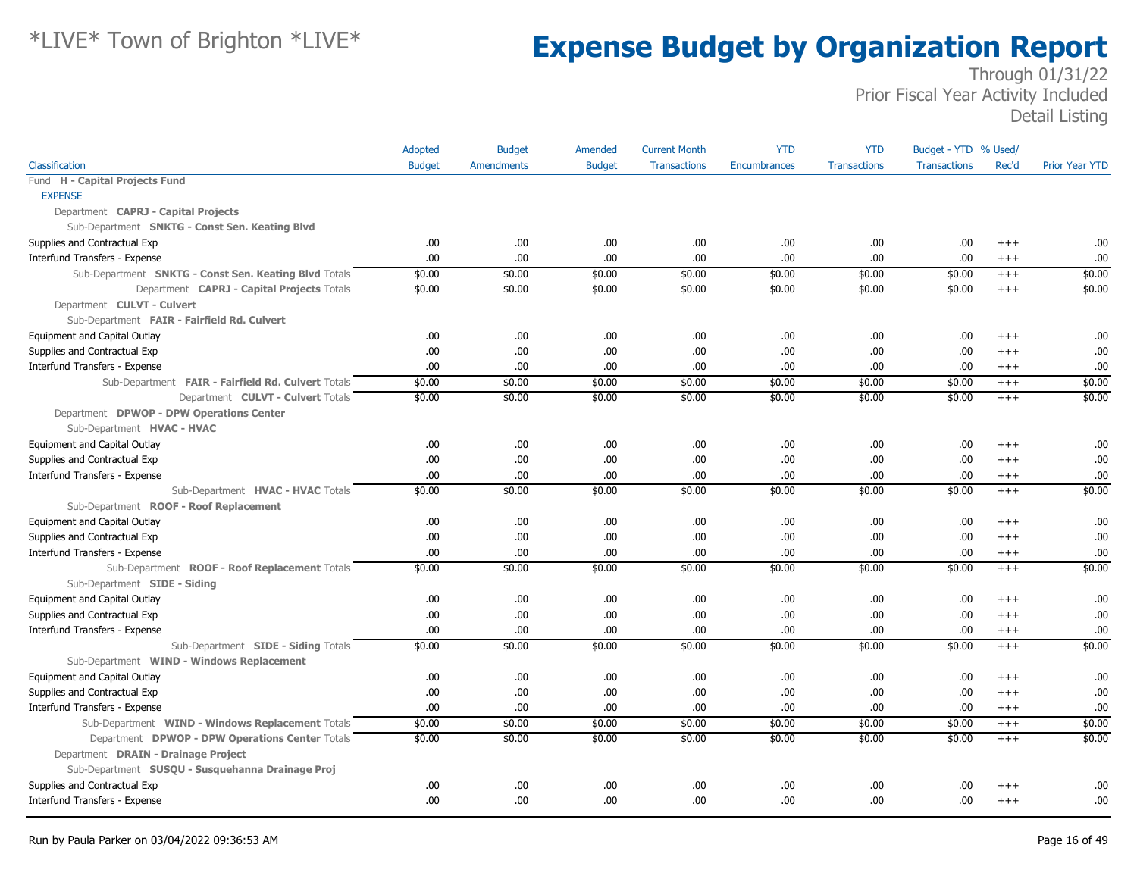|                                                       | Adopted       | <b>Budget</b>     | Amended       | <b>Current Month</b> | <b>YTD</b>          | <b>YTD</b>          | Budget - YTD % Used/ |          |                       |
|-------------------------------------------------------|---------------|-------------------|---------------|----------------------|---------------------|---------------------|----------------------|----------|-----------------------|
| Classification                                        | <b>Budget</b> | <b>Amendments</b> | <b>Budget</b> | <b>Transactions</b>  | <b>Encumbrances</b> | <b>Transactions</b> | <b>Transactions</b>  | Rec'd    | <b>Prior Year YTD</b> |
| Fund H - Capital Projects Fund                        |               |                   |               |                      |                     |                     |                      |          |                       |
| <b>EXPENSE</b>                                        |               |                   |               |                      |                     |                     |                      |          |                       |
| Department CAPRJ - Capital Projects                   |               |                   |               |                      |                     |                     |                      |          |                       |
| Sub-Department SNKTG - Const Sen. Keating Blvd        |               |                   |               |                      |                     |                     |                      |          |                       |
| Supplies and Contractual Exp                          | .00.          | .00.              | .00.          | .00                  | .00                 | .00.                | .00.                 | $+++$    | .00                   |
| Interfund Transfers - Expense                         | .00.          | .00               | .00.          | .00                  | .00                 | .00                 | .00.                 | $+++$    | .00                   |
| Sub-Department SNKTG - Const Sen. Keating Blvd Totals | \$0.00        | \$0.00            | \$0.00        | \$0.00               | \$0.00              | \$0.00              | \$0.00               | $+++$    | \$0.00                |
| Department CAPRJ - Capital Projects Totals            | \$0.00        | \$0.00            | \$0.00        | \$0.00               | \$0.00              | \$0.00              | \$0.00               | $^{+++}$ | \$0.00                |
| Department CULVT - Culvert                            |               |                   |               |                      |                     |                     |                      |          |                       |
| Sub-Department FAIR - Fairfield Rd. Culvert           |               |                   |               |                      |                     |                     |                      |          |                       |
| Equipment and Capital Outlay                          | .00.          | .00.              | .00.          | .00                  | .00                 | .00.                | .00.                 | $^{+++}$ | .00                   |
| Supplies and Contractual Exp                          | .00           | .00               | .00.          | .00                  | .00                 | .00                 | .00.                 | $^{+++}$ | .00                   |
| Interfund Transfers - Expense                         | .00.          | .00               | .00           | .00                  | .00                 | .00                 | .00.                 | $^{+++}$ | .00                   |
| Sub-Department FAIR - Fairfield Rd. Culvert Totals    | \$0.00        | \$0.00            | \$0.00        | \$0.00               | \$0.00              | \$0.00              | \$0.00               | $+++$    | \$0.00                |
| Department CULVT - Culvert Totals                     | \$0.00        | \$0.00            | \$0.00        | \$0.00               | \$0.00              | \$0.00              | \$0.00               | $^{+++}$ | \$0.00                |
| Department DPWOP - DPW Operations Center              |               |                   |               |                      |                     |                     |                      |          |                       |
| Sub-Department HVAC - HVAC                            |               |                   |               |                      |                     |                     |                      |          |                       |
| Equipment and Capital Outlay                          | .00.          | .00.              | .00.          | .00                  | .00                 | .00                 | .00.                 | $^{+++}$ | .00                   |
| Supplies and Contractual Exp                          | .00           | .00               | .00.          | .00                  | .00                 | .00                 | .00.                 | $+++$    | .00                   |
| Interfund Transfers - Expense                         | .00.          | .00               | .00           | .00                  | .00                 | .00                 | .00.                 | $^{+++}$ | .00                   |
| Sub-Department HVAC - HVAC Totals                     | \$0.00        | \$0.00            | \$0.00        | \$0.00               | \$0.00              | \$0.00              | \$0.00               | $^{+++}$ | \$0.00                |
| Sub-Department ROOF - Roof Replacement                |               |                   |               |                      |                     |                     |                      |          |                       |
| Equipment and Capital Outlay                          | .00.          | .00.              | .00.          | .00                  | .00                 | .00.                | .00.                 | $+++$    | .00                   |
| Supplies and Contractual Exp                          | .00.          | .00               | .00.          | .00                  | .00                 | .00                 | .00.                 | $^{+++}$ | .00                   |
| Interfund Transfers - Expense                         | .00.          | .00.              | .00.          | .00                  | .00                 | .00.                | .00.                 | $^{+++}$ | .00                   |
| Sub-Department ROOF - Roof Replacement Totals         | \$0.00        | \$0.00            | \$0.00        | \$0.00               | \$0.00              | \$0.00              | \$0.00               | $+++$    | \$0.00                |
| Sub-Department SIDE - Siding                          |               |                   |               |                      |                     |                     |                      |          |                       |
| Equipment and Capital Outlay                          | .00           | .00               | .00.          | .00                  | .00                 | .00                 | .00.                 | $+++$    | .00                   |
| Supplies and Contractual Exp                          | .00           | .00.              | .00           | .00                  | .00                 | .00                 | .00.                 | $^{+++}$ | .00                   |
| Interfund Transfers - Expense                         | .00           | .00               | .00           | .00                  | .00                 | .00.                | .00.                 | $+++$    | .00                   |
| Sub-Department SIDE - Siding Totals                   | \$0.00        | \$0.00            | \$0.00        | \$0.00               | \$0.00              | \$0.00              | \$0.00               | $^{+++}$ | \$0.00                |
| Sub-Department WIND - Windows Replacement             |               |                   |               |                      |                     |                     |                      |          |                       |
| Equipment and Capital Outlay                          | .00.          | .00               | .00.          | .00                  | .00                 | .00.                | .00                  | $^{++}$  | .00                   |
| Supplies and Contractual Exp                          | .00.          | .00               | .00.          | .00                  | .00                 | .00                 | .00.                 | $^{+++}$ | .00                   |
| Interfund Transfers - Expense                         | .00.          | .00               | .00.          | .00                  | .00                 | .00                 | .00.                 | $^{+++}$ | .00                   |
| Sub-Department WIND - Windows Replacement Totals      | \$0.00        | \$0.00            | \$0.00        | \$0.00               | \$0.00              | \$0.00              | \$0.00               | $^{+++}$ | \$0.00                |
| Department DPWOP - DPW Operations Center Totals       | \$0.00        | \$0.00            | \$0.00        | \$0.00               | \$0.00              | \$0.00              | \$0.00               | $^{+++}$ | \$0.00                |
| Department DRAIN - Drainage Project                   |               |                   |               |                      |                     |                     |                      |          |                       |
| Sub-Department SUSQU - Susquehanna Drainage Proj      |               |                   |               |                      |                     |                     |                      |          |                       |
| Supplies and Contractual Exp                          | .00.          | .00               | .00.          | .00                  | .00                 | .00                 | .00                  | $+++$    | .00                   |
| Interfund Transfers - Expense                         | .00.          | .00               | .00           | .00                  | .00                 | .00.                | .00.                 | $^{+++}$ | .00                   |
|                                                       |               |                   |               |                      |                     |                     |                      |          |                       |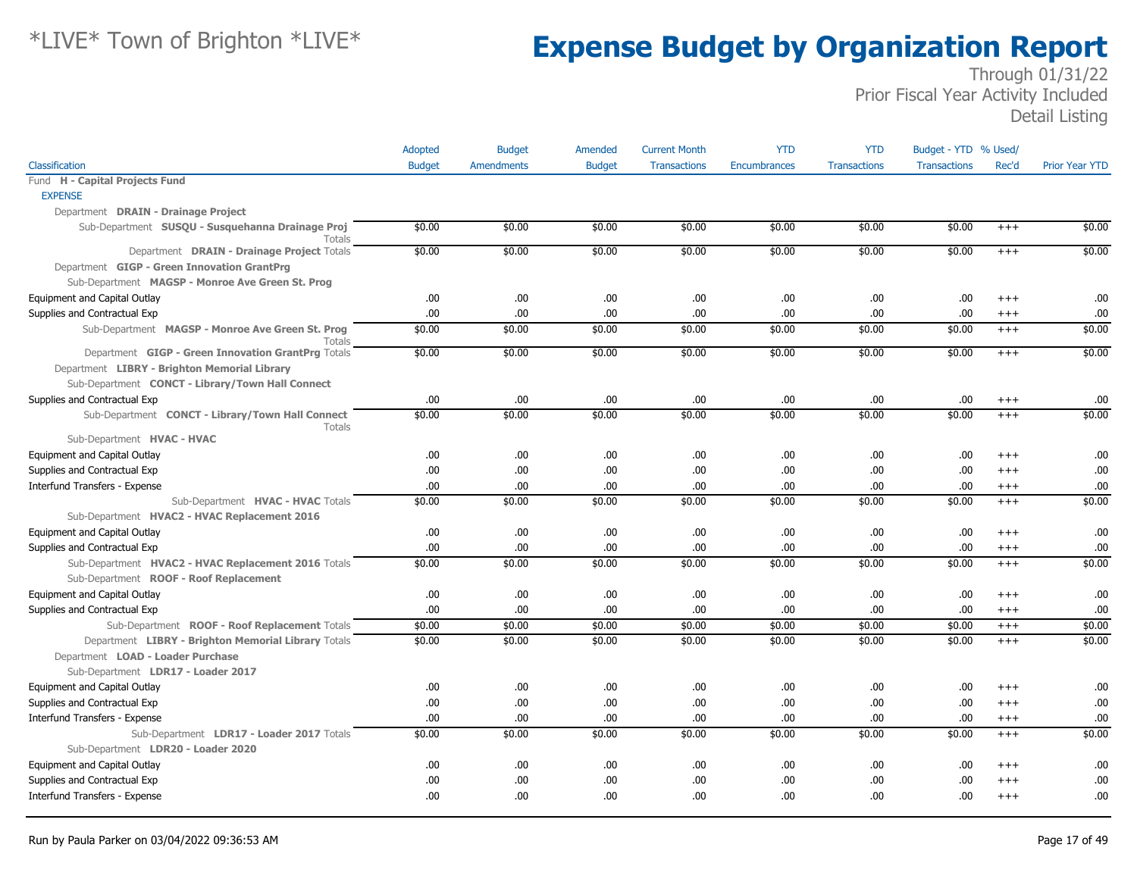|                                                                   | Adopted       | <b>Budget</b>     | Amended       | <b>Current Month</b> | <b>YTD</b>   | <b>YTD</b>          | Budget - YTD % Used/ |          |                       |
|-------------------------------------------------------------------|---------------|-------------------|---------------|----------------------|--------------|---------------------|----------------------|----------|-----------------------|
| Classification                                                    | <b>Budget</b> | <b>Amendments</b> | <b>Budget</b> | <b>Transactions</b>  | Encumbrances | <b>Transactions</b> | <b>Transactions</b>  | Rec'd    | <b>Prior Year YTD</b> |
| Fund H - Capital Projects Fund                                    |               |                   |               |                      |              |                     |                      |          |                       |
| <b>EXPENSE</b>                                                    |               |                   |               |                      |              |                     |                      |          |                       |
| Department DRAIN - Drainage Project                               |               |                   |               |                      |              |                     |                      |          |                       |
| Sub-Department SUSQU - Susquehanna Drainage Proj<br><b>Totals</b> | \$0.00        | \$0.00            | \$0.00        | \$0.00               | \$0.00       | \$0.00              | \$0.00               | $^{+++}$ | \$0.00                |
| Department DRAIN - Drainage Project Totals                        | \$0.00        | \$0.00            | \$0.00        | \$0.00               | \$0.00       | \$0.00              | \$0.00               | $+++$    | \$0.00                |
| Department GIGP - Green Innovation GrantPrg                       |               |                   |               |                      |              |                     |                      |          |                       |
| Sub-Department MAGSP - Monroe Ave Green St. Prog                  |               |                   |               |                      |              |                     |                      |          |                       |
| Equipment and Capital Outlay                                      | .00           | .00.              | .00           | .00.                 | .00          | .00.                | .00                  | $^{+++}$ | .00                   |
| Supplies and Contractual Exp                                      | .00           | .00.              | .00           | .00.                 | .00          | .00.                | .00                  | $^{+++}$ | .00                   |
| Sub-Department MAGSP - Monroe Ave Green St. Prog<br>Totals        | \$0.00        | \$0.00            | \$0.00        | \$0.00               | \$0.00       | \$0.00              | \$0.00               | $^{+++}$ | \$0.00                |
| Department GIGP - Green Innovation GrantPrg Totals                | \$0.00        | \$0.00            | \$0.00        | \$0.00               | \$0.00       | \$0.00              | \$0.00               | $+++$    | \$0.00                |
| Department LIBRY - Brighton Memorial Library                      |               |                   |               |                      |              |                     |                      |          |                       |
| Sub-Department CONCT - Library/Town Hall Connect                  |               |                   |               |                      |              |                     |                      |          |                       |
| Supplies and Contractual Exp                                      | .00           | .00.              | .00           | .00.                 | .00          | .00                 | .00                  | $^{+++}$ | .00                   |
| Sub-Department CONCT - Library/Town Hall Connect<br>Totals        | \$0.00        | \$0.00            | \$0.00        | \$0.00               | \$0.00       | \$0.00              | \$0.00               | $+++$    | \$0.00                |
| Sub-Department HVAC - HVAC                                        |               |                   |               |                      |              |                     |                      |          |                       |
| Equipment and Capital Outlay                                      | .00           | .00.              | .00           | .00.                 | .00          | .00.                | .00                  | $^{+++}$ | .00                   |
| Supplies and Contractual Exp                                      | .00           | .00.              | .00           | .00.                 | .00          | .00.                | .00                  | $^{+++}$ | .00                   |
| Interfund Transfers - Expense                                     | .00           | .00.              | .00           | .00                  | .00          | .00.                | .00                  | $^{+++}$ | .00                   |
| Sub-Department HVAC - HVAC Totals                                 | \$0.00        | \$0.00            | \$0.00        | \$0.00               | \$0.00       | \$0.00              | \$0.00               | $+++$    | \$0.00                |
| Sub-Department HVAC2 - HVAC Replacement 2016                      |               |                   |               |                      |              |                     |                      |          |                       |
| Equipment and Capital Outlay                                      | .00           | .00.              | .00           | .00.                 | .00          | .00.                | .00                  | $^{+++}$ | .00                   |
| Supplies and Contractual Exp                                      | .00           | .00.              | .00           | .00.                 | .00          | .00.                | .00                  | $^{+++}$ | .00                   |
| Sub-Department HVAC2 - HVAC Replacement 2016 Totals               | \$0.00        | \$0.00            | \$0.00        | \$0.00               | \$0.00       | \$0.00              | \$0.00               | $+++$    | \$0.00                |
| Sub-Department ROOF - Roof Replacement                            |               |                   |               |                      |              |                     |                      |          |                       |
| Equipment and Capital Outlay                                      | .00           | .00.              | .00           | .00                  | .00          | .00.                | .00                  | $^{+++}$ | .00                   |
| Supplies and Contractual Exp                                      | .00           | .00.              | .00           | .00.                 | .00          | .00.                | .00                  | $^{+++}$ | .00                   |
| Sub-Department ROOF - Roof Replacement Totals                     | \$0.00        | \$0.00            | \$0.00        | \$0.00               | \$0.00       | \$0.00              | \$0.00               | $^{+++}$ | \$0.00                |
| Department LIBRY - Brighton Memorial Library Totals               | \$0.00        | \$0.00            | \$0.00        | \$0.00               | \$0.00       | \$0.00              | \$0.00               | $+++$    | \$0.00                |
| Department LOAD - Loader Purchase                                 |               |                   |               |                      |              |                     |                      |          |                       |
| Sub-Department LDR17 - Loader 2017                                |               |                   |               |                      |              |                     |                      |          |                       |
| Equipment and Capital Outlay                                      | .00.          | .00.              | .00           | .00.                 | .00          | .00.                | .00                  | $^{+++}$ | .00                   |
| Supplies and Contractual Exp                                      | .00           | .00.              | .00           | .00.                 | .00          | .00.                | .00                  | $^{+++}$ | .00                   |
| Interfund Transfers - Expense                                     | .00           | .00.              | .00           | .00.                 | .00          | .00.                | .00                  | $^{+++}$ | .00                   |
| Sub-Department LDR17 - Loader 2017 Totals                         | \$0.00        | \$0.00            | \$0.00        | \$0.00               | \$0.00       | \$0.00              | \$0.00               | $+++$    | \$0.00                |
| Sub-Department LDR20 - Loader 2020                                |               |                   |               |                      |              |                     |                      |          |                       |
| Equipment and Capital Outlay                                      | .00.          | .00.              | .00           | .00.                 | .00          | .00                 | .00                  | $^{+++}$ | .00                   |
| Supplies and Contractual Exp                                      | .00           | .00.              | .00           | .00                  | .00          | .00.                | .00                  | $^{+++}$ | .00                   |
| Interfund Transfers - Expense                                     | .00           | .00.              | .00           | .00                  | .00          | .00                 | .00                  | $^{+++}$ | .00                   |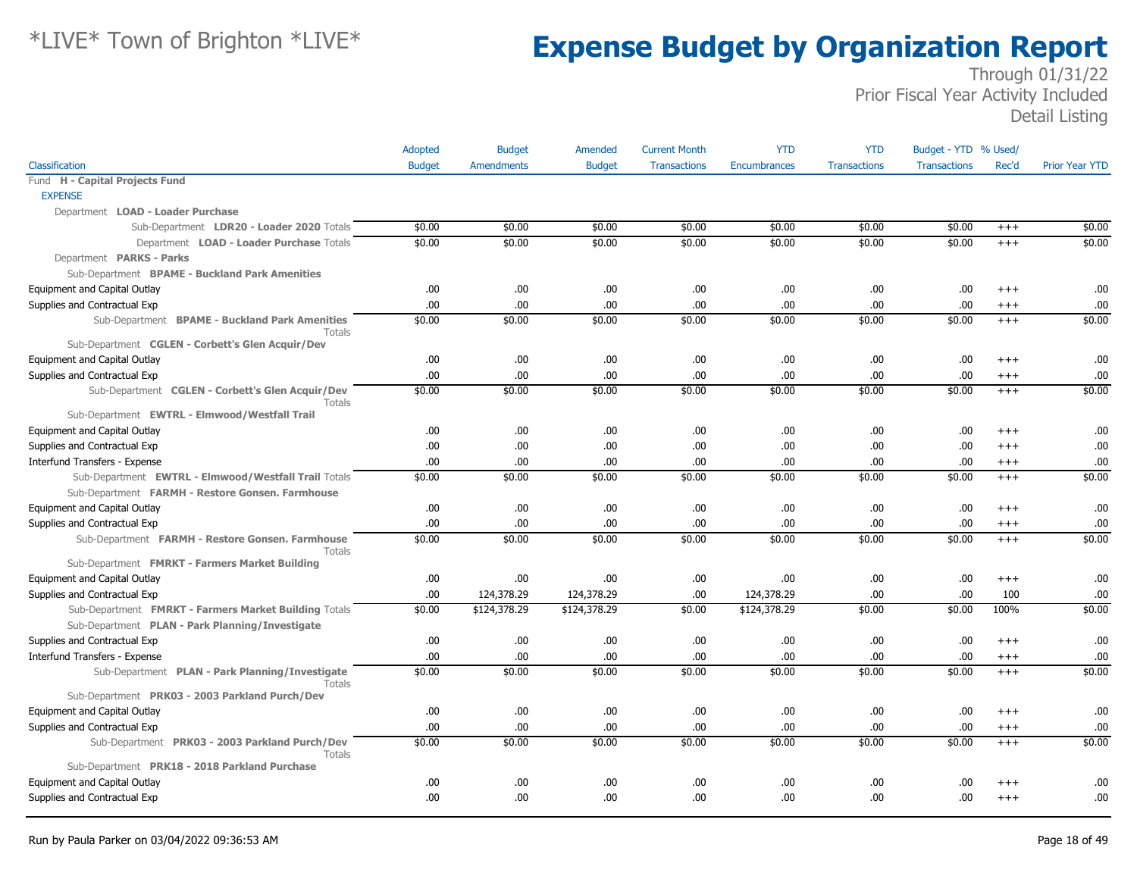|                                                                   | Adopted       | <b>Budget</b>     | Amended       | <b>Current Month</b> | <b>YTD</b>          | <b>YTD</b>          | Budget - YTD % Used/ |          |                       |
|-------------------------------------------------------------------|---------------|-------------------|---------------|----------------------|---------------------|---------------------|----------------------|----------|-----------------------|
| Classification                                                    | <b>Budget</b> | <b>Amendments</b> | <b>Budget</b> | <b>Transactions</b>  | <b>Encumbrances</b> | <b>Transactions</b> | <b>Transactions</b>  | Rec'd    | <b>Prior Year YTD</b> |
| Fund H - Capital Projects Fund                                    |               |                   |               |                      |                     |                     |                      |          |                       |
| <b>EXPENSE</b>                                                    |               |                   |               |                      |                     |                     |                      |          |                       |
| Department LOAD - Loader Purchase                                 |               |                   |               |                      |                     |                     |                      |          |                       |
| Sub-Department LDR20 - Loader 2020 Totals                         | \$0.00        | \$0.00            | \$0.00        | \$0.00               | \$0.00              | \$0.00              | \$0.00               | $+++$    | \$0.00                |
| Department LOAD - Loader Purchase Totals                          | \$0.00        | \$0.00            | \$0.00        | \$0.00               | \$0.00              | \$0.00              | \$0.00               | $+++$    | \$0.00                |
| Department PARKS - Parks                                          |               |                   |               |                      |                     |                     |                      |          |                       |
| Sub-Department BPAME - Buckland Park Amenities                    |               |                   |               |                      |                     |                     |                      |          |                       |
| Equipment and Capital Outlay                                      | .00.          | .00.              | .00.          | .00                  | .00.                | .00                 | .00.                 | $^{++}$  | .00                   |
| Supplies and Contractual Exp                                      | .00.          | .00.              | .00.          | .00                  | .00.                | .00                 | .00.                 | $^{+++}$ | .00                   |
| Sub-Department BPAME - Buckland Park Amenities<br><b>Totals</b>   | \$0.00        | \$0.00            | \$0.00        | \$0.00               | \$0.00              | \$0.00              | \$0.00               | $+++$    | \$0.00                |
| Sub-Department CGLEN - Corbett's Glen Acquir/Dev                  |               |                   |               |                      |                     |                     |                      |          |                       |
| Equipment and Capital Outlay                                      | .00.          | .00.              | .00.          | .00                  | .00                 | .00                 | .00.                 | $+++$    | .00                   |
| Supplies and Contractual Exp                                      | .00           | .00               | .00           | .00                  | .00                 | .00                 | .00.                 | $+++$    | .00                   |
| Sub-Department CGLEN - Corbett's Glen Acquir/Dev<br><b>Totals</b> | \$0.00        | \$0.00            | \$0.00        | \$0.00               | \$0.00              | \$0.00              | \$0.00               | $+++$    | \$0.00                |
| Sub-Department EWTRL - Elmwood/Westfall Trail                     |               |                   |               |                      |                     |                     |                      |          |                       |
| Equipment and Capital Outlay                                      | .00.          | .00.              | .00           | .00                  | .00.                | .00                 | .00.                 | $+++$    | .00                   |
| Supplies and Contractual Exp                                      | .00.          | .00               | .00           | .00                  | .00.                | .00                 | .00.                 | $^{+++}$ | .00                   |
| Interfund Transfers - Expense                                     | .00           | .00.              | .00           | .00                  | .00.                | .00                 | .00                  | $^{+++}$ | .00                   |
| Sub-Department EWTRL - Elmwood/Westfall Trail Totals              | \$0.00        | \$0.00            | \$0.00        | \$0.00               | \$0.00              | \$0.00              | \$0.00               | $+++$    | \$0.00                |
| Sub-Department FARMH - Restore Gonsen. Farmhouse                  |               |                   |               |                      |                     |                     |                      |          |                       |
| Equipment and Capital Outlay                                      | .00.          | .00.              | .00.          | .00                  | .00                 | .00                 | .00.                 | $^{++}$  | .00                   |
| Supplies and Contractual Exp                                      | .00           | .00               | .00.          | .00                  | .00                 | .00                 | .00                  | $+++$    | .00                   |
| Sub-Department FARMH - Restore Gonsen. Farmhouse<br>Totals        | \$0.00        | \$0.00            | \$0.00        | \$0.00               | \$0.00              | \$0.00              | \$0.00               | $+++$    | \$0.00                |
| Sub-Department FMRKT - Farmers Market Building                    |               |                   |               |                      |                     |                     |                      |          |                       |
| Equipment and Capital Outlay                                      | .00.          | .00.              | .00           | .00                  | .00.                | .00                 | .00.                 | $^{+++}$ | .00                   |
| Supplies and Contractual Exp                                      | .00           | 124,378.29        | 124,378.29    | .00                  | 124,378.29          | .00                 | .00.                 | 100      | .00                   |
| Sub-Department FMRKT - Farmers Market Building Totals             | \$0.00        | \$124,378.29      | \$124,378.29  | \$0.00               | \$124,378.29        | \$0.00              | \$0.00               | 100%     | \$0.00                |
| Sub-Department PLAN - Park Planning/Investigate                   |               |                   |               |                      |                     |                     |                      |          |                       |
| Supplies and Contractual Exp                                      | .00.          | .00.              | .00           | .00                  | .00.                | .00                 | .00.                 | $^{+++}$ | .00.                  |
| Interfund Transfers - Expense                                     | .00.          | .00.              | .00           | .00                  | .00                 | .00                 | .00.                 | $^{+++}$ | .00                   |
| Sub-Department PLAN - Park Planning/Investigate<br>Totals         | \$0.00        | \$0.00            | \$0.00        | \$0.00               | \$0.00              | \$0.00              | \$0.00               | $^{+++}$ | \$0.00                |
| Sub-Department PRK03 - 2003 Parkland Purch/Dev                    |               |                   |               |                      |                     |                     |                      |          |                       |
| Equipment and Capital Outlay                                      | .00           | .00.              | .00           | .00                  | .00.                | .00                 | .00.                 | $+++$    | .00                   |
| Supplies and Contractual Exp                                      | .00           | .00               | .00.          | .00                  | .00                 | .00                 | .00.                 | $^{+++}$ | .00                   |
| Sub-Department PRK03 - 2003 Parkland Purch/Dev<br><b>Totals</b>   | \$0.00        | \$0.00            | \$0.00        | \$0.00               | \$0.00              | \$0.00              | \$0.00               | $+++$    | \$0.00                |
| Sub-Department PRK18 - 2018 Parkland Purchase                     |               |                   |               |                      |                     |                     |                      |          |                       |
| Equipment and Capital Outlay                                      | .00           | .00.              | .00.          | .00                  | .00                 | .00                 | .00                  | $^{++}$  | .00                   |
| Supplies and Contractual Exp                                      | .00           | .00               | .00           | .00                  | .00                 | .00                 | .00.                 | $^{++}$  | .00                   |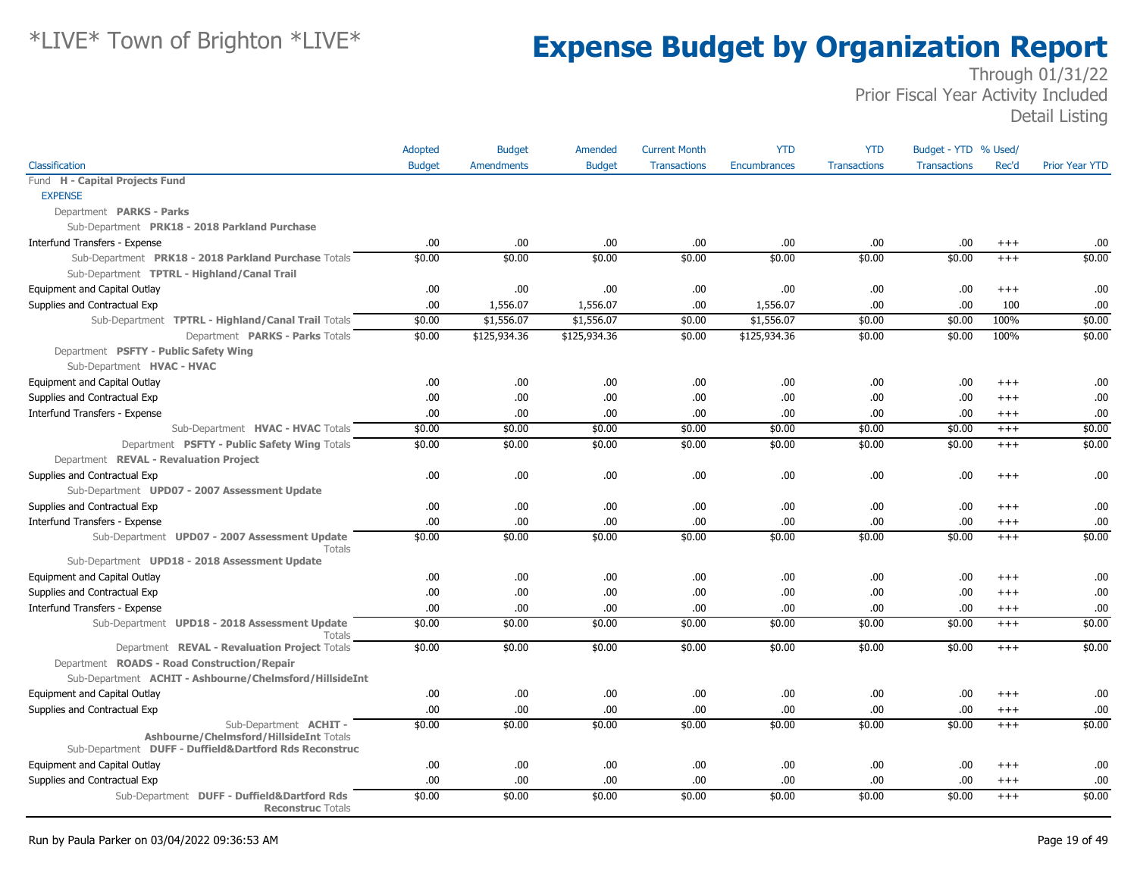|                                                                         | Adopted       | <b>Budget</b>     | Amended       | <b>Current Month</b> | <b>YTD</b>   | <b>YTD</b>          | Budget - YTD % Used/ |          |                       |
|-------------------------------------------------------------------------|---------------|-------------------|---------------|----------------------|--------------|---------------------|----------------------|----------|-----------------------|
| Classification                                                          | <b>Budget</b> | <b>Amendments</b> | <b>Budget</b> | <b>Transactions</b>  | Encumbrances | <b>Transactions</b> | <b>Transactions</b>  | Rec'd    | <b>Prior Year YTD</b> |
| Fund H - Capital Projects Fund                                          |               |                   |               |                      |              |                     |                      |          |                       |
| <b>EXPENSE</b>                                                          |               |                   |               |                      |              |                     |                      |          |                       |
| Department PARKS - Parks                                                |               |                   |               |                      |              |                     |                      |          |                       |
| Sub-Department PRK18 - 2018 Parkland Purchase                           |               |                   |               |                      |              |                     |                      |          |                       |
| Interfund Transfers - Expense                                           | .00           | .00               | .00.          | .00                  | .00          | .00                 | .00                  | $^{+++}$ | .00                   |
| Sub-Department PRK18 - 2018 Parkland Purchase Totals                    | \$0.00        | \$0.00            | \$0.00        | \$0.00               | \$0.00       | \$0.00              | \$0.00               | $+++$    | \$0.00                |
| Sub-Department TPTRL - Highland/Canal Trail                             |               |                   |               |                      |              |                     |                      |          |                       |
| Equipment and Capital Outlay                                            | .00           | .00.              | .00           | .00                  | .00          | .00.                | .00                  | $^{+++}$ | .00                   |
| Supplies and Contractual Exp                                            | .00           | 1,556.07          | 1,556.07      | .00.                 | 1,556.07     | .00                 | .00                  | 100      | .00                   |
| Sub-Department TPTRL - Highland/Canal Trail Totals                      | \$0.00        | \$1,556.07        | \$1,556.07    | \$0.00               | \$1,556.07   | \$0.00              | \$0.00               | 100%     | \$0.00                |
| Department PARKS - Parks Totals                                         | \$0.00        | \$125,934.36      | \$125,934.36  | \$0.00               | \$125,934.36 | \$0.00              | \$0.00               | 100%     | \$0.00                |
| Department PSFTY - Public Safety Wing                                   |               |                   |               |                      |              |                     |                      |          |                       |
| Sub-Department HVAC - HVAC                                              |               |                   |               |                      |              |                     |                      |          |                       |
| Equipment and Capital Outlay                                            | .00           | .00.              | .00.          | .00                  | .00.         | .00                 | .00                  | $+++$    | .00                   |
| Supplies and Contractual Exp                                            | .00           | .00.              | .00           | .00                  | .00          | .00.                | .00                  | $^{+++}$ | .00                   |
| Interfund Transfers - Expense                                           | .00           | .00.              | .00           | .00.                 | .00.         | .00.                | .00                  | $+++$    | .00                   |
| Sub-Department HVAC - HVAC Totals                                       | \$0.00        | \$0.00            | \$0.00        | \$0.00               | \$0.00       | \$0.00              | \$0.00               | $^{+++}$ | \$0.00                |
| Department PSFTY - Public Safety Wing Totals                            | \$0.00        | \$0.00            | \$0.00        | \$0.00               | \$0.00       | \$0.00              | \$0.00               | $+++$    | \$0.00                |
| Department REVAL - Revaluation Project                                  |               |                   |               |                      |              |                     |                      |          |                       |
| Supplies and Contractual Exp                                            | .00           | .00.              | .00           | .00.                 | .00          | .00.                | .00                  | $+++$    | .00                   |
| Sub-Department UPD07 - 2007 Assessment Update                           |               |                   |               |                      |              |                     |                      |          |                       |
| Supplies and Contractual Exp                                            | .00           | .00.              | .00.          | .00.                 | .00          | .00                 | .00                  | $^{++}$  | .00                   |
| Interfund Transfers - Expense                                           | .00           | .00.              | .00           | .00.                 | .00.         | .00                 | .00                  | $+++$    | .00                   |
| Sub-Department UPD07 - 2007 Assessment Update<br>Totals                 | \$0.00        | \$0.00            | \$0.00        | \$0.00               | \$0.00       | \$0.00              | \$0.00               | $^{+++}$ | \$0.00                |
| Sub-Department UPD18 - 2018 Assessment Update                           |               |                   |               |                      |              |                     |                      |          |                       |
| Equipment and Capital Outlay                                            | .00           | .00.              | .00           | .00.                 | .00.         | .00.                | .00                  | $^{+++}$ | .00                   |
| Supplies and Contractual Exp                                            | .00           | .00.              | .00           | .00.                 | .00          | .00.                | .00                  | $^{+++}$ | .00                   |
| Interfund Transfers - Expense                                           | .00           | .00.              | .00.          | .00.                 | .00.         | .00                 | .00                  | $++++$   | .00                   |
| Sub-Department UPD18 - 2018 Assessment Update<br><b>Totals</b>          | \$0.00        | \$0.00            | \$0.00        | \$0.00               | \$0.00       | \$0.00              | \$0.00               | $^{+++}$ | \$0.00                |
| Department REVAL - Revaluation Project Totals                           | \$0.00        | \$0.00            | \$0.00        | \$0.00               | \$0.00       | \$0.00              | \$0.00               | $^{+++}$ | \$0.00                |
| Department ROADS - Road Construction/Repair                             |               |                   |               |                      |              |                     |                      |          |                       |
| Sub-Department ACHIT - Ashbourne/Chelmsford/HillsideInt                 |               |                   |               |                      |              |                     |                      |          |                       |
| Equipment and Capital Outlay                                            | .00           | .00.              | .00           | .00.                 | .00          | .00                 | .00                  | $^{++}$  | .00                   |
| Supplies and Contractual Exp                                            | .00           | .00.              | .00           | .00                  | .00          | .00.                | .00                  | $^{+++}$ | .00                   |
| Sub-Department ACHIT-<br>Ashbourne/Chelmsford/HillsideInt Totals        | \$0.00        | \$0.00            | \$0.00        | \$0.00               | \$0.00       | \$0.00              | \$0.00               | $+++$    | \$0.00                |
| Sub-Department DUFF - Duffield&Dartford Rds Reconstruc                  |               |                   |               |                      |              |                     |                      |          |                       |
| Equipment and Capital Outlay                                            | .00           | .00.              | .00           | .00.                 | .00.         | .00.                | .00                  | $^{+++}$ | .00                   |
| Supplies and Contractual Exp                                            | .00           | .00.              | .00           | .00                  | .00          | .00.                | .00                  | $++++$   | .00                   |
| Sub-Department DUFF - Duffield&Dartford Rds<br><b>Reconstruc Totals</b> | \$0.00        | \$0.00            | \$0.00        | \$0.00               | \$0.00       | \$0.00              | \$0.00               | $+++$    | \$0.00                |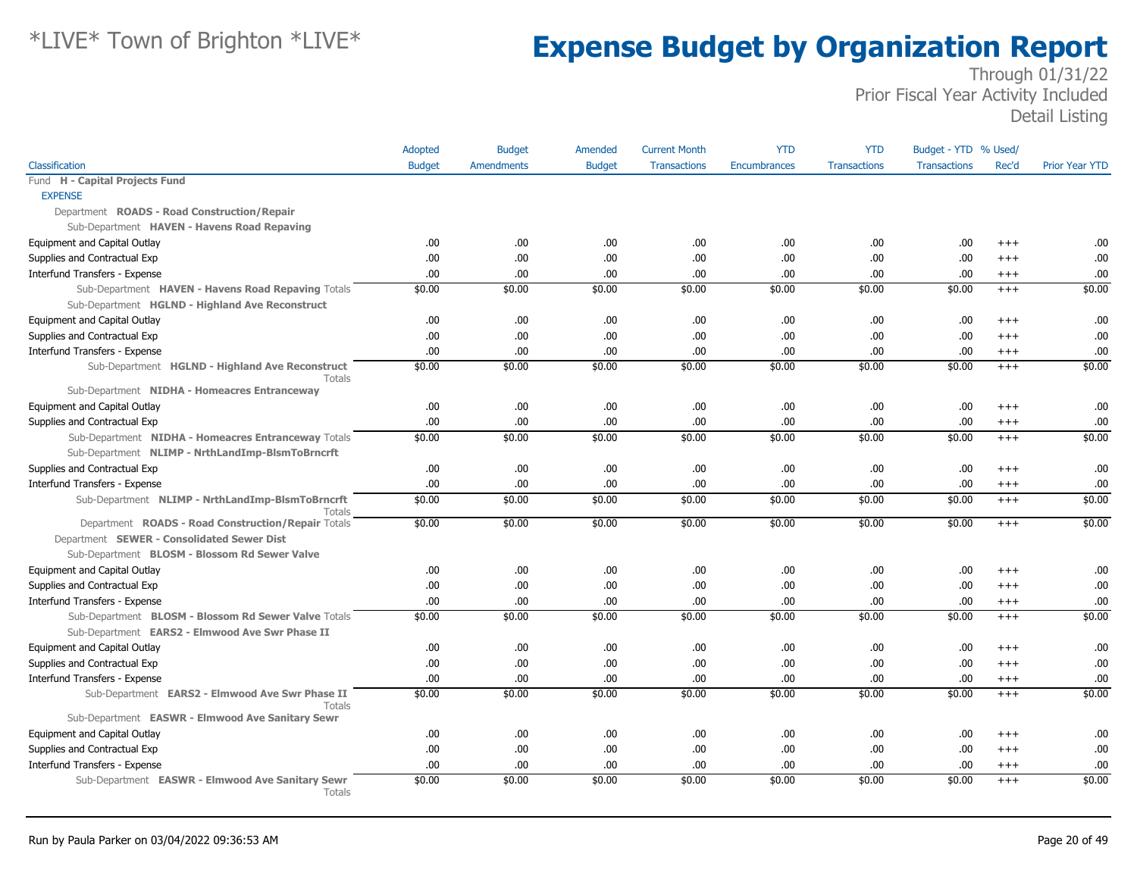|                                                                   | Adopted       | <b>Budget</b>     | Amended       | <b>Current Month</b> | <b>YTD</b>          | <b>YTD</b>          | Budget - YTD % Used/ |          |                       |
|-------------------------------------------------------------------|---------------|-------------------|---------------|----------------------|---------------------|---------------------|----------------------|----------|-----------------------|
| Classification                                                    | <b>Budget</b> | <b>Amendments</b> | <b>Budget</b> | <b>Transactions</b>  | <b>Encumbrances</b> | <b>Transactions</b> | <b>Transactions</b>  | Rec'd    | <b>Prior Year YTD</b> |
| Fund H - Capital Projects Fund                                    |               |                   |               |                      |                     |                     |                      |          |                       |
| <b>EXPENSE</b>                                                    |               |                   |               |                      |                     |                     |                      |          |                       |
| Department ROADS - Road Construction/Repair                       |               |                   |               |                      |                     |                     |                      |          |                       |
| Sub-Department HAVEN - Havens Road Repaving                       |               |                   |               |                      |                     |                     |                      |          |                       |
| Equipment and Capital Outlay                                      | .00           | .00               | .00.          | .00                  | .00                 | .00.                | .00                  | $+++$    | .00.                  |
| Supplies and Contractual Exp                                      | .00.          | .00.              | 00.           | .00                  | .00                 | .00                 | .00                  | $+++$    | .00                   |
| Interfund Transfers - Expense                                     | .00.          | .00.              | .00.          | .00                  | .00                 | .00                 | .00                  | $+++$    | .00.                  |
| Sub-Department HAVEN - Havens Road Repaving Totals                | \$0.00        | \$0.00            | \$0.00        | \$0.00               | \$0.00              | \$0.00              | \$0.00               | $^{+++}$ | \$0.00                |
| Sub-Department HGLND - Highland Ave Reconstruct                   |               |                   |               |                      |                     |                     |                      |          |                       |
| Equipment and Capital Outlay                                      | .00.          | .00.              | .00.          | .00.                 | .00                 | .00                 | .00                  | $+++$    | .00.                  |
| Supplies and Contractual Exp                                      | .00.          | .00               | .00.          | .00                  | .00                 | .00                 | .00                  | $+++$    | .00                   |
| Interfund Transfers - Expense                                     | .00.          | .00               | .00.          | .00.                 | .00                 | .00                 | .00                  | $^{+++}$ | .00                   |
| Sub-Department HGLND - Highland Ave Reconstruct                   | \$0.00        | \$0.00            | \$0.00        | \$0.00               | \$0.00              | \$0.00              | \$0.00               | $+++$    | \$0.00                |
| Totals<br>Sub-Department NIDHA - Homeacres Entranceway            |               |                   |               |                      |                     |                     |                      |          |                       |
| Equipment and Capital Outlay                                      | .00.          | .00               | .00.          | .00                  | .00                 | .00                 | .00                  | $+++$    | .00                   |
| Supplies and Contractual Exp                                      | .00.          | .00               | .00.          | .00.                 | .00                 | .00                 | .00                  | $+++$    | .00                   |
| Sub-Department NIDHA - Homeacres Entranceway Totals               | \$0.00        | \$0.00            | \$0.00        | \$0.00               | \$0.00              | \$0.00              | \$0.00               | $+++$    | \$0.00                |
| Sub-Department NLIMP - NrthLandImp-BlsmToBrncrft                  |               |                   |               |                      |                     |                     |                      |          |                       |
| Supplies and Contractual Exp                                      | .00.          | .00               | .00.          | .00                  | .00                 | .00                 | .00                  | $+++$    | .00                   |
| Interfund Transfers - Expense                                     | .00.          | .00.              | .00.          | .00                  | .00                 | .00                 | .00                  | $^{+++}$ | .00.                  |
| Sub-Department NLIMP - NrthLandImp-BlsmToBrncrft                  | \$0.00        | \$0.00            | \$0.00        | \$0.00               | \$0.00              | \$0.00              | \$0.00               | $+++$    | \$0.00                |
| Totals                                                            |               |                   |               |                      |                     |                     |                      |          |                       |
| Department ROADS - Road Construction/Repair Totals                | \$0.00        | \$0.00            | \$0.00        | \$0.00               | \$0.00              | \$0.00              | \$0.00               | $+++$    | \$0.00                |
| Department SEWER - Consolidated Sewer Dist                        |               |                   |               |                      |                     |                     |                      |          |                       |
| Sub-Department BLOSM - Blossom Rd Sewer Valve                     |               |                   |               |                      |                     |                     |                      |          |                       |
| Equipment and Capital Outlay                                      | .00.          | .00               | .00.          | .00                  | .00                 | .00                 | .00                  | $^{+++}$ | .00                   |
| Supplies and Contractual Exp                                      | .00.          | .00               | .00.          | .00                  | .00                 | .00                 | .00                  | $+++$    | .00                   |
| Interfund Transfers - Expense                                     | .00.          | .00.              | .00.          | .00.                 | .00                 | .00                 | .00                  | $+++$    | .00                   |
| Sub-Department BLOSM - Blossom Rd Sewer Valve Totals              | \$0.00        | \$0.00            | \$0.00        | \$0.00               | \$0.00              | \$0.00              | \$0.00               | $+++$    | \$0.00                |
| Sub-Department EARS2 - Elmwood Ave Swr Phase II                   |               |                   |               |                      |                     |                     |                      |          |                       |
| Equipment and Capital Outlay                                      | .00.          | .00.              | .00.          | .00                  | .00                 | .00                 | .00                  | $+++$    | .00                   |
| Supplies and Contractual Exp                                      | .00.          | .00               | .00.          | .00                  | .00                 | .00                 | .00                  | $+++$    | .00                   |
| Interfund Transfers - Expense                                     | .00.          | .00               | .00.          | .00                  | .00                 | .00                 | .00                  | $+++$    | .00                   |
| Sub-Department EARS2 - Elmwood Ave Swr Phase II<br><b>Totals</b>  | \$0.00        | \$0.00            | \$0.00        | \$0.00               | \$0.00              | \$0.00              | \$0.00               | $+++$    | \$0.00                |
| Sub-Department EASWR - Elmwood Ave Sanitary Sewr                  |               |                   |               |                      |                     |                     |                      |          |                       |
| Equipment and Capital Outlay                                      | .00.          | .00               | .00.          | .00                  | .00                 | .00                 | .00                  | $+++$    | .00.                  |
| Supplies and Contractual Exp                                      | .00.          | .00               | .00.          | .00                  | .00                 | .00                 | .00                  | $+++$    | .00                   |
| Interfund Transfers - Expense                                     | .00.          | .00               | .00.          | .00                  | .00                 | .00                 | .00                  | $+++$    | .00                   |
| Sub-Department EASWR - Elmwood Ave Sanitary Sewr<br><b>Totals</b> | \$0.00        | \$0.00            | \$0.00        | \$0.00               | \$0.00              | \$0.00              | \$0.00               | $+++$    | \$0.00                |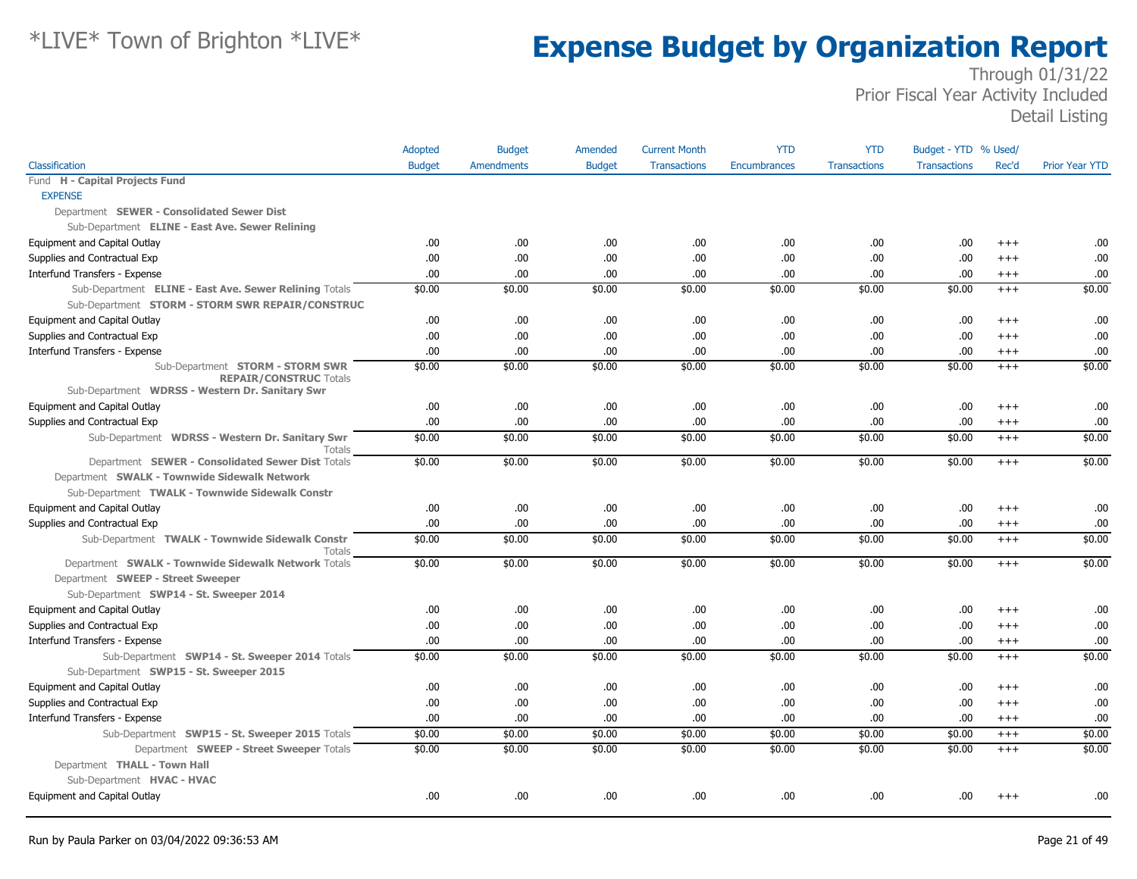|                                                                                           | Adopted       | <b>Budget</b>     | Amended        | <b>Current Month</b> | <b>YTD</b>          | <b>YTD</b>          | Budget - YTD % Used/ |                      |                       |
|-------------------------------------------------------------------------------------------|---------------|-------------------|----------------|----------------------|---------------------|---------------------|----------------------|----------------------|-----------------------|
| Classification                                                                            | <b>Budget</b> | <b>Amendments</b> | <b>Budget</b>  | <b>Transactions</b>  | <b>Encumbrances</b> | <b>Transactions</b> | <b>Transactions</b>  | Rec'd                | <b>Prior Year YTD</b> |
| Fund H - Capital Projects Fund                                                            |               |                   |                |                      |                     |                     |                      |                      |                       |
| <b>EXPENSE</b>                                                                            |               |                   |                |                      |                     |                     |                      |                      |                       |
| Department SEWER - Consolidated Sewer Dist                                                |               |                   |                |                      |                     |                     |                      |                      |                       |
| Sub-Department ELINE - East Ave. Sewer Relining                                           |               |                   |                |                      |                     |                     |                      |                      |                       |
| Equipment and Capital Outlay                                                              | .00           | .00               | .00.           | .00.                 | .00.                | .00                 | .00                  | $^{+++}$             | .00                   |
| Supplies and Contractual Exp                                                              | .00.          | .00               | .00.           | .00                  | .00                 | .00                 | .00                  | $+++$                | .00                   |
| Interfund Transfers - Expense                                                             | .00.          | .00               | .00.           | .00                  | .00                 | .00                 | .00.                 | $+++$                | .00                   |
| Sub-Department ELINE - East Ave. Sewer Relining Totals                                    | \$0.00        | \$0.00            | \$0.00         | \$0.00               | \$0.00              | \$0.00              | \$0.00               | $+++$                | \$0.00                |
| Sub-Department STORM - STORM SWR REPAIR/CONSTRUC                                          |               |                   |                |                      |                     |                     |                      |                      |                       |
| Equipment and Capital Outlay                                                              | .00.          | .00.              | .00.           | .00                  | .00                 | .00                 | .00                  | $^{+++}$             | .00                   |
| Supplies and Contractual Exp                                                              | .00.          | .00.              | .00.           | .00.                 | .00.                | .00                 | .00.                 | $+++$                | .00                   |
| Interfund Transfers - Expense                                                             | .00.          | .00               | .00.           | .00                  | .00                 | .00                 | .00.                 | $^{+++}$             | .00                   |
| Sub-Department STORM - STORM SWR                                                          | \$0.00        | \$0.00            | \$0.00         | \$0.00               | \$0.00              | \$0.00              | \$0.00               | $^{+++}$             | \$0.00                |
| <b>REPAIR/CONSTRUC Totals</b><br>Sub-Department WDRSS - Western Dr. Sanitary Swr          |               |                   |                |                      |                     |                     |                      |                      |                       |
| Equipment and Capital Outlay                                                              | .00.          | .00               | .00.           | .00                  | .00.                | .00                 | .00.                 | $+++$                | .00                   |
| Supplies and Contractual Exp                                                              | .00.          | .00               | .00.           | .00                  | .00                 | .00                 | .00                  | $+++$                | .00                   |
| Sub-Department WDRSS - Western Dr. Sanitary Swr<br>Totals                                 | \$0.00        | \$0.00            | \$0.00         | \$0.00               | \$0.00              | \$0.00              | \$0.00               | $+++$                | \$0.00                |
| Department SEWER - Consolidated Sewer Dist Totals                                         | \$0.00        | \$0.00            | \$0.00         | \$0.00               | \$0.00              | \$0.00              | \$0.00               | $+++$                | \$0.00                |
| Department SWALK - Townwide Sidewalk Network                                              |               |                   |                |                      |                     |                     |                      |                      |                       |
| Sub-Department TWALK - Townwide Sidewalk Constr                                           |               |                   |                |                      |                     |                     |                      |                      |                       |
| Equipment and Capital Outlay                                                              | .00.          | .00               | .00.           | .00                  | .00                 | .00                 | .00                  | $^{+++}$             | .00                   |
| Supplies and Contractual Exp                                                              | .00.          | .00.              | .00.           | .00                  | .00.                | .00                 | .00                  | $^{+++}$             | .00                   |
| Sub-Department TWALK - Townwide Sidewalk Constr<br>Totals                                 | \$0.00        | \$0.00            | \$0.00         | \$0.00               | \$0.00              | \$0.00              | \$0.00               | $+++$                | \$0.00                |
| Department SWALK - Townwide Sidewalk Network Totals<br>Department SWEEP - Street Sweeper  | \$0.00        | \$0.00            | \$0.00         | \$0.00               | \$0.00              | \$0.00              | \$0.00               | $+++$                | \$0.00                |
| Sub-Department SWP14 - St. Sweeper 2014                                                   |               |                   |                |                      |                     |                     |                      |                      |                       |
| Equipment and Capital Outlay                                                              | .00.          | .00               | .00.           | .00                  | .00.                | .00                 | .00                  | $+++$                | .00                   |
|                                                                                           | .00.          | .00.              | .00.           | .00                  | .00.                | .00                 | .00                  | $+++$                | .00                   |
| Supplies and Contractual Exp                                                              | .00.          |                   |                |                      |                     | .00.                | .00.                 |                      |                       |
| Interfund Transfers - Expense                                                             | \$0.00        | .00.<br>\$0.00    | .00.<br>\$0.00 | .00<br>\$0.00        | .00.<br>\$0.00      | \$0.00              |                      | $+++$                | .00<br>\$0.00         |
| Sub-Department SWP14 - St. Sweeper 2014 Totals<br>Sub-Department SWP15 - St. Sweeper 2015 |               |                   |                |                      |                     |                     | \$0.00               | $^{+++}$             |                       |
| Equipment and Capital Outlay                                                              | .00.          | .00               | .00.           | .00                  | .00                 | .00                 | .00.                 |                      | .00                   |
|                                                                                           | 00.           | .00.              | .00.           | .00                  | .00.                | .00                 | .00.                 | $+++$<br>$+++$       | .00                   |
| Supplies and Contractual Exp                                                              | .00.          | .00               | .00.           | .00                  | .00.                | .00                 | .00.                 |                      |                       |
| Interfund Transfers - Expense<br>Sub-Department SWP15 - St. Sweeper 2015 Totals           | \$0.00        | \$0.00            | \$0.00         | \$0.00               | \$0.00              | \$0.00              | \$0.00               | $^{+++}$<br>$^{+++}$ | .00<br>\$0.00         |
|                                                                                           |               |                   |                |                      |                     |                     |                      |                      |                       |
| Department SWEEP - Street Sweeper Totals                                                  | \$0.00        | \$0.00            | \$0.00         | \$0.00               | \$0.00              | \$0.00              | \$0.00               | $^{+++}$             | \$0.00                |
| Department THALL - Town Hall                                                              |               |                   |                |                      |                     |                     |                      |                      |                       |
| Sub-Department HVAC - HVAC                                                                |               |                   |                |                      |                     |                     |                      |                      |                       |
| Equipment and Capital Outlay                                                              | .00.          | .00.              | .00.           | .00                  | .00                 | .00                 | .00                  | $^{+++}$             | .00                   |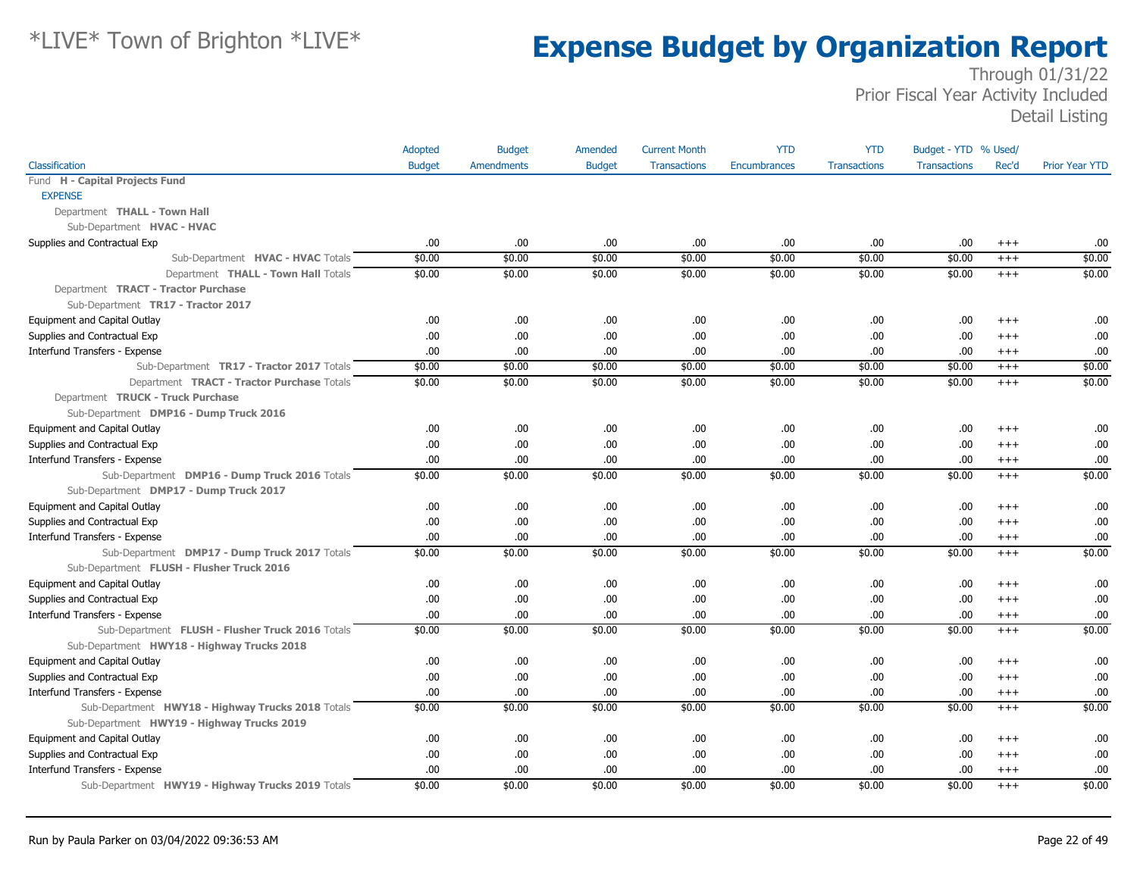|                                                   | Adopted       | <b>Budget</b>     | Amended       | <b>Current Month</b> | <b>YTD</b>          | <b>YTD</b>          | Budget - YTD % Used/ |          |                       |
|---------------------------------------------------|---------------|-------------------|---------------|----------------------|---------------------|---------------------|----------------------|----------|-----------------------|
| Classification                                    | <b>Budget</b> | <b>Amendments</b> | <b>Budget</b> | <b>Transactions</b>  | <b>Encumbrances</b> | <b>Transactions</b> | <b>Transactions</b>  | Rec'd    | <b>Prior Year YTD</b> |
| Fund H - Capital Projects Fund                    |               |                   |               |                      |                     |                     |                      |          |                       |
| <b>EXPENSE</b>                                    |               |                   |               |                      |                     |                     |                      |          |                       |
| Department THALL - Town Hall                      |               |                   |               |                      |                     |                     |                      |          |                       |
| Sub-Department HVAC - HVAC                        |               |                   |               |                      |                     |                     |                      |          |                       |
| Supplies and Contractual Exp                      | .00.          | .00.              | .00           | .00                  | .00.                | .00.                | .00.                 | $^{++}$  | .00.                  |
| Sub-Department HVAC - HVAC Totals                 | \$0.00        | \$0.00            | \$0.00        | \$0.00               | \$0.00              | \$0.00              | \$0.00               | $+++$    | \$0.00                |
| Department THALL - Town Hall Totals               | \$0.00        | \$0.00            | \$0.00        | \$0.00               | \$0.00              | \$0.00              | \$0.00               | $+++$    | \$0.00                |
| Department TRACT - Tractor Purchase               |               |                   |               |                      |                     |                     |                      |          |                       |
| Sub-Department TR17 - Tractor 2017                |               |                   |               |                      |                     |                     |                      |          |                       |
| <b>Equipment and Capital Outlay</b>               | .00.          | .00               | .00.          | .00                  | .00                 | .00                 | .00                  | $^{+++}$ | .00                   |
| Supplies and Contractual Exp                      | .00.          | .00               | .00.          | .00                  | .00                 | .00                 | .00                  | $^{+++}$ | .00                   |
| Interfund Transfers - Expense                     | .00           | .00               | .00.          | .00                  | .00.                | .00                 | .00                  | $^{+++}$ | .00.                  |
| Sub-Department TR17 - Tractor 2017 Totals         | \$0.00        | \$0.00            | \$0.00        | \$0.00               | \$0.00              | \$0.00              | \$0.00               | $^{+++}$ | \$0.00                |
| Department TRACT - Tractor Purchase Totals        | \$0.00        | \$0.00            | \$0.00        | \$0.00               | \$0.00              | \$0.00              | \$0.00               | $+++$    | \$0.00                |
| Department TRUCK - Truck Purchase                 |               |                   |               |                      |                     |                     |                      |          |                       |
| Sub-Department DMP16 - Dump Truck 2016            |               |                   |               |                      |                     |                     |                      |          |                       |
| Equipment and Capital Outlay                      | .00.          | .00               | .00           | .00                  | .00                 | .00                 | .00                  | $^{++}$  | .00.                  |
| Supplies and Contractual Exp                      | .00.          | .00               | .00.          | .00                  | .00                 | .00.                | .00                  | $^{++}$  | .00                   |
| Interfund Transfers - Expense                     | .00.          | .00               | .00.          | .00                  | .00                 | .00.                | .00                  | $^{+++}$ | .00                   |
| Sub-Department DMP16 - Dump Truck 2016 Totals     | \$0.00        | \$0.00            | \$0.00        | \$0.00               | \$0.00              | \$0.00              | \$0.00               | $^{+++}$ | \$0.00                |
| Sub-Department DMP17 - Dump Truck 2017            |               |                   |               |                      |                     |                     |                      |          |                       |
| Equipment and Capital Outlay                      | .00.          | .00               | .00.          | .00                  | .00                 | .00                 | .00                  | $^{++}$  | .00.                  |
| Supplies and Contractual Exp                      | .00           | .00               | .00.          | .00                  | .00                 | .00                 | .00                  | $^{++}$  | .00                   |
| Interfund Transfers - Expense                     | .00.          | .00               | .00.          | .00                  | .00                 | .00.                | .00                  | $^{++}$  | .00                   |
| Sub-Department DMP17 - Dump Truck 2017 Totals     | \$0.00        | \$0.00            | \$0.00        | \$0.00               | \$0.00              | \$0.00              | \$0.00               | $+++$    | \$0.00                |
| Sub-Department FLUSH - Flusher Truck 2016         |               |                   |               |                      |                     |                     |                      |          |                       |
| Equipment and Capital Outlay                      | .00           | .00               | .00.          | .00                  | .00                 | .00                 | .00                  | $^{+++}$ | .00.                  |
| Supplies and Contractual Exp                      | .00.          | .00               | .00.          | .00                  | .00                 | .00.                | .00                  | $+++$    | .00.                  |
| Interfund Transfers - Expense                     | .00.          | .00               | .00.          | .00                  | .00                 | .00                 | .00                  | $^{+++}$ | .00                   |
| Sub-Department FLUSH - Flusher Truck 2016 Totals  | \$0.00        | \$0.00            | \$0.00        | \$0.00               | \$0.00              | \$0.00              | \$0.00               | $^{++}$  | \$0.00                |
| Sub-Department HWY18 - Highway Trucks 2018        |               |                   |               |                      |                     |                     |                      |          |                       |
| Equipment and Capital Outlay                      | .00           | .00               | .00.          | .00                  | .00                 | .00                 | .00.                 | $+++$    | .00                   |
| Supplies and Contractual Exp                      | .00.          | .00               | .00.          | .00                  | .00                 | .00                 | .00                  | $^{++}$  | .00                   |
| Interfund Transfers - Expense                     | .00.          | .00               | .00.          | .00                  | .00                 | .00.                | .00                  | $^{++}$  | .00.                  |
| Sub-Department HWY18 - Highway Trucks 2018 Totals | \$0.00        | \$0.00            | \$0.00        | \$0.00               | \$0.00              | \$0.00              | \$0.00               | $+++$    | \$0.00                |
| Sub-Department HWY19 - Highway Trucks 2019        |               |                   |               |                      |                     |                     |                      |          |                       |
| <b>Equipment and Capital Outlay</b>               | .00.          | .00               | .00.          | .00                  | .00                 | .00                 | .00                  | $+++$    | .00.                  |
| Supplies and Contractual Exp                      | .00           | .00               | .00.          | .00                  | .00                 | .00                 | .00                  | $^{+++}$ | .00                   |
| Interfund Transfers - Expense                     | .00.          | .00               | .00.          | .00                  | .00                 | .00.                | .00                  | $^{+++}$ | .00.                  |
| Sub-Department HWY19 - Highway Trucks 2019 Totals | \$0.00        | \$0.00            | \$0.00        | \$0.00               | \$0.00              | \$0.00              | \$0.00               | $+++$    | \$0.00                |
|                                                   |               |                   |               |                      |                     |                     |                      |          |                       |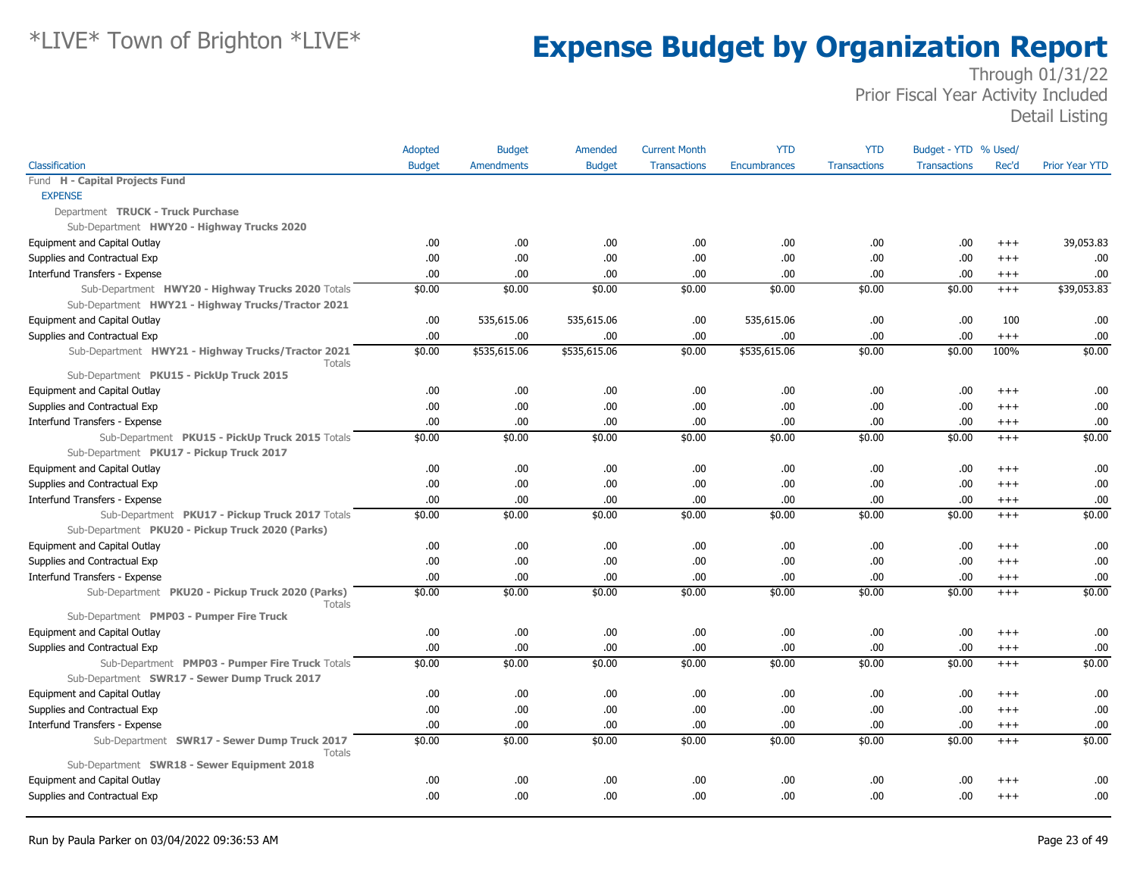|                                                                   | Adopted       | <b>Budget</b>     | Amended       | <b>Current Month</b> | <b>YTD</b>          | <b>YTD</b>          | Budget - YTD % Used/ |          |                       |
|-------------------------------------------------------------------|---------------|-------------------|---------------|----------------------|---------------------|---------------------|----------------------|----------|-----------------------|
| Classification                                                    | <b>Budget</b> | <b>Amendments</b> | <b>Budget</b> | <b>Transactions</b>  | <b>Encumbrances</b> | <b>Transactions</b> | <b>Transactions</b>  | Rec'd    | <b>Prior Year YTD</b> |
| Fund H - Capital Projects Fund                                    |               |                   |               |                      |                     |                     |                      |          |                       |
| <b>EXPENSE</b>                                                    |               |                   |               |                      |                     |                     |                      |          |                       |
| Department TRUCK - Truck Purchase                                 |               |                   |               |                      |                     |                     |                      |          |                       |
| Sub-Department HWY20 - Highway Trucks 2020                        |               |                   |               |                      |                     |                     |                      |          |                       |
| Equipment and Capital Outlay                                      | .00.          | .00               | .00.          | .00                  | .00                 | .00.                | .00.                 | $^{+++}$ | 39,053.83             |
| Supplies and Contractual Exp                                      | .00           | .00               | .00.          | .00                  | .00                 | .00                 | .00.                 | $+++$    | .00                   |
| Interfund Transfers - Expense                                     | .00           | .00               | .00.          | .00                  | .00                 | .00                 | .00.                 | $+++$    | .00                   |
| Sub-Department HWY20 - Highway Trucks 2020 Totals                 | \$0.00        | \$0.00            | \$0.00        | \$0.00               | \$0.00              | \$0.00              | \$0.00               | $+++$    | \$39,053.83           |
| Sub-Department HWY21 - Highway Trucks/Tractor 2021                |               |                   |               |                      |                     |                     |                      |          |                       |
| Equipment and Capital Outlay                                      | .00           | 535,615.06        | 535,615.06    | .00                  | 535,615.06          | .00.                | .00.                 | 100      | .00                   |
| Supplies and Contractual Exp                                      | .00.          | .00               | .00.          | .00                  | .00.                | .00.                | .00.                 | $+++$    | .00                   |
| Sub-Department HWY21 - Highway Trucks/Tractor 2021<br>Totals      | \$0.00        | \$535,615.06      | \$535,615.06  | \$0.00               | \$535,615.06        | \$0.00              | \$0.00               | 100%     | \$0.00                |
| Sub-Department PKU15 - PickUp Truck 2015                          |               |                   |               |                      |                     |                     |                      |          |                       |
| Equipment and Capital Outlay                                      | .00           | .00               | .00.          | .00                  | .00                 | .00                 | .00                  | $^{++}$  | .00                   |
| Supplies and Contractual Exp                                      | .00           | .00               | .00.          | .00                  | .00.                | .00.                | .00.                 | $+++$    | .00                   |
| Interfund Transfers - Expense                                     | .00           | .00               | .00.          | .00                  | .00                 | .00                 | .00.                 | $^{+++}$ | .00.                  |
| Sub-Department PKU15 - PickUp Truck 2015 Totals                   | \$0.00        | \$0.00            | \$0.00        | \$0.00               | \$0.00              | \$0.00              | \$0.00               | $^{+++}$ | \$0.00                |
| Sub-Department PKU17 - Pickup Truck 2017                          |               |                   |               |                      |                     |                     |                      |          |                       |
| Equipment and Capital Outlay                                      | .00           | .00               | .00.          | .00                  | .00                 | .00.                | .00.                 | $^{++}$  | .00                   |
| Supplies and Contractual Exp                                      | .00           | .00               | .00.          | .00                  | .00                 | .00                 | .00.                 | $^{+++}$ | .00                   |
| Interfund Transfers - Expense                                     | .00.          | .00               | .00.          | .00                  | .00                 | .00.                | .00                  | $+++$    | .00                   |
| Sub-Department PKU17 - Pickup Truck 2017 Totals                   | \$0.00        | \$0.00            | \$0.00        | \$0.00               | \$0.00              | \$0.00              | \$0.00               | $+++$    | \$0.00                |
| Sub-Department PKU20 - Pickup Truck 2020 (Parks)                  |               |                   |               |                      |                     |                     |                      |          |                       |
| Equipment and Capital Outlay                                      | .00           | .00               | .00.          | .00                  | .00                 | .00.                | .00.                 | $^{++}$  | .00                   |
| Supplies and Contractual Exp                                      | .00           | .00               | .00.          | .00                  | .00                 | .00                 | .00.                 | $^{+++}$ | .00                   |
| Interfund Transfers - Expense                                     | .00           | .00               | .00.          | .00                  | .00.                | .00                 | .00.                 | $^{+++}$ | .00                   |
| Sub-Department PKU20 - Pickup Truck 2020 (Parks)<br><b>Totals</b> | \$0.00        | \$0.00            | \$0.00        | \$0.00               | \$0.00              | \$0.00              | \$0.00               | $+++$    | \$0.00                |
| Sub-Department PMP03 - Pumper Fire Truck                          |               |                   |               |                      |                     |                     |                      |          |                       |
| Equipment and Capital Outlay                                      | .00.          | .00               | .00.          | .00                  | .00.                | .00                 | .00                  | $^{+++}$ | .00                   |
| Supplies and Contractual Exp                                      | .00           | .00               | .00.          | .00                  | .00.                | .00                 | .00.                 | $^{+++}$ | .00                   |
| Sub-Department PMP03 - Pumper Fire Truck Totals                   | \$0.00        | \$0.00            | \$0.00        | \$0.00               | \$0.00              | \$0.00              | \$0.00               | $+++$    | \$0.00                |
| Sub-Department SWR17 - Sewer Dump Truck 2017                      |               |                   |               |                      |                     |                     |                      |          |                       |
| Equipment and Capital Outlay                                      | .00           | .00               | .00.          | .00                  | .00                 | .00.                | .00.                 | $^{++}$  | .00                   |
| Supplies and Contractual Exp                                      | .00           | .00               | .00.          | .00                  | .00.                | .00                 | .00.                 | $+++$    | .00                   |
| Interfund Transfers - Expense                                     | .00           | .00               | .00.          | .00                  | .00                 | .00.                | .00.                 | $^{+++}$ | .00                   |
| Sub-Department SWR17 - Sewer Dump Truck 2017<br><b>Totals</b>     | \$0.00        | \$0.00            | \$0.00        | \$0.00               | \$0.00              | \$0.00              | \$0.00               | $+++$    | \$0.00                |
| Sub-Department SWR18 - Sewer Equipment 2018                       |               |                   |               |                      |                     |                     |                      |          |                       |
| Equipment and Capital Outlay                                      | .00.          | .00               | .00.          | .00                  | .00                 | .00                 | .00                  | $^{++}$  | .00.                  |
| Supplies and Contractual Exp                                      | .00.          | .00               | .00.          | .00                  | .00.                | .00                 | .00.                 | $^{++}$  | .00                   |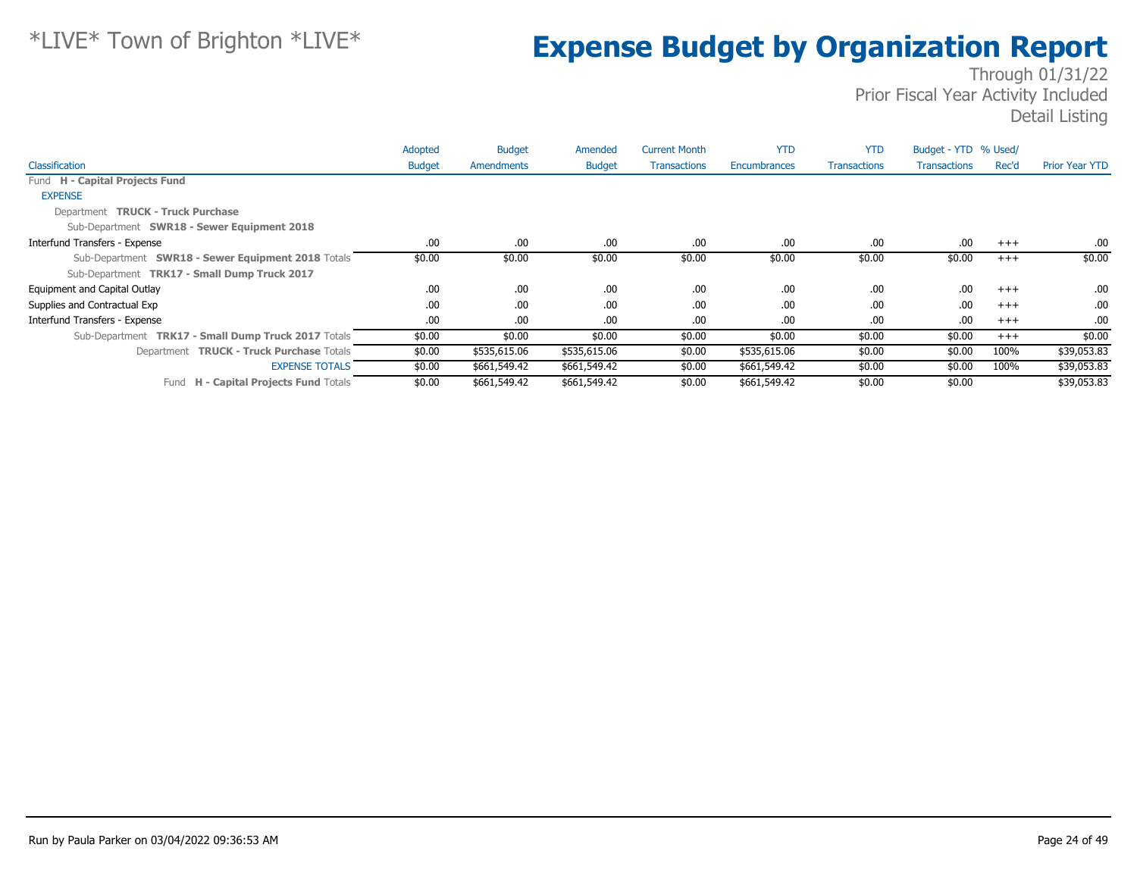|                                                     | Adopted       | <b>Budget</b> | Amended       | <b>Current Month</b> | <b>YTD</b>   | <b>YTD</b>          | Budget - YTD % Used/ |       |                       |
|-----------------------------------------------------|---------------|---------------|---------------|----------------------|--------------|---------------------|----------------------|-------|-----------------------|
| Classification                                      | <b>Budget</b> | Amendments    | <b>Budget</b> | <b>Transactions</b>  | Encumbrances | <b>Transactions</b> | <b>Transactions</b>  | Rec'd | <b>Prior Year YTD</b> |
| Fund H - Capital Projects Fund                      |               |               |               |                      |              |                     |                      |       |                       |
| <b>EXPENSE</b>                                      |               |               |               |                      |              |                     |                      |       |                       |
| Department TRUCK - Truck Purchase                   |               |               |               |                      |              |                     |                      |       |                       |
| Sub-Department SWR18 - Sewer Equipment 2018         |               |               |               |                      |              |                     |                      |       |                       |
| Interfund Transfers - Expense                       | .00           | .00           | .00           | .00                  | .00          | .00                 | .00.                 | $+++$ | .00.                  |
| Sub-Department SWR18 - Sewer Equipment 2018 Totals  | \$0.00        | \$0.00        | \$0.00        | \$0.00               | \$0.00       | \$0.00              | \$0.00               | $+++$ | \$0.00                |
| Sub-Department TRK17 - Small Dump Truck 2017        |               |               |               |                      |              |                     |                      |       |                       |
| Equipment and Capital Outlay                        | .00.          | .00           | .00           | .00                  | .00          | .00                 | .00.                 | $+++$ | .00.                  |
| Supplies and Contractual Exp                        | .00.          | .00.          | .00           | .00                  | .00          | .00                 | .00.                 | $+++$ | .00.                  |
| Interfund Transfers - Expense                       | .00.          | .00           | .00.          | .00                  | .00          | .00                 | .00.                 | $+++$ | .00.                  |
| Sub-Department TRK17 - Small Dump Truck 2017 Totals | \$0.00        | \$0.00        | \$0.00        | \$0.00               | \$0.00       | \$0.00              | \$0.00               | $+++$ | \$0.00                |
| Department TRUCK - Truck Purchase Totals            | \$0.00        | \$535,615.06  | \$535,615.06  | \$0.00               | \$535,615.06 | \$0.00              | \$0.00               | 100%  | \$39,053.83           |
| <b>EXPENSE TOTALS</b>                               | \$0.00        | \$661,549.42  | \$661,549.42  | \$0.00               | \$661,549.42 | \$0.00              | \$0.00               | 100%  | \$39,053.83           |
| Fund H - Capital Projects Fund Totals               | \$0.00        | \$661,549.42  | \$661,549.42  | \$0.00               | \$661,549.42 | \$0.00              | \$0.00               |       | \$39,053.83           |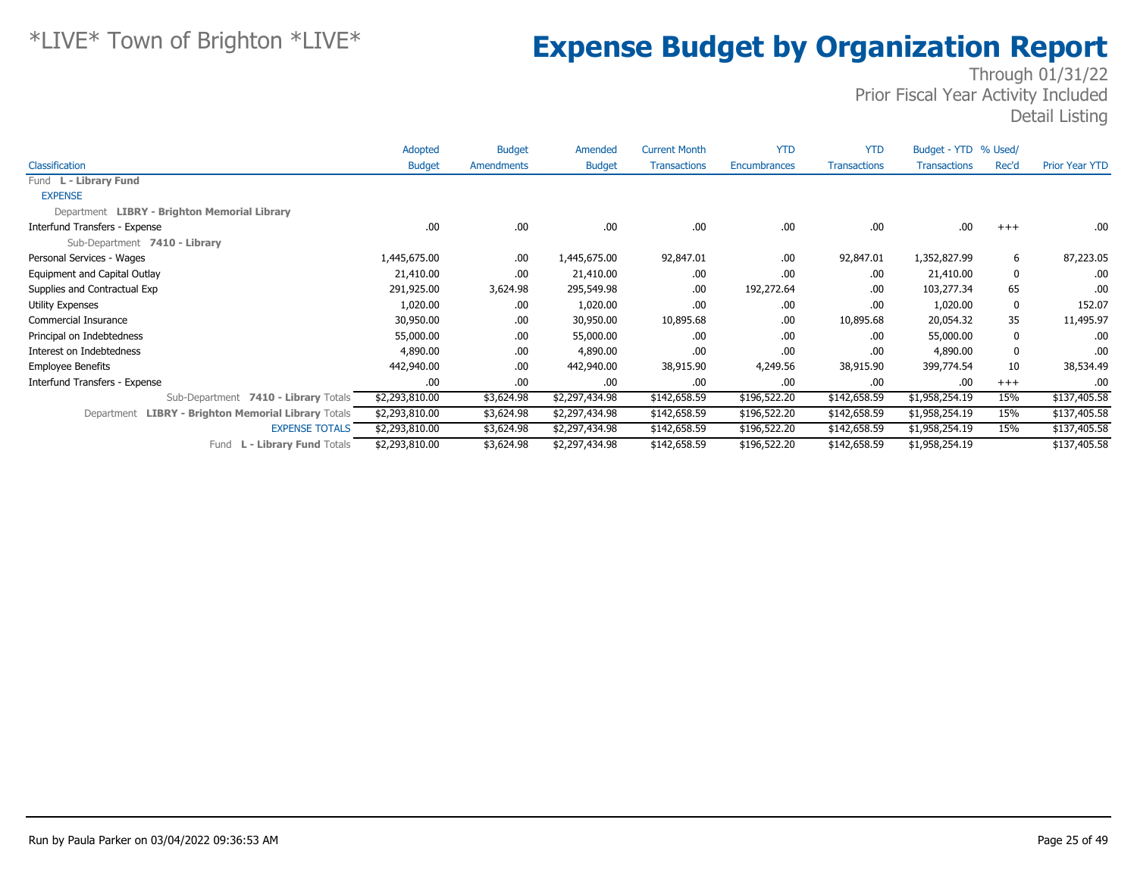|                                                     | Adopted        | <b>Budget</b> | Amended        | <b>Current Month</b> | <b>YTD</b>   | <b>YTD</b>          | Budget - YTD % Used/ |          |                       |
|-----------------------------------------------------|----------------|---------------|----------------|----------------------|--------------|---------------------|----------------------|----------|-----------------------|
| Classification                                      | <b>Budget</b>  | Amendments    | <b>Budget</b>  | <b>Transactions</b>  | Encumbrances | <b>Transactions</b> | <b>Transactions</b>  | Rec'd    | <b>Prior Year YTD</b> |
| Fund L - Library Fund                               |                |               |                |                      |              |                     |                      |          |                       |
| <b>EXPENSE</b>                                      |                |               |                |                      |              |                     |                      |          |                       |
| Department LIBRY - Brighton Memorial Library        |                |               |                |                      |              |                     |                      |          |                       |
| Interfund Transfers - Expense                       | .00            | .00.          | .00            | .00                  | .00          | .00.                | .00                  | $+++$    | .00.                  |
| Sub-Department 7410 - Library                       |                |               |                |                      |              |                     |                      |          |                       |
| Personal Services - Wages                           | 1,445,675.00   | .00.          | 1,445,675.00   | 92,847.01            | .00          | 92,847.01           | 1,352,827.99         | 6        | 87,223.05             |
| Equipment and Capital Outlay                        | 21,410.00      | .00.          | 21,410.00      | .00                  | .00          | .00.                | 21,410.00            | 0        | .00.                  |
| Supplies and Contractual Exp                        | 291,925.00     | 3,624.98      | 295,549.98     | .00                  | 192,272.64   | .00.                | 103,277.34           | 65       | .00.                  |
| <b>Utility Expenses</b>                             | 1,020.00       | .00.          | 1,020.00       | .00                  | .00          | .00.                | 1,020.00             | 0        | 152.07                |
| Commercial Insurance                                | 30,950.00      | .00.          | 30,950.00      | 10,895.68            | .00          | 10,895.68           | 20,054.32            | 35       | 11,495.97             |
| Principal on Indebtedness                           | 55,000.00      | .00.          | 55,000.00      | .00                  | .00          | .00                 | 55,000.00            | 0        | .00.                  |
| Interest on Indebtedness                            | 4,890.00       | .00.          | 4,890.00       | .00                  | .00          | .00.                | 4,890.00             | 0        | .00.                  |
| <b>Employee Benefits</b>                            | 442,940.00     | .00.          | 442,940.00     | 38,915.90            | 4,249.56     | 38,915.90           | 399,774.54           | 10       | 38,534.49             |
| Interfund Transfers - Expense                       | .00            | .00.          | .00.           | .00                  | .00          | .00.                | .00                  | $^{+++}$ | .00                   |
| 7410 - Library Totals<br>Sub-Department             | \$2,293,810.00 | \$3,624.98    | \$2,297,434.98 | \$142,658.59         | \$196,522.20 | \$142,658.59        | \$1,958,254.19       | 15%      | \$137,405.58          |
| Department LIBRY - Brighton Memorial Library Totals | \$2,293,810.00 | \$3,624.98    | \$2,297,434.98 | \$142,658.59         | \$196,522.20 | \$142,658.59        | \$1,958,254.19       | 15%      | \$137,405.58          |
| <b>EXPENSE TOTALS</b>                               | \$2,293,810.00 | \$3,624.98    | \$2,297,434.98 | \$142,658.59         | \$196,522.20 | \$142,658.59        | \$1,958,254.19       | 15%      | \$137,405.58          |
| L - Library Fund Totals<br>Fund                     | \$2,293,810.00 | \$3,624.98    | \$2,297,434.98 | \$142,658.59         | \$196,522.20 | \$142,658.59        | \$1,958,254.19       |          | \$137,405.58          |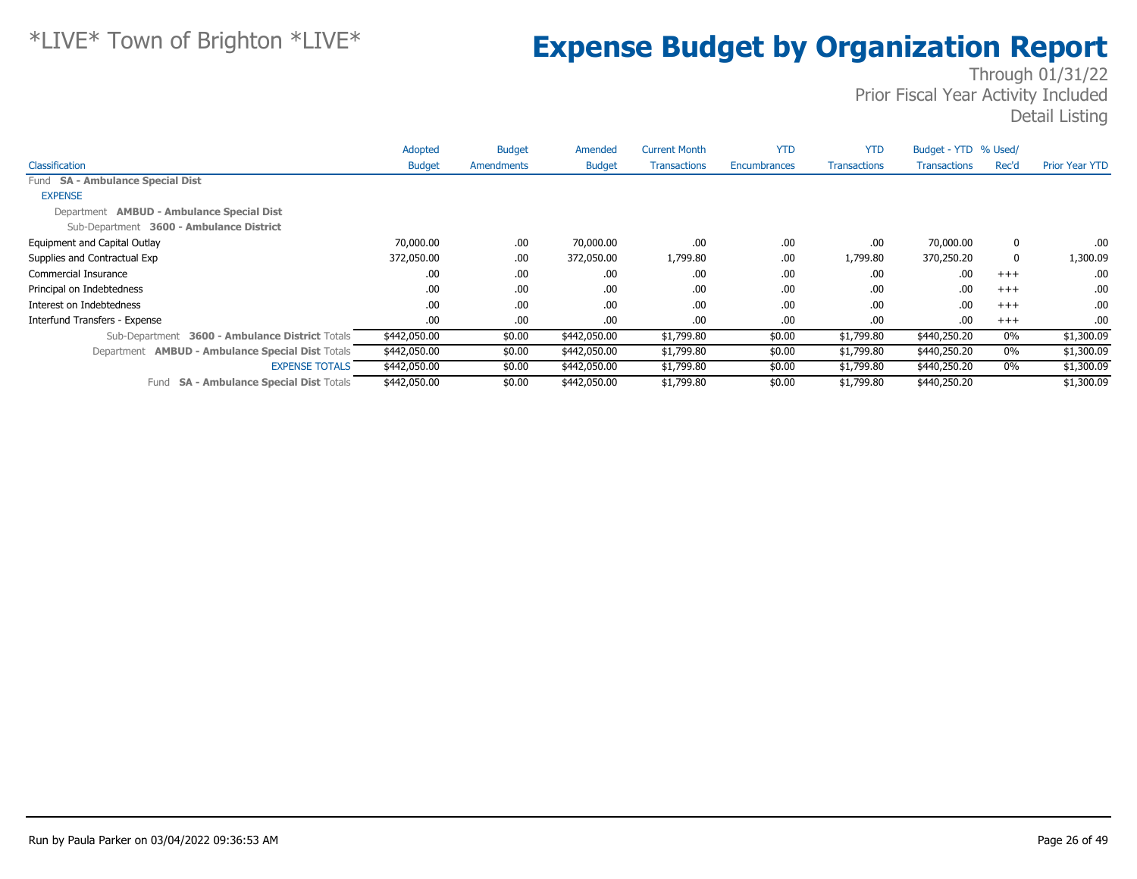|                                                         | Adopted       | <b>Budget</b> | Amended       | <b>Current Month</b> | <b>YTD</b>          | <b>YTD</b>          | Budget - YTD % Used/ |             |                |
|---------------------------------------------------------|---------------|---------------|---------------|----------------------|---------------------|---------------------|----------------------|-------------|----------------|
| Classification                                          | <b>Budget</b> | Amendments    | <b>Budget</b> | <b>Transactions</b>  | <b>Encumbrances</b> | <b>Transactions</b> | <b>Transactions</b>  | Rec'd       | Prior Year YTD |
| Fund SA - Ambulance Special Dist                        |               |               |               |                      |                     |                     |                      |             |                |
| <b>EXPENSE</b>                                          |               |               |               |                      |                     |                     |                      |             |                |
| Department <b>AMBUD - Ambulance Special Dist</b>        |               |               |               |                      |                     |                     |                      |             |                |
| Sub-Department 3600 - Ambulance District                |               |               |               |                      |                     |                     |                      |             |                |
| Equipment and Capital Outlay                            | 70,000.00     | .00.          | 70,000.00     | .00                  | .00                 | .00                 | 70,000,00            | $\mathbf 0$ | .00.           |
| Supplies and Contractual Exp                            | 372,050.00    | .00.          | 372,050.00    | 1,799.80             | .00                 | 1,799.80            | 370,250.20           | 0           | 1,300.09       |
| Commercial Insurance                                    | .00.          | .00           | .00           | .00.                 | .00                 | .00                 | .00                  | $+++$       | .00.           |
| Principal on Indebtedness                               | .00.          | .00           | .00           | .00                  | .00                 | .00                 | .00                  | $+++$       | .00.           |
| Interest on Indebtedness                                | .00.          | .00           | .00           | .00                  | .00                 | .00                 | .00                  | $+++$       | .00.           |
| Interfund Transfers - Expense                           | .00.          | .00           | .00           | .00                  | .00                 | .00                 | .00                  | $+++$       | .00.           |
| 3600 - Ambulance District Totals<br>Sub-Department      | \$442,050.00  | \$0.00        | \$442,050.00  | \$1,799.80           | \$0.00              | \$1,799.80          | \$440,250.20         | 0%          | \$1,300.09     |
| Department <b>AMBUD - Ambulance Special Dist Totals</b> | \$442,050.00  | \$0.00        | \$442,050.00  | \$1,799.80           | \$0.00              | \$1,799.80          | \$440,250.20         | 0%          | \$1,300.09     |
| <b>EXPENSE TOTALS</b>                                   | \$442,050.00  | \$0.00        | \$442,050.00  | \$1,799.80           | \$0.00              | \$1,799.80          | \$440,250.20         | $0\%$       | \$1,300.09     |
| <b>SA - Ambulance Special Dist Totals</b><br>Fund       | \$442,050.00  | \$0.00        | \$442,050.00  | \$1,799.80           | \$0.00              | \$1,799.80          | \$440,250.20         |             | \$1,300.09     |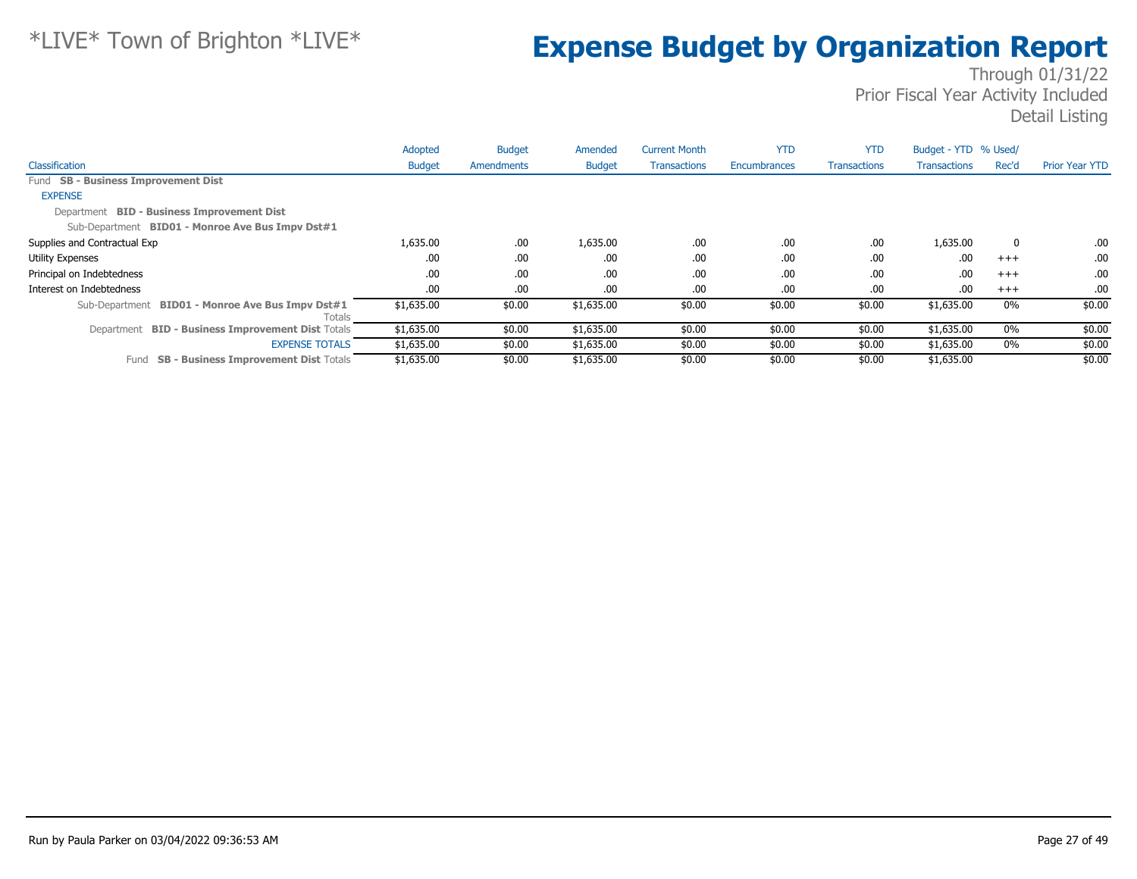|                                                            | Adopted       | <b>Budget</b> | Amended       | <b>Current Month</b> | <b>YTD</b>          | <b>YTD</b>          | Budget - YTD % Used/ |             |                       |
|------------------------------------------------------------|---------------|---------------|---------------|----------------------|---------------------|---------------------|----------------------|-------------|-----------------------|
| Classification                                             | <b>Budget</b> | Amendments    | <b>Budget</b> | <b>Transactions</b>  | <b>Encumbrances</b> | <b>Transactions</b> | <b>Transactions</b>  | Rec'd       | <b>Prior Year YTD</b> |
| Fund SB - Business Improvement Dist                        |               |               |               |                      |                     |                     |                      |             |                       |
| <b>EXPENSE</b>                                             |               |               |               |                      |                     |                     |                      |             |                       |
| Department BID - Business Improvement Dist                 |               |               |               |                      |                     |                     |                      |             |                       |
| Sub-Department BID01 - Monroe Ave Bus Impv Dst#1           |               |               |               |                      |                     |                     |                      |             |                       |
| Supplies and Contractual Exp                               | 1,635.00      | .00.          | 1,635.00      | .00                  | .00                 | .00                 | 1,635.00             | $\mathbf 0$ | .00.                  |
| <b>Utility Expenses</b>                                    | .00.          | .00.          | .00.          | .00                  | .00                 | .00                 | .00                  | $^{+++}$    | .00.                  |
| Principal on Indebtedness                                  | .00           | .00.          | .00.          | .00                  | .00                 | .00                 | .00                  | $^{+++}$    | .00.                  |
| Interest on Indebtedness                                   | .00           | .00.          | .00.          | .00                  | .00                 | .00                 | .00                  | $+++$       | .00.                  |
| Sub-Department BID01 - Monroe Ave Bus Impv Dst#1<br>Totals | \$1,635.00    | \$0.00        | \$1,635.00    | \$0.00               | \$0.00              | \$0.00              | \$1,635.00           | $0\%$       | \$0.00                |
| Department BID - Business Improvement Dist Totals          | \$1,635.00    | \$0.00        | \$1,635.00    | \$0.00               | \$0.00              | \$0.00              | \$1,635.00           | $0\%$       | \$0.00                |
| <b>EXPENSE TOTALS</b>                                      | \$1,635.00    | \$0.00        | \$1,635.00    | \$0.00               | \$0.00              | \$0.00              | \$1,635.00           | 0%          | \$0.00                |
| <b>SB - Business Improvement Dist Totals</b><br>Fund       | \$1,635.00    | \$0.00        | \$1,635.00    | \$0.00               | \$0.00              | \$0.00              | \$1,635.00           |             | \$0.00                |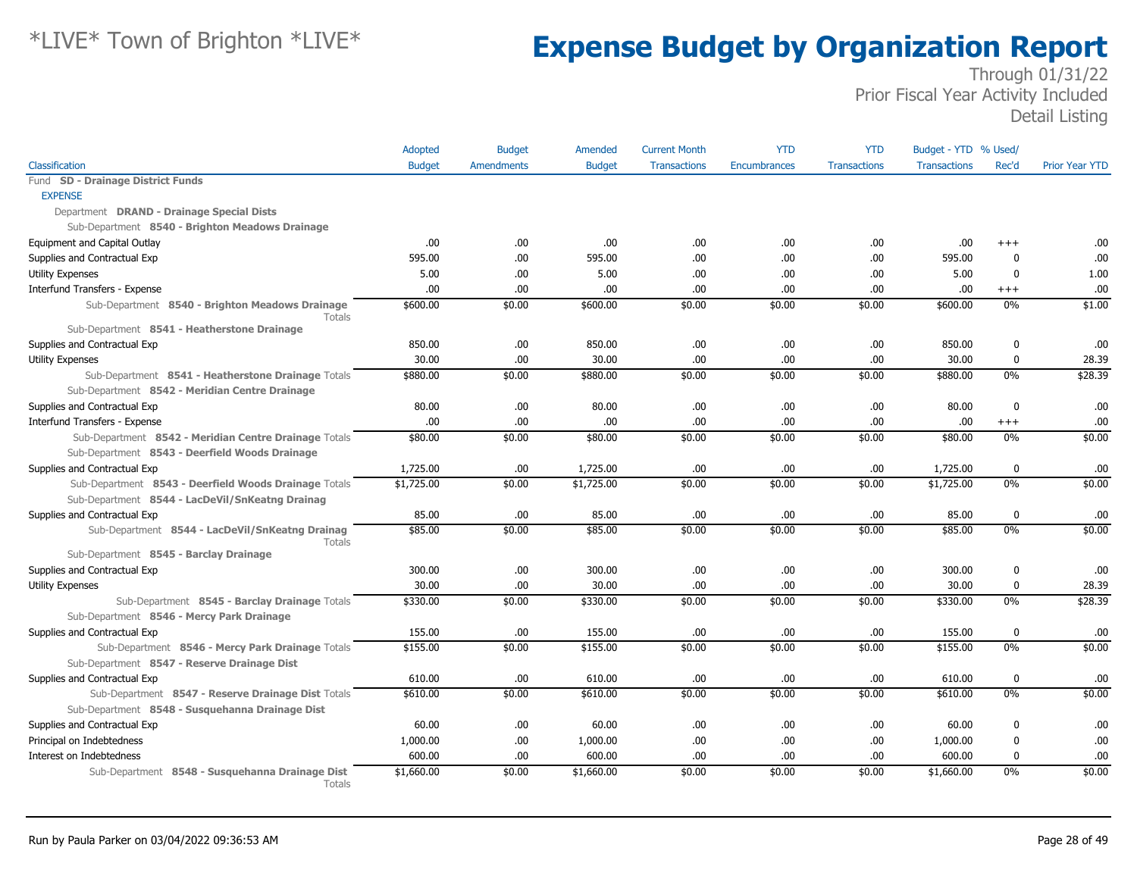|                                                                                                 | Adopted       | <b>Budget</b>     | Amended       | <b>Current Month</b> | <b>YTD</b>          | <b>YTD</b>          | Budget - YTD % Used/ |             |                       |
|-------------------------------------------------------------------------------------------------|---------------|-------------------|---------------|----------------------|---------------------|---------------------|----------------------|-------------|-----------------------|
| Classification                                                                                  | <b>Budget</b> | <b>Amendments</b> | <b>Budget</b> | <b>Transactions</b>  | <b>Encumbrances</b> | <b>Transactions</b> | <b>Transactions</b>  | Rec'd       | <b>Prior Year YTD</b> |
| Fund SD - Drainage District Funds                                                               |               |                   |               |                      |                     |                     |                      |             |                       |
| <b>EXPENSE</b>                                                                                  |               |                   |               |                      |                     |                     |                      |             |                       |
| Department DRAND - Drainage Special Dists                                                       |               |                   |               |                      |                     |                     |                      |             |                       |
| Sub-Department 8540 - Brighton Meadows Drainage                                                 |               |                   |               |                      |                     |                     |                      |             |                       |
| Equipment and Capital Outlay                                                                    | .00           | .00               | .00.          | .00                  | .00                 | .00                 | .00                  | $+++$       | .00                   |
| Supplies and Contractual Exp                                                                    | 595.00        | .00               | 595.00        | .00                  | .00                 | .00                 | 595.00               | $\mathbf 0$ | .00                   |
| <b>Utility Expenses</b>                                                                         | 5.00          | .00               | 5.00          | .00                  | .00                 | .00                 | 5.00                 | 0           | 1.00                  |
| Interfund Transfers - Expense                                                                   | .00           | .00               | .00           | .00                  | .00                 | .00                 | .00.                 | $^{+++}$    | .00                   |
| Sub-Department 8540 - Brighton Meadows Drainage<br>Totals                                       | \$600.00      | \$0.00            | \$600.00      | \$0.00               | \$0.00              | \$0.00              | \$600.00             | 0%          | \$1.00                |
| Sub-Department 8541 - Heatherstone Drainage                                                     |               |                   |               |                      |                     |                     |                      |             |                       |
| Supplies and Contractual Exp                                                                    | 850.00        | .00               | 850.00        | .00                  | .00.                | .00                 | 850.00               | 0           | .00                   |
| <b>Utility Expenses</b>                                                                         | 30.00         | .00.              | 30.00         | .00                  | .00                 | .00                 | 30.00                | 0           | 28.39                 |
| Sub-Department 8541 - Heatherstone Drainage Totals                                              | \$880.00      | \$0.00            | \$880.00      | \$0.00               | \$0.00              | \$0.00              | \$880.00             | $0\%$       | \$28.39               |
| Sub-Department 8542 - Meridian Centre Drainage                                                  |               |                   |               |                      |                     |                     |                      |             |                       |
| Supplies and Contractual Exp                                                                    | 80.00         | .00               | 80.00         | .00                  | .00                 | .00                 | 80.00                | $\mathbf 0$ | .00                   |
| Interfund Transfers - Expense                                                                   | .00.          | .00               | .00.          | .00                  | .00                 | .00                 | .00.                 | $^{+++}$    | .00                   |
| Sub-Department 8542 - Meridian Centre Drainage Totals                                           | \$80.00       | \$0.00            | \$80.00       | \$0.00               | \$0.00              | \$0.00              | \$80.00              | $0\%$       | \$0.00                |
| Sub-Department 8543 - Deerfield Woods Drainage                                                  |               |                   |               |                      |                     |                     |                      |             |                       |
| Supplies and Contractual Exp                                                                    | 1,725.00      | .00               | 1,725.00      | .00                  | .00                 | .00                 | 1,725.00             | $\bf{0}$    | .00                   |
| Sub-Department 8543 - Deerfield Woods Drainage Totals                                           | \$1,725.00    | \$0.00            | \$1,725.00    | \$0.00               | \$0.00              | \$0.00              | \$1,725.00           | $0\%$       | \$0.00                |
| Sub-Department 8544 - LacDeVil/SnKeatng Drainag                                                 |               |                   |               |                      |                     |                     |                      |             |                       |
| Supplies and Contractual Exp                                                                    | 85.00         | .00               | 85.00         | .00                  | .00                 | .00                 | 85.00                | 0           | .00                   |
| Sub-Department 8544 - LacDeVil/SnKeatng Drainag<br>Totals                                       | \$85.00       | \$0.00            | \$85.00       | \$0.00               | \$0.00              | \$0.00              | \$85.00              | 0%          | \$0.00                |
| Sub-Department 8545 - Barclay Drainage                                                          |               |                   |               |                      |                     |                     |                      |             |                       |
| Supplies and Contractual Exp                                                                    | 300.00        | .00.              | 300.00        | .00                  | .00                 | .00                 | 300.00               | 0           | .00                   |
| <b>Utility Expenses</b>                                                                         | 30.00         | .00               | 30.00         | .00                  | .00.                | .00                 | 30.00                | $\bf{0}$    | 28.39                 |
| Sub-Department 8545 - Barclay Drainage Totals                                                   | \$330.00      | \$0.00            | \$330.00      | \$0.00               | \$0.00              | \$0.00              | \$330.00             | 0%          | \$28.39               |
| Sub-Department 8546 - Mercy Park Drainage                                                       |               |                   |               |                      |                     |                     |                      |             |                       |
| Supplies and Contractual Exp                                                                    | 155.00        | .00               | 155.00        | .00                  | .00                 | .00                 | 155.00               | $\bf{0}$    | .00                   |
| Sub-Department 8546 - Mercy Park Drainage Totals<br>Sub-Department 8547 - Reserve Drainage Dist | \$155.00      | \$0.00            | \$155.00      | \$0.00               | \$0.00              | \$0.00              | \$155.00             | $0\%$       | \$0.00                |
| Supplies and Contractual Exp                                                                    | 610.00        | .00               | 610.00        | .00                  | .00                 | .00                 | 610.00               | 0           | .00                   |
| Sub-Department 8547 - Reserve Drainage Dist Totals                                              | \$610.00      | \$0.00            | \$610.00      | \$0.00               | \$0.00              | \$0.00              | \$610.00             | $0\%$       | \$0.00                |
| Sub-Department 8548 - Susquehanna Drainage Dist                                                 |               |                   |               |                      |                     |                     |                      |             |                       |
| Supplies and Contractual Exp                                                                    | 60.00         | .00               | 60.00         | .00                  | .00                 | .00                 | 60.00                | 0           | .00                   |
| Principal on Indebtedness                                                                       | 1,000.00      | .00.              | 1,000.00      | .00                  | .00.                | .00                 | 1,000.00             | 0           | .00                   |
| Interest on Indebtedness                                                                        | 600.00        | .00.              | 600.00        | .00                  | .00                 | .00                 | 600.00               | 0           | .00                   |
| Sub-Department 8548 - Susquehanna Drainage Dist<br>Totals                                       | \$1,660.00    | \$0.00            | \$1,660.00    | \$0.00               | \$0.00              | \$0.00              | \$1,660.00           | $0\%$       | \$0.00                |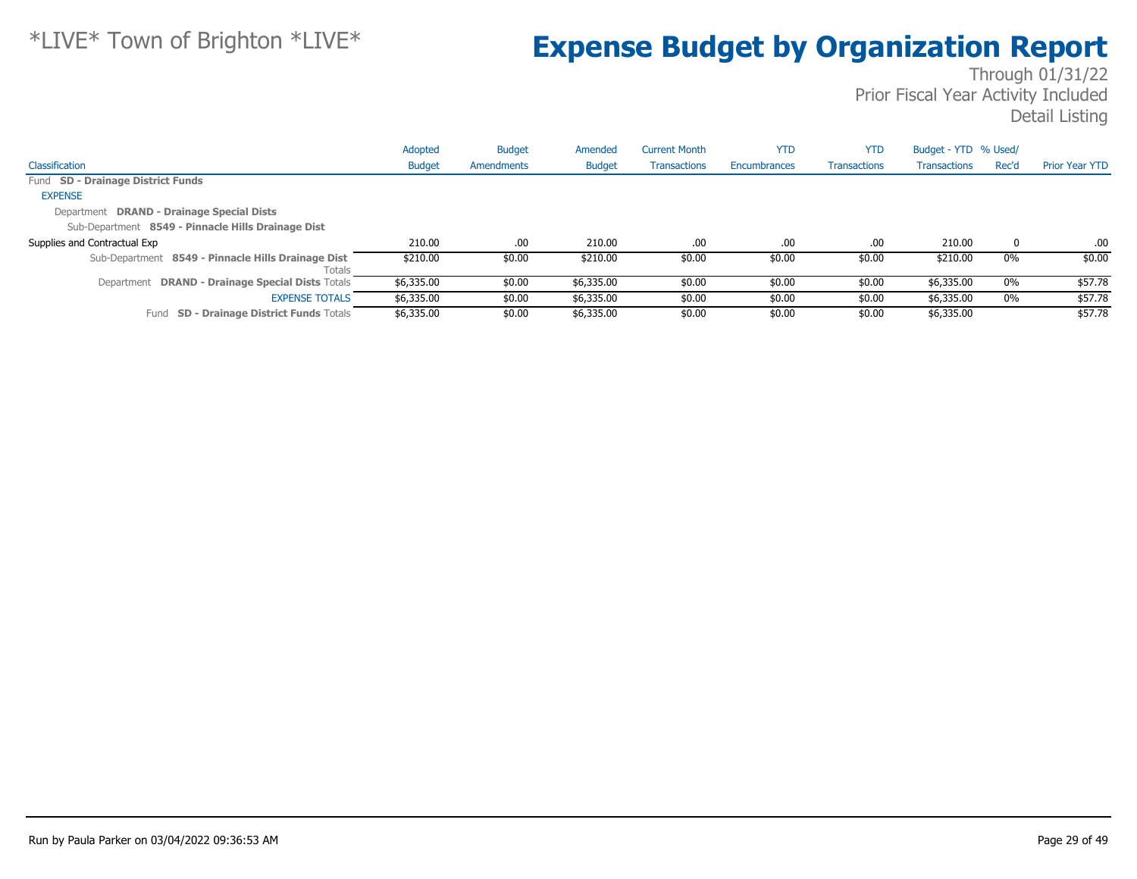|                                                              | Adopted       | <b>Budget</b> | Amended       | <b>Current Month</b> | <b>YTD</b>   | <b>YTD</b>          | Budget - YTD % Used/ |       |                       |
|--------------------------------------------------------------|---------------|---------------|---------------|----------------------|--------------|---------------------|----------------------|-------|-----------------------|
| Classification                                               | <b>Budget</b> | Amendments    | <b>Budget</b> | <b>Transactions</b>  | Encumbrances | <b>Transactions</b> | <b>Transactions</b>  | Rec'd | <b>Prior Year YTD</b> |
| Fund SD - Drainage District Funds                            |               |               |               |                      |              |                     |                      |       |                       |
| <b>EXPENSE</b>                                               |               |               |               |                      |              |                     |                      |       |                       |
| Department DRAND - Drainage Special Dists                    |               |               |               |                      |              |                     |                      |       |                       |
| Sub-Department 8549 - Pinnacle Hills Drainage Dist           |               |               |               |                      |              |                     |                      |       |                       |
| Supplies and Contractual Exp                                 | 210.00        | .00           | 210.00        | .00.                 | .00          | .00                 | 210.00               | 0     | .00.                  |
| Sub-Department 8549 - Pinnacle Hills Drainage Dist<br>Totals | \$210.00      | \$0.00        | \$210.00      | \$0.00               | \$0.00       | \$0.00              | \$210.00             | 0%    | \$0.00                |
| Department DRAND - Drainage Special Dists Totals             | \$6,335.00    | \$0.00        | \$6,335.00    | \$0.00               | \$0.00       | \$0.00              | \$6,335.00           | $0\%$ | \$57.78               |
| <b>EXPENSE TOTALS</b>                                        | \$6,335.00    | \$0.00        | \$6,335.00    | \$0.00               | \$0.00       | \$0.00              | \$6,335.00           | $0\%$ | \$57.78               |
| <b>SD - Drainage District Funds Totals</b><br>Fund           | \$6,335.00    | \$0.00        | \$6,335.00    | \$0.00               | \$0.00       | \$0.00              | \$6,335.00           |       | \$57.78               |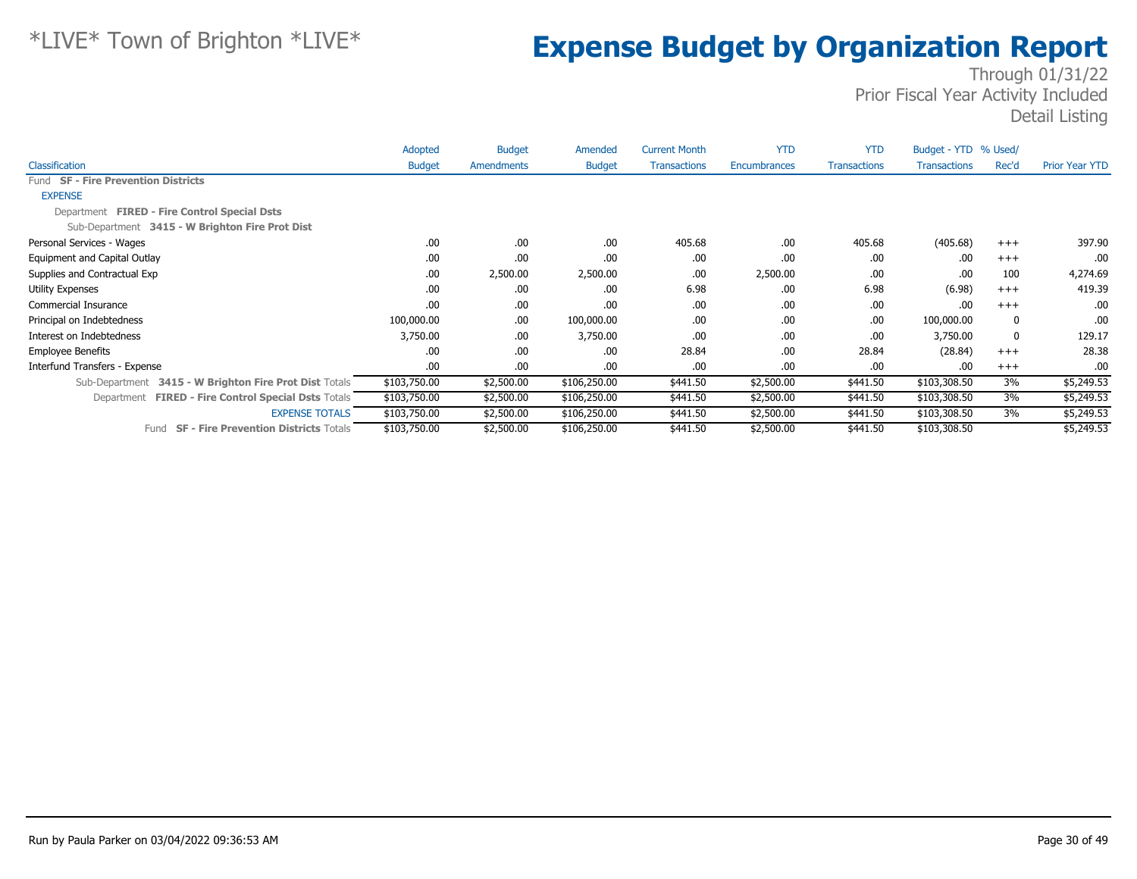|                                                               | Adopted       | <b>Budget</b> | Amended       | <b>Current Month</b> | <b>YTD</b>   | <b>YTD</b>          | Budget - YTD % Used/ |              |                       |
|---------------------------------------------------------------|---------------|---------------|---------------|----------------------|--------------|---------------------|----------------------|--------------|-----------------------|
| Classification                                                | <b>Budget</b> | Amendments    | <b>Budget</b> | <b>Transactions</b>  | Encumbrances | <b>Transactions</b> | <b>Transactions</b>  | Rec'd        | <b>Prior Year YTD</b> |
| Fund SF - Fire Prevention Districts                           |               |               |               |                      |              |                     |                      |              |                       |
| <b>EXPENSE</b>                                                |               |               |               |                      |              |                     |                      |              |                       |
| Department FIRED - Fire Control Special Dsts                  |               |               |               |                      |              |                     |                      |              |                       |
| Sub-Department 3415 - W Brighton Fire Prot Dist               |               |               |               |                      |              |                     |                      |              |                       |
| Personal Services - Wages                                     | .00           | .00           | .00           | 405.68               | .00          | 405.68              | (405.68)             | $+++$        | 397.90                |
| Equipment and Capital Outlay                                  | .00           | .00           | .00           | .00                  | .00          | .00                 | .00                  | $+++$        | .00                   |
| Supplies and Contractual Exp                                  | .00           | 2,500.00      | 2,500.00      | .00                  | 2,500.00     | .00                 | .00                  | 100          | 4,274.69              |
| <b>Utility Expenses</b>                                       | .00           | .00           | .00           | 6.98                 | .00          | 6.98                | (6.98)               | $+++$        | 419.39                |
| Commercial Insurance                                          | .00           | .00           | .00           | .00                  | .00          | .00                 | .00                  | $+++$        | .00                   |
| Principal on Indebtedness                                     | 100,000.00    | .00.          | 100,000.00    | .00                  | .00          | .00                 | 100,000.00           | $\mathbf{0}$ | .00.                  |
| Interest on Indebtedness                                      | 3,750.00      | .00           | 3,750.00      | .00                  | .00          | .00                 | 3,750.00             | $\mathbf{0}$ | 129.17                |
| <b>Employee Benefits</b>                                      | .00           | .00           | .00           | 28.84                | .00          | 28.84               | (28.84)              | $+++$        | 28.38                 |
| Interfund Transfers - Expense                                 | .00           | .00           | .00           | .00                  | .00          | .00                 | .00                  | $+++$        | .00                   |
| 3415 - W Brighton Fire Prot Dist Totals<br>Sub-Department     | \$103,750.00  | \$2,500.00    | \$106,250.00  | \$441.50             | \$2,500.00   | \$441.50            | \$103,308.50         | 3%           | \$5,249.53            |
| <b>FIRED - Fire Control Special Dsts Totals</b><br>Department | \$103,750.00  | \$2,500.00    | \$106,250.00  | \$441.50             | \$2,500.00   | \$441.50            | \$103,308.50         | 3%           | \$5,249.53            |
| <b>EXPENSE TOTALS</b>                                         | \$103,750.00  | \$2,500.00    | \$106,250.00  | \$441.50             | \$2,500.00   | \$441.50            | \$103,308.50         | 3%           | \$5,249.53            |
| <b>SF - Fire Prevention Districts Totals</b><br>Fund          | \$103,750.00  | \$2,500.00    | \$106,250.00  | \$441.50             | \$2,500.00   | \$441.50            | \$103,308.50         |              | \$5,249.53            |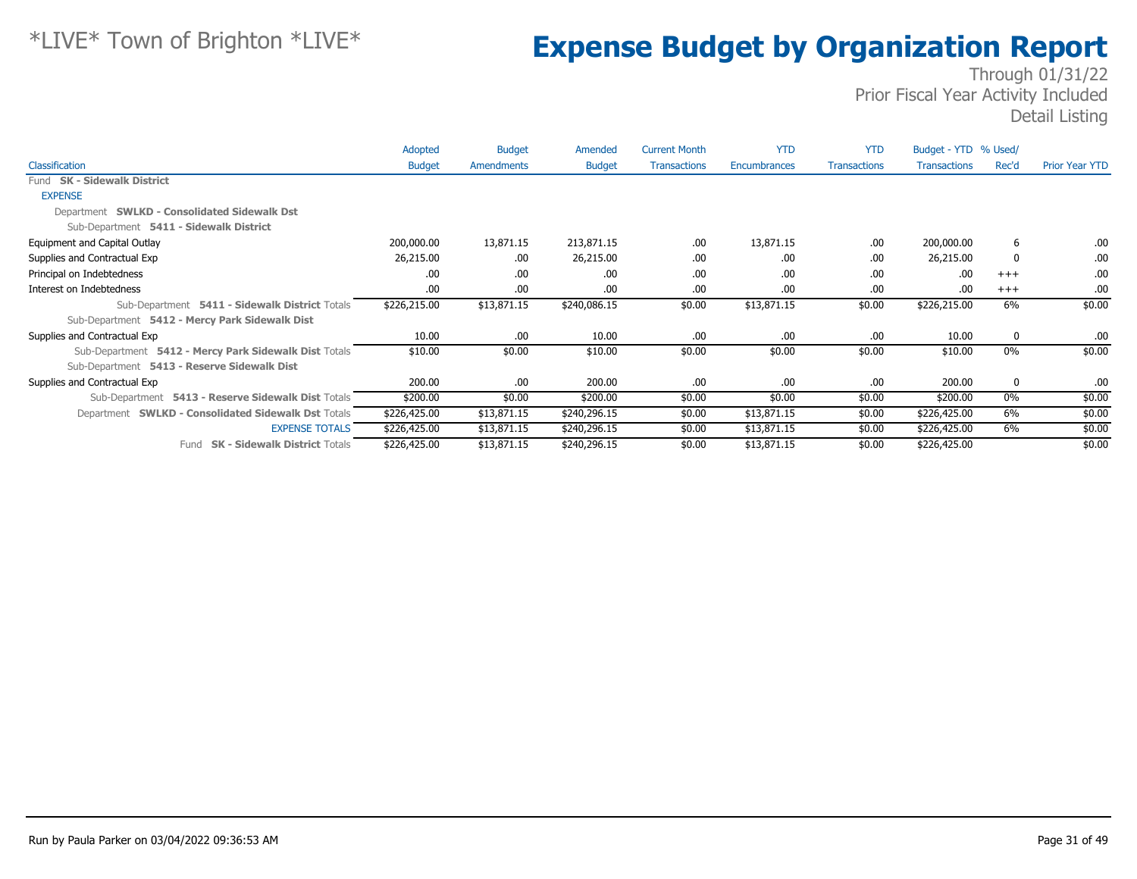|                                                       | Adopted       | <b>Budget</b> | Amended       | <b>Current Month</b> | <b>YTD</b>   | <b>YTD</b>          | Budget - YTD % Used/ |          |                       |
|-------------------------------------------------------|---------------|---------------|---------------|----------------------|--------------|---------------------|----------------------|----------|-----------------------|
| Classification                                        | <b>Budget</b> | Amendments    | <b>Budget</b> | <b>Transactions</b>  | Encumbrances | <b>Transactions</b> | <b>Transactions</b>  | Rec'd    | <b>Prior Year YTD</b> |
| Fund SK - Sidewalk District                           |               |               |               |                      |              |                     |                      |          |                       |
| <b>EXPENSE</b>                                        |               |               |               |                      |              |                     |                      |          |                       |
| Department SWLKD - Consolidated Sidewalk Dst          |               |               |               |                      |              |                     |                      |          |                       |
| Sub-Department 5411 - Sidewalk District               |               |               |               |                      |              |                     |                      |          |                       |
| Equipment and Capital Outlay                          | 200,000.00    | 13,871.15     | 213,871.15    | .00                  | 13,871.15    | .00                 | 200,000.00           | 6        | .00                   |
| Supplies and Contractual Exp                          | 26,215.00     | .00.          | 26,215.00     | .00                  | .00          | .00.                | 26,215.00            | $\Omega$ | .00                   |
| Principal on Indebtedness                             | .00.          | .00.          | .00           | .00                  | .00          | .00.                | .00                  | $+++$    | .00                   |
| Interest on Indebtedness                              | .00.          | .00.          | .00           | .00                  | .00          | .00.                | .00                  | $+++$    | .00                   |
| Sub-Department 5411 - Sidewalk District Totals        | \$226,215.00  | \$13,871.15   | \$240,086.15  | \$0.00               | \$13,871.15  | \$0.00              | \$226,215.00         | 6%       | \$0.00                |
| Sub-Department 5412 - Mercy Park Sidewalk Dist        |               |               |               |                      |              |                     |                      |          |                       |
| Supplies and Contractual Exp                          | 10.00         | .00.          | 10.00         | .00                  | .00          | .00.                | 10.00                | 0        | .00.                  |
| Sub-Department 5412 - Mercy Park Sidewalk Dist Totals | \$10.00       | \$0.00        | \$10.00       | \$0.00               | \$0.00       | \$0.00              | \$10.00              | 0%       | \$0.00                |
| Sub-Department 5413 - Reserve Sidewalk Dist           |               |               |               |                      |              |                     |                      |          |                       |
| Supplies and Contractual Exp                          | 200.00        | .00.          | 200.00        | .00                  | .00          | .00.                | 200.00               | 0        | .00                   |
| Sub-Department 5413 - Reserve Sidewalk Dist Totals    | \$200.00      | \$0.00        | \$200.00      | \$0.00               | \$0.00       | \$0.00              | \$200.00             | $0\%$    | \$0.00                |
| Department SWLKD - Consolidated Sidewalk Dst Totals   | \$226,425.00  | \$13,871.15   | \$240,296.15  | \$0.00               | \$13,871.15  | \$0.00              | \$226,425.00         | 6%       | \$0.00                |
| <b>EXPENSE TOTALS</b>                                 | \$226,425.00  | \$13,871.15   | \$240,296.15  | \$0.00               | \$13,871.15  | \$0.00              | \$226,425.00         | 6%       | \$0.00                |
| <b>SK - Sidewalk District Totals</b><br>Fund          | \$226,425.00  | \$13,871.15   | \$240,296.15  | \$0.00               | \$13,871.15  | \$0.00              | \$226,425.00         |          | \$0.00                |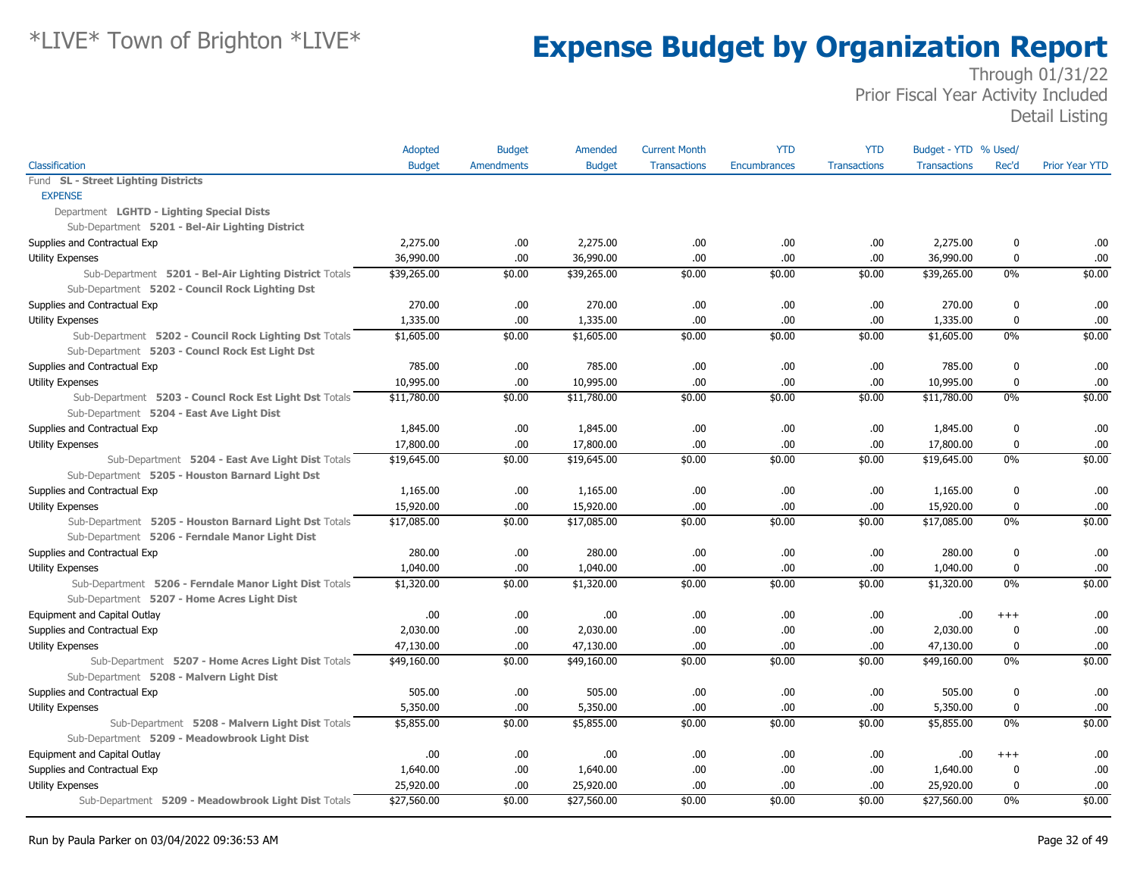|                                                        | Adopted       | <b>Budget</b>     | Amended       | <b>Current Month</b> | <b>YTD</b>   | <b>YTD</b>          | Budget - YTD % Used/ |                  |                       |
|--------------------------------------------------------|---------------|-------------------|---------------|----------------------|--------------|---------------------|----------------------|------------------|-----------------------|
| Classification                                         | <b>Budget</b> | <b>Amendments</b> | <b>Budget</b> | <b>Transactions</b>  | Encumbrances | <b>Transactions</b> | <b>Transactions</b>  | Rec'd            | <b>Prior Year YTD</b> |
| Fund SL - Street Lighting Districts                    |               |                   |               |                      |              |                     |                      |                  |                       |
| <b>EXPENSE</b>                                         |               |                   |               |                      |              |                     |                      |                  |                       |
| Department LGHTD - Lighting Special Dists              |               |                   |               |                      |              |                     |                      |                  |                       |
| Sub-Department 5201 - Bel-Air Lighting District        |               |                   |               |                      |              |                     |                      |                  |                       |
| Supplies and Contractual Exp                           | 2,275.00      | .00               | 2,275.00      | .00                  | .00.         | .00.                | 2,275.00             | 0                | .00                   |
| <b>Utility Expenses</b>                                | 36,990.00     | .00               | 36,990.00     | .00                  | .00.         | .00.                | 36,990.00            | 0                | .00                   |
| Sub-Department 5201 - Bel-Air Lighting District Totals | \$39,265.00   | \$0.00            | \$39,265.00   | \$0.00               | \$0.00       | \$0.00              | \$39,265.00          | $0\%$            | \$0.00                |
| Sub-Department 5202 - Council Rock Lighting Dst        |               |                   |               |                      |              |                     |                      |                  |                       |
| Supplies and Contractual Exp                           | 270.00        | .00.              | 270.00        | .00                  | .00.         | .00.                | 270.00               | 0                | .00                   |
| Utility Expenses                                       | 1,335.00      | .00               | 1,335.00      | .00                  | .00.         | .00                 | 1,335.00             | $\mathbf 0$      | .00                   |
| Sub-Department 5202 - Council Rock Lighting Dst Totals | \$1,605.00    | \$0.00            | \$1,605.00    | \$0.00               | \$0.00       | \$0.00              | \$1,605.00           | 0%               | \$0.00                |
| Sub-Department 5203 - Councl Rock Est Light Dst        |               |                   |               |                      |              |                     |                      |                  |                       |
| Supplies and Contractual Exp                           | 785.00        | .00               | 785.00        | .00                  | .00.         | .00                 | 785.00               | 0                | .00                   |
| <b>Utility Expenses</b>                                | 10,995.00     | .00               | 10,995.00     | .00.                 | .00.         | .00                 | 10,995.00            | 0                | .00                   |
| Sub-Department 5203 - Councl Rock Est Light Dst Totals | \$11,780.00   | \$0.00            | \$11,780.00   | \$0.00               | \$0.00       | \$0.00              | \$11,780.00          | $0\%$            | \$0.00                |
| Sub-Department 5204 - East Ave Light Dist              |               |                   |               |                      |              |                     |                      |                  |                       |
| Supplies and Contractual Exp                           | 1,845.00      | .00               | 1,845.00      | .00                  | .00.         | .00                 | 1,845.00             | 0                | .00                   |
| <b>Utility Expenses</b>                                | 17,800.00     | .00.              | 17,800.00     | .00.                 | .00.         | .00.                | 17,800.00            | $\boldsymbol{0}$ | .00                   |
| Sub-Department 5204 - East Ave Light Dist Totals       | \$19,645.00   | \$0.00            | \$19,645.00   | \$0.00               | \$0.00       | \$0.00              | \$19,645.00          | $0\%$            | \$0.00                |
| Sub-Department 5205 - Houston Barnard Light Dst        |               |                   |               |                      |              |                     |                      |                  |                       |
| Supplies and Contractual Exp                           | 1,165.00      | .00               | 1,165.00      | .00                  | .00.         | .00.                | 1,165.00             | 0                | .00                   |
| <b>Utility Expenses</b>                                | 15,920.00     | .00               | 15,920.00     | .00                  | .00.         | .00                 | 15,920.00            | $\mathbf 0$      | .00                   |
| Sub-Department 5205 - Houston Barnard Light Dst Totals | \$17,085.00   | \$0.00            | \$17,085.00   | \$0.00               | \$0.00       | \$0.00              | \$17,085.00          | $0\%$            | \$0.00                |
| Sub-Department 5206 - Ferndale Manor Light Dist        |               |                   |               |                      |              |                     |                      |                  |                       |
| Supplies and Contractual Exp                           | 280.00        | .00               | 280.00        | .00                  | .00.         | .00.                | 280.00               | 0                | .00                   |
| <b>Utility Expenses</b>                                | 1,040.00      | .00               | 1,040.00      | .00                  | .00.         | .00                 | 1,040.00             | $\mathbf 0$      | .00                   |
| Sub-Department 5206 - Ferndale Manor Light Dist Totals | \$1,320.00    | \$0.00            | \$1,320.00    | \$0.00               | \$0.00       | \$0.00              | \$1,320.00           | 0%               | \$0.00                |
| Sub-Department 5207 - Home Acres Light Dist            |               |                   |               |                      |              |                     |                      |                  |                       |
| Equipment and Capital Outlay                           | .00           | .00.              | .00.          | .00                  | .00.         | .00                 | .00.                 | $^{+++}$         | .00                   |
| Supplies and Contractual Exp                           | 2,030.00      | .00               | 2,030.00      | .00                  | .00.         | .00                 | 2,030.00             | 0                | .00                   |
| Utility Expenses                                       | 47,130.00     | .00               | 47,130.00     | .00                  | .00.         | .00                 | 47,130.00            | $\mathbf 0$      | .00                   |
| Sub-Department 5207 - Home Acres Light Dist Totals     | \$49,160.00   | \$0.00            | \$49,160.00   | \$0.00               | \$0.00       | \$0.00              | \$49,160.00          | $0\%$            | \$0.00                |
| Sub-Department 5208 - Malvern Light Dist               |               |                   |               |                      |              |                     |                      |                  |                       |
| Supplies and Contractual Exp                           | 505.00        | .00               | 505.00        | .00                  | .00.         | .00                 | 505.00               | 0                | .00                   |
| Utility Expenses                                       | 5,350.00      | .00.              | 5,350.00      | .00                  | .00.         | .00.                | 5,350.00             | 0                | .00                   |
| Sub-Department 5208 - Malvern Light Dist Totals        | \$5,855.00    | \$0.00            | \$5,855.00    | \$0.00               | \$0.00       | \$0.00              | \$5,855.00           | 0%               | \$0.00                |
| Sub-Department 5209 - Meadowbrook Light Dist           |               |                   |               |                      |              |                     |                      |                  |                       |
| Equipment and Capital Outlay                           | .00           | .00               | .00           | .00                  | .00.         | .00.                | .00.                 | $^{+++}$         | .00                   |
| Supplies and Contractual Exp                           | 1,640.00      | .00.              | 1,640.00      | .00                  | .00.         | .00.                | 1,640.00             | 0                | .00                   |
| <b>Utility Expenses</b>                                | 25,920.00     | .00               | 25,920.00     | .00                  | .00.         | .00                 | 25,920.00            | 0                | .00                   |
| Sub-Department 5209 - Meadowbrook Light Dist Totals    | \$27,560.00   | \$0.00            | \$27,560.00   | \$0.00               | \$0.00       | \$0.00              | \$27,560.00          | $0\%$            | \$0.00                |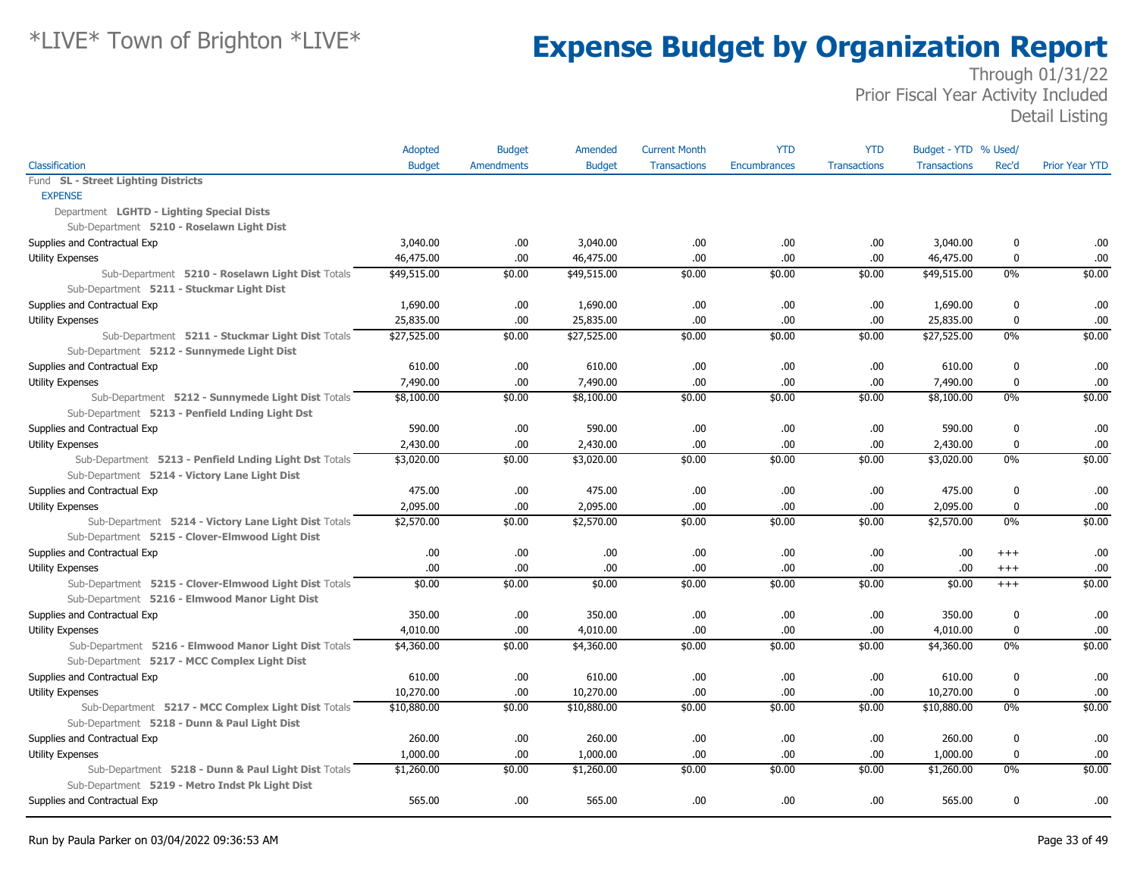|                                                        | Adopted       | <b>Budget</b>     | Amended       | <b>Current Month</b> | <b>YTD</b>          | <b>YTD</b>          | Budget - YTD % Used/ |             |                       |
|--------------------------------------------------------|---------------|-------------------|---------------|----------------------|---------------------|---------------------|----------------------|-------------|-----------------------|
| Classification                                         | <b>Budget</b> | <b>Amendments</b> | <b>Budget</b> | <b>Transactions</b>  | <b>Encumbrances</b> | <b>Transactions</b> | <b>Transactions</b>  | Rec'd       | <b>Prior Year YTD</b> |
| Fund SL - Street Lighting Districts                    |               |                   |               |                      |                     |                     |                      |             |                       |
| <b>EXPENSE</b>                                         |               |                   |               |                      |                     |                     |                      |             |                       |
| Department LGHTD - Lighting Special Dists              |               |                   |               |                      |                     |                     |                      |             |                       |
| Sub-Department 5210 - Roselawn Light Dist              |               |                   |               |                      |                     |                     |                      |             |                       |
| Supplies and Contractual Exp                           | 3,040.00      | .00.              | 3,040.00      | .00                  | .00.                | .00                 | 3,040.00             | 0           | .00                   |
| Utility Expenses                                       | 46,475.00     | .00.              | 46,475.00     | .00                  | .00                 | .00                 | 46,475.00            | $\bf{0}$    | .00                   |
| Sub-Department 5210 - Roselawn Light Dist Totals       | \$49,515.00   | \$0.00            | \$49,515.00   | \$0.00               | \$0.00              | \$0.00              | \$49,515.00          | $0\%$       | \$0.00                |
| Sub-Department 5211 - Stuckmar Light Dist              |               |                   |               |                      |                     |                     |                      |             |                       |
| Supplies and Contractual Exp                           | 1,690.00      | .00.              | 1,690.00      | .00                  | .00                 | .00                 | 1,690.00             | 0           | .00                   |
| <b>Utility Expenses</b>                                | 25,835.00     | .00               | 25,835.00     | .00                  | .00                 | .00                 | 25,835.00            | 0           | .00                   |
| Sub-Department 5211 - Stuckmar Light Dist Totals       | \$27,525.00   | \$0.00            | \$27,525.00   | \$0.00               | \$0.00              | \$0.00              | \$27,525.00          | 0%          | \$0.00                |
| Sub-Department 5212 - Sunnymede Light Dist             |               |                   |               |                      |                     |                     |                      |             |                       |
| Supplies and Contractual Exp                           | 610.00        | .00               | 610.00        | .00                  | .00                 | .00                 | 610.00               | $\mathbf 0$ | .00                   |
| <b>Utility Expenses</b>                                | 7,490.00      | .00.              | 7,490.00      | .00                  | .00.                | .00                 | 7,490.00             | 0           | .00                   |
| Sub-Department 5212 - Sunnymede Light Dist Totals      | \$8,100.00    | \$0.00            | \$8,100.00    | \$0.00               | \$0.00              | \$0.00              | \$8,100.00           | $0\%$       | \$0.00                |
| Sub-Department 5213 - Penfield Lnding Light Dst        |               |                   |               |                      |                     |                     |                      |             |                       |
| Supplies and Contractual Exp                           | 590.00        | .00.              | 590.00        | .00                  | .00                 | .00                 | 590.00               | 0           | .00                   |
| <b>Utility Expenses</b>                                | 2,430.00      | .00.              | 2,430.00      | .00                  | .00.                | .00                 | 2,430.00             | 0           | .00                   |
| Sub-Department 5213 - Penfield Lnding Light Dst Totals | \$3,020.00    | \$0.00            | \$3,020.00    | \$0.00               | \$0.00              | \$0.00              | \$3,020.00           | $0\%$       | \$0.00                |
| Sub-Department 5214 - Victory Lane Light Dist          |               |                   |               |                      |                     |                     |                      |             |                       |
| Supplies and Contractual Exp                           | 475.00        | .00               | 475.00        | .00                  | .00.                | .00                 | 475.00               | 0           | .00                   |
| <b>Utility Expenses</b>                                | 2,095.00      | .00               | 2,095.00      | .00                  | .00                 | .00                 | 2,095.00             | $\mathbf 0$ | .00                   |
| Sub-Department 5214 - Victory Lane Light Dist Totals   | \$2,570.00    | \$0.00            | \$2,570.00    | \$0.00               | \$0.00              | \$0.00              | \$2,570.00           | 0%          | \$0.00                |
| Sub-Department 5215 - Clover-Elmwood Light Dist        |               |                   |               |                      |                     |                     |                      |             |                       |
| Supplies and Contractual Exp                           | .00.          | .00.              | .00.          | .00                  | .00.                | .00                 | .00                  | $+++$       | .00                   |
| <b>Utility Expenses</b>                                | .00.          | .00               | .00.          | .00                  | .00                 | .00                 | .00.                 | $^{+++}$    | .00                   |
| Sub-Department 5215 - Clover-Elmwood Light Dist Totals | \$0.00        | \$0.00            | \$0.00        | \$0.00               | \$0.00              | \$0.00              | \$0.00               | $^{+++}$    | \$0.00                |
| Sub-Department 5216 - Elmwood Manor Light Dist         |               |                   |               |                      |                     |                     |                      |             |                       |
| Supplies and Contractual Exp                           | 350.00        | .00               | 350.00        | .00                  | .00                 | .00                 | 350.00               | $\mathbf 0$ | .00                   |
| Utility Expenses                                       | 4,010.00      | .00.              | 4,010.00      | .00                  | .00                 | .00                 | 4,010.00             | 0           | .00                   |
| Sub-Department 5216 - Elmwood Manor Light Dist Totals  | \$4,360.00    | \$0.00            | \$4,360.00    | \$0.00               | \$0.00              | \$0.00              | \$4,360.00           | 0%          | \$0.00                |
| Sub-Department 5217 - MCC Complex Light Dist           |               |                   |               |                      |                     |                     |                      |             |                       |
| Supplies and Contractual Exp                           | 610.00        | .00.              | 610.00        | .00                  | .00                 | .00                 | 610.00               | 0           | .00                   |
| <b>Utility Expenses</b>                                | 10,270.00     | .00               | 10,270.00     | .00                  | .00                 | .00                 | 10,270.00            | 0           | .00                   |
| Sub-Department 5217 - MCC Complex Light Dist Totals    | \$10,880.00   | \$0.00            | \$10,880.00   | \$0.00               | \$0.00              | \$0.00              | \$10,880.00          | $0\%$       | \$0.00                |
| Sub-Department 5218 - Dunn & Paul Light Dist           |               |                   |               |                      |                     |                     |                      |             |                       |
| Supplies and Contractual Exp                           | 260.00        | .00.              | 260.00        | .00                  | .00.                | .00                 | 260.00               | $\mathbf 0$ | .00                   |
| <b>Utility Expenses</b>                                | 1,000.00      | .00               | 1,000.00      | .00                  | .00.                | .00                 | 1,000.00             | $\bf{0}$    | .00                   |
| Sub-Department 5218 - Dunn & Paul Light Dist Totals    | \$1,260.00    | \$0.00            | \$1,260.00    | \$0.00               | \$0.00              | \$0.00              | \$1,260.00           | 0%          | \$0.00                |
| Sub-Department 5219 - Metro Indst Pk Light Dist        |               |                   |               |                      |                     |                     |                      |             |                       |
| Supplies and Contractual Exp                           | 565.00        | .00.              | 565.00        | .00                  | .00.                | .00                 | 565.00               | 0           | .00                   |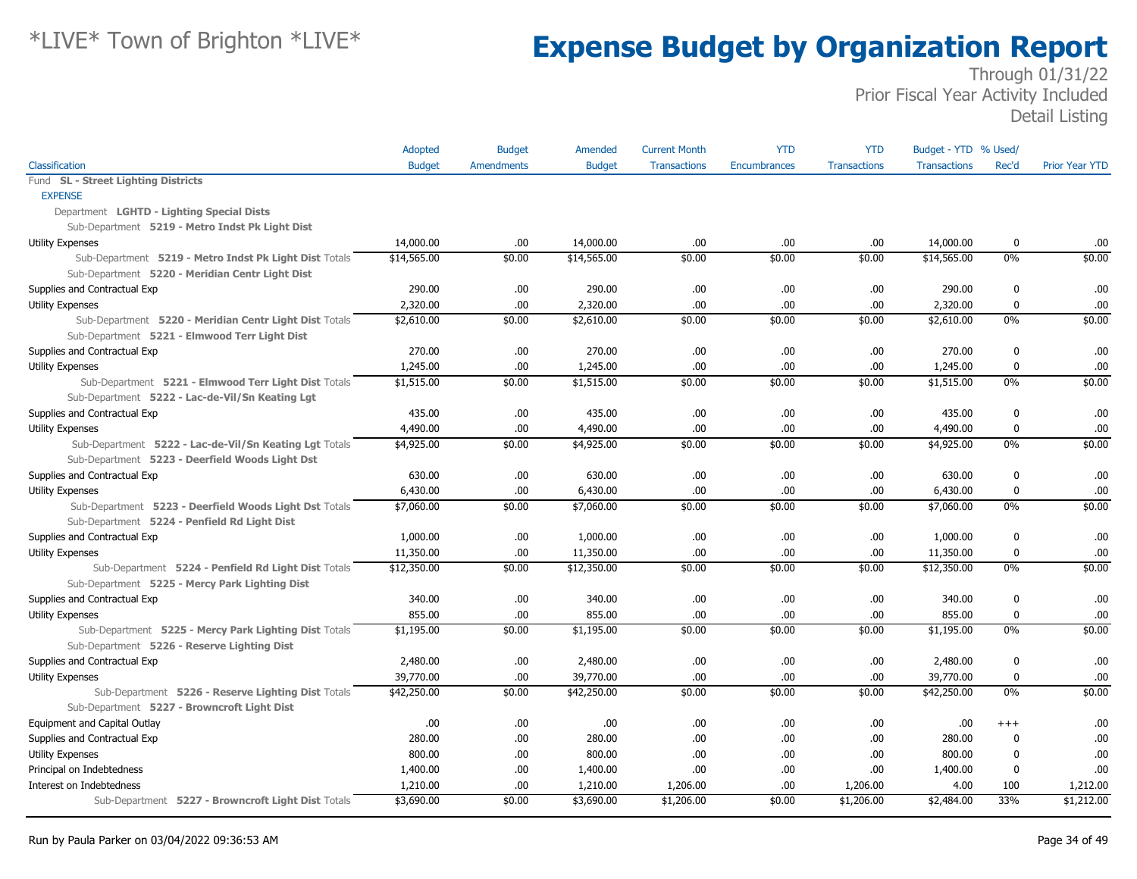|                                                        | Adopted       | <b>Budget</b>     | Amended       | <b>Current Month</b> | <b>YTD</b>   | <b>YTD</b>          | Budget - YTD % Used/ |             |                       |
|--------------------------------------------------------|---------------|-------------------|---------------|----------------------|--------------|---------------------|----------------------|-------------|-----------------------|
| Classification                                         | <b>Budget</b> | <b>Amendments</b> | <b>Budget</b> | <b>Transactions</b>  | Encumbrances | <b>Transactions</b> | <b>Transactions</b>  | Rec'd       | <b>Prior Year YTD</b> |
| Fund SL - Street Lighting Districts                    |               |                   |               |                      |              |                     |                      |             |                       |
| <b>EXPENSE</b>                                         |               |                   |               |                      |              |                     |                      |             |                       |
| Department LGHTD - Lighting Special Dists              |               |                   |               |                      |              |                     |                      |             |                       |
| Sub-Department 5219 - Metro Indst Pk Light Dist        |               |                   |               |                      |              |                     |                      |             |                       |
| Utility Expenses                                       | 14,000.00     | .00               | 14,000.00     | .00                  | .00          | .00                 | 14,000.00            | 0           | .00                   |
| Sub-Department 5219 - Metro Indst Pk Light Dist Totals | \$14,565.00   | \$0.00            | \$14,565.00   | \$0.00               | \$0.00       | \$0.00              | \$14,565.00          | 0%          | \$0.00                |
| Sub-Department 5220 - Meridian Centr Light Dist        |               |                   |               |                      |              |                     |                      |             |                       |
| Supplies and Contractual Exp                           | 290.00        | .00               | 290.00        | .00                  | .00          | .00                 | 290.00               | $\mathbf 0$ | .00                   |
| <b>Utility Expenses</b>                                | 2,320.00      | .00               | 2,320.00      | .00                  | .00.         | .00                 | 2,320.00             | $\mathbf 0$ | .00                   |
| Sub-Department 5220 - Meridian Centr Light Dist Totals | \$2,610.00    | \$0.00            | \$2,610.00    | \$0.00               | \$0.00       | \$0.00              | \$2,610.00           | 0%          | \$0.00                |
| Sub-Department 5221 - Elmwood Terr Light Dist          |               |                   |               |                      |              |                     |                      |             |                       |
| Supplies and Contractual Exp                           | 270.00        | .00.              | 270.00        | .00.                 | .00.         | .00                 | 270.00               | $\mathbf 0$ | .00                   |
| <b>Utility Expenses</b>                                | 1,245.00      | .00               | 1,245.00      | .00                  | .00.         | .00                 | 1,245.00             | $\mathbf 0$ | .00                   |
| Sub-Department 5221 - Elmwood Terr Light Dist Totals   | \$1,515.00    | \$0.00            | \$1,515.00    | \$0.00               | \$0.00       | \$0.00              | \$1,515.00           | 0%          | \$0.00                |
| Sub-Department 5222 - Lac-de-Vil/Sn Keating Lgt        |               |                   |               |                      |              |                     |                      |             |                       |
| Supplies and Contractual Exp                           | 435.00        | .00.              | 435.00        | .00.                 | .00.         | .00.                | 435.00               | $\mathbf 0$ | .00                   |
| <b>Utility Expenses</b>                                | 4,490.00      | .00               | 4,490.00      | .00                  | .00.         | .00                 | 4,490.00             | $\mathbf 0$ | .00                   |
| Sub-Department 5222 - Lac-de-Vil/Sn Keating Lgt Totals | \$4,925.00    | \$0.00            | \$4,925.00    | \$0.00               | \$0.00       | \$0.00              | \$4,925.00           | 0%          | \$0.00                |
| Sub-Department 5223 - Deerfield Woods Light Dst        |               |                   |               |                      |              |                     |                      |             |                       |
| Supplies and Contractual Exp                           | 630.00        | .00               | 630.00        | .00                  | .00.         | .00                 | 630.00               | $\mathbf 0$ | .00                   |
| <b>Utility Expenses</b>                                | 6,430.00      | .00               | 6,430.00      | .00.                 | .00.         | .00                 | 6,430.00             | $\mathbf 0$ | .00                   |
| Sub-Department 5223 - Deerfield Woods Light Dst Totals | \$7,060.00    | \$0.00            | \$7,060.00    | \$0.00               | \$0.00       | \$0.00              | \$7,060.00           | 0%          | \$0.00                |
| Sub-Department 5224 - Penfield Rd Light Dist           |               |                   |               |                      |              |                     |                      |             |                       |
| Supplies and Contractual Exp                           | 1,000.00      | .00               | 1,000.00      | .00                  | .00          | .00.                | 1,000.00             | 0           | .00                   |
| <b>Utility Expenses</b>                                | 11,350.00     | .00               | 11,350.00     | .00.                 | .00.         | .00                 | 11,350.00            | $\bf{0}$    | .00                   |
| Sub-Department 5224 - Penfield Rd Light Dist Totals    | \$12,350.00   | \$0.00            | \$12,350.00   | \$0.00               | \$0.00       | \$0.00              | \$12,350.00          | 0%          | \$0.00                |
| Sub-Department 5225 - Mercy Park Lighting Dist         |               |                   |               |                      |              |                     |                      |             |                       |
| Supplies and Contractual Exp                           | 340.00        | .00               | 340.00        | .00                  | .00.         | .00                 | 340.00               | $\mathbf 0$ | .00                   |
| <b>Utility Expenses</b>                                | 855.00        | .00               | 855.00        | .00.                 | .00.         | .00                 | 855.00               | $\mathbf 0$ | .00                   |
| Sub-Department 5225 - Mercy Park Lighting Dist Totals  | \$1,195.00    | \$0.00            | \$1,195.00    | \$0.00               | \$0.00       | \$0.00              | \$1,195.00           | 0%          | \$0.00                |
| Sub-Department 5226 - Reserve Lighting Dist            |               |                   |               |                      |              |                     |                      |             |                       |
| Supplies and Contractual Exp                           | 2,480.00      | .00.              | 2,480.00      | .00.                 | .00.         | .00.                | 2,480.00             | 0           | .00                   |
| <b>Utility Expenses</b>                                | 39,770.00     | .00               | 39,770.00     | .00                  | .00.         | .00                 | 39,770.00            | $\mathbf 0$ | .00.                  |
| Sub-Department 5226 - Reserve Lighting Dist Totals     | \$42,250.00   | \$0.00            | \$42,250.00   | \$0.00               | \$0.00       | \$0.00              | \$42,250.00          | 0%          | \$0.00                |
| Sub-Department 5227 - Browncroft Light Dist            |               |                   |               |                      |              |                     |                      |             |                       |
| Equipment and Capital Outlay                           | .00           | .00               | .00.          | .00.                 | .00.         | .00                 | .00.                 | $^{+++}$    | .00                   |
| Supplies and Contractual Exp                           | 280.00        | .00               | 280.00        | .00                  | .00.         | .00                 | 280.00               | 0           | .00.                  |
| <b>Utility Expenses</b>                                | 800.00        | .00.              | 800.00        | .00                  | .00          | .00                 | 800.00               | $\mathbf 0$ | .00                   |
| Principal on Indebtedness                              | 1,400.00      | .00.              | 1,400.00      | .00.                 | .00.         | .00                 | 1,400.00             | 0           | .00                   |
| Interest on Indebtedness                               | 1,210.00      | .00               | 1,210.00      | 1,206.00             | .00          | 1,206.00            | 4.00                 | 100         | 1,212.00              |
| Sub-Department 5227 - Browncroft Light Dist Totals     | \$3,690.00    | \$0.00            | \$3,690.00    | \$1,206.00           | \$0.00       | \$1,206.00          | \$2,484.00           | 33%         | \$1,212.00            |
|                                                        |               |                   |               |                      |              |                     |                      |             |                       |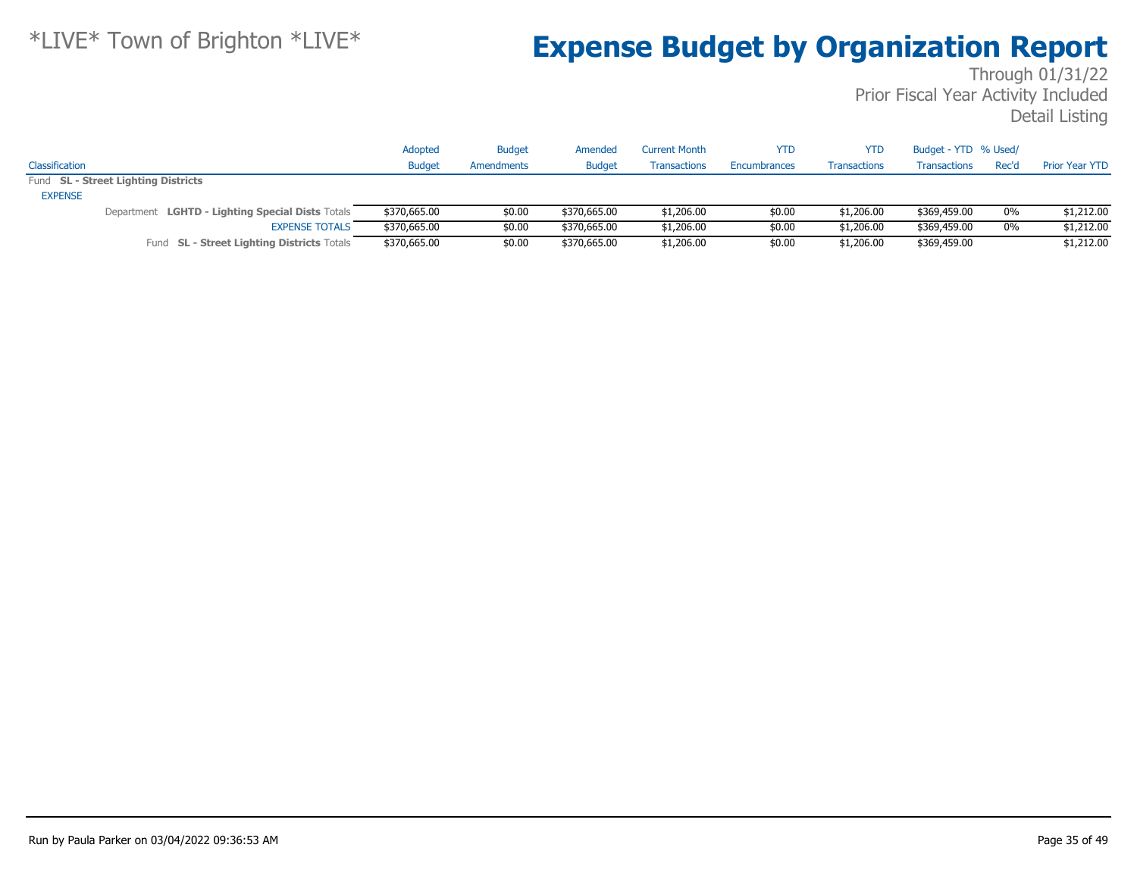|                |                                                  | Adopted       | <b>Budget</b> | Amended       | <b>Current Month</b> | <b>YTD</b>          | <b>YTD</b>          | Budget - YTD % Used/ |       |                       |
|----------------|--------------------------------------------------|---------------|---------------|---------------|----------------------|---------------------|---------------------|----------------------|-------|-----------------------|
| Classification |                                                  | <b>Budget</b> | Amendments    | <b>Budget</b> | <b>Transactions</b>  | <b>Encumbrances</b> | <b>Transactions</b> | Transactions         | Rec'd | <b>Prior Year YTD</b> |
|                | Fund SL - Street Lighting Districts              |               |               |               |                      |                     |                     |                      |       |                       |
| <b>EXPENSE</b> |                                                  |               |               |               |                      |                     |                     |                      |       |                       |
|                | Department LGHTD - Lighting Special Dists Totals | \$370,665.00  | \$0.00        | \$370,665.00  | \$1,206.00           | \$0.00              | \$1,206.00          | \$369,459.00         | $0\%$ | \$1,212.00            |
|                | <b>EXPENSE TOTALS</b>                            | \$370,665.00  | \$0.00        | \$370,665,00  | \$1,206.00           | \$0.00              | \$1,206.00          | \$369,459.00         | 0%    | \$1,212.00            |
|                | Fund SL - Street Lighting Districts Totals       | \$370,665.00  | \$0.00        | \$370,665.00  | \$1,206.00           | \$0.00              | \$1,206.00          | \$369,459.00         |       | \$1,212.00            |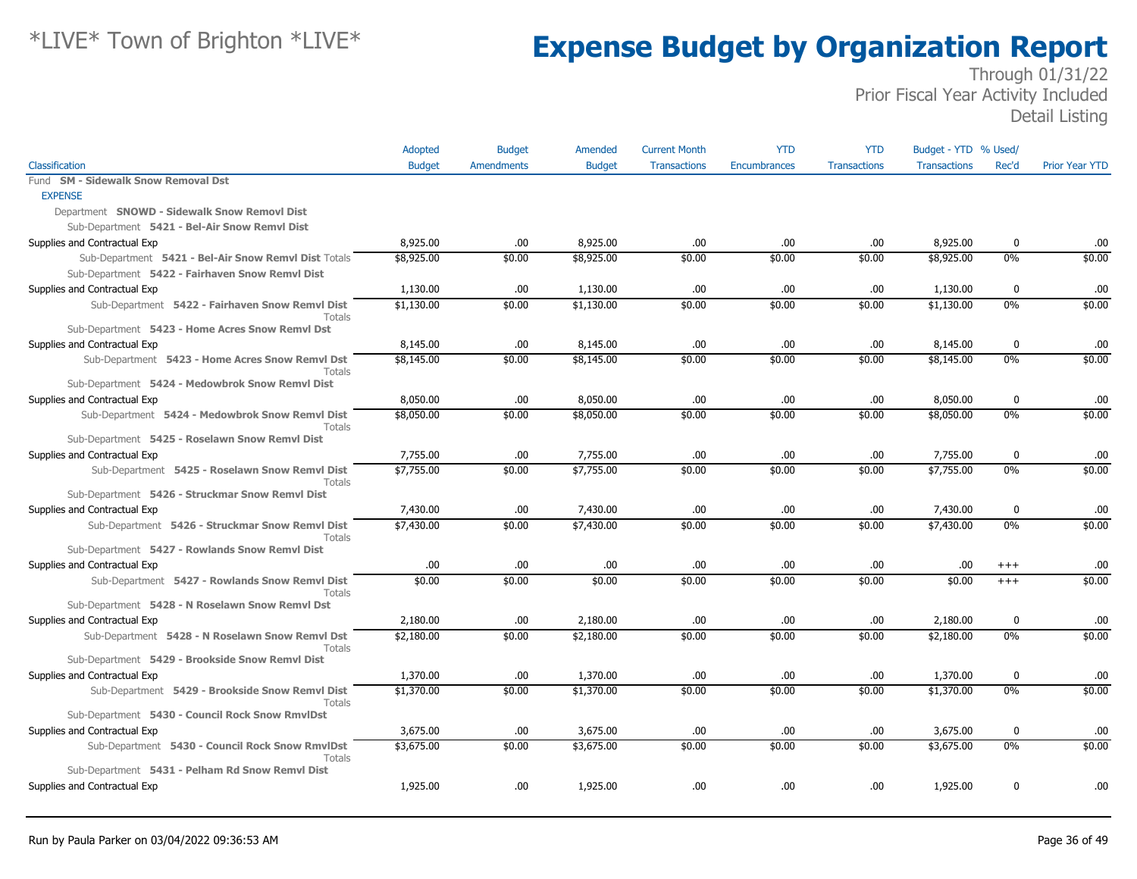|                                                                  | Adopted       | <b>Budget</b>     | Amended       | <b>Current Month</b> | <b>YTD</b>          | <b>YTD</b>          | Budget - YTD % Used/ |             |                       |
|------------------------------------------------------------------|---------------|-------------------|---------------|----------------------|---------------------|---------------------|----------------------|-------------|-----------------------|
| Classification                                                   | <b>Budget</b> | <b>Amendments</b> | <b>Budget</b> | <b>Transactions</b>  | <b>Encumbrances</b> | <b>Transactions</b> | <b>Transactions</b>  | Rec'd       | <b>Prior Year YTD</b> |
| <b>SM - Sidewalk Snow Removal Dst</b><br>Fund                    |               |                   |               |                      |                     |                     |                      |             |                       |
| <b>EXPENSE</b>                                                   |               |                   |               |                      |                     |                     |                      |             |                       |
| Department SNOWD - Sidewalk Snow Removl Dist                     |               |                   |               |                      |                     |                     |                      |             |                       |
| Sub-Department 5421 - Bel-Air Snow Remvl Dist                    |               |                   |               |                      |                     |                     |                      |             |                       |
| Supplies and Contractual Exp                                     | 8,925.00      | .00.              | 8,925.00      | .00                  | .00                 | .00                 | 8,925.00             | $\mathbf 0$ | .00                   |
| Sub-Department 5421 - Bel-Air Snow Remvl Dist Totals             | \$8,925.00    | \$0.00            | \$8,925.00    | \$0.00               | \$0.00              | \$0.00              | \$8,925.00           | 0%          | \$0.00                |
| Sub-Department 5422 - Fairhaven Snow Remvl Dist                  |               |                   |               |                      |                     |                     |                      |             |                       |
| Supplies and Contractual Exp                                     | 1,130.00      | .00.              | 1,130.00      | .00                  | .00                 | .00                 | 1,130.00             | $\bf{0}$    | .00                   |
| Sub-Department 5422 - Fairhaven Snow Remvl Dist<br>Totals        | \$1,130.00    | \$0.00            | \$1,130.00    | \$0.00               | \$0.00              | \$0.00              | \$1,130.00           | $0\%$       | \$0.00                |
| Sub-Department 5423 - Home Acres Snow Remvl Dst                  |               |                   |               |                      |                     |                     |                      |             |                       |
| Supplies and Contractual Exp                                     | 8,145.00      | .00.              | 8,145.00      | .00                  | .00                 | .00                 | 8,145.00             | $\mathbf 0$ | .00                   |
| Sub-Department 5423 - Home Acres Snow Remvl Dst<br><b>Totals</b> | \$8,145.00    | \$0.00            | \$8,145.00    | \$0.00               | \$0.00              | \$0.00              | \$8,145.00           | 0%          | \$0.00                |
| Sub-Department 5424 - Medowbrok Snow Remvl Dist                  |               |                   |               |                      |                     |                     |                      |             |                       |
| Supplies and Contractual Exp                                     | 8,050.00      | .00               | 8,050.00      | .00                  | .00                 | .00                 | 8,050.00             | $\mathbf 0$ | .00                   |
| Sub-Department 5424 - Medowbrok Snow Remvl Dist<br><b>Totals</b> | \$8,050.00    | \$0.00            | \$8,050.00    | \$0.00               | \$0.00              | \$0.00              | \$8,050.00           | 0%          | \$0.00                |
| Sub-Department 5425 - Roselawn Snow Remvl Dist                   |               |                   |               |                      |                     |                     |                      |             |                       |
| Supplies and Contractual Exp                                     | 7,755.00      | .00.              | 7,755.00      | .00                  | .00                 | .00                 | 7,755.00             | $\bf{0}$    | .00                   |
| Sub-Department 5425 - Roselawn Snow Remvl Dist<br>Totals         | \$7,755.00    | \$0.00            | \$7,755.00    | \$0.00               | \$0.00              | \$0.00              | \$7,755.00           | 0%          | \$0.00                |
| Sub-Department 5426 - Struckmar Snow Remvl Dist                  |               |                   |               |                      |                     |                     |                      |             |                       |
| Supplies and Contractual Exp                                     | 7,430.00      | .00.              | 7,430.00      | .00                  | .00                 | .00                 | 7,430.00             | $\bf{0}$    | .00                   |
| Sub-Department 5426 - Struckmar Snow Remvl Dist<br>Totals        | \$7,430.00    | \$0.00            | \$7,430.00    | \$0.00               | \$0.00              | \$0.00              | \$7,430.00           | 0%          | \$0.00                |
| Sub-Department 5427 - Rowlands Snow Remvl Dist                   |               |                   |               |                      |                     |                     |                      |             |                       |
| Supplies and Contractual Exp                                     | .00           | .00.              | .00           | .00                  | .00.                | .00                 | .00.                 | $^{+++}$    | .00.                  |
| Sub-Department 5427 - Rowlands Snow Remvl Dist<br>Totals         | \$0.00        | \$0.00            | \$0.00        | \$0.00               | \$0.00              | \$0.00              | \$0.00               | $+++$       | \$0.00                |
| Sub-Department 5428 - N Roselawn Snow Remvl Dst                  |               |                   |               |                      |                     |                     |                      |             |                       |
| Supplies and Contractual Exp                                     | 2,180.00      | .00.              | 2,180.00      | .00                  | .00                 | .00                 | 2,180.00             | $\mathbf 0$ | .00.                  |
| Sub-Department 5428 - N Roselawn Snow Remvl Dst<br>Totals        | \$2,180.00    | \$0.00            | \$2,180.00    | \$0.00               | \$0.00              | \$0.00              | \$2,180.00           | $0\%$       | \$0.00                |
| Sub-Department 5429 - Brookside Snow Remvl Dist                  |               |                   |               |                      |                     |                     |                      |             |                       |
| Supplies and Contractual Exp                                     | 1,370.00      | .00.              | 1,370.00      | .00                  | .00.                | .00                 | 1,370.00             | $\bf{0}$    | .00                   |
| Sub-Department 5429 - Brookside Snow Remvl Dist<br>Totals        | \$1,370.00    | \$0.00            | \$1,370.00    | \$0.00               | \$0.00              | \$0.00              | \$1,370.00           | 0%          | \$0.00                |
| Sub-Department 5430 - Council Rock Snow RmvlDst                  |               |                   |               |                      |                     |                     |                      |             |                       |
| Supplies and Contractual Exp                                     | 3,675.00      | .00.              | 3,675.00      | .00                  | .00.                | .00                 | 3,675.00             | $\bf{0}$    | .00                   |
| Sub-Department 5430 - Council Rock Snow RmvlDst<br>Totals        | \$3,675.00    | \$0.00            | \$3,675.00    | \$0.00               | \$0.00              | \$0.00              | \$3,675.00           | 0%          | \$0.00                |
| Sub-Department 5431 - Pelham Rd Snow Remvl Dist                  |               |                   |               |                      |                     |                     |                      |             |                       |
| Supplies and Contractual Exp                                     | 1,925.00      | .00               | 1,925.00      | .00                  | .00                 | .00                 | 1,925.00             | $\mathbf 0$ | .00                   |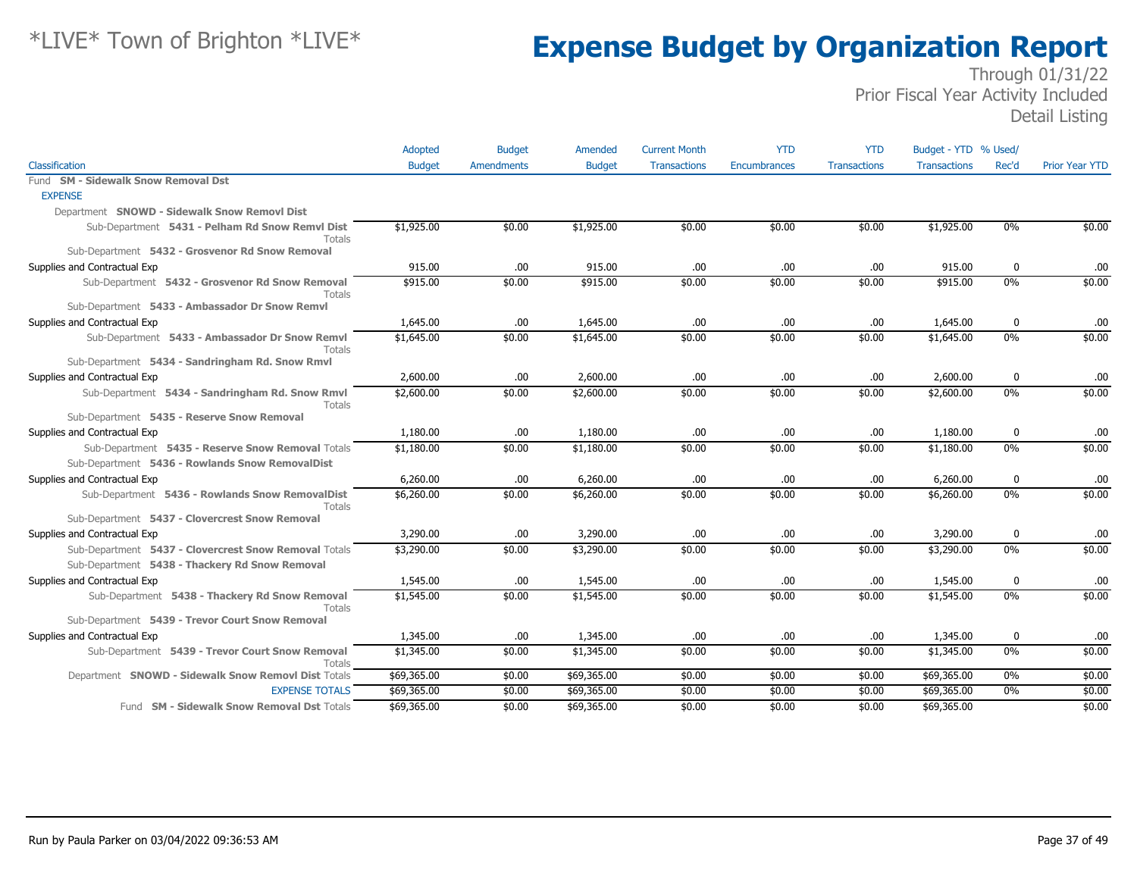|                                                           | Adopted       | <b>Budget</b>     | Amended       | <b>Current Month</b> | <b>YTD</b>          | <b>YTD</b>          | Budget - YTD % Used/ |             |                       |
|-----------------------------------------------------------|---------------|-------------------|---------------|----------------------|---------------------|---------------------|----------------------|-------------|-----------------------|
| Classification                                            | <b>Budget</b> | <b>Amendments</b> | <b>Budget</b> | <b>Transactions</b>  | <b>Encumbrances</b> | <b>Transactions</b> | <b>Transactions</b>  | Rec'd       | <b>Prior Year YTD</b> |
| Fund SM - Sidewalk Snow Removal Dst                       |               |                   |               |                      |                     |                     |                      |             |                       |
| <b>EXPENSE</b>                                            |               |                   |               |                      |                     |                     |                      |             |                       |
| Department SNOWD - Sidewalk Snow Removl Dist              |               |                   |               |                      |                     |                     |                      |             |                       |
| Sub-Department 5431 - Pelham Rd Snow Remvl Dist<br>Totals | \$1,925.00    | \$0.00            | \$1,925.00    | \$0.00               | \$0.00              | \$0.00              | \$1,925.00           | $0\%$       | \$0.00                |
| Sub-Department 5432 - Grosvenor Rd Snow Removal           |               |                   |               |                      |                     |                     |                      |             |                       |
| Supplies and Contractual Exp                              | 915.00        | .00               | 915.00        | .00                  | .00                 | .00                 | 915.00               | $\mathbf 0$ | .00                   |
| Sub-Department 5432 - Grosvenor Rd Snow Removal<br>Totals | \$915.00      | \$0.00            | \$915.00      | \$0.00               | \$0.00              | \$0.00              | \$915.00             | $0\%$       | \$0.00                |
| Sub-Department 5433 - Ambassador Dr Snow Remvl            |               |                   |               |                      |                     |                     |                      |             |                       |
| Supplies and Contractual Exp                              | 1,645.00      | .00.              | 1,645.00      | .00                  | .00                 | .00                 | 1,645.00             | 0           | .00                   |
| Sub-Department 5433 - Ambassador Dr Snow Remvl<br>Totals  | \$1,645.00    | \$0.00            | \$1,645.00    | \$0.00               | \$0.00              | \$0.00              | \$1,645.00           | 0%          | \$0.00                |
| Sub-Department 5434 - Sandringham Rd. Snow Rmvl           |               |                   |               |                      |                     |                     |                      |             |                       |
| Supplies and Contractual Exp                              | 2,600.00      | .00.              | 2,600.00      | .00                  | .00.                | .00                 | 2,600.00             | 0           | .00                   |
| Sub-Department 5434 - Sandringham Rd. Snow Rmvl<br>Totals | \$2,600.00    | \$0.00            | \$2,600.00    | \$0.00               | \$0.00              | \$0.00              | \$2,600.00           | 0%          | \$0.00                |
| Sub-Department 5435 - Reserve Snow Removal                |               |                   |               |                      |                     |                     |                      |             |                       |
| Supplies and Contractual Exp                              | 1,180.00      | .00.              | 1,180.00      | .00                  | .00.                | .00                 | 1,180.00             | 0           | .00                   |
| Sub-Department 5435 - Reserve Snow Removal Totals         | \$1,180.00    | \$0.00            | \$1,180.00    | \$0.00               | \$0.00              | \$0.00              | \$1,180.00           | 0%          | \$0.00                |
| Sub-Department 5436 - Rowlands Snow RemovalDist           |               |                   |               |                      |                     |                     |                      |             |                       |
| Supplies and Contractual Exp                              | 6,260.00      | .00.              | 6,260.00      | .00.                 | .00.                | .00                 | 6,260.00             | 0           | .00                   |
| Sub-Department 5436 - Rowlands Snow RemovalDist<br>Totals | \$6,260.00    | \$0.00            | \$6,260.00    | \$0.00               | \$0.00              | \$0.00              | \$6,260.00           | 0%          | \$0.00                |
| Sub-Department 5437 - Clovercrest Snow Removal            |               |                   |               |                      |                     |                     |                      |             |                       |
| Supplies and Contractual Exp                              | 3,290.00      | .00               | 3,290.00      | .00                  | .00.                | .00                 | 3,290.00             | 0           | .00                   |
| Sub-Department 5437 - Clovercrest Snow Removal Totals     | \$3,290.00    | \$0.00            | \$3,290.00    | \$0.00               | \$0.00              | \$0.00              | \$3,290.00           | $0\%$       | \$0.00                |
| Sub-Department 5438 - Thackery Rd Snow Removal            |               |                   |               |                      |                     |                     |                      |             |                       |
| Supplies and Contractual Exp                              | 1,545.00      | .00               | 1,545.00      | .00                  | .00                 | .00                 | 1,545.00             | 0           | .00                   |
| Sub-Department 5438 - Thackery Rd Snow Removal<br>Totals  | \$1,545.00    | \$0.00            | \$1,545.00    | \$0.00               | \$0.00              | \$0.00              | \$1,545.00           | $0\%$       | \$0.00                |
| Sub-Department 5439 - Trevor Court Snow Removal           |               |                   |               |                      |                     |                     |                      |             |                       |
| Supplies and Contractual Exp                              | 1,345.00      | .00.              | 1,345.00      | .00                  | .00.                | .00                 | 1,345.00             | $\bf{0}$    | .00                   |
| Sub-Department 5439 - Trevor Court Snow Removal<br>Totals | \$1,345.00    | \$0.00            | \$1,345.00    | \$0.00               | \$0.00              | \$0.00              | \$1,345.00           | $0\%$       | \$0.00                |
| Department SNOWD - Sidewalk Snow Removl Dist Totals       | \$69,365.00   | \$0.00            | \$69,365.00   | \$0.00               | \$0.00              | \$0.00              | \$69,365.00          | 0%          | \$0.00                |
| <b>EXPENSE TOTALS</b>                                     | \$69,365.00   | \$0.00            | \$69,365.00   | \$0.00               | \$0.00              | \$0.00              | \$69,365.00          | 0%          | \$0.00                |
| Fund SM - Sidewalk Snow Removal Dst Totals                | \$69,365.00   | \$0.00            | \$69,365.00   | \$0.00               | \$0.00              | \$0.00              | \$69,365.00          |             | \$0.00                |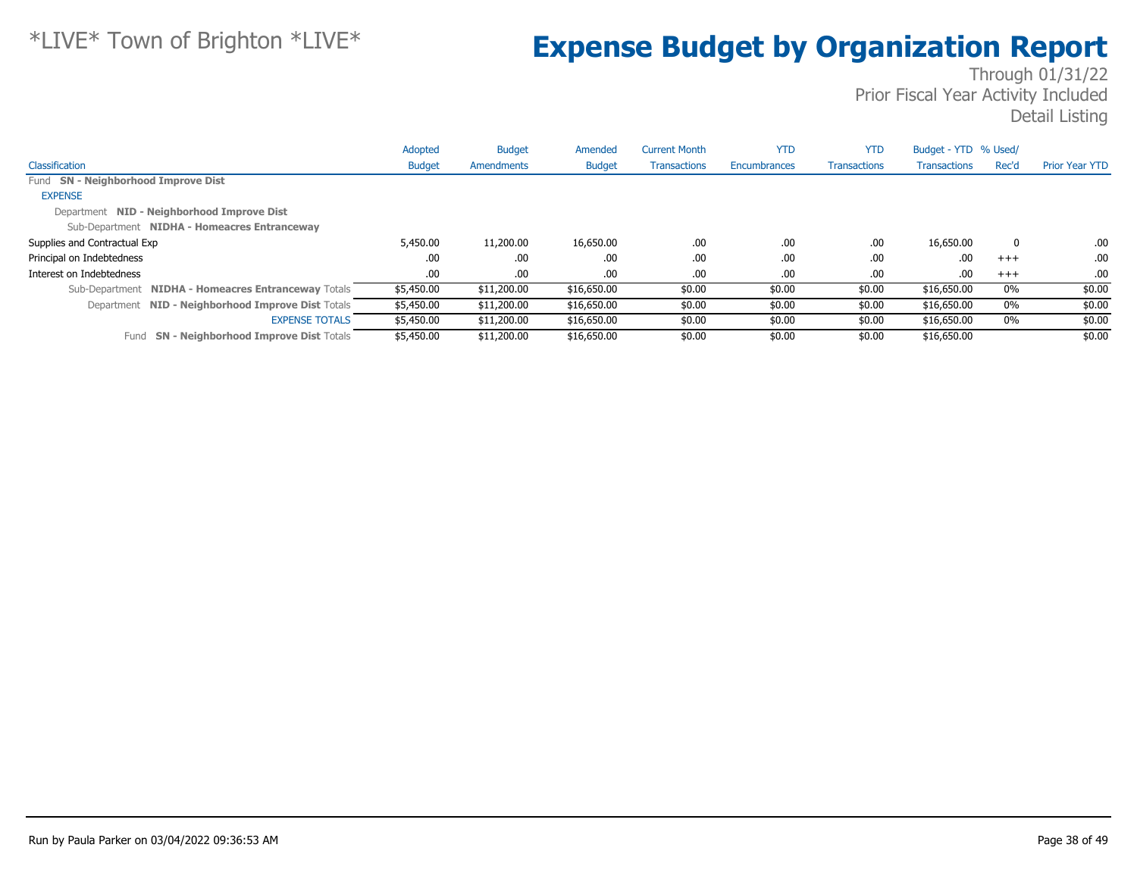|                                                     | Adopted       | <b>Budget</b> | Amended       | <b>Current Month</b> | <b>YTD</b>   | <b>YTD</b>          | Budget - YTD % Used/ |          |                       |
|-----------------------------------------------------|---------------|---------------|---------------|----------------------|--------------|---------------------|----------------------|----------|-----------------------|
| Classification                                      | <b>Budget</b> | Amendments    | <b>Budget</b> | <b>Transactions</b>  | Encumbrances | <b>Transactions</b> | <b>Transactions</b>  | Rec'd    | <b>Prior Year YTD</b> |
| Fund SN - Neighborhood Improve Dist                 |               |               |               |                      |              |                     |                      |          |                       |
| <b>EXPENSE</b>                                      |               |               |               |                      |              |                     |                      |          |                       |
| Department NID - Neighborhood Improve Dist          |               |               |               |                      |              |                     |                      |          |                       |
| Sub-Department NIDHA - Homeacres Entranceway        |               |               |               |                      |              |                     |                      |          |                       |
| Supplies and Contractual Exp                        | 5,450.00      | 11,200.00     | 16,650.00     | .00.                 | .00          | .00.                | 16,650.00            | $\Omega$ | .00.                  |
| Principal on Indebtedness                           | .00           | .00           | .00.          | .00.                 | .00          | .00                 | .00                  | $+++$    | .00                   |
| Interest on Indebtedness                            | .00           | .00.          | .00.          | .00.                 | .00          | .00                 | .00                  | $+++$    | .00.                  |
| Sub-Department NIDHA - Homeacres Entranceway Totals | \$5,450.00    | \$11,200.00   | \$16,650.00   | \$0.00               | \$0.00       | \$0.00              | \$16,650.00          | 0%       | \$0.00                |
| Department NID - Neighborhood Improve Dist Totals   | \$5,450.00    | \$11,200.00   | \$16,650.00   | \$0.00               | \$0.00       | \$0.00              | \$16,650.00          | 0%       | \$0.00                |
| <b>EXPENSE TOTALS</b>                               | \$5,450.00    | \$11,200.00   | \$16,650.00   | \$0.00               | \$0.00       | \$0.00              | \$16,650.00          | $0\%$    | \$0.00                |
| Fund SN - Neighborhood Improve Dist Totals          | \$5,450.00    | \$11,200.00   | \$16,650.00   | \$0.00               | \$0.00       | \$0.00              | \$16,650.00          |          | \$0.00                |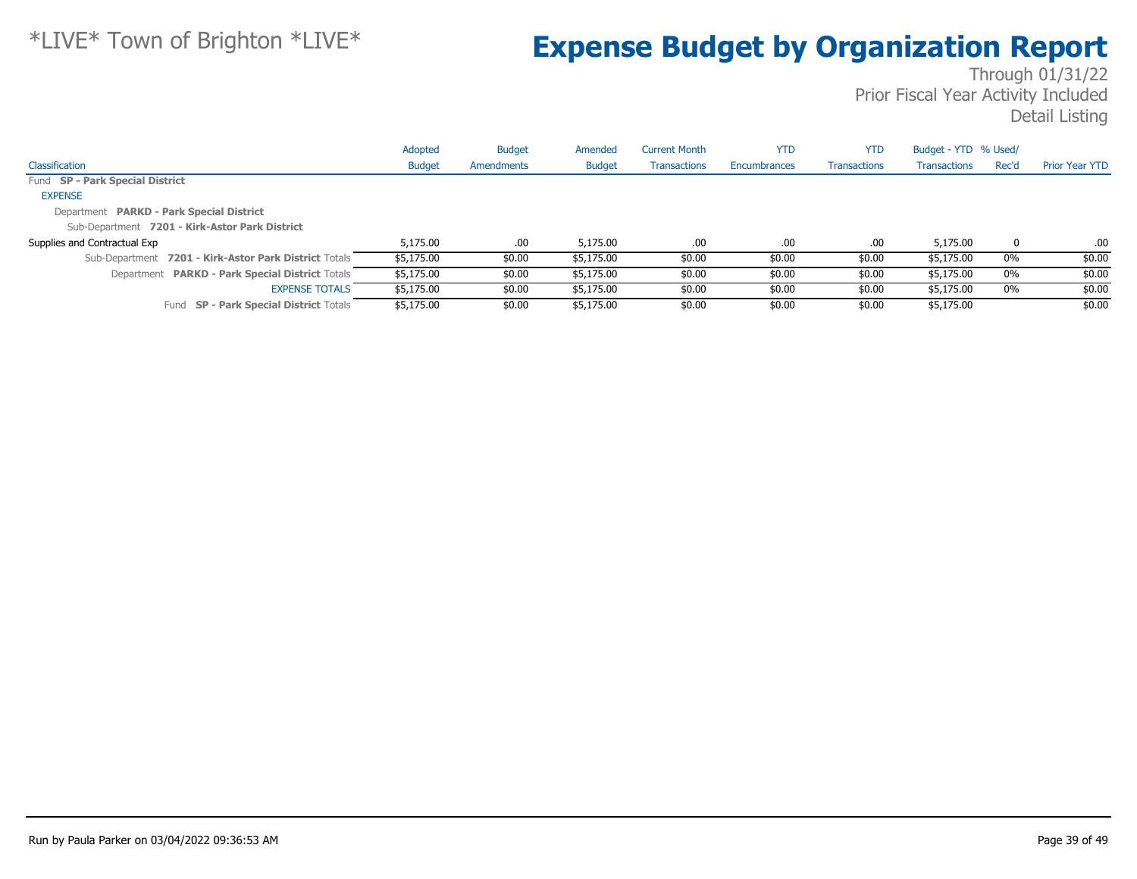|                                                       | Adopted       | <b>Budget</b> | Amended       | <b>Current Month</b> | <b>YTD</b>   | <b>YTD</b>          | Budget - YTD % Used/ |       |                       |
|-------------------------------------------------------|---------------|---------------|---------------|----------------------|--------------|---------------------|----------------------|-------|-----------------------|
| Classification                                        | <b>Budget</b> | Amendments    | <b>Budget</b> | <b>Transactions</b>  | Encumbrances | <b>Transactions</b> | <b>Transactions</b>  | Rec'd | <b>Prior Year YTD</b> |
| Fund SP - Park Special District                       |               |               |               |                      |              |                     |                      |       |                       |
| <b>EXPENSE</b>                                        |               |               |               |                      |              |                     |                      |       |                       |
| Department PARKD - Park Special District              |               |               |               |                      |              |                     |                      |       |                       |
| Sub-Department 7201 - Kirk-Astor Park District        |               |               |               |                      |              |                     |                      |       |                       |
| Supplies and Contractual Exp                          | 5,175.00      | .00.          | 5,175.00      | .00                  | .00          | .00                 | 5,175.00             | 0     | .00.                  |
| Sub-Department 7201 - Kirk-Astor Park District Totals | \$5,175.00    | \$0.00        | \$5,175.00    | \$0.00               | \$0.00       | \$0.00              | \$5,175.00           | $0\%$ | \$0.00                |
| Department PARKD - Park Special District Totals       | \$5,175.00    | \$0.00        | \$5,175.00    | \$0.00               | \$0.00       | \$0.00              | \$5,175.00           | $0\%$ | \$0.00                |
| <b>EXPENSE TOTALS</b>                                 | \$5,175.00    | \$0.00        | \$5,175.00    | \$0.00               | \$0.00       | \$0.00              | \$5,175.00           | 0%    | \$0.00                |
| Fund SP - Park Special District Totals                | \$5,175.00    | \$0.00        | \$5,175.00    | \$0.00               | \$0.00       | \$0.00              | \$5,175.00           |       | \$0.00                |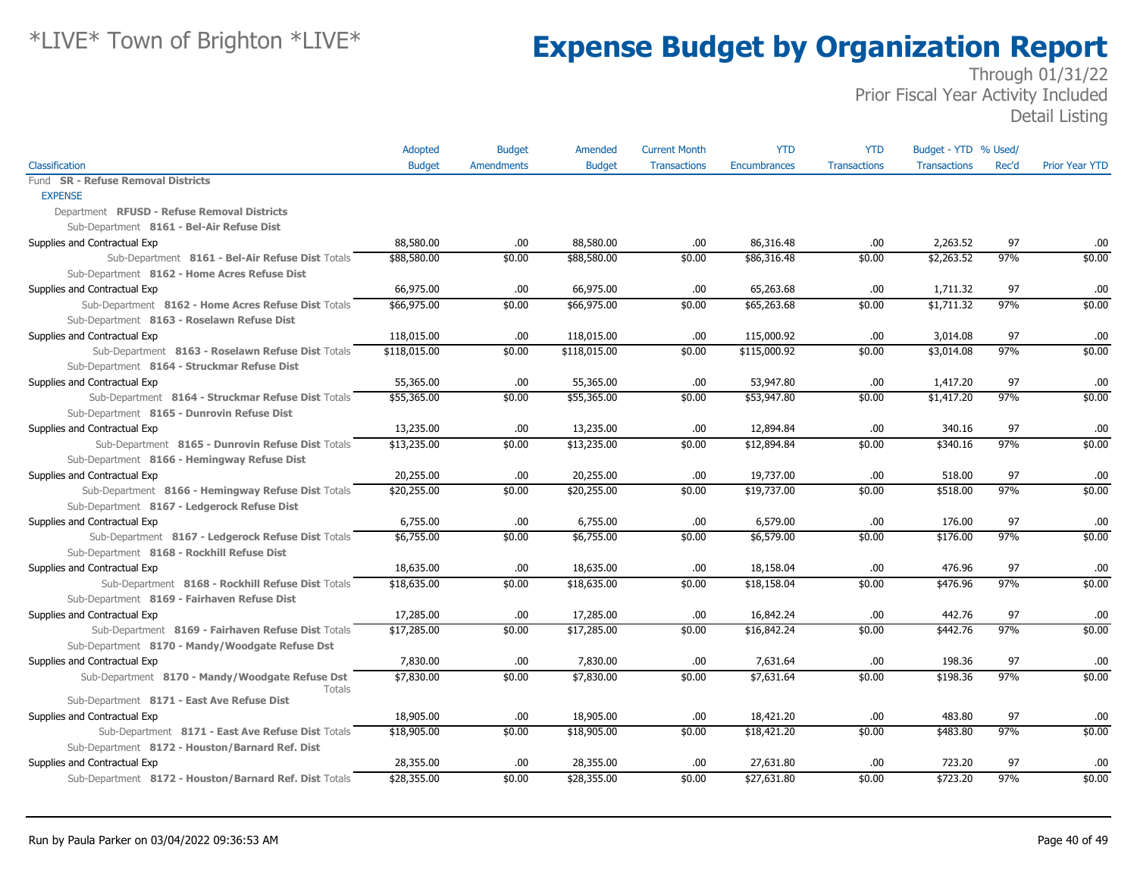|                                                        | <b>Adopted</b> | <b>Budget</b>     | Amended       | <b>Current Month</b> | <b>YTD</b>   | <b>YTD</b>          | Budget - YTD % Used/ |       |                       |
|--------------------------------------------------------|----------------|-------------------|---------------|----------------------|--------------|---------------------|----------------------|-------|-----------------------|
| Classification                                         | <b>Budget</b>  | <b>Amendments</b> | <b>Budget</b> | <b>Transactions</b>  | Encumbrances | <b>Transactions</b> | <b>Transactions</b>  | Rec'd | <b>Prior Year YTD</b> |
| Fund SR - Refuse Removal Districts                     |                |                   |               |                      |              |                     |                      |       |                       |
| <b>EXPENSE</b>                                         |                |                   |               |                      |              |                     |                      |       |                       |
| Department RFUSD - Refuse Removal Districts            |                |                   |               |                      |              |                     |                      |       |                       |
| Sub-Department 8161 - Bel-Air Refuse Dist              |                |                   |               |                      |              |                     |                      |       |                       |
| Supplies and Contractual Exp                           | 88,580.00      | .00.              | 88,580.00     | .00                  | 86,316.48    | .00                 | 2,263.52             | 97    | .00                   |
| Sub-Department 8161 - Bel-Air Refuse Dist Totals       | \$88,580.00    | \$0.00            | \$88,580.00   | \$0.00               | \$86,316.48  | \$0.00              | \$2,263.52           | 97%   | \$0.00                |
| Sub-Department 8162 - Home Acres Refuse Dist           |                |                   |               |                      |              |                     |                      |       |                       |
| Supplies and Contractual Exp                           | 66,975.00      | .00.              | 66,975.00     | .00                  | 65,263.68    | .00                 | 1,711.32             | 97    | .00                   |
| Sub-Department 8162 - Home Acres Refuse Dist Totals    | \$66,975.00    | \$0.00            | \$66,975.00   | \$0.00               | \$65,263.68  | \$0.00              | \$1,711.32           | 97%   | \$0.00                |
| Sub-Department 8163 - Roselawn Refuse Dist             |                |                   |               |                      |              |                     |                      |       |                       |
| Supplies and Contractual Exp                           | 118,015.00     | .00.              | 118,015.00    | .00                  | 115,000.92   | .00                 | 3,014.08             | 97    | .00                   |
| Sub-Department 8163 - Roselawn Refuse Dist Totals      | \$118,015.00   | \$0.00            | \$118,015.00  | \$0.00               | \$115,000.92 | \$0.00              | \$3,014.08           | 97%   | \$0.00                |
| Sub-Department 8164 - Struckmar Refuse Dist            |                |                   |               |                      |              |                     |                      |       |                       |
| Supplies and Contractual Exp                           | 55,365.00      | .00.              | 55,365.00     | .00                  | 53,947.80    | .00                 | 1,417.20             | 97    | .00                   |
| Sub-Department 8164 - Struckmar Refuse Dist Totals     | \$55,365.00    | \$0.00            | \$55,365.00   | \$0.00               | \$53,947.80  | \$0.00              | \$1,417.20           | 97%   | \$0.00                |
| Sub-Department 8165 - Dunrovin Refuse Dist             |                |                   |               |                      |              |                     |                      |       |                       |
| Supplies and Contractual Exp                           | 13,235.00      | .00.              | 13,235.00     | .00                  | 12,894.84    | .00                 | 340.16               | 97    | .00                   |
| Sub-Department 8165 - Dunrovin Refuse Dist Totals      | \$13,235.00    | \$0.00            | \$13,235.00   | \$0.00               | \$12,894.84  | \$0.00              | \$340.16             | 97%   | \$0.00                |
| Sub-Department 8166 - Hemingway Refuse Dist            |                |                   |               |                      |              |                     |                      |       |                       |
| Supplies and Contractual Exp                           | 20,255.00      | .00.              | 20,255.00     | .00                  | 19,737.00    | .00                 | 518.00               | 97    | .00                   |
| Sub-Department 8166 - Hemingway Refuse Dist Totals     | \$20,255.00    | \$0.00            | \$20,255.00   | \$0.00               | \$19,737.00  | \$0.00              | \$518.00             | 97%   | \$0.00                |
| Sub-Department 8167 - Ledgerock Refuse Dist            |                |                   |               |                      |              |                     |                      |       |                       |
| Supplies and Contractual Exp                           | 6,755.00       | 00.               | 6,755.00      | .00                  | 6,579.00     | .00                 | 176.00               | 97    | .00                   |
| Sub-Department 8167 - Ledgerock Refuse Dist Totals     | \$6,755.00     | \$0.00            | \$6,755.00    | \$0.00               | \$6,579.00   | \$0.00              | \$176.00             | 97%   | \$0.00                |
| Sub-Department 8168 - Rockhill Refuse Dist             |                |                   |               |                      |              |                     |                      |       |                       |
| Supplies and Contractual Exp                           | 18,635.00      | .00.              | 18,635.00     | .00                  | 18,158.04    | .00                 | 476.96               | 97    | .00                   |
| Sub-Department 8168 - Rockhill Refuse Dist Totals      | \$18,635.00    | \$0.00            | \$18,635.00   | \$0.00               | \$18,158.04  | \$0.00              | \$476.96             | 97%   | \$0.00                |
| Sub-Department 8169 - Fairhaven Refuse Dist            |                |                   |               |                      |              |                     |                      |       |                       |
| Supplies and Contractual Exp                           | 17,285.00      | .00.              | 17,285.00     | .00                  | 16,842.24    | .00                 | 442.76               | 97    | .00                   |
| Sub-Department 8169 - Fairhaven Refuse Dist Totals     | \$17,285.00    | \$0.00            | \$17,285.00   | \$0.00               | \$16,842.24  | \$0.00              | \$442.76             | 97%   | \$0.00                |
| Sub-Department 8170 - Mandy/Woodgate Refuse Dst        |                |                   |               |                      |              |                     |                      |       |                       |
| Supplies and Contractual Exp                           | 7,830.00       | .00.              | 7,830.00      | .00                  | 7,631.64     | .00                 | 198.36               | 97    | .00                   |
| Sub-Department 8170 - Mandy/Woodgate Refuse Dst        | \$7,830.00     | \$0.00            | \$7,830.00    | \$0.00               | \$7,631.64   | \$0.00              | \$198.36             | 97%   | \$0.00                |
| Totals<br>Sub-Department 8171 - East Ave Refuse Dist   |                |                   |               |                      |              |                     |                      |       |                       |
| Supplies and Contractual Exp                           | 18,905.00      | .00.              | 18,905.00     | .00                  | 18,421.20    | .00                 | 483.80               | 97    | .00                   |
| Sub-Department 8171 - East Ave Refuse Dist Totals      | \$18,905.00    | \$0.00            | \$18,905.00   | \$0.00               | \$18,421.20  | \$0.00              | \$483.80             | 97%   | \$0.00                |
| Sub-Department 8172 - Houston/Barnard Ref. Dist        |                |                   |               |                      |              |                     |                      |       |                       |
| Supplies and Contractual Exp                           | 28,355.00      | .00               | 28,355.00     | .00                  | 27,631.80    | .00                 | 723.20               | 97    | .00                   |
| Sub-Department 8172 - Houston/Barnard Ref. Dist Totals | \$28,355.00    | \$0.00            | \$28,355.00   | \$0.00               | \$27,631.80  | \$0.00              | \$723.20             | 97%   | \$0.00                |
|                                                        |                |                   |               |                      |              |                     |                      |       |                       |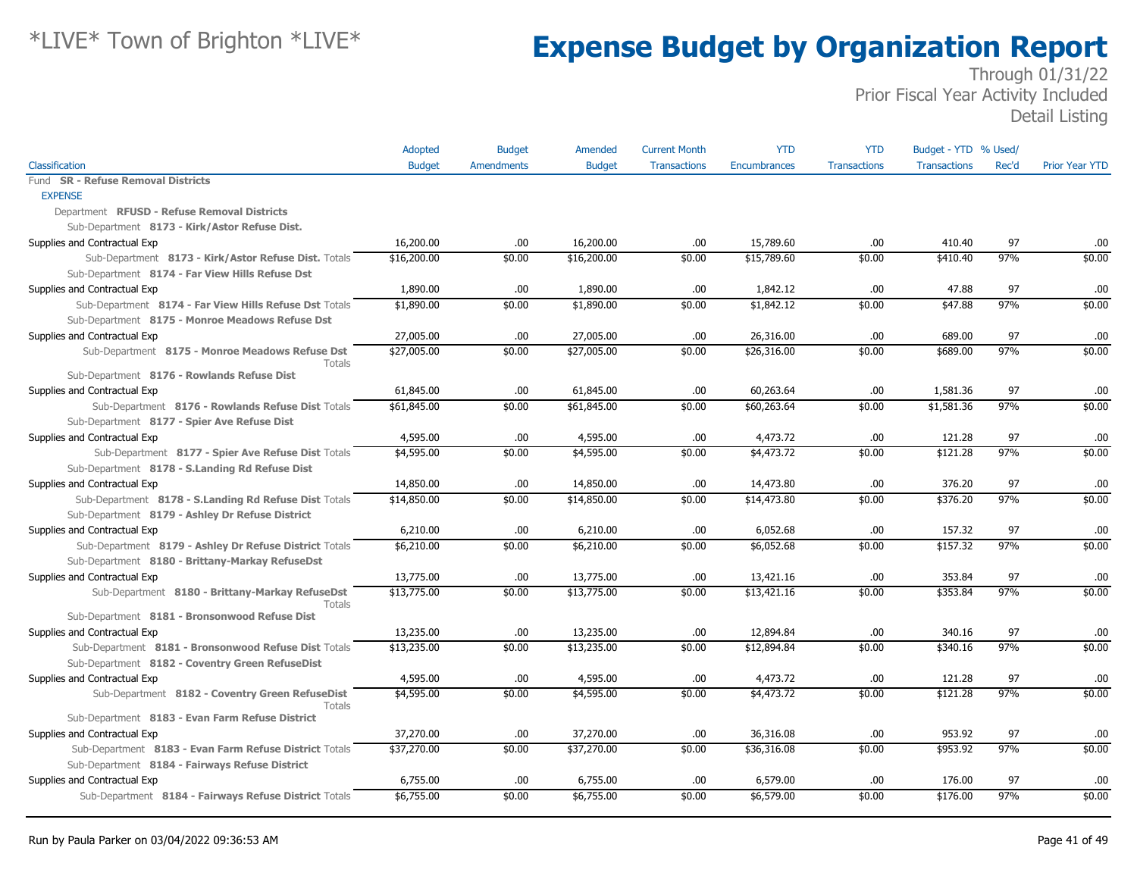|                                                           | Adopted       | <b>Budget</b>     | Amended       | <b>Current Month</b> | <b>YTD</b>   | <b>YTD</b>          | Budget - YTD % Used/ |       |                       |
|-----------------------------------------------------------|---------------|-------------------|---------------|----------------------|--------------|---------------------|----------------------|-------|-----------------------|
| Classification                                            | <b>Budget</b> | <b>Amendments</b> | <b>Budget</b> | <b>Transactions</b>  | Encumbrances | <b>Transactions</b> | <b>Transactions</b>  | Rec'd | <b>Prior Year YTD</b> |
| Fund SR - Refuse Removal Districts                        |               |                   |               |                      |              |                     |                      |       |                       |
| <b>EXPENSE</b>                                            |               |                   |               |                      |              |                     |                      |       |                       |
| Department RFUSD - Refuse Removal Districts               |               |                   |               |                      |              |                     |                      |       |                       |
| Sub-Department 8173 - Kirk/Astor Refuse Dist.             |               |                   |               |                      |              |                     |                      |       |                       |
| Supplies and Contractual Exp                              | 16,200.00     | .00.              | 16,200.00     | .00                  | 15,789.60    | .00.                | 410.40               | 97    | .00.                  |
| Sub-Department 8173 - Kirk/Astor Refuse Dist. Totals      | \$16,200.00   | \$0.00            | \$16,200.00   | \$0.00               | \$15,789.60  | \$0.00              | \$410.40             | 97%   | \$0.00                |
| Sub-Department 8174 - Far View Hills Refuse Dst           |               |                   |               |                      |              |                     |                      |       |                       |
| Supplies and Contractual Exp                              | 1,890.00      | .00.              | 1,890.00      | .00.                 | 1,842.12     | .00                 | 47.88                | 97    | .00                   |
| Sub-Department 8174 - Far View Hills Refuse Dst Totals    | \$1,890.00    | \$0.00            | \$1,890.00    | \$0.00               | \$1,842.12   | \$0.00              | \$47.88              | 97%   | \$0.00                |
| Sub-Department 8175 - Monroe Meadows Refuse Dst           |               |                   |               |                      |              |                     |                      |       |                       |
| Supplies and Contractual Exp                              | 27,005.00     | .00               | 27,005.00     | .00.                 | 26,316.00    | .00.                | 689.00               | 97    | .00                   |
| Sub-Department 8175 - Monroe Meadows Refuse Dst<br>Totals | \$27,005.00   | \$0.00            | \$27,005.00   | \$0.00               | \$26,316.00  | \$0.00              | \$689.00             | 97%   | \$0.00                |
| Sub-Department 8176 - Rowlands Refuse Dist                |               |                   |               |                      |              |                     |                      |       |                       |
| Supplies and Contractual Exp                              | 61,845.00     | .00               | 61,845.00     | .00.                 | 60,263.64    | .00.                | 1,581.36             | 97    | .00                   |
| Sub-Department 8176 - Rowlands Refuse Dist Totals         | \$61,845.00   | \$0.00            | \$61,845.00   | \$0.00               | \$60,263.64  | \$0.00              | \$1,581.36           | 97%   | \$0.00                |
| Sub-Department 8177 - Spier Ave Refuse Dist               |               |                   |               |                      |              |                     |                      |       |                       |
| Supplies and Contractual Exp                              | 4,595.00      | .00               | 4,595.00      | .00.                 | 4,473.72     | .00.                | 121.28               | 97    | .00                   |
| Sub-Department 8177 - Spier Ave Refuse Dist Totals        | \$4,595.00    | \$0.00            | \$4,595.00    | \$0.00               | \$4,473.72   | \$0.00              | \$121.28             | 97%   | \$0.00                |
| Sub-Department 8178 - S.Landing Rd Refuse Dist            |               |                   |               |                      |              |                     |                      |       |                       |
| Supplies and Contractual Exp                              | 14,850.00     | .00.              | 14,850.00     | .00.                 | 14,473.80    | .00.                | 376.20               | 97    | .00                   |
| Sub-Department 8178 - S.Landing Rd Refuse Dist Totals     | \$14,850.00   | \$0.00            | \$14,850.00   | \$0.00               | \$14,473.80  | \$0.00              | \$376.20             | 97%   | \$0.00                |
| Sub-Department 8179 - Ashley Dr Refuse District           |               |                   |               |                      |              |                     |                      |       |                       |
| Supplies and Contractual Exp                              | 6,210.00      | .00               | 6,210.00      | .00                  | 6,052.68     | .00                 | 157.32               | 97    | .00                   |
| Sub-Department 8179 - Ashley Dr Refuse District Totals    | \$6,210.00    | \$0.00            | \$6,210.00    | \$0.00               | \$6,052.68   | \$0.00              | \$157.32             | 97%   | \$0.00                |
| Sub-Department 8180 - Brittany-Markay RefuseDst           |               |                   |               |                      |              |                     |                      |       |                       |
| Supplies and Contractual Exp                              | 13,775.00     | .00.              | 13,775.00     | .00.                 | 13,421.16    | .00                 | 353.84               | 97    | .00                   |
| Sub-Department 8180 - Brittany-Markay RefuseDst           | \$13,775.00   | \$0.00            | \$13,775.00   | \$0.00               | \$13,421.16  | \$0.00              | \$353.84             | 97%   | \$0.00                |
| Totals                                                    |               |                   |               |                      |              |                     |                      |       |                       |
| Sub-Department 8181 - Bronsonwood Refuse Dist             |               |                   |               |                      |              |                     |                      |       |                       |
| Supplies and Contractual Exp                              | 13,235.00     | .00               | 13,235.00     | .00.                 | 12,894.84    | .00.                | 340.16               | 97    | .00                   |
| Sub-Department 8181 - Bronsonwood Refuse Dist Totals      | \$13,235.00   | \$0.00            | \$13,235.00   | \$0.00               | \$12,894.84  | \$0.00              | \$340.16             | 97%   | \$0.00                |
| Sub-Department 8182 - Coventry Green RefuseDist           |               |                   |               |                      |              |                     |                      |       |                       |
| Supplies and Contractual Exp                              | 4,595.00      | .00               | 4,595.00      | .00                  | 4,473.72     | .00                 | 121.28               | 97    | .00                   |
| Sub-Department 8182 - Coventry Green RefuseDist<br>Totals | \$4,595.00    | \$0.00            | \$4,595.00    | \$0.00               | \$4,473.72   | \$0.00              | \$121.28             | 97%   | \$0.00                |
| Sub-Department 8183 - Evan Farm Refuse District           |               |                   |               |                      |              |                     |                      |       |                       |
| Supplies and Contractual Exp                              | 37,270.00     | .00               | 37,270.00     | .00.                 | 36,316.08    | .00.                | 953.92               | 97    | .00                   |
| Sub-Department 8183 - Evan Farm Refuse District Totals    | \$37,270.00   | \$0.00            | \$37,270.00   | \$0.00               | \$36,316.08  | \$0.00              | \$953.92             | 97%   | \$0.00                |
| Sub-Department 8184 - Fairways Refuse District            |               |                   |               |                      |              |                     |                      |       |                       |
| Supplies and Contractual Exp                              | 6,755.00      | .00               | 6,755.00      | .00                  | 6,579.00     | .00.                | 176.00               | 97    | .00                   |
| Sub-Department 8184 - Fairways Refuse District Totals     | \$6,755.00    | \$0.00            | \$6,755.00    | \$0.00               | \$6,579.00   | \$0.00              | \$176.00             | 97%   | \$0.00                |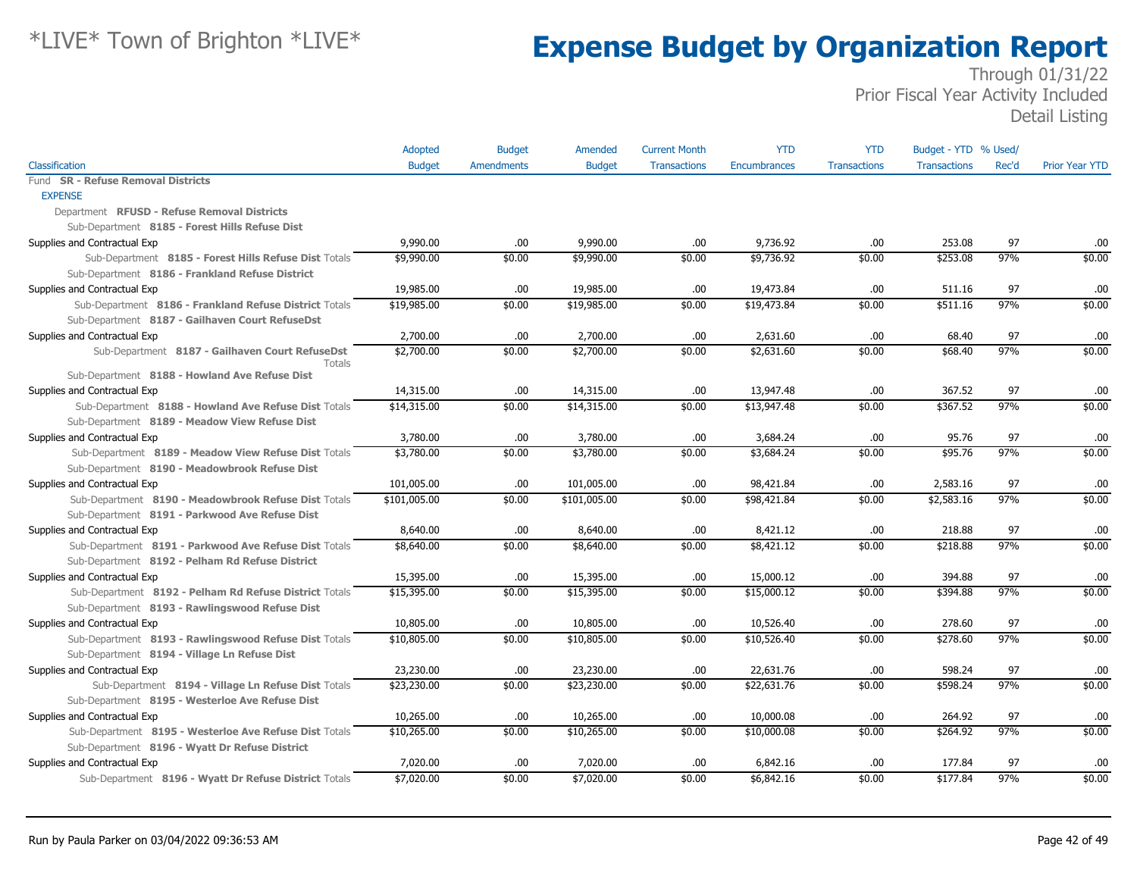|                                                        | Adopted       | <b>Budget</b>     | Amended       | <b>Current Month</b> | <b>YTD</b>   | <b>YTD</b>          | Budget - YTD % Used/ |       |                       |
|--------------------------------------------------------|---------------|-------------------|---------------|----------------------|--------------|---------------------|----------------------|-------|-----------------------|
| Classification                                         | <b>Budget</b> | <b>Amendments</b> | <b>Budget</b> | <b>Transactions</b>  | Encumbrances | <b>Transactions</b> | <b>Transactions</b>  | Rec'd | <b>Prior Year YTD</b> |
| <b>SR - Refuse Removal Districts</b><br>Fund           |               |                   |               |                      |              |                     |                      |       |                       |
| <b>EXPENSE</b>                                         |               |                   |               |                      |              |                     |                      |       |                       |
| Department RFUSD - Refuse Removal Districts            |               |                   |               |                      |              |                     |                      |       |                       |
| Sub-Department 8185 - Forest Hills Refuse Dist         |               |                   |               |                      |              |                     |                      |       |                       |
| Supplies and Contractual Exp                           | 9,990.00      | .00.              | 9,990.00      | .00.                 | 9,736.92     | .00                 | 253.08               | 97    | .00                   |
| Sub-Department 8185 - Forest Hills Refuse Dist Totals  | \$9,990.00    | \$0.00            | \$9,990.00    | \$0.00               | \$9,736.92   | \$0.00              | \$253.08             | 97%   | \$0.00                |
| Sub-Department 8186 - Frankland Refuse District        |               |                   |               |                      |              |                     |                      |       |                       |
| Supplies and Contractual Exp                           | 19,985.00     | .00.              | 19,985.00     | .00                  | 19,473.84    | .00                 | 511.16               | 97    | .00                   |
| Sub-Department 8186 - Frankland Refuse District Totals | \$19,985.00   | \$0.00            | \$19,985.00   | \$0.00               | \$19,473.84  | \$0.00              | \$511.16             | 97%   | \$0.00                |
| Sub-Department 8187 - Gailhaven Court RefuseDst        |               |                   |               |                      |              |                     |                      |       |                       |
| Supplies and Contractual Exp                           | 2,700.00      | .00.              | 2,700.00      | .00.                 | 2,631.60     | .00                 | 68.40                | 97    | .00                   |
| Sub-Department 8187 - Gailhaven Court RefuseDst        | \$2,700.00    | \$0.00            | \$2,700.00    | \$0.00               | \$2,631.60   | \$0.00              | \$68.40              | 97%   | \$0.00                |
| Totals                                                 |               |                   |               |                      |              |                     |                      |       |                       |
| Sub-Department 8188 - Howland Ave Refuse Dist          |               |                   |               |                      |              |                     |                      |       |                       |
| Supplies and Contractual Exp                           | 14,315.00     | .00.              | 14,315.00     | .00.                 | 13,947.48    | .00                 | 367.52               | 97    | .00                   |
| Sub-Department 8188 - Howland Ave Refuse Dist Totals   | \$14,315.00   | \$0.00            | \$14,315.00   | \$0.00               | \$13,947.48  | \$0.00              | \$367.52             | 97%   | \$0.00                |
| Sub-Department 8189 - Meadow View Refuse Dist          |               |                   |               |                      |              |                     |                      |       |                       |
| Supplies and Contractual Exp                           | 3,780.00      | .00.              | 3,780.00      | .00                  | 3,684.24     | .00                 | 95.76                | 97    | .00                   |
| Sub-Department 8189 - Meadow View Refuse Dist Totals   | \$3,780.00    | \$0.00            | \$3,780.00    | \$0.00               | \$3,684.24   | \$0.00              | \$95.76              | 97%   | \$0.00                |
| Sub-Department 8190 - Meadowbrook Refuse Dist          |               |                   |               |                      |              |                     |                      |       |                       |
| Supplies and Contractual Exp                           | 101,005.00    | .00.              | 101,005.00    | .00.                 | 98,421.84    | .00                 | 2,583.16             | 97    | .00                   |
| Sub-Department 8190 - Meadowbrook Refuse Dist Totals   | \$101,005.00  | \$0.00            | \$101,005.00  | \$0.00               | \$98,421.84  | \$0.00              | \$2,583.16           | 97%   | \$0.00                |
| Sub-Department 8191 - Parkwood Ave Refuse Dist         |               |                   |               |                      |              |                     |                      |       |                       |
| Supplies and Contractual Exp                           | 8,640.00      | .00.              | 8,640.00      | .00                  | 8,421.12     | .00                 | 218.88               | 97    | .00                   |
| Sub-Department 8191 - Parkwood Ave Refuse Dist Totals  | \$8,640.00    | \$0.00            | \$8,640.00    | \$0.00               | \$8,421.12   | \$0.00              | \$218.88             | 97%   | \$0.00                |
| Sub-Department 8192 - Pelham Rd Refuse District        |               |                   |               |                      |              |                     |                      |       |                       |
| Supplies and Contractual Exp                           | 15,395.00     | .00.              | 15,395.00     | .00.                 | 15,000.12    | .00                 | 394.88               | 97    | .00                   |
| Sub-Department 8192 - Pelham Rd Refuse District Totals | \$15,395.00   | \$0.00            | \$15,395.00   | \$0.00               | \$15,000.12  | \$0.00              | \$394.88             | 97%   | \$0.00                |
| Sub-Department 8193 - Rawlingswood Refuse Dist         |               |                   |               |                      |              |                     |                      |       |                       |
| Supplies and Contractual Exp                           | 10,805.00     | .00.              | 10,805.00     | .00.                 | 10,526.40    | .00                 | 278.60               | 97    | .00                   |
| Sub-Department 8193 - Rawlingswood Refuse Dist Totals  | \$10,805.00   | \$0.00            | \$10,805.00   | \$0.00               | \$10,526.40  | \$0.00              | \$278.60             | 97%   | \$0.00                |
| Sub-Department 8194 - Village Ln Refuse Dist           |               |                   |               |                      |              |                     |                      |       |                       |
| Supplies and Contractual Exp                           | 23,230.00     | .00.              | 23,230.00     | .00.                 | 22,631.76    | .00                 | 598.24               | 97    | .00                   |
| Sub-Department 8194 - Village Ln Refuse Dist Totals    | \$23,230.00   | \$0.00            | \$23,230.00   | \$0.00               | \$22,631.76  | \$0.00              | \$598.24             | 97%   | \$0.00                |
| Sub-Department 8195 - Westerloe Ave Refuse Dist        |               |                   |               |                      |              |                     |                      |       |                       |
| Supplies and Contractual Exp                           | 10,265.00     | .00.              | 10,265.00     | .00                  | 10,000.08    | .00                 | 264.92               | 97    | .00                   |
| Sub-Department 8195 - Westerloe Ave Refuse Dist Totals | \$10,265.00   | \$0.00            | \$10,265.00   | \$0.00               | \$10,000.08  | \$0.00              | \$264.92             | 97%   | \$0.00                |
| Sub-Department 8196 - Wyatt Dr Refuse District         |               |                   |               |                      |              |                     |                      |       |                       |
| Supplies and Contractual Exp                           | 7,020.00      | .00               | 7,020.00      | .00                  | 6,842.16     | .00                 | 177.84               | 97    | .00                   |
| Sub-Department 8196 - Wyatt Dr Refuse District Totals  | \$7,020.00    | \$0.00            | \$7,020.00    | \$0.00               | \$6,842.16   | \$0.00              | \$177.84             | 97%   | \$0.00                |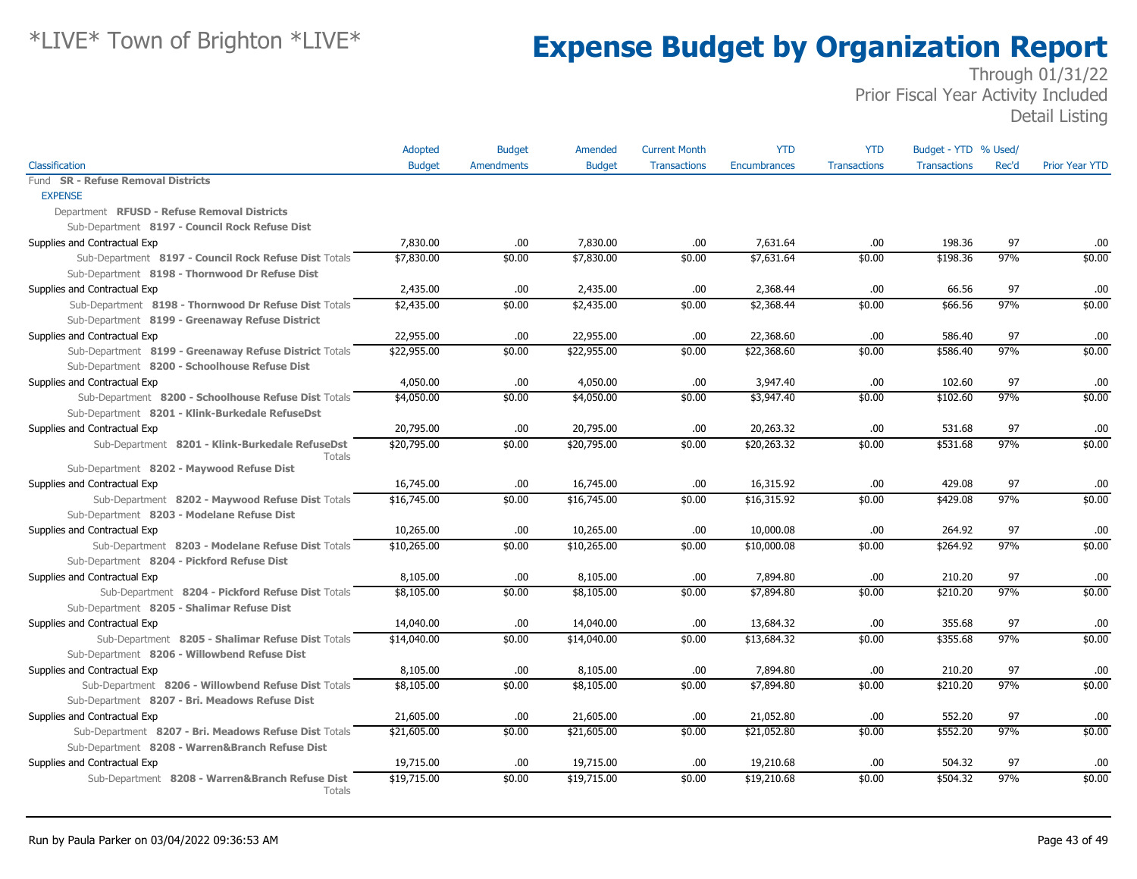|                                                                  | Adopted       | <b>Budget</b>     | Amended       | <b>Current Month</b> | <b>YTD</b>          | <b>YTD</b>          | Budget - YTD % Used/ |       |                       |
|------------------------------------------------------------------|---------------|-------------------|---------------|----------------------|---------------------|---------------------|----------------------|-------|-----------------------|
| Classification                                                   | <b>Budget</b> | <b>Amendments</b> | <b>Budget</b> | <b>Transactions</b>  | <b>Encumbrances</b> | <b>Transactions</b> | <b>Transactions</b>  | Rec'd | <b>Prior Year YTD</b> |
| <b>SR - Refuse Removal Districts</b><br>Fund                     |               |                   |               |                      |                     |                     |                      |       |                       |
| <b>EXPENSE</b>                                                   |               |                   |               |                      |                     |                     |                      |       |                       |
| Department RFUSD - Refuse Removal Districts                      |               |                   |               |                      |                     |                     |                      |       |                       |
| Sub-Department 8197 - Council Rock Refuse Dist                   |               |                   |               |                      |                     |                     |                      |       |                       |
| Supplies and Contractual Exp                                     | 7,830.00      | .00               | 7,830.00      | .00                  | 7.631.64            | .00                 | 198.36               | 97    | .00                   |
| Sub-Department 8197 - Council Rock Refuse Dist Totals            | \$7,830.00    | \$0.00            | \$7,830.00    | \$0.00               | \$7,631.64          | \$0.00              | \$198.36             | 97%   | \$0.00                |
| Sub-Department 8198 - Thornwood Dr Refuse Dist                   |               |                   |               |                      |                     |                     |                      |       |                       |
| Supplies and Contractual Exp                                     | 2,435.00      | .00.              | 2,435.00      | .00                  | 2,368.44            | .00.                | 66.56                | 97    | .00                   |
| Sub-Department 8198 - Thornwood Dr Refuse Dist Totals            | \$2,435.00    | \$0.00            | \$2,435.00    | \$0.00               | \$2,368.44          | \$0.00              | \$66.56              | 97%   | \$0.00                |
| Sub-Department 8199 - Greenaway Refuse District                  |               |                   |               |                      |                     |                     |                      |       |                       |
| Supplies and Contractual Exp                                     | 22,955.00     | .00.              | 22,955.00     | .00                  | 22,368.60           | .00.                | 586.40               | 97    | .00                   |
| Sub-Department 8199 - Greenaway Refuse District Totals           | \$22,955.00   | \$0.00            | \$22,955.00   | \$0.00               | \$22,368.60         | \$0.00              | \$586.40             | 97%   | \$0.00                |
| Sub-Department 8200 - Schoolhouse Refuse Dist                    |               |                   |               |                      |                     |                     |                      |       |                       |
| Supplies and Contractual Exp                                     | 4,050.00      | .00.              | 4,050.00      | .00                  | 3,947.40            | .00                 | 102.60               | 97    | .00                   |
| Sub-Department 8200 - Schoolhouse Refuse Dist Totals             | \$4,050.00    | \$0.00            | \$4,050.00    | \$0.00               | \$3,947.40          | \$0.00              | \$102.60             | 97%   | \$0.00                |
| Sub-Department 8201 - Klink-Burkedale RefuseDst                  |               |                   |               |                      |                     |                     |                      |       |                       |
| Supplies and Contractual Exp                                     | 20,795.00     | .00.              | 20,795.00     | .00                  | 20,263.32           | .00.                | 531.68               | 97    | .00                   |
| Sub-Department 8201 - Klink-Burkedale RefuseDst<br><b>Totals</b> | \$20,795.00   | \$0.00            | \$20,795.00   | \$0.00               | \$20,263.32         | \$0.00              | \$531.68             | 97%   | \$0.00                |
| Sub-Department 8202 - Maywood Refuse Dist                        |               |                   |               |                      |                     |                     |                      |       |                       |
| Supplies and Contractual Exp                                     | 16,745.00     | .00.              | 16,745.00     | .00                  | 16,315.92           | .00                 | 429.08               | 97    | .00                   |
| Sub-Department 8202 - Maywood Refuse Dist Totals                 | \$16,745.00   | \$0.00            | \$16,745.00   | \$0.00               | \$16,315.92         | \$0.00              | \$429.08             | 97%   | \$0.00                |
| Sub-Department 8203 - Modelane Refuse Dist                       |               |                   |               |                      |                     |                     |                      |       |                       |
| Supplies and Contractual Exp                                     | 10,265.00     | .00.              | 10,265.00     | .00                  | 10,000.08           | .00.                | 264.92               | 97    | .00                   |
| Sub-Department 8203 - Modelane Refuse Dist Totals                | \$10,265.00   | \$0.00            | \$10,265.00   | \$0.00               | \$10,000.08         | \$0.00              | \$264.92             | 97%   | \$0.00                |
| Sub-Department 8204 - Pickford Refuse Dist                       |               |                   |               |                      |                     |                     |                      |       |                       |
| Supplies and Contractual Exp                                     | 8,105.00      | .00               | 8,105.00      | .00                  | 7,894.80            | .00                 | 210.20               | 97    | .00                   |
| Sub-Department 8204 - Pickford Refuse Dist Totals                | \$8,105.00    | \$0.00            | \$8,105.00    | \$0.00               | \$7,894.80          | \$0.00              | \$210.20             | 97%   | \$0.00                |
| Sub-Department 8205 - Shalimar Refuse Dist                       |               |                   |               |                      |                     |                     |                      |       |                       |
| Supplies and Contractual Exp                                     | 14,040.00     | .00.              | 14,040.00     | .00                  | 13,684.32           | .00                 | 355.68               | 97    | .00                   |
| Sub-Department 8205 - Shalimar Refuse Dist Totals                | \$14,040.00   | \$0.00            | \$14,040.00   | \$0.00               | \$13,684.32         | \$0.00              | \$355.68             | 97%   | \$0.00                |
| Sub-Department 8206 - Willowbend Refuse Dist                     |               |                   |               |                      |                     |                     |                      |       |                       |
| Supplies and Contractual Exp                                     | 8,105.00      | .00.              | 8,105.00      | .00                  | 7,894.80            | .00                 | 210.20               | 97    | .00                   |
| Sub-Department 8206 - Willowbend Refuse Dist Totals              | \$8,105.00    | \$0.00            | \$8,105.00    | \$0.00               | \$7,894.80          | \$0.00              | \$210.20             | 97%   | \$0.00                |
| Sub-Department 8207 - Bri. Meadows Refuse Dist                   |               |                   |               |                      |                     |                     |                      |       |                       |
| Supplies and Contractual Exp                                     | 21,605.00     | .00.              | 21,605.00     | .00                  | 21,052.80           | .00.                | 552.20               | 97    | .00                   |
| Sub-Department 8207 - Bri. Meadows Refuse Dist Totals            | \$21,605.00   | \$0.00            | \$21,605.00   | \$0.00               | \$21,052.80         | \$0.00              | \$552.20             | 97%   | \$0.00                |
| Sub-Department 8208 - Warren&Branch Refuse Dist                  |               |                   |               |                      |                     |                     |                      |       |                       |
| Supplies and Contractual Exp                                     | 19,715.00     | .00.              | 19,715.00     | .00                  | 19,210.68           | .00.                | 504.32               | 97    | .00                   |
| Sub-Department 8208 - Warren&Branch Refuse Dist<br>Totals        | \$19,715.00   | \$0.00            | \$19,715.00   | \$0.00               | \$19,210.68         | \$0.00              | \$504.32             | 97%   | \$0.00                |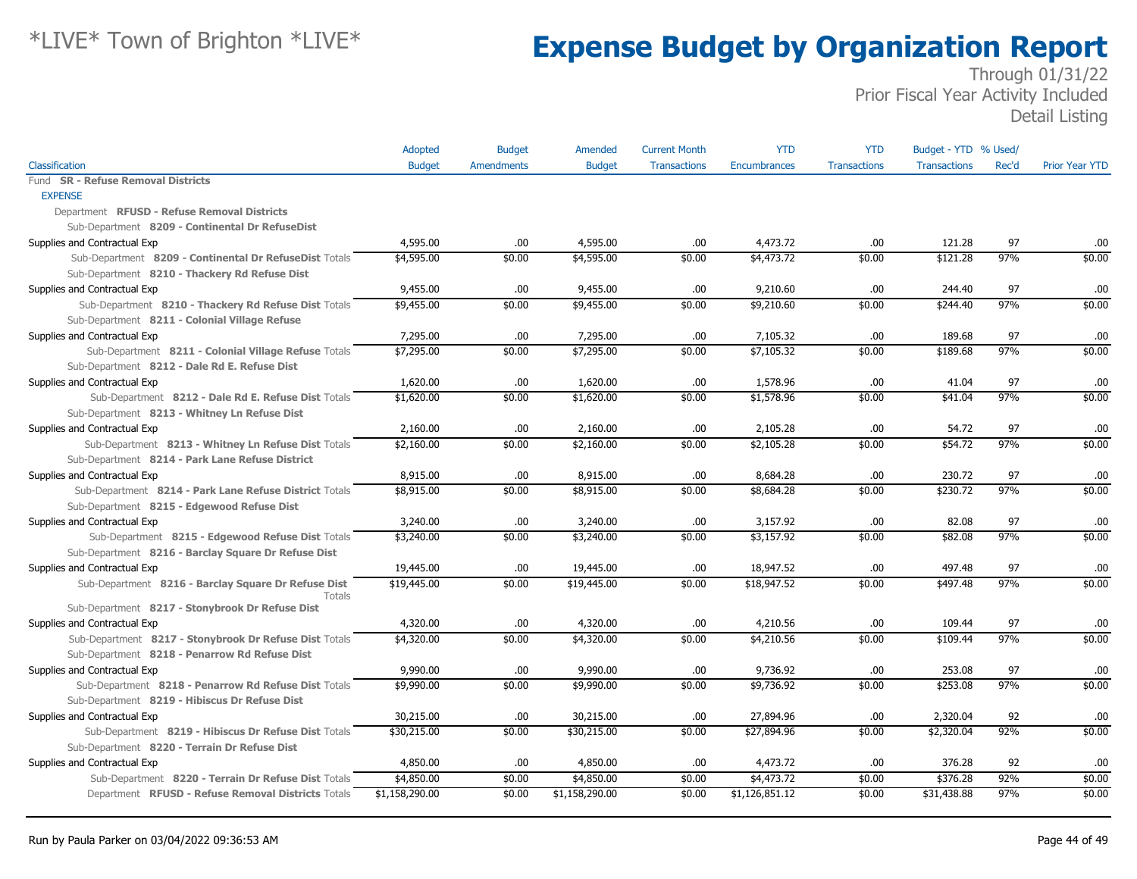|                                                        | Adopted        | <b>Budget</b>     | Amended        | <b>Current Month</b> | <b>YTD</b>     | <b>YTD</b>          | Budget - YTD % Used/ |       |                       |
|--------------------------------------------------------|----------------|-------------------|----------------|----------------------|----------------|---------------------|----------------------|-------|-----------------------|
| Classification                                         | <b>Budget</b>  | <b>Amendments</b> | <b>Budget</b>  | <b>Transactions</b>  | Encumbrances   | <b>Transactions</b> | <b>Transactions</b>  | Rec'd | <b>Prior Year YTD</b> |
| Fund SR - Refuse Removal Districts                     |                |                   |                |                      |                |                     |                      |       |                       |
| <b>EXPENSE</b>                                         |                |                   |                |                      |                |                     |                      |       |                       |
| Department RFUSD - Refuse Removal Districts            |                |                   |                |                      |                |                     |                      |       |                       |
| Sub-Department 8209 - Continental Dr RefuseDist        |                |                   |                |                      |                |                     |                      |       |                       |
| Supplies and Contractual Exp                           | 4,595.00       | .00.              | 4,595.00       | .00                  | 4,473.72       | .00                 | 121.28               | 97    | .00                   |
| Sub-Department 8209 - Continental Dr RefuseDist Totals | \$4,595.00     | \$0.00            | \$4,595.00     | \$0.00               | \$4,473.72     | \$0.00              | \$121.28             | 97%   | \$0.00                |
| Sub-Department 8210 - Thackery Rd Refuse Dist          |                |                   |                |                      |                |                     |                      |       |                       |
| Supplies and Contractual Exp                           | 9,455.00       | .00.              | 9,455.00       | .00                  | 9,210.60       | .00                 | 244.40               | 97    | .00                   |
| Sub-Department 8210 - Thackery Rd Refuse Dist Totals   | \$9,455.00     | \$0.00            | \$9,455.00     | \$0.00               | \$9,210.60     | \$0.00              | \$244.40             | 97%   | \$0.00                |
| Sub-Department 8211 - Colonial Village Refuse          |                |                   |                |                      |                |                     |                      |       |                       |
| Supplies and Contractual Exp                           | 7,295.00       | .00.              | 7,295.00       | .00                  | 7,105.32       | .00                 | 189.68               | 97    | .00                   |
| Sub-Department 8211 - Colonial Village Refuse Totals   | \$7,295.00     | \$0.00            | \$7,295.00     | \$0.00               | \$7,105.32     | \$0.00              | \$189.68             | 97%   | \$0.00                |
| Sub-Department 8212 - Dale Rd E. Refuse Dist           |                |                   |                |                      |                |                     |                      |       |                       |
| Supplies and Contractual Exp                           | 1,620.00       | .00.              | 1,620.00       | .00                  | 1,578.96       | .00                 | 41.04                | 97    | .00                   |
| Sub-Department 8212 - Dale Rd E. Refuse Dist Totals    | \$1,620.00     | \$0.00            | \$1,620.00     | \$0.00               | \$1,578.96     | \$0.00              | \$41.04              | 97%   | \$0.00                |
| Sub-Department 8213 - Whitney Ln Refuse Dist           |                |                   |                |                      |                |                     |                      |       |                       |
| Supplies and Contractual Exp                           | 2,160.00       | .00.              | 2,160.00       | .00                  | 2,105.28       | .00                 | 54.72                | 97    | .00                   |
| Sub-Department 8213 - Whitney Ln Refuse Dist Totals    | \$2,160.00     | \$0.00            | \$2,160.00     | \$0.00               | \$2,105.28     | \$0.00              | \$54.72              | 97%   | \$0.00                |
| Sub-Department 8214 - Park Lane Refuse District        |                |                   |                |                      |                |                     |                      |       |                       |
| Supplies and Contractual Exp                           | 8,915.00       | .00.              | 8,915.00       | .00                  | 8,684.28       | .00                 | 230.72               | 97    | .00                   |
| Sub-Department 8214 - Park Lane Refuse District Totals | \$8,915.00     | \$0.00            | \$8,915.00     | \$0.00               | \$8,684.28     | \$0.00              | \$230.72             | 97%   | \$0.00                |
| Sub-Department 8215 - Edgewood Refuse Dist             |                |                   |                |                      |                |                     |                      |       |                       |
| Supplies and Contractual Exp                           | 3,240.00       | .00.              | 3,240.00       | .00                  | 3,157.92       | .00                 | 82.08                | 97    | .00                   |
| Sub-Department 8215 - Edgewood Refuse Dist Totals      | \$3,240.00     | \$0.00            | \$3,240.00     | \$0.00               | \$3,157.92     | \$0.00              | \$82.08              | 97%   | \$0.00                |
| Sub-Department 8216 - Barclay Square Dr Refuse Dist    |                |                   |                |                      |                |                     |                      |       |                       |
| Supplies and Contractual Exp                           | 19,445.00      | .00.              | 19,445.00      | .00                  | 18,947.52      | .00                 | 497.48               | 97    | .00                   |
| Sub-Department 8216 - Barclay Square Dr Refuse Dist    | \$19,445.00    | \$0.00            | \$19,445.00    | \$0.00               | \$18,947.52    | \$0.00              | \$497.48             | 97%   | \$0.00                |
| Totals                                                 |                |                   |                |                      |                |                     |                      |       |                       |
| Sub-Department 8217 - Stonybrook Dr Refuse Dist        |                |                   |                |                      |                |                     |                      |       |                       |
| Supplies and Contractual Exp                           | 4,320.00       | .00.              | 4,320.00       | .00                  | 4,210.56       | .00                 | 109.44               | 97    | .00                   |
| Sub-Department 8217 - Stonybrook Dr Refuse Dist Totals | \$4,320.00     | \$0.00            | \$4,320.00     | \$0.00               | \$4,210.56     | \$0.00              | \$109.44             | 97%   | \$0.00                |
| Sub-Department 8218 - Penarrow Rd Refuse Dist          |                |                   |                |                      |                |                     |                      |       |                       |
| Supplies and Contractual Exp                           | 9,990.00       | .00.              | 9,990.00       | .00                  | 9,736.92       | .00                 | 253.08               | 97    | .00                   |
| Sub-Department 8218 - Penarrow Rd Refuse Dist Totals   | \$9,990.00     | \$0.00            | \$9,990.00     | \$0.00               | \$9,736.92     | \$0.00              | \$253.08             | 97%   | \$0.00                |
| Sub-Department 8219 - Hibiscus Dr Refuse Dist          |                |                   |                |                      |                |                     |                      |       |                       |
| Supplies and Contractual Exp                           | 30,215.00      | .00.              | 30,215.00      | .00                  | 27,894.96      | .00                 | 2,320.04             | 92    | .00                   |
| Sub-Department 8219 - Hibiscus Dr Refuse Dist Totals   | \$30,215.00    | \$0.00            | \$30,215.00    | \$0.00               | \$27,894.96    | \$0.00              | \$2,320.04           | 92%   | \$0.00                |
| Sub-Department 8220 - Terrain Dr Refuse Dist           |                |                   |                |                      |                |                     |                      |       |                       |
| Supplies and Contractual Exp                           | 4,850.00       | .00.              | 4,850.00       | .00                  | 4,473.72       | .00.                | 376.28               | 92    | .00                   |
| Sub-Department 8220 - Terrain Dr Refuse Dist Totals    | \$4,850.00     | \$0.00            | \$4,850.00     | \$0.00               | \$4,473.72     | \$0.00              | \$376.28             | 92%   | \$0.00                |
| Department RFUSD - Refuse Removal Districts Totals     | \$1,158,290.00 | \$0.00            | \$1,158,290.00 | \$0.00               | \$1,126,851.12 | \$0.00              | \$31,438.88          | 97%   | \$0.00                |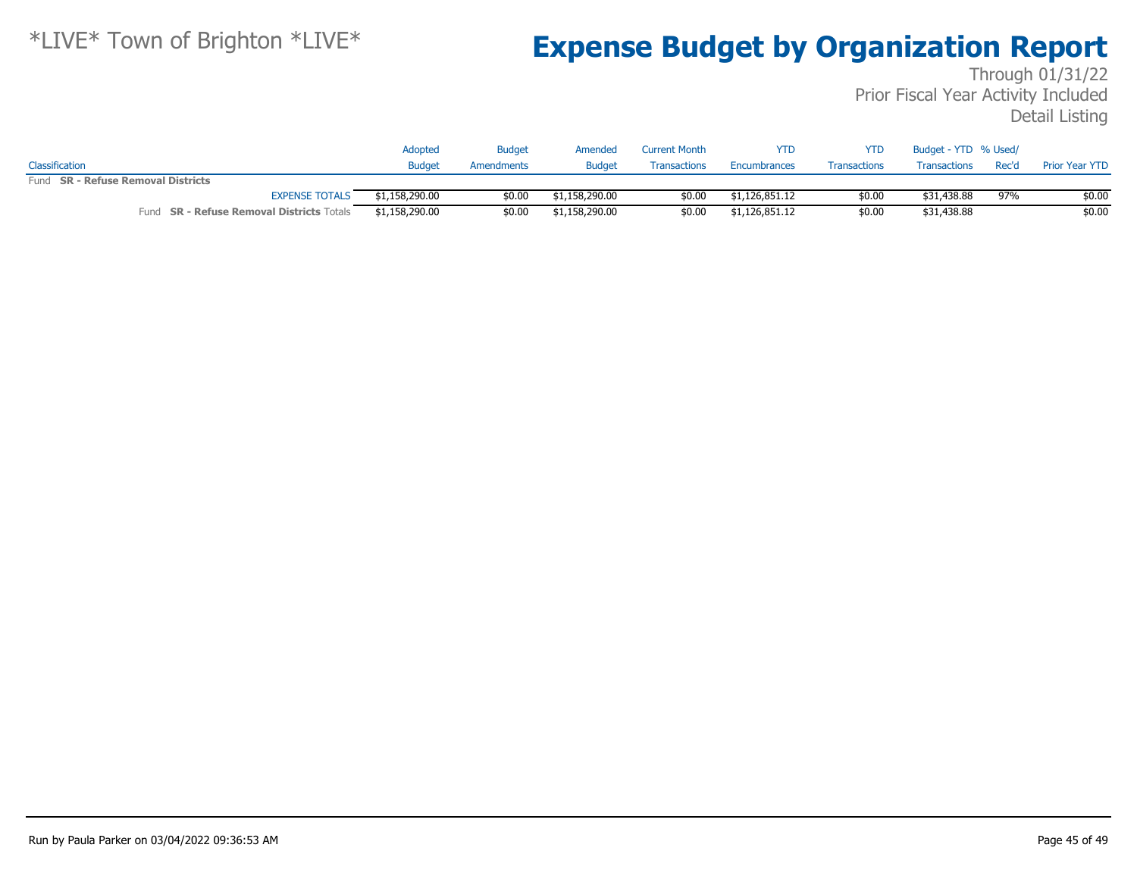|                                           | Adopted        | <b>Budget</b> | Amended        | <b>Current Month</b> | YTD            | YTD                 | Budget - YTD % Used/ |       |                       |
|-------------------------------------------|----------------|---------------|----------------|----------------------|----------------|---------------------|----------------------|-------|-----------------------|
| Classification                            | <b>Budget</b>  | Amendments    | <b>Budget</b>  | Transactions         | Encumbrances   | <b>Transactions</b> | Transactions         | Rec'd | <b>Prior Year YTD</b> |
| Fund SR - Refuse Removal Districts        |                |               |                |                      |                |                     |                      |       |                       |
| <b>EXPENSE TOTALS</b>                     | \$1,158,290.00 | \$0.00        | \$1,158,290.00 | \$0.00               | \$1,126,851.12 | \$0.00              | \$31,438.88          | 97%   | \$0.00                |
| Fund SR - Refuse Removal Districts Totals | \$1,158,290.00 | \$0.00        | \$1,158,290.00 | \$0.00               | \$1,126,851.12 | \$0.00              | \$31,438.88          |       | \$0.00                |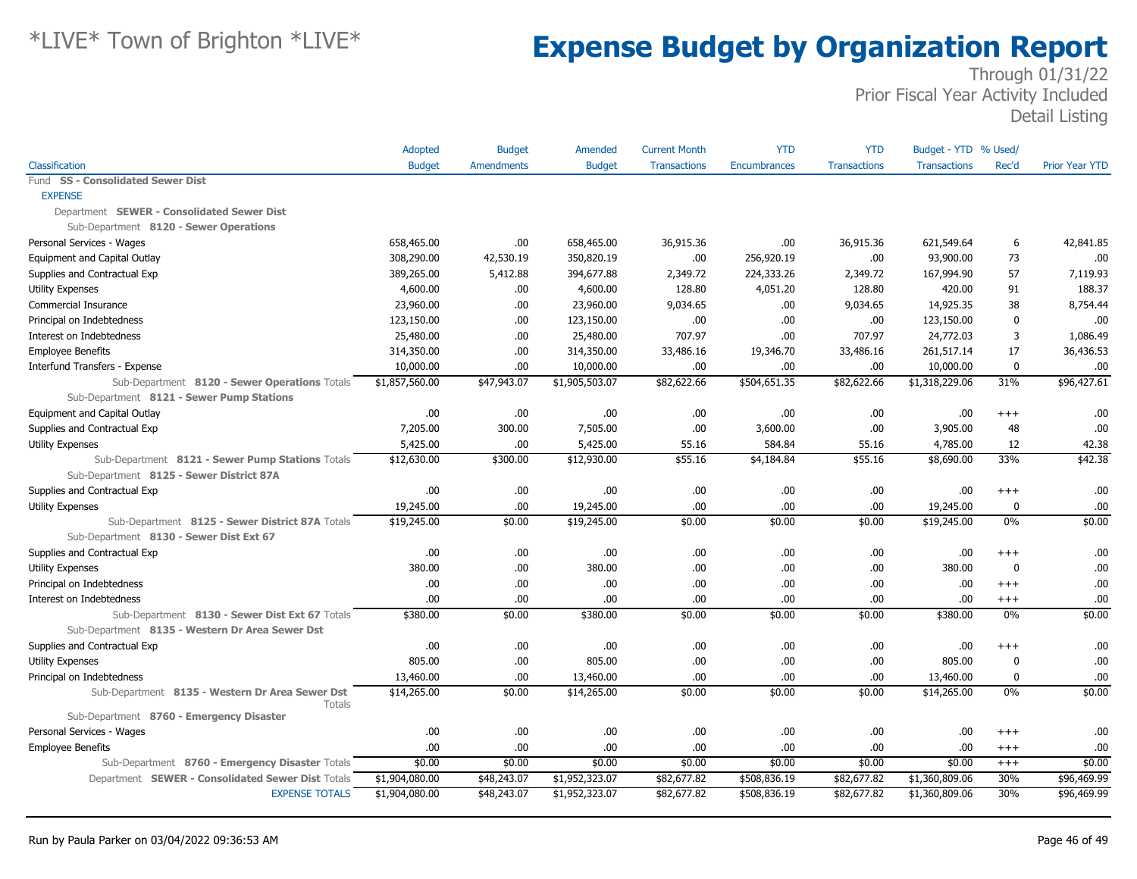|                                                                  | Adopted        | <b>Budget</b>     | Amended        | <b>Current Month</b> | <b>YTD</b>   | <b>YTD</b>          | Budget - YTD % Used/ |              |                       |
|------------------------------------------------------------------|----------------|-------------------|----------------|----------------------|--------------|---------------------|----------------------|--------------|-----------------------|
| Classification                                                   | <b>Budget</b>  | <b>Amendments</b> | <b>Budget</b>  | <b>Transactions</b>  | Encumbrances | <b>Transactions</b> | <b>Transactions</b>  | Rec'd        | <b>Prior Year YTD</b> |
| Fund SS - Consolidated Sewer Dist                                |                |                   |                |                      |              |                     |                      |              |                       |
| <b>EXPENSE</b>                                                   |                |                   |                |                      |              |                     |                      |              |                       |
| Department SEWER - Consolidated Sewer Dist                       |                |                   |                |                      |              |                     |                      |              |                       |
| Sub-Department 8120 - Sewer Operations                           |                |                   |                |                      |              |                     |                      |              |                       |
| Personal Services - Wages                                        | 658,465.00     | .00               | 658,465.00     | 36,915.36            | .00          | 36,915.36           | 621,549.64           | 6            | 42,841.85             |
| Equipment and Capital Outlay                                     | 308,290.00     | 42,530.19         | 350,820.19     | .00                  | 256,920.19   | .00                 | 93,900.00            | 73           | .00                   |
| Supplies and Contractual Exp                                     | 389,265.00     | 5,412.88          | 394,677.88     | 2,349.72             | 224,333.26   | 2,349.72            | 167,994.90           | 57           | 7,119.93              |
| Utility Expenses                                                 | 4,600.00       | .00.              | 4,600.00       | 128.80               | 4,051.20     | 128.80              | 420.00               | 91           | 188.37                |
| <b>Commercial Insurance</b>                                      | 23,960.00      | .00               | 23,960.00      | 9,034.65             | .00          | 9,034.65            | 14,925.35            | 38           | 8,754.44              |
| Principal on Indebtedness                                        | 123,150.00     | .00.              | 123,150.00     | .00                  | .00          | .00                 | 123,150.00           | $\mathbf 0$  | .00                   |
| Interest on Indebtedness                                         | 25,480.00      | .00.              | 25,480.00      | 707.97               | .00          | 707.97              | 24,772.03            | 3            | 1,086.49              |
| <b>Employee Benefits</b>                                         | 314,350.00     | .00               | 314,350.00     | 33,486.16            | 19,346.70    | 33,486.16           | 261,517.14           | 17           | 36,436.53             |
| Interfund Transfers - Expense                                    | 10,000.00      | .00.              | 10,000.00      | .00                  | .00          | .00                 | 10,000.00            | $\mathbf 0$  | .00                   |
| Sub-Department 8120 - Sewer Operations Totals                    | \$1,857,560.00 | \$47,943.07       | \$1,905,503.07 | \$82,622.66          | \$504,651.35 | \$82,622.66         | \$1,318,229.06       | 31%          | \$96,427.61           |
| Sub-Department 8121 - Sewer Pump Stations                        |                |                   |                |                      |              |                     |                      |              |                       |
| Equipment and Capital Outlay                                     | .00            | .00               | .00            | .00                  | .00          | .00                 | .00.                 | $^{++}$      | .00                   |
| Supplies and Contractual Exp                                     | 7,205.00       | 300.00            | 7,505.00       | .00                  | 3,600.00     | .00                 | 3,905.00             | 48           | .00                   |
| <b>Utility Expenses</b>                                          | 5,425.00       | .00.              | 5,425.00       | 55.16                | 584.84       | 55.16               | 4,785.00             | 12           | 42.38                 |
| Sub-Department 8121 - Sewer Pump Stations Totals                 | \$12,630.00    | \$300.00          | \$12,930.00    | \$55.16              | \$4,184.84   | \$55.16             | \$8,690.00           | 33%          | \$42.38               |
| Sub-Department 8125 - Sewer District 87A                         |                |                   |                |                      |              |                     |                      |              |                       |
| Supplies and Contractual Exp                                     | .00.           | .00               | .00.           | .00                  | .00          | .00                 | .00                  | $^{++}$      | .00                   |
| Utility Expenses                                                 | 19,245.00      | .00               | 19,245.00      | .00                  | .00          | .00                 | 19,245.00            | 0            | .00                   |
| Sub-Department 8125 - Sewer District 87A Totals                  | \$19,245.00    | \$0.00            | \$19,245.00    | \$0.00               | \$0.00       | \$0.00              | \$19,245.00          | 0%           | \$0.00                |
| Sub-Department 8130 - Sewer Dist Ext 67                          |                |                   |                |                      |              |                     |                      |              |                       |
| Supplies and Contractual Exp                                     | .00            | .00               | .00            | .00                  | .00          | .00                 | .00                  | $^{+++}$     | .00                   |
| <b>Utility Expenses</b>                                          | 380.00         | .00               | 380.00         | .00                  | .00          | .00                 | 380.00               | $\mathbf 0$  | .00                   |
| Principal on Indebtedness                                        | .00            | .00               | .00            | .00                  | .00          | .00                 | .00                  | $^{+++}$     | .00                   |
| Interest on Indebtedness                                         | .00            | .00               | .00            | .00                  | .00          | .00.                | .00                  | $^{++}$      | .00                   |
| Sub-Department 8130 - Sewer Dist Ext 67 Totals                   | \$380.00       | \$0.00            | \$380.00       | \$0.00               | \$0.00       | \$0.00              | \$380.00             | 0%           | \$0.00                |
| Sub-Department 8135 - Western Dr Area Sewer Dst                  |                |                   |                |                      |              |                     |                      |              |                       |
| Supplies and Contractual Exp                                     | .00.           | .00.              | .00            | .00                  | .00          | .00                 | .00                  | $^{+++}$     | .00                   |
| <b>Utility Expenses</b>                                          | 805.00         | .00               | 805.00         | .00                  | .00          | .00                 | 805.00               | $\mathbf{0}$ | .00                   |
| Principal on Indebtedness                                        | 13,460.00      | .00               | 13,460.00      | .00                  | .00          | .00                 | 13,460.00            | $\mathbf 0$  | .00                   |
| Sub-Department 8135 - Western Dr Area Sewer Dst<br><b>Totals</b> | \$14,265.00    | \$0.00            | \$14,265.00    | \$0.00               | \$0.00       | \$0.00              | \$14,265.00          | 0%           | \$0.00                |
| Sub-Department 8760 - Emergency Disaster                         |                |                   |                |                      |              |                     |                      |              |                       |
| Personal Services - Wages                                        | .00            | .00.              | .00.           | .00                  | .00          | .00                 | .00                  | $^{+++}$     | .00                   |
| <b>Employee Benefits</b>                                         | .00            | .00               | .00            | .00                  | .00          | .00.                | .00                  | $^{++}$      | .00                   |
| Sub-Department 8760 - Emergency Disaster Totals                  | \$0.00         | \$0.00            | \$0.00         | \$0.00               | \$0.00       | \$0.00              | \$0.00               | $+++$        | \$0.00                |
| Department SEWER - Consolidated Sewer Dist Totals                | \$1,904,080.00 | \$48,243.07       | \$1,952,323.07 | \$82,677.82          | \$508,836.19 | \$82,677.82         | \$1,360,809.06       | 30%          | \$96,469.99           |
| <b>EXPENSE TOTALS</b>                                            | \$1,904,080.00 | \$48,243.07       | \$1,952,323.07 | \$82,677.82          | \$508,836.19 | \$82,677.82         | \$1,360,809.06       | 30%          | \$96,469.99           |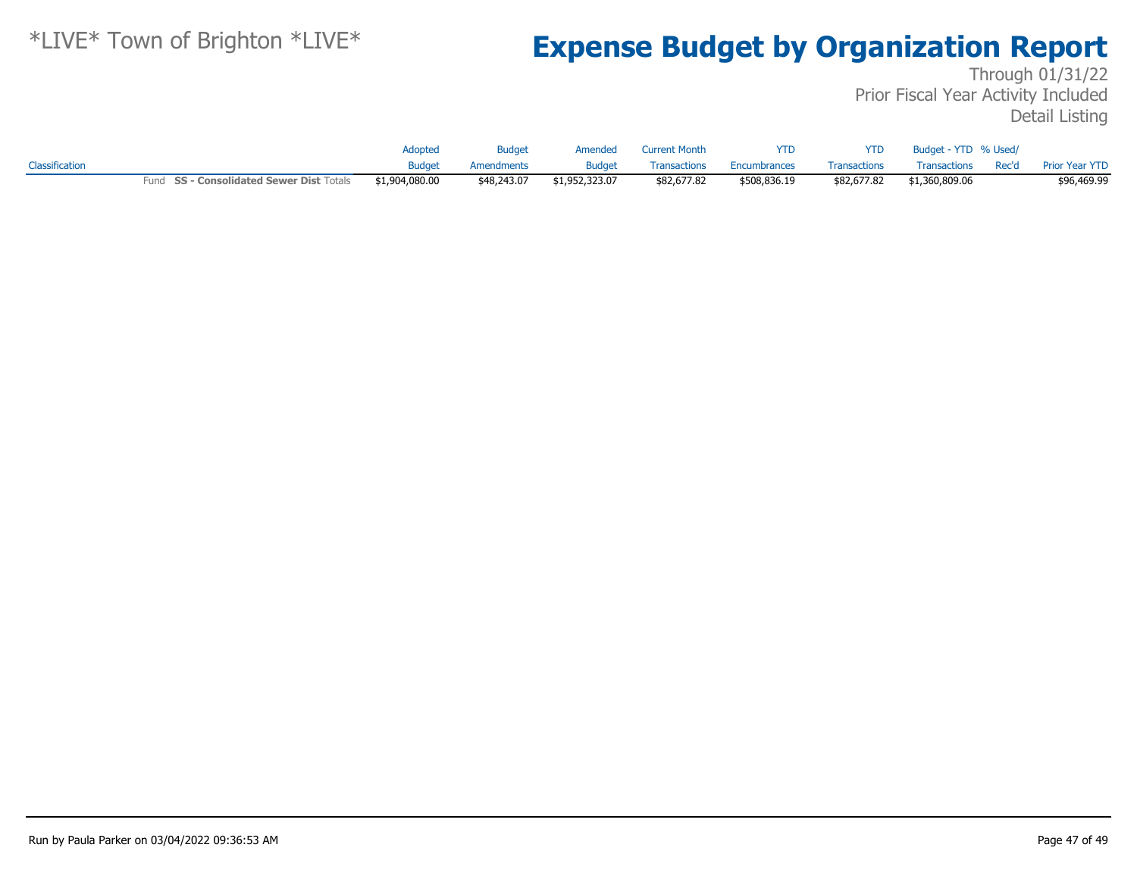|                |                                          | Adopted        | <b>Budget</b> | Amended        | Current Month | <b>YTD</b>   | <b>YTD</b>          | Budget - YTD % Used/ |                                   |
|----------------|------------------------------------------|----------------|---------------|----------------|---------------|--------------|---------------------|----------------------|-----------------------------------|
| Classification |                                          | <b>Budget</b>  | Amendments    | <b>Budget</b>  | Transactions  | Encumbrances | <b>Transactions</b> |                      | Transactions Rec'd Prior Year YTD |
|                | Fund SS - Consolidated Sewer Dist Totals | \$1,904,080.00 | \$48,243.07   | \$1,952,323.07 | \$82,677.82   | \$508,836.19 | \$82,677.82         | \$1,360,809.06       | \$96,469.99                       |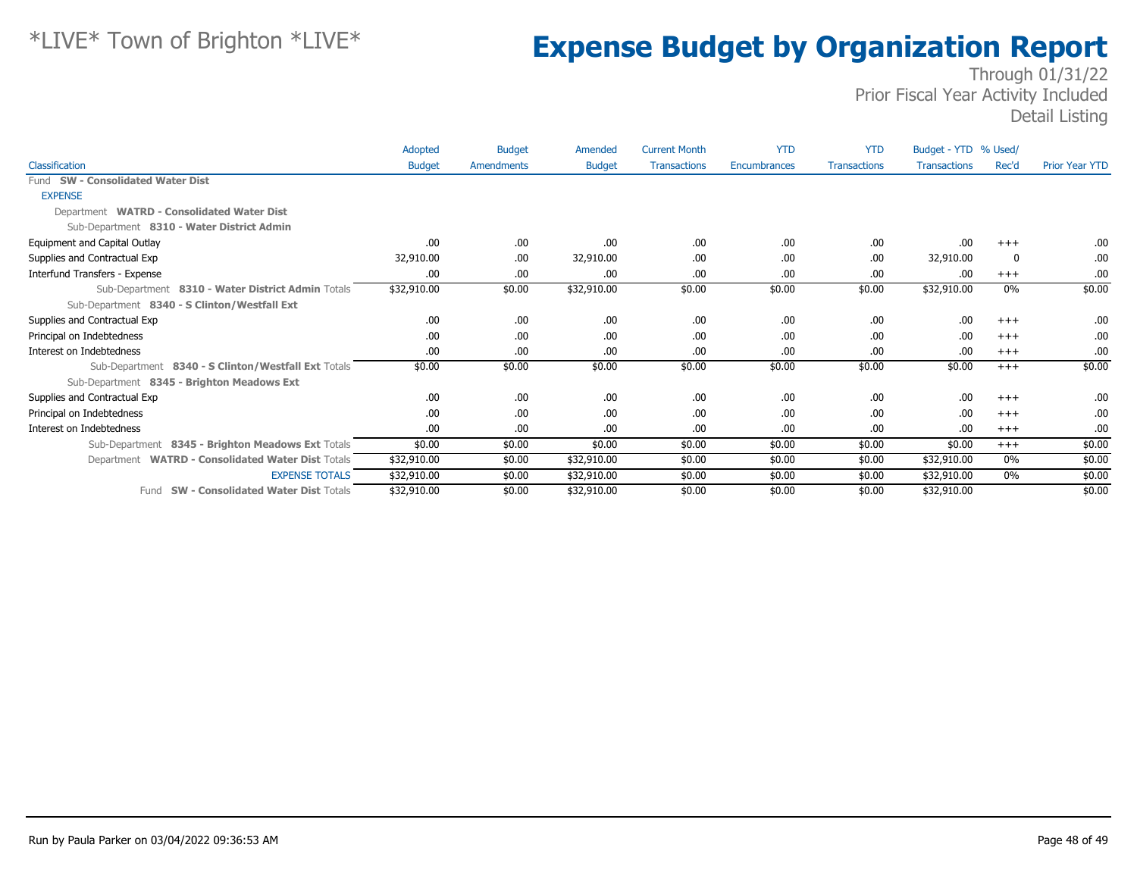|                                                     | Adopted       | <b>Budget</b> | Amended       | <b>Current Month</b> | <b>YTD</b>   | <b>YTD</b>          | Budget - YTD % Used/ |          |                       |
|-----------------------------------------------------|---------------|---------------|---------------|----------------------|--------------|---------------------|----------------------|----------|-----------------------|
| Classification                                      | <b>Budget</b> | Amendments    | <b>Budget</b> | <b>Transactions</b>  | Encumbrances | <b>Transactions</b> | <b>Transactions</b>  | Rec'd    | <b>Prior Year YTD</b> |
| Fund SW - Consolidated Water Dist                   |               |               |               |                      |              |                     |                      |          |                       |
| <b>EXPENSE</b>                                      |               |               |               |                      |              |                     |                      |          |                       |
| Department WATRD - Consolidated Water Dist          |               |               |               |                      |              |                     |                      |          |                       |
| Sub-Department 8310 - Water District Admin          |               |               |               |                      |              |                     |                      |          |                       |
| Equipment and Capital Outlay                        | .00           | .00           | .00           | .00                  | .00          | .00                 | .00                  | $+++$    | .00.                  |
| Supplies and Contractual Exp                        | 32,910.00     | .00           | 32,910.00     | .00                  | .00          | .00                 | 32,910.00            | 0        | .00.                  |
| Interfund Transfers - Expense                       | .00           | .00           | .00           | .00                  | .00          | .00                 | .00                  | $+++$    | .00.                  |
| Sub-Department 8310 - Water District Admin Totals   | \$32,910.00   | \$0.00        | \$32,910.00   | \$0.00               | \$0.00       | \$0.00              | \$32,910.00          | 0%       | \$0.00                |
| Sub-Department 8340 - S Clinton/Westfall Ext        |               |               |               |                      |              |                     |                      |          |                       |
| Supplies and Contractual Exp                        | .00           | .00           | .00.          | .00                  | .00          | .00                 | .00                  | $^{+++}$ | .00                   |
| Principal on Indebtedness                           | .00           | .00           | .00.          | .00                  | .00          | .00                 | .00                  | $^{+++}$ | .00.                  |
| Interest on Indebtedness                            | .00           | .00           | .00.          | .00                  | .00          | .00                 | .00                  | $+++$    | .00.                  |
| Sub-Department 8340 - S Clinton/Westfall Ext Totals | \$0.00        | \$0.00        | \$0.00        | \$0.00               | \$0.00       | \$0.00              | \$0.00               | $+++$    | \$0.00                |
| Sub-Department 8345 - Brighton Meadows Ext          |               |               |               |                      |              |                     |                      |          |                       |
| Supplies and Contractual Exp                        | .00           | .00.          | .00.          | .00                  | .00          | .00                 | .00                  | $^{+++}$ | .00.                  |
| Principal on Indebtedness                           | .00           | .00           | .00.          | .00                  | .00          | .00                 | .00                  | $^{+++}$ | .00.                  |
| Interest on Indebtedness                            | .00           | .00           | .00.          | .00                  | .00          | .00                 | .00                  | $^{+++}$ | .00.                  |
| Sub-Department 8345 - Brighton Meadows Ext Totals   | \$0.00        | \$0.00        | \$0.00        | \$0.00               | \$0.00       | \$0.00              | \$0.00               | $+++$    | \$0.00                |
| Department WATRD - Consolidated Water Dist Totals   | \$32,910.00   | \$0.00        | \$32,910.00   | \$0.00               | \$0.00       | \$0.00              | \$32,910.00          | $0\%$    | \$0.00                |
| <b>EXPENSE TOTALS</b>                               | \$32,910.00   | \$0.00        | \$32,910.00   | \$0.00               | \$0.00       | \$0.00              | \$32,910.00          | $0\%$    | \$0.00                |
| Fund SW - Consolidated Water Dist Totals            | \$32,910.00   | \$0.00        | \$32,910.00   | \$0.00               | \$0.00       | \$0.00              | \$32,910.00          |          | \$0.00                |